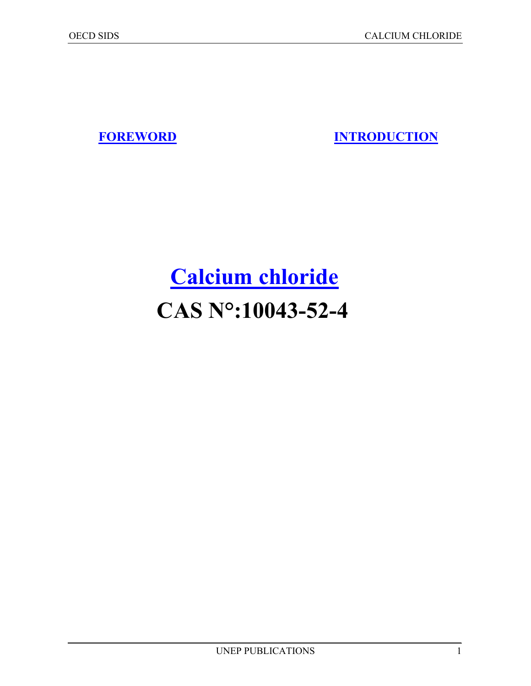**FOREWORD INTRODUCTION**

## **[Calcium chloride](#page-1-0) CAS N°:10043-52-4**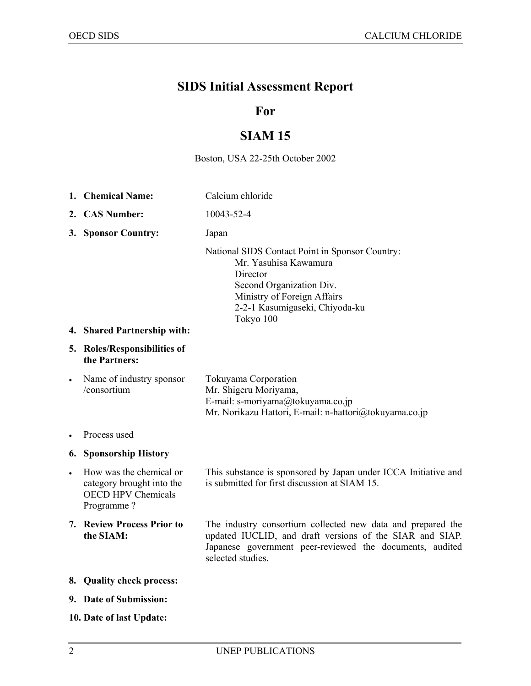### <span id="page-1-0"></span>**SIDS Initial Assessment Report**

#### **For**

### **SIAM 15**

#### Boston, USA 22-25th October 2002

- **1. Chemical Name:** Calcium chloride
- **2. CAS Number:** 10043-52-4
- **3. Sponsor Country:** Japan

National SIDS Contact Point in Sponsor Country: Mr. Yasuhisa Kawamura **Director**  Second Organization Div. Ministry of Foreign Affairs 2-2-1 Kasumigaseki, Chiyoda-ku Tokyo 100

#### **4. Shared Partnership with:**

#### **5. Roles/Responsibilities of the Partners:**

| $\bullet$ | Name of industry sponsor | Tokuyama Corporation                                   |
|-----------|--------------------------|--------------------------------------------------------|
|           | /consortium              | Mr. Shigeru Moriyama,                                  |
|           |                          | E-mail: s-moriyama@tokuyama.co.jp                      |
|           |                          | Mr. Norikazu Hattori, E-mail: n-hattori@tokuyama.co.jp |

• Process used

#### **6. Sponsorship History**

• How was the chemical or category brought into the OECD HPV Chemicals Programme ?

This substance is sponsored by Japan under ICCA Initiative and is submitted for first discussion at SIAM 15.

- **7. Review Process Prior to the SIAM:**  The industry consortium collected new data and prepared the updated IUCLID, and draft versions of the SIAR and SIAP. Japanese government peer-reviewed the documents, audited selected studies.
- **8. Quality check process:**
- **9. Date of Submission:**
- **10. Date of last Update:**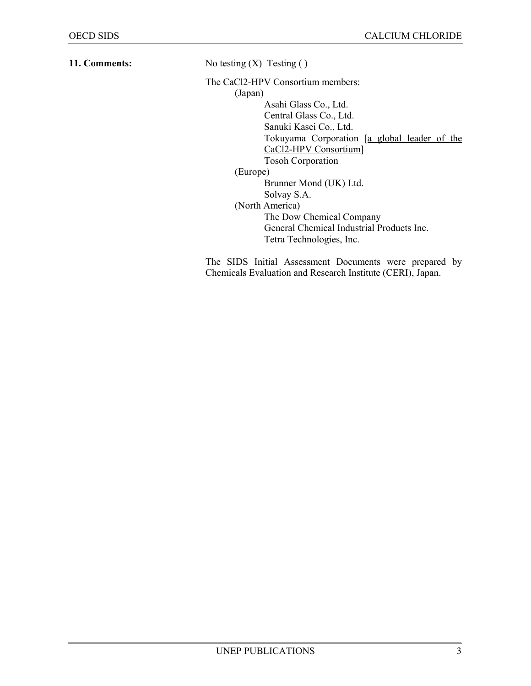**11. Comments:** No testing (X) Testing ()

The CaCl2-HPV Consortium members:

 (Japan) Asahi Glass Co., Ltd. Central Glass Co., Ltd. Sanuki Kasei Co., Ltd. Tokuyama Corporation [a global leader of the CaCl2-HPV Consortium] Tosoh Corporation (Europe) Brunner Mond (UK) Ltd. Solvay S.A. (North America) The Dow Chemical Company General Chemical Industrial Products Inc. Tetra Technologies, Inc.

The SIDS Initial Assessment Documents were prepared by Chemicals Evaluation and Research Institute (CERI), Japan.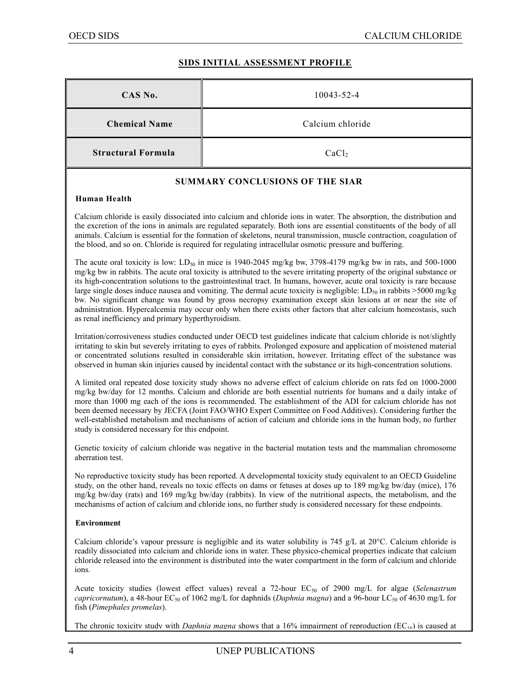#### **SIDS INITIAL ASSESSMENT PROFILE**

| CAS No.                   | 10043-52-4        |
|---------------------------|-------------------|
| <b>Chemical Name</b>      | Calcium chloride  |
| <b>Structural Formula</b> | CaCl <sub>2</sub> |

#### **SUMMARY CONCLUSIONS OF THE SIAR**

#### **Human Health**

Calcium chloride is easily dissociated into calcium and chloride ions in water. The absorption, the distribution and the excretion of the ions in animals are regulated separately. Both ions are essential constituents of the body of all animals. Calcium is essential for the formation of skeletons, neural transmission, muscle contraction, coagulation of the blood, and so on. Chloride is required for regulating intracellular osmotic pressure and buffering.

The acute oral toxicity is low:  $LD_{50}$  in mice is 1940-2045 mg/kg bw, 3798-4179 mg/kg bw in rats, and 500-1000 mg/kg bw in rabbits. The acute oral toxicity is attributed to the severe irritating property of the original substance or its high-concentration solutions to the gastrointestinal tract. In humans, however, acute oral toxicity is rare because large single doses induce nausea and vomiting. The dermal acute toxicity is negligible:  $LD_{50}$  in rabbits >5000 mg/kg bw. No significant change was found by gross necropsy examination except skin lesions at or near the site of administration. Hypercalcemia may occur only when there exists other factors that alter calcium homeostasis, such as renal inefficiency and primary hyperthyroidism.

Irritation/corrosiveness studies conducted under OECD test guidelines indicate that calcium chloride is not/slightly irritating to skin but severely irritating to eyes of rabbits. Prolonged exposure and application of moistened material or concentrated solutions resulted in considerable skin irritation, however. Irritating effect of the substance was observed in human skin injuries caused by incidental contact with the substance or its high-concentration solutions.

A limited oral repeated dose toxicity study shows no adverse effect of calcium chloride on rats fed on 1000-2000 mg/kg bw/day for 12 months. Calcium and chloride are both essential nutrients for humans and a daily intake of more than 1000 mg each of the ions is recommended. The establishment of the ADI for calcium chloride has not been deemed necessary by JECFA (Joint FAO/WHO Expert Committee on Food Additives). Considering further the well-established metabolism and mechanisms of action of calcium and chloride ions in the human body, no further study is considered necessary for this endpoint.

Genetic toxicity of calcium chloride was negative in the bacterial mutation tests and the mammalian chromosome aberration test.

No reproductive toxicity study has been reported. A developmental toxicity study equivalent to an OECD Guideline study, on the other hand, reveals no toxic effects on dams or fetuses at doses up to 189 mg/kg bw/day (mice), 176 mg/kg bw/day (rats) and 169 mg/kg bw/day (rabbits). In view of the nutritional aspects, the metabolism, and the mechanisms of action of calcium and chloride ions, no further study is considered necessary for these endpoints.

#### **Environment**

Calcium chloride's vapour pressure is negligible and its water solubility is 745 g/L at 20°C. Calcium chloride is readily dissociated into calcium and chloride ions in water. These physico-chemical properties indicate that calcium chloride released into the environment is distributed into the water compartment in the form of calcium and chloride ions.

Acute toxicity studies (lowest effect values) reveal a 72-hour EC<sub>50</sub> of 2900 mg/L for algae (*Selenastrum capricornutum*), a 48-hour EC<sub>50</sub> of 1062 mg/L for daphnids (*Daphnia magna*) and a 96-hour LC<sub>50</sub> of 4630 mg/L for fish (*Pimephales promelas*).

The chronic toxicity study with *Daphnia magna* shows that a 16% impairment of reproduction (EC16) is caused at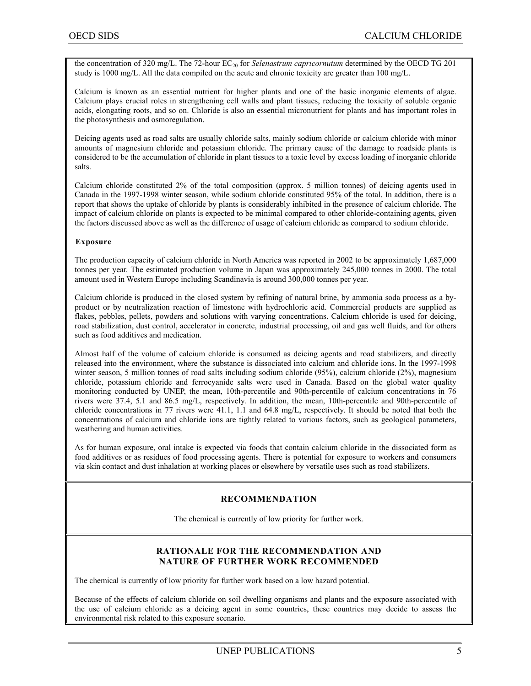the concentration of 320 mg/L. The 72-hour EC<sub>20</sub> for *Selenastrum capricornutum* determined by the OECD TG 201 study is 1000 mg/L. All the data compiled on the acute and chronic toxicity are greater than 100 mg/L.

Calcium is known as an essential nutrient for higher plants and one of the basic inorganic elements of algae. Calcium plays crucial roles in strengthening cell walls and plant tissues, reducing the toxicity of soluble organic acids, elongating roots, and so on. Chloride is also an essential micronutrient for plants and has important roles in the photosynthesis and osmoregulation.

Deicing agents used as road salts are usually chloride salts, mainly sodium chloride or calcium chloride with minor amounts of magnesium chloride and potassium chloride. The primary cause of the damage to roadside plants is considered to be the accumulation of chloride in plant tissues to a toxic level by excess loading of inorganic chloride salts.

Calcium chloride constituted 2% of the total composition (approx. 5 million tonnes) of deicing agents used in Canada in the 1997-1998 winter season, while sodium chloride constituted 95% of the total. In addition, there is a report that shows the uptake of chloride by plants is considerably inhibited in the presence of calcium chloride. The impact of calcium chloride on plants is expected to be minimal compared to other chloride-containing agents, given the factors discussed above as well as the difference of usage of calcium chloride as compared to sodium chloride.

#### **Exposure**

The production capacity of calcium chloride in North America was reported in 2002 to be approximately 1,687,000 tonnes per year. The estimated production volume in Japan was approximately 245,000 tonnes in 2000. The total amount used in Western Europe including Scandinavia is around 300,000 tonnes per year.

Calcium chloride is produced in the closed system by refining of natural brine, by ammonia soda process as a byproduct or by neutralization reaction of limestone with hydrochloric acid. Commercial products are supplied as flakes, pebbles, pellets, powders and solutions with varying concentrations. Calcium chloride is used for deicing, road stabilization, dust control, accelerator in concrete, industrial processing, oil and gas well fluids, and for others such as food additives and medication.

Almost half of the volume of calcium chloride is consumed as deicing agents and road stabilizers, and directly released into the environment, where the substance is dissociated into calcium and chloride ions. In the 1997-1998 winter season, 5 million tonnes of road salts including sodium chloride (95%), calcium chloride (2%), magnesium chloride, potassium chloride and ferrocyanide salts were used in Canada. Based on the global water quality monitoring conducted by UNEP, the mean, 10th-percentile and 90th-percentile of calcium concentrations in 76 rivers were 37.4, 5.1 and 86.5 mg/L, respectively. In addition, the mean, 10th-percentile and 90th-percentile of chloride concentrations in 77 rivers were 41.1, 1.1 and 64.8 mg/L, respectively. It should be noted that both the concentrations of calcium and chloride ions are tightly related to various factors, such as geological parameters, weathering and human activities.

As for human exposure, oral intake is expected via foods that contain calcium chloride in the dissociated form as food additives or as residues of food processing agents. There is potential for exposure to workers and consumers via skin contact and dust inhalation at working places or elsewhere by versatile uses such as road stabilizers.

#### **RECOMMENDATION**

The chemical is currently of low priority for further work.

#### **RATIONALE FOR THE RECOMMENDATION AND NATURE OF FURTHER WORK RECOMMENDED**

The chemical is currently of low priority for further work based on a low hazard potential.

Because of the effects of calcium chloride on soil dwelling organisms and plants and the exposure associated with the use of calcium chloride as a deicing agent in some countries, these countries may decide to assess the environmental risk related to this exposure scenario.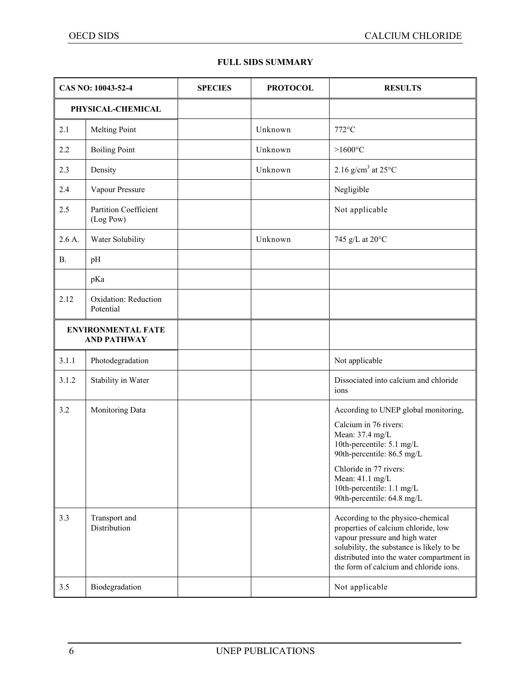#### **FULL SIDS SUMMARY**

|            | CAS NO: 10043-52-4<br><b>SPECIES</b><br><b>PROTOCOL</b><br><b>RESULTS</b> |  |         |                                                                                                                                                                                                                                                                                                                                 |
|------------|---------------------------------------------------------------------------|--|---------|---------------------------------------------------------------------------------------------------------------------------------------------------------------------------------------------------------------------------------------------------------------------------------------------------------------------------------|
|            | PHYSICAL-CHEMICAL                                                         |  |         |                                                                                                                                                                                                                                                                                                                                 |
| 2.1        | <b>Melting Point</b>                                                      |  | Unknown | 772°C                                                                                                                                                                                                                                                                                                                           |
| 2.2        | <b>Boiling Point</b>                                                      |  | Unknown | $>1600$ °C                                                                                                                                                                                                                                                                                                                      |
| 2.3        | Density                                                                   |  | Unknown | 2.16 g/cm <sup>3</sup> at $25^{\circ}$ C                                                                                                                                                                                                                                                                                        |
| 2.4        | Vapour Pressure                                                           |  |         | Negligible                                                                                                                                                                                                                                                                                                                      |
| 2.5        | <b>Partition Coefficient</b><br>(Log Pow)                                 |  |         | Not applicable                                                                                                                                                                                                                                                                                                                  |
| $2.6A$ .   | Water Solubility                                                          |  | Unknown | 745 g/L at 20°C                                                                                                                                                                                                                                                                                                                 |
| <b>B.</b>  | pH                                                                        |  |         |                                                                                                                                                                                                                                                                                                                                 |
|            | pKa                                                                       |  |         |                                                                                                                                                                                                                                                                                                                                 |
| 2.12       | Oxidation: Reduction<br>Potential                                         |  |         |                                                                                                                                                                                                                                                                                                                                 |
|            | <b>ENVIRONMENTAL FATE</b><br><b>AND PATHWAY</b>                           |  |         |                                                                                                                                                                                                                                                                                                                                 |
| 3.1.1      | Photodegradation                                                          |  |         | Not applicable                                                                                                                                                                                                                                                                                                                  |
| 3.1.2      | Stability in Water                                                        |  |         | Dissociated into calcium and chloride<br>ions                                                                                                                                                                                                                                                                                   |
| 3.2<br>3.3 | Monitoring Data<br>Transport and<br>Distribution                          |  |         | According to UNEP global monitoring,<br>Calcium in 76 rivers:<br>Mean: 37.4 mg/L<br>10th-percentile: 5.1 mg/L<br>90th-percentile: 86.5 mg/L<br>Chloride in 77 rivers:<br>Mean: 41.1 mg/L<br>10th-percentile: 1.1 mg/L<br>90th-percentile: 64.8 mg/L<br>According to the physico-chemical<br>properties of calcium chloride, low |
|            |                                                                           |  |         | vapour pressure and high water<br>solubility, the substance is likely to be<br>distributed into the water compartment in<br>the form of calcium and chloride ions.                                                                                                                                                              |
| 3.5        | Biodegradation                                                            |  |         | Not applicable                                                                                                                                                                                                                                                                                                                  |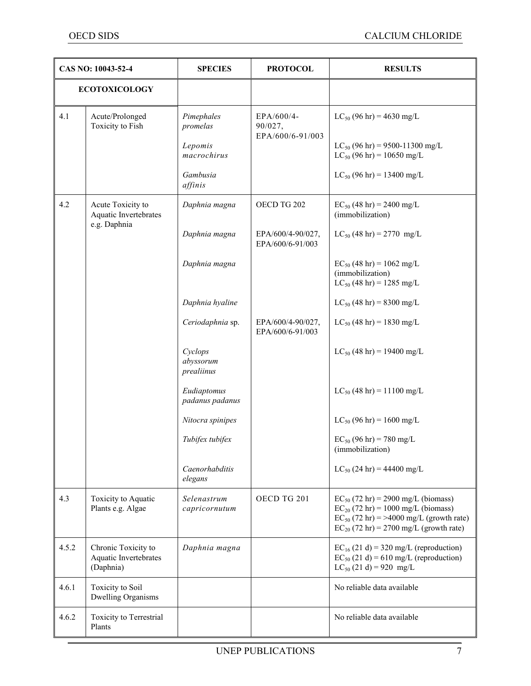|       | CAS NO: 10043-52-4                                        | <b>SPECIES</b>                     | <b>PROTOCOL</b>                       | <b>RESULTS</b>                                                                                                                                                                    |
|-------|-----------------------------------------------------------|------------------------------------|---------------------------------------|-----------------------------------------------------------------------------------------------------------------------------------------------------------------------------------|
|       | <b>ECOTOXICOLOGY</b>                                      |                                    |                                       |                                                                                                                                                                                   |
| 4.1   | Acute/Prolonged<br>Toxicity to Fish                       | Pimephales<br>promelas             | EPA/600/4-<br>90/027,                 | $LC_{50}$ (96 hr) = 4630 mg/L                                                                                                                                                     |
|       |                                                           | Lepomis<br>macrochirus             | EPA/600/6-91/003                      | $LC_{50}$ (96 hr) = 9500-11300 mg/L<br>$LC_{50}$ (96 hr) = 10650 mg/L                                                                                                             |
|       |                                                           | Gambusia<br>affinis                |                                       | $LC_{50}$ (96 hr) = 13400 mg/L                                                                                                                                                    |
| 4.2   | Acute Toxicity to<br>Aquatic Invertebrates                | Daphnia magna                      | OECD TG 202                           | $EC_{50}$ (48 hr) = 2400 mg/L<br>(immobilization)                                                                                                                                 |
|       | e.g. Daphnia                                              | Daphnia magna                      | EPA/600/4-90/027,<br>EPA/600/6-91/003 | $LC_{50}$ (48 hr) = 2770 mg/L                                                                                                                                                     |
|       |                                                           | Daphnia magna                      |                                       | $EC_{50}$ (48 hr) = 1062 mg/L<br>(immobilization)<br>$LC_{50}$ (48 hr) = 1285 mg/L                                                                                                |
|       |                                                           | Daphnia hyaline                    |                                       | $LC_{50}$ (48 hr) = 8300 mg/L                                                                                                                                                     |
|       |                                                           | Ceriodaphnia sp.                   | EPA/600/4-90/027,<br>EPA/600/6-91/003 | $LC_{50}$ (48 hr) = 1830 mg/L                                                                                                                                                     |
|       |                                                           | Cyclops<br>abyssorum<br>prealiinus |                                       | $LC_{50}$ (48 hr) = 19400 mg/L                                                                                                                                                    |
|       |                                                           | Eudiaptomus<br>padanus padanus     |                                       | $LC_{50}$ (48 hr) = 11100 mg/L                                                                                                                                                    |
|       |                                                           | Nitocra spinipes                   |                                       | $LC_{50}$ (96 hr) = 1600 mg/L                                                                                                                                                     |
|       |                                                           | Tubifex tubifex                    |                                       | $EC_{50}$ (96 hr) = 780 mg/L<br>(immobilization)                                                                                                                                  |
|       |                                                           | Caenorhabditis<br>elegans          |                                       | $LC_{50}$ (24 hr) = 44400 mg/L                                                                                                                                                    |
| 4.3   | Toxicity to Aquatic<br>Plants e.g. Algae                  | Selenastrum<br>capricornutum       | OECD TG 201                           | $EC_{50}$ (72 hr) = 2900 mg/L (biomass)<br>$EC_{20}$ (72 hr) = 1000 mg/L (biomass)<br>$EC_{50}$ (72 hr) = >4000 mg/L (growth rate)<br>$EC_{20}$ (72 hr) = 2700 mg/L (growth rate) |
| 4.5.2 | Chronic Toxicity to<br>Aquatic Invertebrates<br>(Daphnia) | Daphnia magna                      |                                       | $EC_{16}$ (21 d) = 320 mg/L (reproduction)<br>$EC_{50}$ (21 d) = 610 mg/L (reproduction)<br>$LC_{50}$ (21 d) = 920 mg/L                                                           |
| 4.6.1 | <b>Toxicity</b> to Soil<br>Dwelling Organisms             |                                    |                                       | No reliable data available                                                                                                                                                        |
| 4.6.2 | Toxicity to Terrestrial<br>Plants                         |                                    |                                       | No reliable data available                                                                                                                                                        |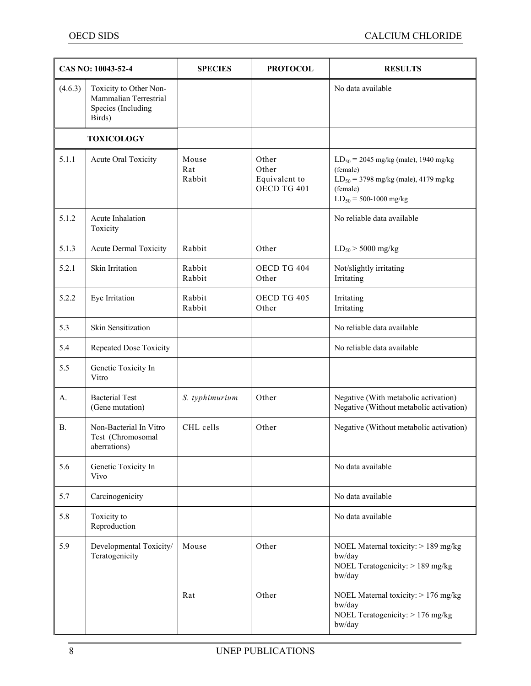|           | CAS NO: 10043-52-4                                                              | <b>SPECIES</b>         | <b>PROTOCOL</b>                                | <b>RESULTS</b>                                                                                                                                 |
|-----------|---------------------------------------------------------------------------------|------------------------|------------------------------------------------|------------------------------------------------------------------------------------------------------------------------------------------------|
| (4.6.3)   | Toxicity to Other Non-<br>Mammalian Terrestrial<br>Species (Including<br>Birds) |                        |                                                | No data available                                                                                                                              |
|           | <b>TOXICOLOGY</b>                                                               |                        |                                                |                                                                                                                                                |
| 5.1.1     | Acute Oral Toxicity                                                             | Mouse<br>Rat<br>Rabbit | Other<br>Other<br>Equivalent to<br>OECD TG 401 | $LD_{50} = 2045$ mg/kg (male), 1940 mg/kg<br>(female)<br>$LD_{50} = 3798$ mg/kg (male), 4179 mg/kg<br>(female)<br>$LD_{50} = 500 - 1000$ mg/kg |
| 5.1.2     | Acute Inhalation<br>Toxicity                                                    |                        |                                                | No reliable data available                                                                                                                     |
| 5.1.3     | <b>Acute Dermal Toxicity</b>                                                    | Rabbit                 | Other                                          | $LD_{50}$ > 5000 mg/kg                                                                                                                         |
| 5.2.1     | Skin Irritation                                                                 | Rabbit<br>Rabbit       | OECD TG 404<br>Other                           | Not/slightly irritating<br>Irritating                                                                                                          |
| 5.2.2     | Eye Irritation                                                                  | Rabbit<br>Rabbit       | OECD TG 405<br>Other                           | Irritating<br>Irritating                                                                                                                       |
| 5.3       | Skin Sensitization                                                              |                        |                                                | No reliable data available                                                                                                                     |
| 5.4       | Repeated Dose Toxicity                                                          |                        |                                                | No reliable data available                                                                                                                     |
| 5.5       | Genetic Toxicity In<br>Vitro                                                    |                        |                                                |                                                                                                                                                |
| А.        | <b>Bacterial Test</b><br>(Gene mutation)                                        | S. typhimurium         | Other                                          | Negative (With metabolic activation)<br>Negative (Without metabolic activation)                                                                |
| <b>B.</b> | Non-Bacterial In Vitro<br>Test (Chromosomal<br>aberrations)                     | CHL cells              | Other                                          | Negative (Without metabolic activation)                                                                                                        |
| 5.6       | Genetic Toxicity In<br>Vivo                                                     |                        |                                                | No data available                                                                                                                              |
| 5.7       | Carcinogenicity                                                                 |                        |                                                | No data available                                                                                                                              |
| 5.8       | Toxicity to<br>Reproduction                                                     |                        |                                                | No data available                                                                                                                              |
| 5.9       | Developmental Toxicity/<br>Teratogenicity                                       | Mouse                  | Other                                          | NOEL Maternal toxicity: > 189 mg/kg<br>bw/day<br>NOEL Teratogenicity: > 189 mg/kg<br>bw/day                                                    |
|           |                                                                                 | Rat                    | Other                                          | NOEL Maternal toxicity: > 176 mg/kg<br>bw/day<br>NOEL Teratogenicity: > 176 mg/kg<br>bw/day                                                    |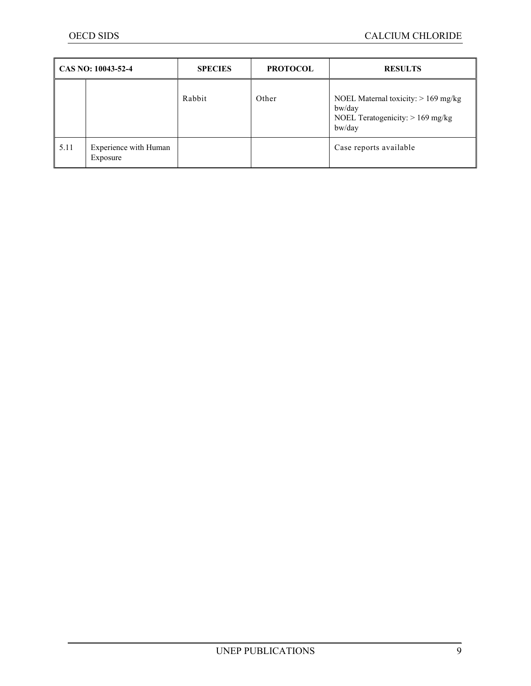| $\overline{CAS}$ NO: 10043-52-4 |                                   | <b>SPECIES</b> | <b>PROTOCOL</b> | <b>RESULTS</b>                                                                                  |
|---------------------------------|-----------------------------------|----------------|-----------------|-------------------------------------------------------------------------------------------------|
|                                 |                                   | Rabbit         | Other           | NOEL Maternal toxicity: $> 169$ mg/kg<br>bw/day<br>NOEL Teratogenicity: $> 169$ mg/kg<br>bw/day |
| 5.11                            | Experience with Human<br>Exposure |                |                 | Case reports available                                                                          |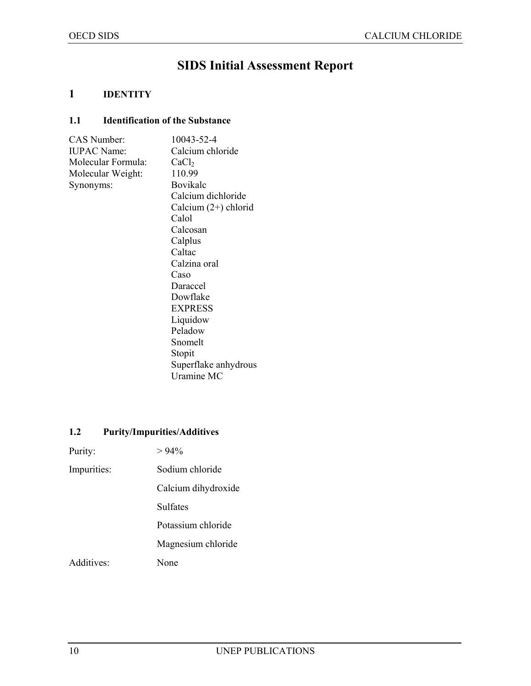## **SIDS Initial Assessment Report**

#### **1 IDENTITY**

#### **1.1 Identification of the Substance**

| CAS Number:        | 10043-52-4             |
|--------------------|------------------------|
| <b>IUPAC Name:</b> | Calcium chloride       |
| Molecular Formula: | CaCl <sub>2</sub>      |
| Molecular Weight:  | 110.99                 |
| Synonyms:          | Bovikalc               |
|                    | Calcium dichloride     |
|                    | Calcium $(2+)$ chlorid |
|                    | Calol                  |
|                    | Calcosan               |
|                    | Calplus                |
|                    | Caltac                 |
|                    | Calzina oral           |
|                    | Caso                   |
|                    | Daraccel               |
|                    | Dowflake               |
|                    | <b>EXPRESS</b>         |
|                    | Liquidow               |
|                    | Peladow                |
|                    | Snomelt                |
|                    | Stopit                 |
|                    | Superflake anhydrous   |
|                    | Uramine MC             |
|                    |                        |

#### **1.2 Purity/Impurities/Additives**

| Purity:     | $>94\%$             |
|-------------|---------------------|
| Impurities: | Sodium chloride     |
|             | Calcium dihydroxide |
|             | Sulfates            |
|             | Potassium chloride  |
|             | Magnesium chloride  |
| Additives:  | None                |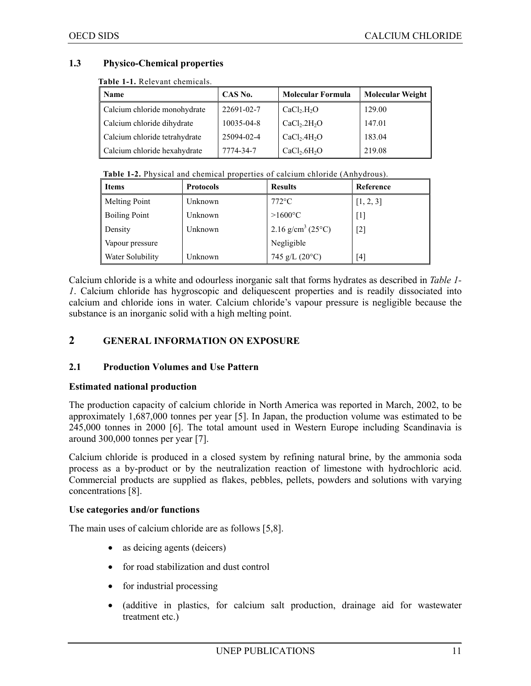#### **1.3 Physico-Chemical properties**

**Table 1-1.** Relevant chemicals.

| <b>Name</b>                   | CAS No.    | <b>Molecular Formula</b>             | <b>Molecular Weight</b> |
|-------------------------------|------------|--------------------------------------|-------------------------|
| Calcium chloride monohydrate  | 22691-02-7 | CaCl <sub>2</sub> .H <sub>2</sub> O  | 129.00                  |
| Calcium chloride dihydrate    | 10035-04-8 | CaCl <sub>2</sub> .2H <sub>2</sub> O | 147.01                  |
| Calcium chloride tetrahydrate | 25094-02-4 | CaCl <sub>2</sub> .4H <sub>2</sub> O | 183.04                  |
| Calcium chloride hexahydrate  | 7774-34-7  | CaCl <sub>2</sub> .6H <sub>2</sub> O | 219.08                  |

| <b>Table 1-2.</b> Physical and chemical properties of calcium chloride (Anhydrous). |  |  |
|-------------------------------------------------------------------------------------|--|--|
|-------------------------------------------------------------------------------------|--|--|

| l Items                 | <b>Protocols</b> | <b>Results</b>                               | Reference         |
|-------------------------|------------------|----------------------------------------------|-------------------|
| <b>Melting Point</b>    | Unknown          | $772$ °C                                     | [1, 2, 3]         |
| <b>Boiling Point</b>    | Unknown          | $>1600$ °C                                   | $\lceil 1 \rceil$ |
| Density                 | Unknown          | $2.16$ g/cm <sup>3</sup> (25 <sup>o</sup> C) | $[2]$             |
| Vapour pressure         |                  | Negligible                                   |                   |
| <b>Water Solubility</b> | Unknown          | 745 g/L $(20^{\circ}C)$                      | [4]               |

Calcium chloride is a white and odourless inorganic salt that forms hydrates as described in *Table 1- 1*. Calcium chloride has hygroscopic and deliquescent properties and is readily dissociated into calcium and chloride ions in water. Calcium chloride's vapour pressure is negligible because the substance is an inorganic solid with a high melting point.

#### **2 GENERAL INFORMATION ON EXPOSURE**

#### **2.1 Production Volumes and Use Pattern**

#### **Estimated national production**

The production capacity of calcium chloride in North America was reported in March, 2002, to be approximately 1,687,000 tonnes per year [5]. In Japan, the production volume was estimated to be 245,000 tonnes in 2000 [6]. The total amount used in Western Europe including Scandinavia is around 300,000 tonnes per year [7].

Calcium chloride is produced in a closed system by refining natural brine, by the ammonia soda process as a by-product or by the neutralization reaction of limestone with hydrochloric acid. Commercial products are supplied as flakes, pebbles, pellets, powders and solutions with varying concentrations [8].

#### **Use categories and/or functions**

The main uses of calcium chloride are as follows [5,8].

- as deicing agents (deicers)
- for road stabilization and dust control
- for industrial processing
- (additive in plastics, for calcium salt production, drainage aid for wastewater treatment etc.)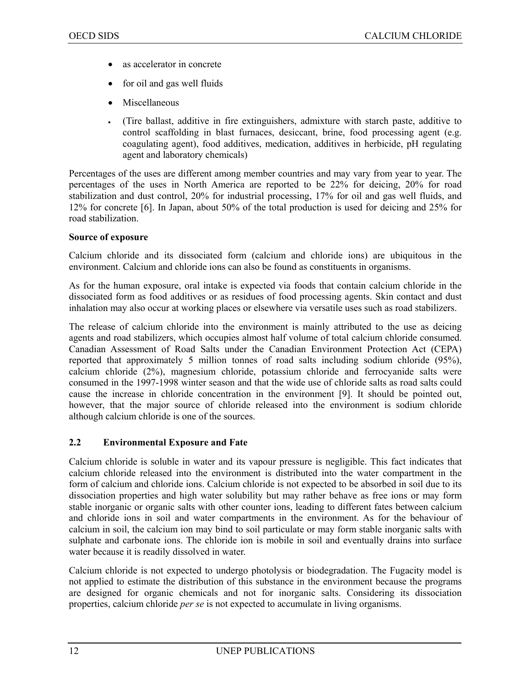- as accelerator in concrete
- for oil and gas well fluids
- Miscellaneous
- (Tire ballast, additive in fire extinguishers, admixture with starch paste, additive to control scaffolding in blast furnaces, desiccant, brine, food processing agent (e.g. coagulating agent), food additives, medication, additives in herbicide, pH regulating agent and laboratory chemicals)

Percentages of the uses are different among member countries and may vary from year to year. The percentages of the uses in North America are reported to be 22% for deicing, 20% for road stabilization and dust control, 20% for industrial processing, 17% for oil and gas well fluids, and 12% for concrete [6]. In Japan, about 50% of the total production is used for deicing and 25% for road stabilization.

#### **Source of exposure**

Calcium chloride and its dissociated form (calcium and chloride ions) are ubiquitous in the environment. Calcium and chloride ions can also be found as constituents in organisms.

As for the human exposure, oral intake is expected via foods that contain calcium chloride in the dissociated form as food additives or as residues of food processing agents. Skin contact and dust inhalation may also occur at working places or elsewhere via versatile uses such as road stabilizers.

The release of calcium chloride into the environment is mainly attributed to the use as deicing agents and road stabilizers, which occupies almost half volume of total calcium chloride consumed. Canadian Assessment of Road Salts under the Canadian Environment Protection Act (CEPA) reported that approximately 5 million tonnes of road salts including sodium chloride (95%), calcium chloride (2%), magnesium chloride, potassium chloride and ferrocyanide salts were consumed in the 1997-1998 winter season and that the wide use of chloride salts as road salts could cause the increase in chloride concentration in the environment [9]. It should be pointed out, however, that the major source of chloride released into the environment is sodium chloride although calcium chloride is one of the sources.

#### **2.2 Environmental Exposure and Fate**

Calcium chloride is soluble in water and its vapour pressure is negligible. This fact indicates that calcium chloride released into the environment is distributed into the water compartment in the form of calcium and chloride ions. Calcium chloride is not expected to be absorbed in soil due to its dissociation properties and high water solubility but may rather behave as free ions or may form stable inorganic or organic salts with other counter ions, leading to different fates between calcium and chloride ions in soil and water compartments in the environment. As for the behaviour of calcium in soil, the calcium ion may bind to soil particulate or may form stable inorganic salts with sulphate and carbonate ions. The chloride ion is mobile in soil and eventually drains into surface water because it is readily dissolved in water.

Calcium chloride is not expected to undergo photolysis or biodegradation. The Fugacity model is not applied to estimate the distribution of this substance in the environment because the programs are designed for organic chemicals and not for inorganic salts. Considering its dissociation properties, calcium chloride *per se* is not expected to accumulate in living organisms.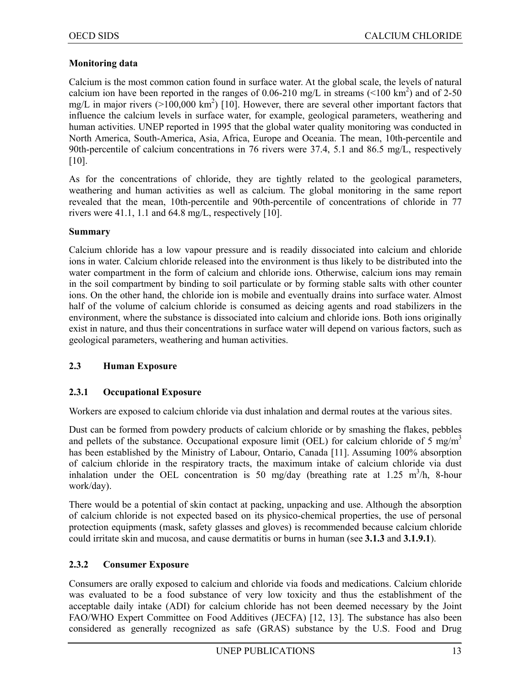#### **Monitoring data**

Calcium is the most common cation found in surface water. At the global scale, the levels of natural calcium ion have been reported in the ranges of 0.06-210 mg/L in streams ( $\leq 100 \text{ km}^2$ ) and of 2-50 mg/L in major rivers ( $>100,000 \text{ km}^2$ ) [10]. However, there are several other important factors that influence the calcium levels in surface water, for example, geological parameters, weathering and human activities. UNEP reported in 1995 that the global water quality monitoring was conducted in North America, South-America, Asia, Africa, Europe and Oceania. The mean, 10th-percentile and 90th-percentile of calcium concentrations in 76 rivers were 37.4, 5.1 and 86.5 mg/L, respectively [10].

As for the concentrations of chloride, they are tightly related to the geological parameters, weathering and human activities as well as calcium. The global monitoring in the same report revealed that the mean, 10th-percentile and 90th-percentile of concentrations of chloride in 77 rivers were 41.1, 1.1 and 64.8 mg/L, respectively [10].

#### **Summary**

Calcium chloride has a low vapour pressure and is readily dissociated into calcium and chloride ions in water. Calcium chloride released into the environment is thus likely to be distributed into the water compartment in the form of calcium and chloride ions. Otherwise, calcium ions may remain in the soil compartment by binding to soil particulate or by forming stable salts with other counter ions. On the other hand, the chloride ion is mobile and eventually drains into surface water. Almost half of the volume of calcium chloride is consumed as deicing agents and road stabilizers in the environment, where the substance is dissociated into calcium and chloride ions. Both ions originally exist in nature, and thus their concentrations in surface water will depend on various factors, such as geological parameters, weathering and human activities.

#### **2.3 Human Exposure**

#### **2.3.1 Occupational Exposure**

Workers are exposed to calcium chloride via dust inhalation and dermal routes at the various sites.

Dust can be formed from powdery products of calcium chloride or by smashing the flakes, pebbles and pellets of the substance. Occupational exposure limit (OEL) for calcium chloride of 5 mg/m<sup>3</sup> has been established by the Ministry of Labour, Ontario, Canada [11]. Assuming 100% absorption of calcium chloride in the respiratory tracts, the maximum intake of calcium chloride via dust inhalation under the OEL concentration is 50 mg/day (breathing rate at 1.25 m<sup>3</sup>/h, 8-hour work/day).

There would be a potential of skin contact at packing, unpacking and use. Although the absorption of calcium chloride is not expected based on its physico-chemical properties, the use of personal protection equipments (mask, safety glasses and gloves) is recommended because calcium chloride could irritate skin and mucosa, and cause dermatitis or burns in human (see **3.1.3** and **3.1.9.1**).

#### **2.3.2 Consumer Exposure**

Consumers are orally exposed to calcium and chloride via foods and medications. Calcium chloride was evaluated to be a food substance of very low toxicity and thus the establishment of the acceptable daily intake (ADI) for calcium chloride has not been deemed necessary by the Joint FAO/WHO Expert Committee on Food Additives (JECFA) [12, 13]. The substance has also been considered as generally recognized as safe (GRAS) substance by the U.S. Food and Drug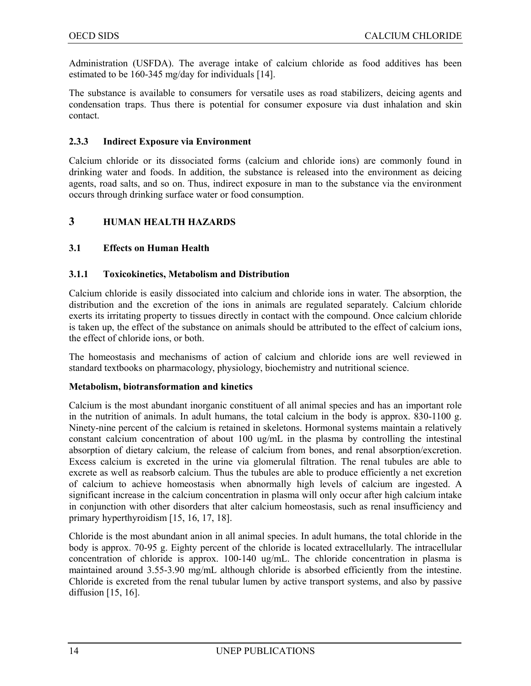Administration (USFDA). The average intake of calcium chloride as food additives has been estimated to be 160-345 mg/day for individuals [14].

The substance is available to consumers for versatile uses as road stabilizers, deicing agents and condensation traps. Thus there is potential for consumer exposure via dust inhalation and skin contact.

#### **2.3.3 Indirect Exposure via Environment**

Calcium chloride or its dissociated forms (calcium and chloride ions) are commonly found in drinking water and foods. In addition, the substance is released into the environment as deicing agents, road salts, and so on. Thus, indirect exposure in man to the substance via the environment occurs through drinking surface water or food consumption.

#### **3 HUMAN HEALTH HAZARDS**

#### **3.1 Effects on Human Health**

#### **3.1.1 Toxicokinetics, Metabolism and Distribution**

Calcium chloride is easily dissociated into calcium and chloride ions in water. The absorption, the distribution and the excretion of the ions in animals are regulated separately. Calcium chloride exerts its irritating property to tissues directly in contact with the compound. Once calcium chloride is taken up, the effect of the substance on animals should be attributed to the effect of calcium ions, the effect of chloride ions, or both.

The homeostasis and mechanisms of action of calcium and chloride ions are well reviewed in standard textbooks on pharmacology, physiology, biochemistry and nutritional science.

#### **Metabolism, biotransformation and kinetics**

Calcium is the most abundant inorganic constituent of all animal species and has an important role in the nutrition of animals. In adult humans, the total calcium in the body is approx. 830-1100 g. Ninety-nine percent of the calcium is retained in skeletons. Hormonal systems maintain a relatively constant calcium concentration of about 100 ug/mL in the plasma by controlling the intestinal absorption of dietary calcium, the release of calcium from bones, and renal absorption/excretion. Excess calcium is excreted in the urine via glomerulal filtration. The renal tubules are able to excrete as well as reabsorb calcium. Thus the tubules are able to produce efficiently a net excretion of calcium to achieve homeostasis when abnormally high levels of calcium are ingested. A significant increase in the calcium concentration in plasma will only occur after high calcium intake in conjunction with other disorders that alter calcium homeostasis, such as renal insufficiency and primary hyperthyroidism [15, 16, 17, 18].

Chloride is the most abundant anion in all animal species. In adult humans, the total chloride in the body is approx. 70-95 g. Eighty percent of the chloride is located extracellularly. The intracellular concentration of chloride is approx. 100-140 ug/mL. The chloride concentration in plasma is maintained around 3.55-3.90 mg/mL although chloride is absorbed efficiently from the intestine. Chloride is excreted from the renal tubular lumen by active transport systems, and also by passive diffusion [15, 16].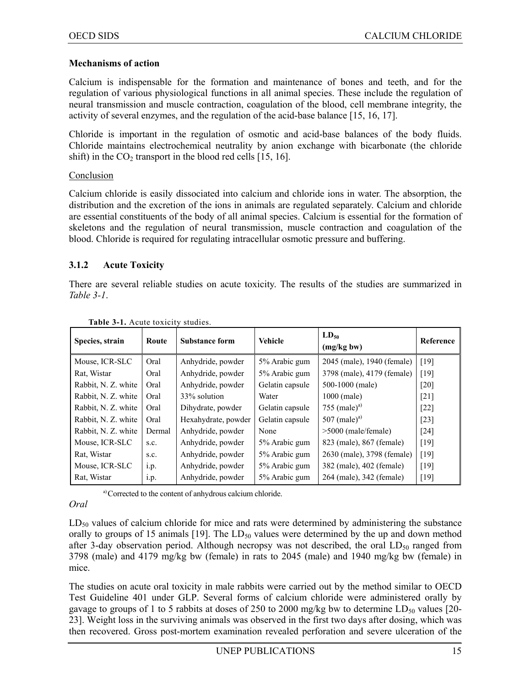#### **Mechanisms of action**

Calcium is indispensable for the formation and maintenance of bones and teeth, and for the regulation of various physiological functions in all animal species. These include the regulation of neural transmission and muscle contraction, coagulation of the blood, cell membrane integrity, the activity of several enzymes, and the regulation of the acid-base balance [15, 16, 17].

Chloride is important in the regulation of osmotic and acid-base balances of the body fluids. Chloride maintains electrochemical neutrality by anion exchange with bicarbonate (the chloride shift) in the  $CO<sub>2</sub>$  transport in the blood red cells [15, 16].

#### Conclusion

Calcium chloride is easily dissociated into calcium and chloride ions in water. The absorption, the distribution and the excretion of the ions in animals are regulated separately. Calcium and chloride are essential constituents of the body of all animal species. Calcium is essential for the formation of skeletons and the regulation of neural transmission, muscle contraction and coagulation of the blood. Chloride is required for regulating intracellular osmotic pressure and buffering.

#### **3.1.2 Acute Toxicity**

There are several reliable studies on acute toxicity. The results of the studies are summarized in *Table 3-1*.

| Species, strain     | Route  | <b>Substance form</b> | <b>Vehicle</b>  | $LD_{50}$<br>(mg/kg bw)    | Reference          |
|---------------------|--------|-----------------------|-----------------|----------------------------|--------------------|
| Mouse, ICR-SLC      | Oral   | Anhydride, powder     | 5% Arabic gum   | 2045 (male), 1940 (female) | [19]               |
| Rat, Wistar         | Oral   | Anhydride, powder     | 5% Arabic gum   | 3798 (male), 4179 (female) | [19]               |
| Rabbit, N. Z. white | Oral   | Anhydride, powder     | Gelatin capsule | 500-1000 (male)            | [20]               |
| Rabbit, N. Z. white | Oral   | 33% solution          | Water           | 1000 (male)                | $[21]$             |
| Rabbit, N. Z. white | Oral   | Dihydrate, powder     | Gelatin capsule | 755 (male) <sup>a)</sup>   | $[22]$             |
| Rabbit, N. Z. white | Oral   | Hexahydrate, powder   | Gelatin capsule | 507 (male) <sup>a)</sup>   | $\lceil 23 \rceil$ |
| Rabbit, N. Z. white | Dermal | Anhydride, powder     | None            | $>5000$ (male/female)      | $[24]$             |
| Mouse, ICR-SLC      | S.C.   | Anhydride, powder     | 5% Arabic gum   | 823 (male), 867 (female)   | [19]               |
| Rat, Wistar         | S.C.   | Anhydride, powder     | 5% Arabic gum   | 2630 (male), 3798 (female) | [19]               |
| Mouse, ICR-SLC      | 1.p.   | Anhydride, powder     | 5% Arabic gum   | 382 (male), 402 (female)   | [19]               |
| Rat, Wistar         | 1.p.   | Anhydride, powder     | 5% Arabic gum   | 264 (male), 342 (female)   | [19]               |

**Table 3-1.** Acute toxicity studies.

a) Corrected to the content of anhydrous calcium chloride.

#### *Oral*

 $LD_{50}$  values of calcium chloride for mice and rats were determined by administering the substance orally to groups of 15 animals [19]. The  $LD_{50}$  values were determined by the up and down method after 3-day observation period. Although necropsy was not described, the oral  $LD_{50}$  ranged from 3798 (male) and 4179 mg/kg bw (female) in rats to 2045 (male) and 1940 mg/kg bw (female) in mice.

The studies on acute oral toxicity in male rabbits were carried out by the method similar to OECD Test Guideline 401 under GLP. Several forms of calcium chloride were administered orally by gavage to groups of 1 to 5 rabbits at doses of 250 to 2000 mg/kg bw to determine  $LD_{50}$  values [20-23]. Weight loss in the surviving animals was observed in the first two days after dosing, which was then recovered. Gross post-mortem examination revealed perforation and severe ulceration of the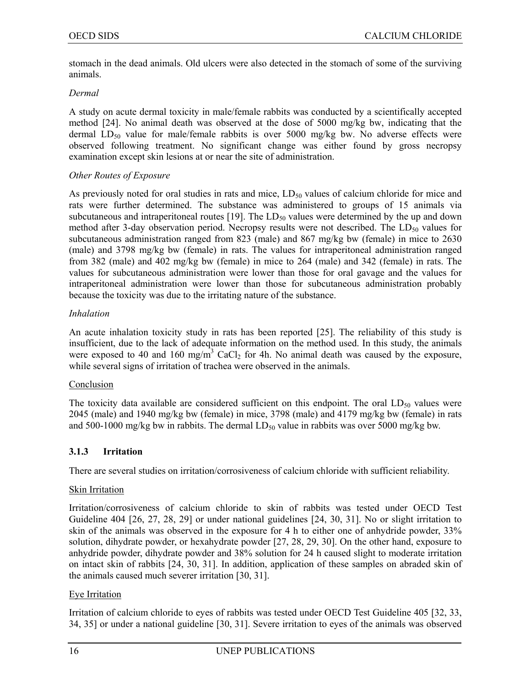stomach in the dead animals. Old ulcers were also detected in the stomach of some of the surviving animals.

#### *Dermal*

A study on acute dermal toxicity in male/female rabbits was conducted by a scientifically accepted method [24]. No animal death was observed at the dose of 5000 mg/kg bw, indicating that the dermal LD<sub>50</sub> value for male/female rabbits is over 5000 mg/kg bw. No adverse effects were observed following treatment. No significant change was either found by gross necropsy examination except skin lesions at or near the site of administration.

#### *Other Routes of Exposure*

As previously noted for oral studies in rats and mice,  $LD_{50}$  values of calcium chloride for mice and rats were further determined. The substance was administered to groups of 15 animals via subcutaneous and intraperitoneal routes  $[19]$ . The LD<sub>50</sub> values were determined by the up and down method after 3-day observation period. Necropsy results were not described. The  $LD_{50}$  values for subcutaneous administration ranged from 823 (male) and 867 mg/kg bw (female) in mice to 2630 (male) and 3798 mg/kg bw (female) in rats. The values for intraperitoneal administration ranged from 382 (male) and 402 mg/kg bw (female) in mice to 264 (male) and 342 (female) in rats. The values for subcutaneous administration were lower than those for oral gavage and the values for intraperitoneal administration were lower than those for subcutaneous administration probably because the toxicity was due to the irritating nature of the substance.

#### *Inhalation*

An acute inhalation toxicity study in rats has been reported [25]. The reliability of this study is insufficient, due to the lack of adequate information on the method used. In this study, the animals were exposed to 40 and 160 mg/m<sup>3</sup> CaCl<sub>2</sub> for 4h. No animal death was caused by the exposure, while several signs of irritation of trachea were observed in the animals.

#### **Conclusion**

The toxicity data available are considered sufficient on this endpoint. The oral  $LD_{50}$  values were 2045 (male) and 1940 mg/kg bw (female) in mice, 3798 (male) and 4179 mg/kg bw (female) in rats and 500-1000 mg/kg bw in rabbits. The dermal  $LD_{50}$  value in rabbits was over 5000 mg/kg bw.

#### **3.1.3 Irritation**

There are several studies on irritation/corrosiveness of calcium chloride with sufficient reliability.

#### Skin Irritation

Irritation/corrosiveness of calcium chloride to skin of rabbits was tested under OECD Test Guideline 404 [26, 27, 28, 29] or under national guidelines [24, 30, 31]. No or slight irritation to skin of the animals was observed in the exposure for 4 h to either one of anhydride powder, 33% solution, dihydrate powder, or hexahydrate powder [27, 28, 29, 30]. On the other hand, exposure to anhydride powder, dihydrate powder and 38% solution for 24 h caused slight to moderate irritation on intact skin of rabbits [24, 30, 31]. In addition, application of these samples on abraded skin of the animals caused much severer irritation [30, 31].

#### Eye Irritation

Irritation of calcium chloride to eyes of rabbits was tested under OECD Test Guideline 405 [32, 33, 34, 35] or under a national guideline [30, 31]. Severe irritation to eyes of the animals was observed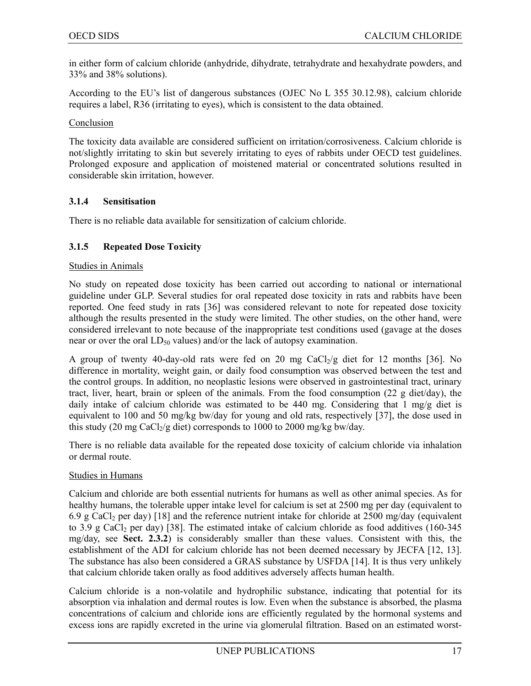in either form of calcium chloride (anhydride, dihydrate, tetrahydrate and hexahydrate powders, and 33% and 38% solutions).

According to the EU's list of dangerous substances (OJEC No L 355 30.12.98), calcium chloride requires a label, R36 (irritating to eyes), which is consistent to the data obtained.

Conclusion

The toxicity data available are considered sufficient on irritation/corrosiveness. Calcium chloride is not/slightly irritating to skin but severely irritating to eyes of rabbits under OECD test guidelines. Prolonged exposure and application of moistened material or concentrated solutions resulted in considerable skin irritation, however.

#### **3.1.4 Sensitisation**

There is no reliable data available for sensitization of calcium chloride.

#### **3.1.5 Repeated Dose Toxicity**

#### Studies in Animals

No study on repeated dose toxicity has been carried out according to national or international guideline under GLP. Several studies for oral repeated dose toxicity in rats and rabbits have been reported. One feed study in rats [36] was considered relevant to note for repeated dose toxicity although the results presented in the study were limited. The other studies, on the other hand, were considered irrelevant to note because of the inappropriate test conditions used (gavage at the doses near or over the oral  $LD_{50}$  values) and/or the lack of autopsy examination.

A group of twenty 40-day-old rats were fed on 20 mg  $CaCl<sub>2</sub>/g$  diet for 12 months [36]. No difference in mortality, weight gain, or daily food consumption was observed between the test and the control groups. In addition, no neoplastic lesions were observed in gastrointestinal tract, urinary tract, liver, heart, brain or spleen of the animals. From the food consumption (22 g diet/day), the daily intake of calcium chloride was estimated to be 440 mg. Considering that 1 mg/g diet is equivalent to 100 and 50 mg/kg bw/day for young and old rats, respectively [37], the dose used in this study (20 mg CaCl<sub>2</sub>/g diet) corresponds to 1000 to 2000 mg/kg bw/day.

There is no reliable data available for the repeated dose toxicity of calcium chloride via inhalation or dermal route.

#### Studies in Humans

Calcium and chloride are both essential nutrients for humans as well as other animal species. As for healthy humans, the tolerable upper intake level for calcium is set at 2500 mg per day (equivalent to 6.9 g CaCl2 per day) [18] and the reference nutrient intake for chloride at 2500 mg/day (equivalent to 3.9 g CaCl<sub>2</sub> per day) [38]. The estimated intake of calcium chloride as food additives (160-345) mg/day, see **Sect. 2.3.2**) is considerably smaller than these values. Consistent with this, the establishment of the ADI for calcium chloride has not been deemed necessary by JECFA [12, 13]. The substance has also been considered a GRAS substance by USFDA [14]. It is thus very unlikely that calcium chloride taken orally as food additives adversely affects human health.

Calcium chloride is a non-volatile and hydrophilic substance, indicating that potential for its absorption via inhalation and dermal routes is low. Even when the substance is absorbed, the plasma concentrations of calcium and chloride ions are efficiently regulated by the hormonal systems and excess ions are rapidly excreted in the urine via glomerulal filtration. Based on an estimated worst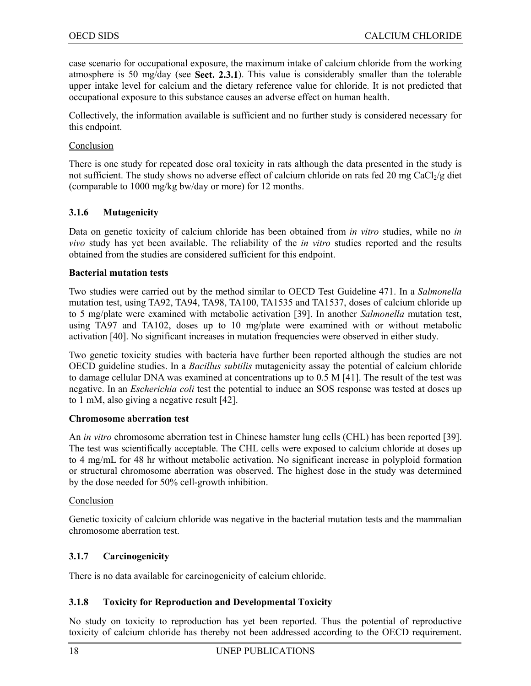case scenario for occupational exposure, the maximum intake of calcium chloride from the working atmosphere is 50 mg/day (see **Sect. 2.3.1**). This value is considerably smaller than the tolerable upper intake level for calcium and the dietary reference value for chloride. It is not predicted that occupational exposure to this substance causes an adverse effect on human health.

Collectively, the information available is sufficient and no further study is considered necessary for this endpoint.

#### Conclusion

There is one study for repeated dose oral toxicity in rats although the data presented in the study is not sufficient. The study shows no adverse effect of calcium chloride on rats fed 20 mg  $CaCl<sub>2</sub>/g$  diet (comparable to 1000 mg/kg bw/day or more) for 12 months.

#### **3.1.6 Mutagenicity**

Data on genetic toxicity of calcium chloride has been obtained from *in vitro* studies, while no *in vivo* study has yet been available. The reliability of the *in vitro* studies reported and the results obtained from the studies are considered sufficient for this endpoint.

#### **Bacterial mutation tests**

Two studies were carried out by the method similar to OECD Test Guideline 471. In a *Salmonella* mutation test, using TA92, TA94, TA98, TA100, TA1535 and TA1537, doses of calcium chloride up to 5 mg/plate were examined with metabolic activation [39]. In another *Salmonella* mutation test, using TA97 and TA102, doses up to 10 mg/plate were examined with or without metabolic activation [40]. No significant increases in mutation frequencies were observed in either study.

Two genetic toxicity studies with bacteria have further been reported although the studies are not OECD guideline studies. In a *Bacillus subtilis* mutagenicity assay the potential of calcium chloride to damage cellular DNA was examined at concentrations up to 0.5 M [41]. The result of the test was negative. In an *Escherichia coli* test the potential to induce an SOS response was tested at doses up to 1 mM, also giving a negative result [42].

#### **Chromosome aberration test**

An *in vitro* chromosome aberration test in Chinese hamster lung cells (CHL) has been reported [39]. The test was scientifically acceptable. The CHL cells were exposed to calcium chloride at doses up to 4 mg/mL for 48 hr without metabolic activation. No significant increase in polyploid formation or structural chromosome aberration was observed. The highest dose in the study was determined by the dose needed for 50% cell-growth inhibition.

#### Conclusion

Genetic toxicity of calcium chloride was negative in the bacterial mutation tests and the mammalian chromosome aberration test.

#### **3.1.7 Carcinogenicity**

There is no data available for carcinogenicity of calcium chloride.

#### **3.1.8 Toxicity for Reproduction and Developmental Toxicity**

No study on toxicity to reproduction has yet been reported. Thus the potential of reproductive toxicity of calcium chloride has thereby not been addressed according to the OECD requirement.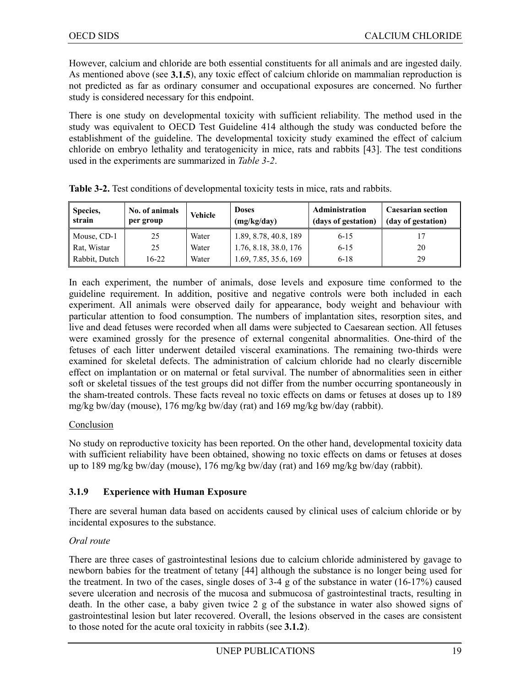However, calcium and chloride are both essential constituents for all animals and are ingested daily. As mentioned above (see **3.1.5**), any toxic effect of calcium chloride on mammalian reproduction is not predicted as far as ordinary consumer and occupational exposures are concerned. No further study is considered necessary for this endpoint.

There is one study on developmental toxicity with sufficient reliability. The method used in the study was equivalent to OECD Test Guideline 414 although the study was conducted before the establishment of the guideline. The developmental toxicity study examined the effect of calcium chloride on embryo lethality and teratogenicity in mice, rats and rabbits [43]. The test conditions used in the experiments are summarized in *Table 3-2*.

| Species.<br>strain | No. of animals<br>per group | <b>Vehicle</b> | <b>Doses</b><br>(mg/kg/day) | <b>Administration</b><br>(days of gestation) | <b>Caesarian section</b><br>(day of gestation) |
|--------------------|-----------------------------|----------------|-----------------------------|----------------------------------------------|------------------------------------------------|
| Mouse, CD-1        | 25                          | Water          | 1.89, 8.78, 40.8, 189       | $6 - 15$                                     |                                                |
| Rat, Wistar        | 25                          | Water          | 1.76, 8.18, 38.0, 176       | $6 - 15$                                     | 20                                             |
| Rabbit, Dutch      | 16-22                       | Water          | 1.69, 7.85, 35.6, 169       | $6-18$                                       | 29                                             |

|  |  |  |  | Table 3-2. Test conditions of developmental toxicity tests in mice, rats and rabbits. |  |
|--|--|--|--|---------------------------------------------------------------------------------------|--|
|  |  |  |  |                                                                                       |  |

In each experiment, the number of animals, dose levels and exposure time conformed to the guideline requirement. In addition, positive and negative controls were both included in each experiment. All animals were observed daily for appearance, body weight and behaviour with particular attention to food consumption. The numbers of implantation sites, resorption sites, and live and dead fetuses were recorded when all dams were subjected to Caesarean section. All fetuses were examined grossly for the presence of external congenital abnormalities. One-third of the fetuses of each litter underwent detailed visceral examinations. The remaining two-thirds were examined for skeletal defects. The administration of calcium chloride had no clearly discernible effect on implantation or on maternal or fetal survival. The number of abnormalities seen in either soft or skeletal tissues of the test groups did not differ from the number occurring spontaneously in the sham-treated controls. These facts reveal no toxic effects on dams or fetuses at doses up to 189 mg/kg bw/day (mouse), 176 mg/kg bw/day (rat) and 169 mg/kg bw/day (rabbit).

#### Conclusion

No study on reproductive toxicity has been reported. On the other hand, developmental toxicity data with sufficient reliability have been obtained, showing no toxic effects on dams or fetuses at doses up to 189 mg/kg bw/day (mouse), 176 mg/kg bw/day (rat) and 169 mg/kg bw/day (rabbit).

#### **3.1.9 Experience with Human Exposure**

There are several human data based on accidents caused by clinical uses of calcium chloride or by incidental exposures to the substance.

#### *Oral route*

There are three cases of gastrointestinal lesions due to calcium chloride administered by gavage to newborn babies for the treatment of tetany [44] although the substance is no longer being used for the treatment. In two of the cases, single doses of  $3-4$  g of the substance in water (16-17%) caused severe ulceration and necrosis of the mucosa and submucosa of gastrointestinal tracts, resulting in death. In the other case, a baby given twice 2 g of the substance in water also showed signs of gastrointestinal lesion but later recovered. Overall, the lesions observed in the cases are consistent to those noted for the acute oral toxicity in rabbits (see **3.1.2**).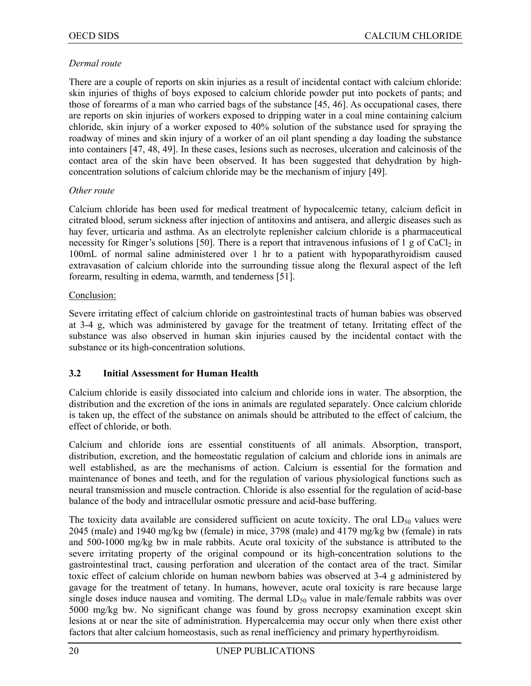#### *Dermal route*

There are a couple of reports on skin injuries as a result of incidental contact with calcium chloride: skin injuries of thighs of boys exposed to calcium chloride powder put into pockets of pants; and those of forearms of a man who carried bags of the substance [45, 46]. As occupational cases, there are reports on skin injuries of workers exposed to dripping water in a coal mine containing calcium chloride, skin injury of a worker exposed to 40% solution of the substance used for spraying the roadway of mines and skin injury of a worker of an oil plant spending a day loading the substance into containers [47, 48, 49]. In these cases, lesions such as necroses, ulceration and calcinosis of the contact area of the skin have been observed. It has been suggested that dehydration by highconcentration solutions of calcium chloride may be the mechanism of injury [49].

#### *Other route*

Calcium chloride has been used for medical treatment of hypocalcemic tetany, calcium deficit in citrated blood, serum sickness after injection of antitoxins and antisera, and allergic diseases such as hay fever, urticaria and asthma. As an electrolyte replenisher calcium chloride is a pharmaceutical necessity for Ringer's solutions [50]. There is a report that intravenous infusions of 1 g of  $CaCl<sub>2</sub>$  in 100mL of normal saline administered over 1 hr to a patient with hypoparathyroidism caused extravasation of calcium chloride into the surrounding tissue along the flexural aspect of the left forearm, resulting in edema, warmth, and tenderness [51].

#### Conclusion:

Severe irritating effect of calcium chloride on gastrointestinal tracts of human babies was observed at 3-4 g, which was administered by gavage for the treatment of tetany. Irritating effect of the substance was also observed in human skin injuries caused by the incidental contact with the substance or its high-concentration solutions.

#### **3.2 Initial Assessment for Human Health**

Calcium chloride is easily dissociated into calcium and chloride ions in water. The absorption, the distribution and the excretion of the ions in animals are regulated separately. Once calcium chloride is taken up, the effect of the substance on animals should be attributed to the effect of calcium, the effect of chloride, or both.

Calcium and chloride ions are essential constituents of all animals. Absorption, transport, distribution, excretion, and the homeostatic regulation of calcium and chloride ions in animals are well established, as are the mechanisms of action. Calcium is essential for the formation and maintenance of bones and teeth, and for the regulation of various physiological functions such as neural transmission and muscle contraction. Chloride is also essential for the regulation of acid-base balance of the body and intracellular osmotic pressure and acid-base buffering.

The toxicity data available are considered sufficient on acute toxicity. The oral  $LD_{50}$  values were 2045 (male) and 1940 mg/kg bw (female) in mice, 3798 (male) and 4179 mg/kg bw (female) in rats and 500-1000 mg/kg bw in male rabbits. Acute oral toxicity of the substance is attributed to the severe irritating property of the original compound or its high-concentration solutions to the gastrointestinal tract, causing perforation and ulceration of the contact area of the tract. Similar toxic effect of calcium chloride on human newborn babies was observed at 3-4 g administered by gavage for the treatment of tetany. In humans, however, acute oral toxicity is rare because large single doses induce nausea and vomiting. The dermal  $LD_{50}$  value in male/female rabbits was over 5000 mg/kg bw. No significant change was found by gross necropsy examination except skin lesions at or near the site of administration. Hypercalcemia may occur only when there exist other factors that alter calcium homeostasis, such as renal inefficiency and primary hyperthyroidism.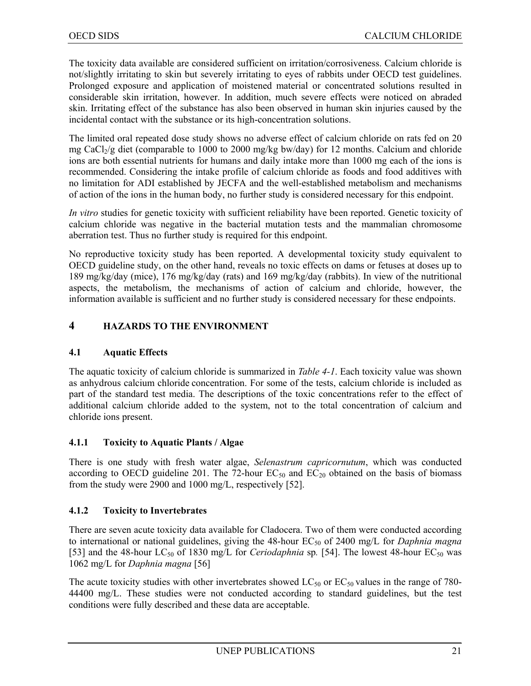The toxicity data available are considered sufficient on irritation/corrosiveness. Calcium chloride is not/slightly irritating to skin but severely irritating to eyes of rabbits under OECD test guidelines. Prolonged exposure and application of moistened material or concentrated solutions resulted in considerable skin irritation, however. In addition, much severe effects were noticed on abraded skin. Irritating effect of the substance has also been observed in human skin injuries caused by the incidental contact with the substance or its high-concentration solutions.

The limited oral repeated dose study shows no adverse effect of calcium chloride on rats fed on 20 mg CaCl<sub>2</sub>/g diet (comparable to 1000 to 2000 mg/kg bw/day) for 12 months. Calcium and chloride ions are both essential nutrients for humans and daily intake more than 1000 mg each of the ions is recommended. Considering the intake profile of calcium chloride as foods and food additives with no limitation for ADI established by JECFA and the well-established metabolism and mechanisms of action of the ions in the human body, no further study is considered necessary for this endpoint.

*In vitro* studies for genetic toxicity with sufficient reliability have been reported. Genetic toxicity of calcium chloride was negative in the bacterial mutation tests and the mammalian chromosome aberration test. Thus no further study is required for this endpoint.

No reproductive toxicity study has been reported. A developmental toxicity study equivalent to OECD guideline study, on the other hand, reveals no toxic effects on dams or fetuses at doses up to 189 mg/kg/day (mice), 176 mg/kg/day (rats) and 169 mg/kg/day (rabbits). In view of the nutritional aspects, the metabolism, the mechanisms of action of calcium and chloride, however, the information available is sufficient and no further study is considered necessary for these endpoints.

#### **4 HAZARDS TO THE ENVIRONMENT**

#### **4.1 Aquatic Effects**

The aquatic toxicity of calcium chloride is summarized in *Table 4-1*. Each toxicity value was shown as anhydrous calcium chloride concentration. For some of the tests, calcium chloride is included as part of the standard test media. The descriptions of the toxic concentrations refer to the effect of additional calcium chloride added to the system, not to the total concentration of calcium and chloride ions present.

#### **4.1.1 Toxicity to Aquatic Plants / Algae**

There is one study with fresh water algae, *Selenastrum capricornutum*, which was conducted according to OECD guideline 201. The 72-hour  $EC_{50}$  and  $EC_{20}$  obtained on the basis of biomass from the study were 2900 and 1000 mg/L, respectively [52].

#### **4.1.2 Toxicity to Invertebrates**

There are seven acute toxicity data available for Cladocera. Two of them were conducted according to international or national guidelines, giving the 48-hour EC<sub>50</sub> of 2400 mg/L for *Daphnia magna* [53] and the 48-hour LC<sub>50</sub> of 1830 mg/L for *Ceriodaphnia* sp. [54]. The lowest 48-hour EC<sub>50</sub> was 1062 mg/L for *Daphnia magna* [56]

The acute toxicity studies with other invertebrates showed  $LC_{50}$  or  $EC_{50}$  values in the range of 780-44400 mg/L. These studies were not conducted according to standard guidelines, but the test conditions were fully described and these data are acceptable.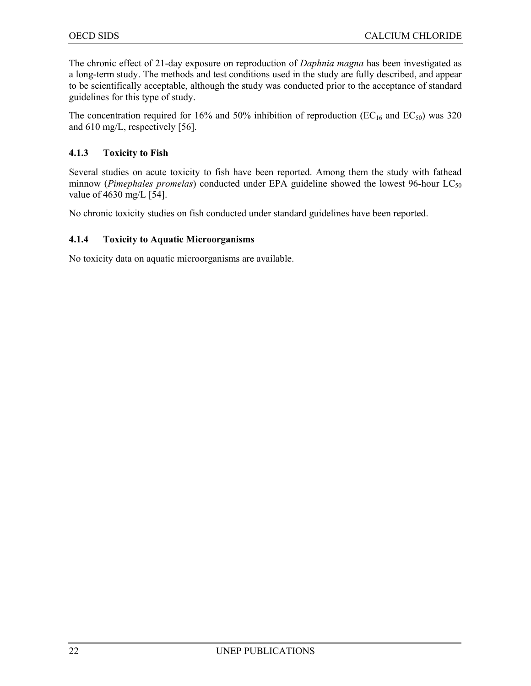The chronic effect of 21-day exposure on reproduction of *Daphnia magna* has been investigated as a long-term study. The methods and test conditions used in the study are fully described, and appear to be scientifically acceptable, although the study was conducted prior to the acceptance of standard guidelines for this type of study.

The concentration required for 16% and 50% inhibition of reproduction ( $EC_{16}$  and  $EC_{50}$ ) was 320 and 610 mg/L, respectively [56].

#### **4.1.3 Toxicity to Fish**

Several studies on acute toxicity to fish have been reported. Among them the study with fathead minnow (*Pimephales promelas*) conducted under EPA guideline showed the lowest 96-hour LC<sub>50</sub> value of 4630 mg/L [54].

No chronic toxicity studies on fish conducted under standard guidelines have been reported.

#### **4.1.4 Toxicity to Aquatic Microorganisms**

No toxicity data on aquatic microorganisms are available.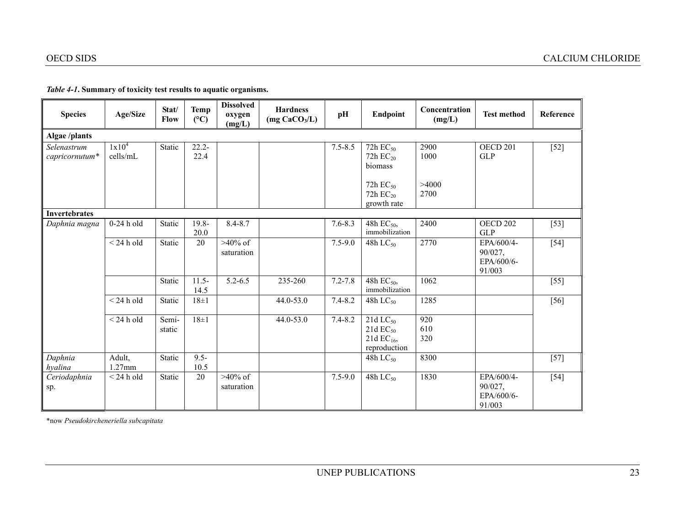| <b>Species</b>                | Age/Size                      | Stat/<br>Flow   | <b>Temp</b><br>(C) | <b>Dissolved</b><br>oxygen<br>(mg/L) | <b>Hardness</b><br>(mg CaCO <sub>3</sub> /L) | pH          | Endpoint                                                                 | Concentration<br>(mg/L) | <b>Test method</b>                            | Reference |
|-------------------------------|-------------------------------|-----------------|--------------------|--------------------------------------|----------------------------------------------|-------------|--------------------------------------------------------------------------|-------------------------|-----------------------------------------------|-----------|
| <b>Algae</b> /plants          |                               |                 |                    |                                      |                                              |             |                                                                          |                         |                                               |           |
| Selenastrum<br>capricornutum* | 1x10 <sup>4</sup><br>cells/mL | Static          | $22.2 -$<br>22.4   |                                      |                                              | $7.5 - 8.5$ | 72h $EC_{50}$<br>72h $EC_{20}$<br>biomass                                | 2900<br>1000            | <b>OECD 201</b><br><b>GLP</b>                 | $[52]$    |
|                               |                               |                 |                    |                                      |                                              |             | 72h $EC_{50}$<br>72h $EC_{20}$<br>growth rate                            | >4000<br>2700           |                                               |           |
| <b>Invertebrates</b>          |                               |                 |                    |                                      |                                              |             |                                                                          |                         |                                               |           |
| Daphnia magna                 | $0-24$ h old                  | Static          | $19.8 -$<br>20.0   | $8.4 - 8.7$                          |                                              | $7.6 - 8.3$ | 48h EC <sub>50</sub> ,<br>immobilization                                 | 2400                    | OECD <sub>202</sub><br><b>GLP</b>             | $[53]$    |
|                               | $<$ 24 h old                  | Static          | 20                 | $>40\%$ of<br>saturation             |                                              | $7.5 - 9.0$ | 48h $LC_{50}$                                                            | 2770                    | EPA/600/4-<br>90/027,<br>EPA/600/6-<br>91/003 | $[54]$    |
|                               |                               | Static          | $11.5 -$<br>14.5   | $5.2 - 6.5$                          | 235-260                                      | $7.2 - 7.8$ | 48h $EC_{50}$ ,<br>immobilization                                        | 1062                    |                                               | $[55]$    |
|                               | $<$ 24 h old                  | Static          | $18\pm1$           |                                      | 44.0-53.0                                    | $7.4 - 8.2$ | 48h $LC_{50}$                                                            | 1285                    |                                               | $[56]$    |
|                               | $<$ 24 h old                  | Semi-<br>static | $18\pm1$           |                                      | 44.0-53.0                                    | $7.4 - 8.2$ | 21d $LC_{50}$<br>$21d$ EC <sub>50</sub><br>21d $EC_{16}$<br>reproduction | 920<br>610<br>320       |                                               |           |
| Daphnia<br>hyalina            | Adult,<br>$1.27$ mm           | Static          | $9.5 -$<br>10.5    |                                      |                                              |             | 48h $LC_{50}$                                                            | 8300                    |                                               | $[57]$    |
| Ceriodaphnia<br>sp.           | $<$ 24 h old                  | Static          | 20                 | $>40\%$ of<br>saturation             |                                              | $7.5 - 9.0$ | 48h $LC_{50}$                                                            | 1830                    | EPA/600/4-<br>90/027,<br>EPA/600/6-<br>91/003 | $[54]$    |

*Table 4-1***. Summary of toxicity test results to aquatic organisms.**

\*now *Pseudokircheneriella subcapitata*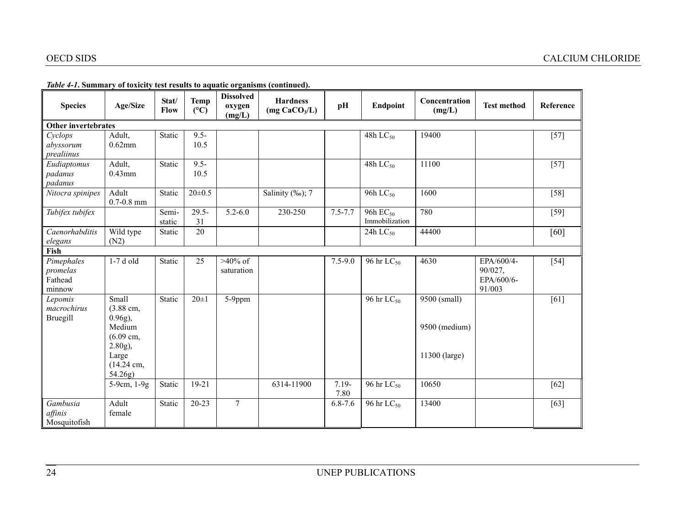| <b>Species</b>                              | Age/Size                                                                                                                                             | Stat/<br>Flow    | <b>Temp</b><br>$(^{\circ}C)$ | <b>Dissolved</b><br>oxygen<br>(mg/L) | <b>Hardness</b><br>(mg CaCO <sub>3</sub> /L) | pH               | Endpoint                                         | Concentration<br>(mg/L)                                 | <b>Test method</b>                            | Reference         |
|---------------------------------------------|------------------------------------------------------------------------------------------------------------------------------------------------------|------------------|------------------------------|--------------------------------------|----------------------------------------------|------------------|--------------------------------------------------|---------------------------------------------------------|-----------------------------------------------|-------------------|
| <b>Other invertebrates</b>                  |                                                                                                                                                      |                  |                              |                                      |                                              |                  |                                                  |                                                         |                                               |                   |
| Cyclops<br>abyssorum<br>prealiinus          | Adult,<br>$0.62$ mm                                                                                                                                  | Static           | $9.5 -$<br>10.5              |                                      |                                              |                  | 48h $LC_{50}$                                    | 19400                                                   |                                               | $[57]$            |
| Eudiaptomus<br>padanus<br>padanus           | Adult,<br>$0.43$ mm                                                                                                                                  | Static           | $9.5 -$<br>10.5              |                                      |                                              |                  | 48h $LC_{50}$                                    | 11100                                                   |                                               | $\overline{[57]}$ |
| Nitocra spinipes                            | Adult<br>$0.7 - 0.8$ mm                                                                                                                              | Static           | $20 \pm 0.5$                 |                                      | Salinity (‰); 7                              |                  | 96h LC <sub>50</sub>                             | 1600                                                    |                                               | $[58]$            |
| Tubifex tubifex                             |                                                                                                                                                      | Semi-<br>static  | $29.5 -$<br>31               | $5.2 - 6.0$                          | 230-250                                      | $7.5 - 7.7$      | 96h EC <sub>50</sub><br>Immobilization           | 780                                                     |                                               | $[59]$            |
| Caenorhabditis<br>elegans                   | Wild type<br>(N2)                                                                                                                                    | Static           | 20                           |                                      |                                              |                  | 24h $LC_{50}$                                    | 44400                                                   |                                               | [60]              |
| Fish                                        |                                                                                                                                                      |                  |                              |                                      |                                              |                  |                                                  |                                                         |                                               |                   |
| Pimephales<br>promelas<br>Fathead<br>minnow | 1-7 d old                                                                                                                                            | Static           | 25                           | $>40\%$ of<br>saturation             |                                              | $7.5 - 9.0$      | 96 hr $LC_{50}$                                  | 4630                                                    | EPA/600/4-<br>90/027,<br>EPA/600/6-<br>91/003 | $[54]$            |
| Lepomis<br>macrochirus<br>Bruegill          | Small<br>$(3.88 \text{ cm},$<br>$0.96g$ ),<br>Medium<br>$(6.09 \text{ cm},$<br>$2.80g$ ),<br>Large<br>$(14.24 \text{ cm},$<br>54.26g)<br>5-9cm, 1-9g | Static<br>Static | $20 \pm 1$<br>19-21          | 5-9ppm                               | 6314-11900                                   | $7.19 -$<br>7.80 | 96 hr LC <sub>50</sub><br>96 hr LC <sub>50</sub> | 9500 (small)<br>9500 (medium)<br>11300 (large)<br>10650 |                                               | $[61]$<br>$[62]$  |
| Gambusia<br>affinis<br>Mosquitofish         | Adult<br>female                                                                                                                                      | Static           | $20 - 23$                    | $\tau$                               |                                              | $6.8 - 7.6$      | 96 hr LC <sub>50</sub>                           | 13400                                                   |                                               | [63]              |

#### *Table 4-1***. Summary of toxicity test results to aquatic organisms (continued).**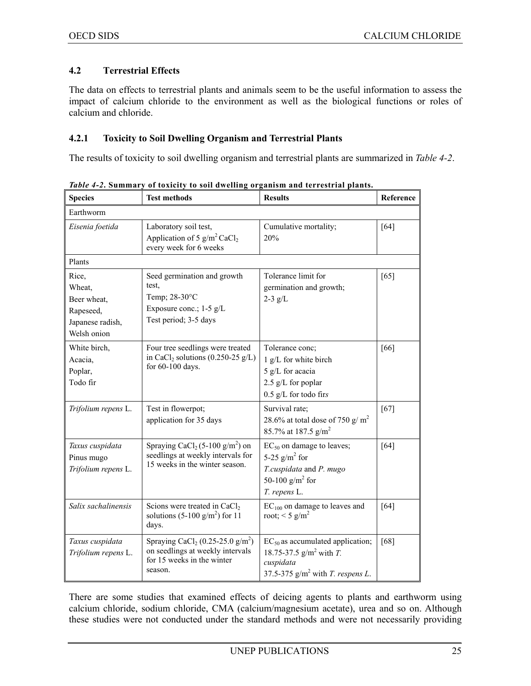#### **4.2 Terrestrial Effects**

The data on effects to terrestrial plants and animals seem to be the useful information to assess the impact of calcium chloride to the environment as well as the biological functions or roles of calcium and chloride.

#### **4.2.1 Toxicity to Soil Dwelling Organism and Terrestrial Plants**

The results of toxicity to soil dwelling organism and terrestrial plants are summarized in *Table 4-2*.

| <b>Species</b>                                                                 | <b>Test methods</b>                                                                                                                   | <b>Results</b>                                                                                                                 | Reference |  |  |  |  |
|--------------------------------------------------------------------------------|---------------------------------------------------------------------------------------------------------------------------------------|--------------------------------------------------------------------------------------------------------------------------------|-----------|--|--|--|--|
| Earthworm                                                                      |                                                                                                                                       |                                                                                                                                |           |  |  |  |  |
| Eisenia foetida                                                                | Laboratory soil test,<br>Application of 5 $g/m^2$ CaCl <sub>2</sub><br>every week for 6 weeks                                         | Cumulative mortality;<br>20%                                                                                                   | [64]      |  |  |  |  |
| Plants                                                                         |                                                                                                                                       |                                                                                                                                |           |  |  |  |  |
| Rice,<br>Wheat,<br>Beer wheat,<br>Rapeseed,<br>Japanese radish,<br>Welsh onion | Seed germination and growth<br>test.<br>Temp; 28-30°C<br>Exposure conc.; 1-5 g/L<br>Test period; 3-5 days                             | Tolerance limit for<br>germination and growth;<br>$2-3$ g/L                                                                    | [65]      |  |  |  |  |
| White birch,<br>Acacia,<br>Poplar,<br>Todo fir                                 | Four tree seedlings were treated<br>in CaCl <sub>2</sub> solutions $(0.250-25 \text{ g/L})$<br>for 60-100 days.                       | Tolerance conc;<br>1 g/L for white birch<br>5 g/L for acacia<br>2.5 g/L for poplar<br>$0.5$ g/L for todo firs                  | [66]      |  |  |  |  |
| Trifolium repens L.                                                            | Test in flowerpot;<br>application for 35 days                                                                                         | Survival rate;<br>28.6% at total dose of 750 g/m <sup>2</sup><br>85.7% at 187.5 g/m <sup>2</sup>                               | $[67]$    |  |  |  |  |
| Taxus cuspidata<br>Pinus mugo<br>Trifolium repens L.                           | Spraying CaCl <sub>2</sub> (5-100 g/m <sup>2</sup> ) on<br>seedlings at weekly intervals for<br>15 weeks in the winter season.        | $EC_{50}$ on damage to leaves;<br>5-25 $g/m^2$ for<br>T.cuspidata and P. mugo<br>50-100 $g/m^2$ for<br>T. repens L.            | [64]      |  |  |  |  |
| Salix sachalinensis                                                            | Scions were treated in CaCl <sub>2</sub><br>solutions (5-100 $g/m2$ ) for 11<br>days.                                                 | $EC100$ on damage to leaves and<br>root; $\leq$ 5 g/m <sup>2</sup>                                                             | [64]      |  |  |  |  |
| Taxus cuspidata<br>Trifolium repens L.                                         | Spraying CaCl <sub>2</sub> (0.25-25.0 g/m <sup>2</sup> )<br>on seedlings at weekly intervals<br>for 15 weeks in the winter<br>season. | $EC_{50}$ as accumulated application;<br>18.75-37.5 $g/m^2$ with T.<br>cuspidata<br>37.5-375 $g/m^2$ with <i>T. respens L.</i> | [68]      |  |  |  |  |

*Table 4-2***. Summary of toxicity to soil dwelling organism and terrestrial plants.**

There are some studies that examined effects of deicing agents to plants and earthworm using calcium chloride, sodium chloride, CMA (calcium/magnesium acetate), urea and so on. Although these studies were not conducted under the standard methods and were not necessarily providing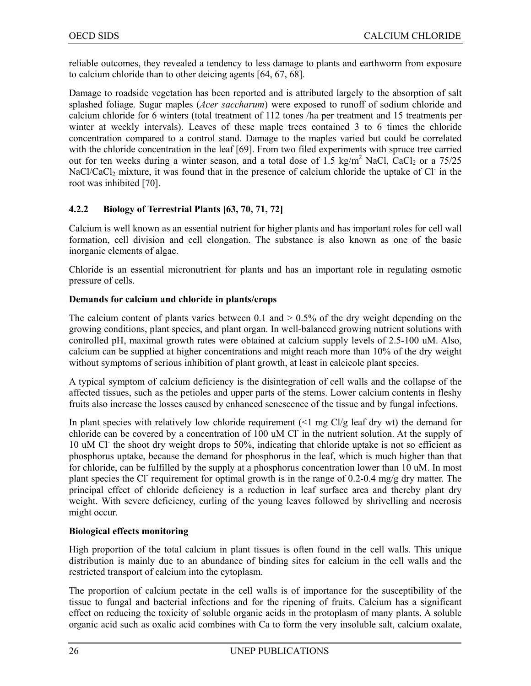reliable outcomes, they revealed a tendency to less damage to plants and earthworm from exposure to calcium chloride than to other deicing agents [64, 67, 68].

Damage to roadside vegetation has been reported and is attributed largely to the absorption of salt splashed foliage. Sugar maples (*Acer saccharum*) were exposed to runoff of sodium chloride and calcium chloride for 6 winters (total treatment of 112 tones /ha per treatment and 15 treatments per winter at weekly intervals). Leaves of these maple trees contained 3 to 6 times the chloride concentration compared to a control stand. Damage to the maples varied but could be correlated with the chloride concentration in the leaf [69]. From two filed experiments with spruce tree carried out for ten weeks during a winter season, and a total dose of  $1.5 \text{ kg/m}^2$  NaCl, CaCl<sub>2</sub> or a  $75/25$ NaCl/CaCl<sub>2</sub> mixture, it was found that in the presence of calcium chloride the uptake of Cl in the root was inhibited [70].

#### **4.2.2 Biology of Terrestrial Plants [63, 70, 71, 72]**

Calcium is well known as an essential nutrient for higher plants and has important roles for cell wall formation, cell division and cell elongation. The substance is also known as one of the basic inorganic elements of algae.

Chloride is an essential micronutrient for plants and has an important role in regulating osmotic pressure of cells.

#### **Demands for calcium and chloride in plants/crops**

The calcium content of plants varies between 0.1 and  $> 0.5\%$  of the dry weight depending on the growing conditions, plant species, and plant organ. In well-balanced growing nutrient solutions with controlled pH, maximal growth rates were obtained at calcium supply levels of 2.5-100 uM. Also, calcium can be supplied at higher concentrations and might reach more than 10% of the dry weight without symptoms of serious inhibition of plant growth, at least in calcicole plant species.

A typical symptom of calcium deficiency is the disintegration of cell walls and the collapse of the affected tissues, such as the petioles and upper parts of the stems. Lower calcium contents in fleshy fruits also increase the losses caused by enhanced senescence of the tissue and by fungal infections.

In plant species with relatively low chloride requirement  $\left($  <1 mg Cl/g leaf dry wt) the demand for chloride can be covered by a concentration of 100 uM Cl<sup>-</sup> in the nutrient solution. At the supply of 10 uM Cl<sup>-</sup> the shoot dry weight drops to 50%, indicating that chloride uptake is not so efficient as phosphorus uptake, because the demand for phosphorus in the leaf, which is much higher than that for chloride, can be fulfilled by the supply at a phosphorus concentration lower than 10 uM. In most plant species the Cl<sup>-</sup> requirement for optimal growth is in the range of 0.2-0.4 mg/g dry matter. The principal effect of chloride deficiency is a reduction in leaf surface area and thereby plant dry weight. With severe deficiency, curling of the young leaves followed by shrivelling and necrosis might occur.

#### **Biological effects monitoring**

High proportion of the total calcium in plant tissues is often found in the cell walls. This unique distribution is mainly due to an abundance of binding sites for calcium in the cell walls and the restricted transport of calcium into the cytoplasm.

The proportion of calcium pectate in the cell walls is of importance for the susceptibility of the tissue to fungal and bacterial infections and for the ripening of fruits. Calcium has a significant effect on reducing the toxicity of soluble organic acids in the protoplasm of many plants. A soluble organic acid such as oxalic acid combines with Ca to form the very insoluble salt, calcium oxalate,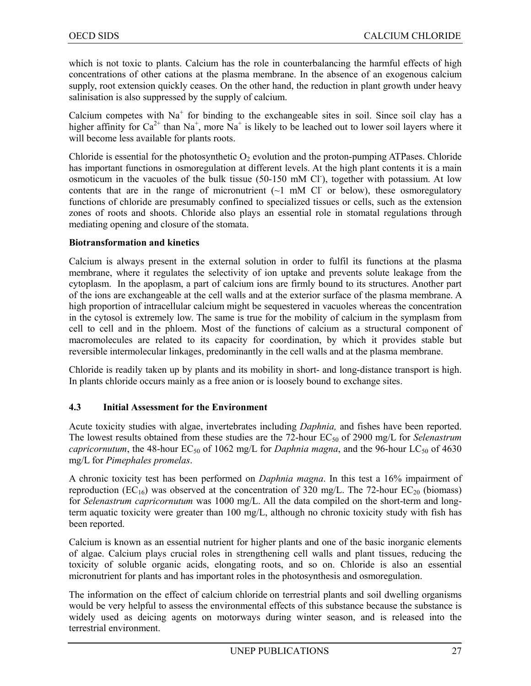which is not toxic to plants. Calcium has the role in counterbalancing the harmful effects of high concentrations of other cations at the plasma membrane. In the absence of an exogenous calcium supply, root extension quickly ceases. On the other hand, the reduction in plant growth under heavy salinisation is also suppressed by the supply of calcium.

Calcium competes with  $Na<sup>+</sup>$  for binding to the exchangeable sites in soil. Since soil clay has a higher affinity for  $Ca^{2+}$  than Na<sup>+</sup>, more Na<sup>+</sup> is likely to be leached out to lower soil layers where it will become less available for plants roots.

Chloride is essential for the photosynthetic  $O_2$  evolution and the proton-pumping ATPases. Chloride has important functions in osmoregulation at different levels. At the high plant contents it is a main osmoticum in the vacuoles of the bulk tissue (50-150 mM Cl<sup>-</sup>), together with potassium. At low contents that are in the range of micronutrient  $(-1 \text{ mM } Cl^-$  or below), these osmoregulatory functions of chloride are presumably confined to specialized tissues or cells, such as the extension zones of roots and shoots. Chloride also plays an essential role in stomatal regulations through mediating opening and closure of the stomata.

#### **Biotransformation and kinetics**

Calcium is always present in the external solution in order to fulfil its functions at the plasma membrane, where it regulates the selectivity of ion uptake and prevents solute leakage from the cytoplasm.In the apoplasm, a part of calcium ions are firmly bound to its structures. Another part of the ions are exchangeable at the cell walls and at the exterior surface of the plasma membrane. A high proportion of intracellular calcium might be sequestered in vacuoles whereas the concentration in the cytosol is extremely low. The same is true for the mobility of calcium in the symplasm from cell to cell and in the phloem. Most of the functions of calcium as a structural component of macromolecules are related to its capacity for coordination, by which it provides stable but reversible intermolecular linkages, predominantly in the cell walls and at the plasma membrane.

Chloride is readily taken up by plants and its mobility in short- and long-distance transport is high. In plants chloride occurs mainly as a free anion or is loosely bound to exchange sites.

#### **4.3 Initial Assessment for the Environment**

Acute toxicity studies with algae, invertebrates including *Daphnia,* and fishes have been reported. The lowest results obtained from these studies are the 72-hour EC<sub>50</sub> of 2900 mg/L for *Selenastrum capricornutum*, the 48-hour  $EC_{50}$  of 1062 mg/L for *Daphnia magna*, and the 96-hour  $LC_{50}$  of 4630 mg/L for *Pimephales promelas*.

A chronic toxicity test has been performed on *Daphnia magna*. In this test a 16% impairment of reproduction ( $EC_{16}$ ) was observed at the concentration of 320 mg/L. The 72-hour  $EC_{20}$  (biomass) for *Selenastrum capricornutum* was 1000 mg/L. All the data compiled on the short-term and longterm aquatic toxicity were greater than 100 mg/L, although no chronic toxicity study with fish has been reported.

Calcium is known as an essential nutrient for higher plants and one of the basic inorganic elements of algae. Calcium plays crucial roles in strengthening cell walls and plant tissues, reducing the toxicity of soluble organic acids, elongating roots, and so on. Chloride is also an essential micronutrient for plants and has important roles in the photosynthesis and osmoregulation.

The information on the effect of calcium chloride on terrestrial plants and soil dwelling organisms would be very helpful to assess the environmental effects of this substance because the substance is widely used as deicing agents on motorways during winter season, and is released into the terrestrial environment.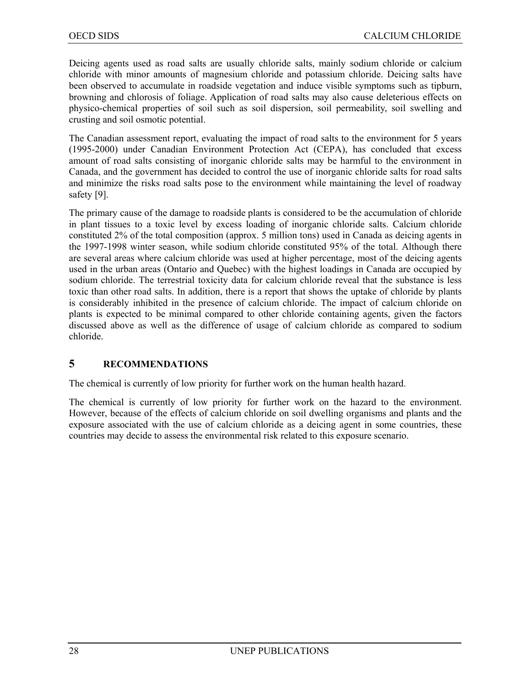Deicing agents used as road salts are usually chloride salts, mainly sodium chloride or calcium chloride with minor amounts of magnesium chloride and potassium chloride. Deicing salts have been observed to accumulate in roadside vegetation and induce visible symptoms such as tipburn, browning and chlorosis of foliage. Application of road salts may also cause deleterious effects on physico-chemical properties of soil such as soil dispersion, soil permeability, soil swelling and crusting and soil osmotic potential.

The Canadian assessment report, evaluating the impact of road salts to the environment for 5 years (1995-2000) under Canadian Environment Protection Act (CEPA), has concluded that excess amount of road salts consisting of inorganic chloride salts may be harmful to the environment in Canada, and the government has decided to control the use of inorganic chloride salts for road salts and minimize the risks road salts pose to the environment while maintaining the level of roadway safety [9].

The primary cause of the damage to roadside plants is considered to be the accumulation of chloride in plant tissues to a toxic level by excess loading of inorganic chloride salts. Calcium chloride constituted 2% of the total composition (approx. 5 million tons) used in Canada as deicing agents in the 1997-1998 winter season, while sodium chloride constituted 95% of the total. Although there are several areas where calcium chloride was used at higher percentage, most of the deicing agents used in the urban areas (Ontario and Quebec) with the highest loadings in Canada are occupied by sodium chloride. The terrestrial toxicity data for calcium chloride reveal that the substance is less toxic than other road salts. In addition, there is a report that shows the uptake of chloride by plants is considerably inhibited in the presence of calcium chloride. The impact of calcium chloride on plants is expected to be minimal compared to other chloride containing agents, given the factors discussed above as well as the difference of usage of calcium chloride as compared to sodium chloride.

#### **5 RECOMMENDATIONS**

The chemical is currently of low priority for further work on the human health hazard.

The chemical is currently of low priority for further work on the hazard to the environment. However, because of the effects of calcium chloride on soil dwelling organisms and plants and the exposure associated with the use of calcium chloride as a deicing agent in some countries, these countries may decide to assess the environmental risk related to this exposure scenario.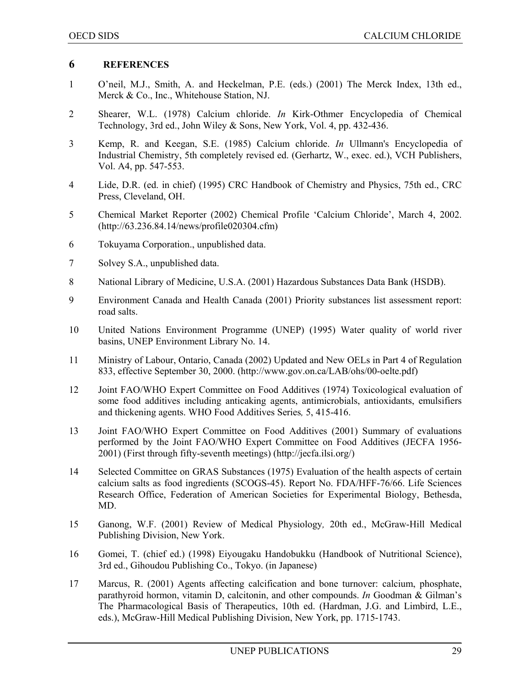#### **6 REFERENCES**

- 1 O'neil, M.J., Smith, A. and Heckelman, P.E. (eds.) (2001) The Merck Index, 13th ed., Merck & Co., Inc., Whitehouse Station, NJ.
- 2 Shearer, W.L. (1978) Calcium chloride. *In* Kirk-Othmer Encyclopedia of Chemical Technology, 3rd ed., John Wiley & Sons, New York, Vol. 4, pp. 432-436.
- 3 Kemp, R. and Keegan, S.E. (1985) Calcium chloride. *In* Ullmann's Encyclopedia of Industrial Chemistry, 5th completely revised ed. (Gerhartz, W., exec. ed.), VCH Publishers, Vol. A4, pp. 547-553.
- 4 Lide, D.R. (ed. in chief) (1995) CRC Handbook of Chemistry and Physics, 75th ed., CRC Press, Cleveland, OH.
- 5 Chemical Market Reporter (2002) Chemical Profile 'Calcium Chloride', March 4, 2002. (http://63.236.84.14/news/profile020304.cfm)
- 6 Tokuyama Corporation., unpublished data.
- 7 Solvey S.A., unpublished data.
- 8 National Library of Medicine, U.S.A. (2001) Hazardous Substances Data Bank (HSDB).
- 9 Environment Canada and Health Canada (2001) Priority substances list assessment report: road salts.
- 10 United Nations Environment Programme (UNEP) (1995) Water quality of world river basins, UNEP Environment Library No. 14.
- 11 Ministry of Labour, Ontario, Canada (2002) Updated and New OELs in Part 4 of Regulation 833, effective September 30, 2000. (http://www.gov.on.ca/LAB/ohs/00-oelte.pdf)
- 12 Joint FAO/WHO Expert Committee on Food Additives (1974) Toxicological evaluation of some food additives including anticaking agents, antimicrobials, antioxidants, emulsifiers and thickening agents. WHO Food Additives Series*,* 5, 415-416.
- 13 Joint FAO/WHO Expert Committee on Food Additives (2001) Summary of evaluations performed by the Joint FAO/WHO Expert Committee on Food Additives (JECFA 1956- 2001) (First through fifty-seventh meetings) (http://jecfa.ilsi.org/)
- 14 Selected Committee on GRAS Substances (1975) Evaluation of the health aspects of certain calcium salts as food ingredients (SCOGS-45). Report No. FDA/HFF-76/66. Life Sciences Research Office, Federation of American Societies for Experimental Biology, Bethesda, MD.
- 15 Ganong, W.F. (2001) Review of Medical Physiology*,* 20th ed., McGraw-Hill Medical Publishing Division, New York.
- 16 Gomei, T. (chief ed.) (1998) Eiyougaku Handobukku (Handbook of Nutritional Science), 3rd ed., Gihoudou Publishing Co., Tokyo. (in Japanese)
- 17 Marcus, R. (2001) Agents affecting calcification and bone turnover: calcium, phosphate, parathyroid hormon, vitamin D, calcitonin, and other compounds. *In* Goodman & Gilman's The Pharmacological Basis of Therapeutics, 10th ed. (Hardman, J.G. and Limbird, L.E., eds.), McGraw-Hill Medical Publishing Division, New York, pp. 1715-1743.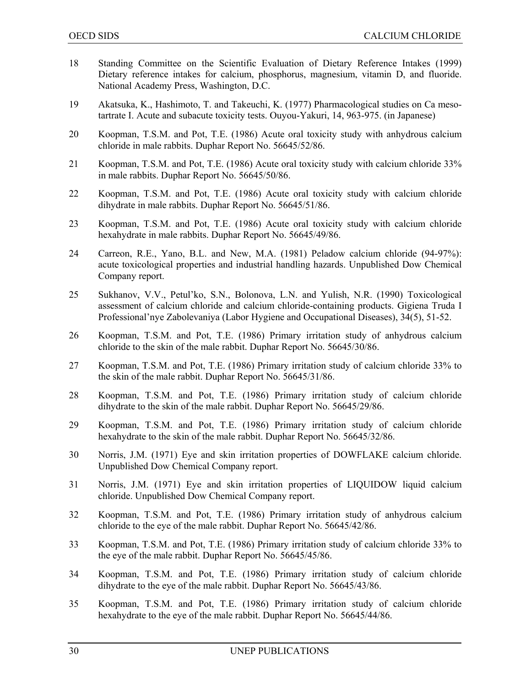- 18 Standing Committee on the Scientific Evaluation of Dietary Reference Intakes (1999) Dietary reference intakes for calcium, phosphorus, magnesium, vitamin D, and fluoride. National Academy Press, Washington, D.C.
- 19 Akatsuka, K., Hashimoto, T. and Takeuchi, K. (1977) Pharmacological studies on Ca mesotartrate I. Acute and subacute toxicity tests. Ouyou-Yakuri, 14, 963-975. (in Japanese)
- 20 Koopman, T.S.M. and Pot, T.E. (1986) Acute oral toxicity study with anhydrous calcium chloride in male rabbits. Duphar Report No. 56645/52/86.
- 21 Koopman, T.S.M. and Pot, T.E. (1986) Acute oral toxicity study with calcium chloride 33% in male rabbits. Duphar Report No. 56645/50/86.
- 22 Koopman, T.S.M. and Pot, T.E. (1986) Acute oral toxicity study with calcium chloride dihydrate in male rabbits. Duphar Report No. 56645/51/86.
- 23 Koopman, T.S.M. and Pot, T.E. (1986) Acute oral toxicity study with calcium chloride hexahydrate in male rabbits. Duphar Report No. 56645/49/86.
- 24 Carreon, R.E., Yano, B.L. and New, M.A. (1981) Peladow calcium chloride (94-97%): acute toxicological properties and industrial handling hazards. Unpublished Dow Chemical Company report.
- 25 Sukhanov, V.V., Petul'ko, S.N., Bolonova, L.N. and Yulish, N.R. (1990) Toxicological assessment of calcium chloride and calcium chloride-containing products. Gigiena Truda I Professional'nye Zabolevaniya (Labor Hygiene and Occupational Diseases), 34(5), 51-52.
- 26 Koopman, T.S.M. and Pot, T.E. (1986) Primary irritation study of anhydrous calcium chloride to the skin of the male rabbit. Duphar Report No. 56645/30/86.
- 27 Koopman, T.S.M. and Pot, T.E. (1986) Primary irritation study of calcium chloride 33% to the skin of the male rabbit. Duphar Report No. 56645/31/86.
- 28 Koopman, T.S.M. and Pot, T.E. (1986) Primary irritation study of calcium chloride dihydrate to the skin of the male rabbit. Duphar Report No. 56645/29/86.
- 29 Koopman, T.S.M. and Pot, T.E. (1986) Primary irritation study of calcium chloride hexahydrate to the skin of the male rabbit. Duphar Report No. 56645/32/86.
- 30 Norris, J.M. (1971) Eye and skin irritation properties of DOWFLAKE calcium chloride. Unpublished Dow Chemical Company report.
- 31 Norris, J.M. (1971) Eye and skin irritation properties of LIQUIDOW liquid calcium chloride. Unpublished Dow Chemical Company report.
- 32 Koopman, T.S.M. and Pot, T.E. (1986) Primary irritation study of anhydrous calcium chloride to the eye of the male rabbit. Duphar Report No. 56645/42/86.
- 33 Koopman, T.S.M. and Pot, T.E. (1986) Primary irritation study of calcium chloride 33% to the eye of the male rabbit. Duphar Report No. 56645/45/86.
- 34 Koopman, T.S.M. and Pot, T.E. (1986) Primary irritation study of calcium chloride dihydrate to the eye of the male rabbit. Duphar Report No. 56645/43/86.
- 35 Koopman, T.S.M. and Pot, T.E. (1986) Primary irritation study of calcium chloride hexahydrate to the eye of the male rabbit. Duphar Report No. 56645/44/86.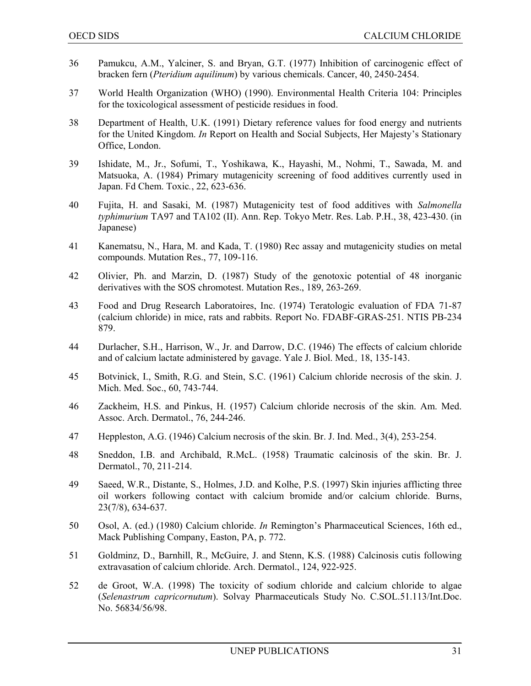- 36 Pamukcu, A.M., Yalciner, S. and Bryan, G.T. (1977) Inhibition of carcinogenic effect of bracken fern (*Pteridium aquilinum*) by various chemicals. Cancer, 40, 2450-2454.
- 37 World Health Organization (WHO) (1990). Environmental Health Criteria 104: Principles for the toxicological assessment of pesticide residues in food.
- 38 Department of Health, U.K. (1991) Dietary reference values for food energy and nutrients for the United Kingdom. *In* Report on Health and Social Subjects, Her Majesty's Stationary Office, London.
- 39 Ishidate, M., Jr., Sofumi, T., Yoshikawa, K., Hayashi, M., Nohmi, T., Sawada, M. and Matsuoka, A. (1984) Primary mutagenicity screening of food additives currently used in Japan. Fd Chem. Toxic*.*, 22, 623-636.
- 40 Fujita, H. and Sasaki, M. (1987) Mutagenicity test of food additives with *Salmonella typhimurium* TA97 and TA102 (II). Ann. Rep. Tokyo Metr. Res. Lab. P.H., 38, 423-430. (in Japanese)
- 41 Kanematsu, N., Hara, M. and Kada, T. (1980) Rec assay and mutagenicity studies on metal compounds. Mutation Res., 77, 109-116.
- 42 Olivier, Ph. and Marzin, D. (1987) Study of the genotoxic potential of 48 inorganic derivatives with the SOS chromotest. Mutation Res., 189, 263-269.
- 43 Food and Drug Research Laboratoires, Inc. (1974) Teratologic evaluation of FDA 71-87 (calcium chloride) in mice, rats and rabbits. Report No. FDABF-GRAS-251. NTIS PB-234 879.
- 44 Durlacher, S.H., Harrison, W., Jr. and Darrow, D.C. (1946) The effects of calcium chloride and of calcium lactate administered by gavage. Yale J. Biol. Med*.,* 18, 135-143.
- 45 Botvinick, I., Smith, R.G. and Stein, S.C. (1961) Calcium chloride necrosis of the skin. J. Mich. Med. Soc., 60, 743-744.
- 46 Zackheim, H.S. and Pinkus, H. (1957) Calcium chloride necrosis of the skin. Am. Med. Assoc. Arch. Dermatol., 76, 244-246.
- 47 Heppleston, A.G. (1946) Calcium necrosis of the skin. Br. J. Ind. Med., 3(4), 253-254.
- 48 Sneddon, I.B. and Archibald, R.McL. (1958) Traumatic calcinosis of the skin. Br. J. Dermatol., 70, 211-214.
- 49 Saeed, W.R., Distante, S., Holmes, J.D. and Kolhe, P.S. (1997) Skin injuries afflicting three oil workers following contact with calcium bromide and/or calcium chloride. Burns, 23(7/8), 634-637.
- 50 Osol, A. (ed.) (1980) Calcium chloride. *In* Remington's Pharmaceutical Sciences, 16th ed., Mack Publishing Company, Easton, PA, p. 772.
- 51 Goldminz, D., Barnhill, R., McGuire, J. and Stenn, K.S. (1988) Calcinosis cutis following extravasation of calcium chloride. Arch. Dermatol., 124, 922-925.
- 52 de Groot, W.A. (1998) The toxicity of sodium chloride and calcium chloride to algae (*Selenastrum capricornutum*). Solvay Pharmaceuticals Study No. C.SOL.51.113/Int.Doc. No. 56834/56/98.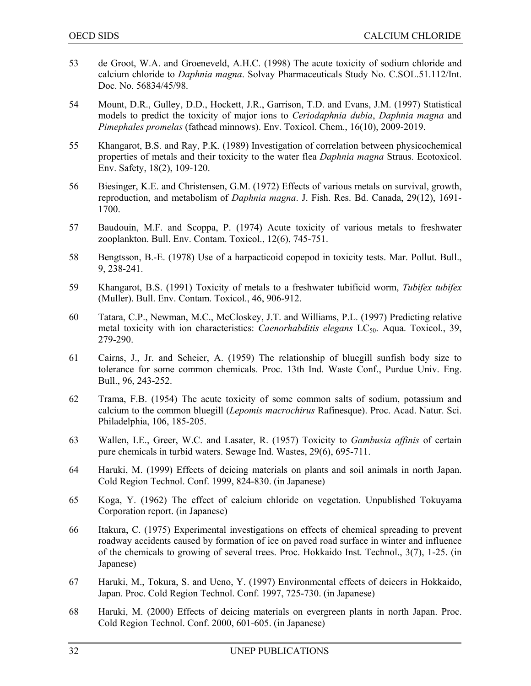- 53 de Groot, W.A. and Groeneveld, A.H.C. (1998) The acute toxicity of sodium chloride and calcium chloride to *Daphnia magna*. Solvay Pharmaceuticals Study No. C.SOL.51.112/Int. Doc. No. 56834/45/98.
- 54 Mount, D.R., Gulley, D.D., Hockett, J.R., Garrison, T.D. and Evans, J.M. (1997) Statistical models to predict the toxicity of major ions to *Ceriodaphnia dubia*, *Daphnia magna* and *Pimephales promelas* (fathead minnows). Env. Toxicol. Chem., 16(10), 2009-2019.
- 55 Khangarot, B.S. and Ray, P.K. (1989) Investigation of correlation between physicochemical properties of metals and their toxicity to the water flea *Daphnia magna* Straus. Ecotoxicol. Env. Safety, 18(2), 109-120.
- 56 Biesinger, K.E. and Christensen, G.M. (1972) Effects of various metals on survival, growth, reproduction, and metabolism of *Daphnia magna*. J. Fish. Res. Bd. Canada, 29(12), 1691- 1700.
- 57 Baudouin, M.F. and Scoppa, P. (1974) Acute toxicity of various metals to freshwater zooplankton. Bull. Env. Contam. Toxicol., 12(6), 745-751.
- 58 Bengtsson, B.-E. (1978) Use of a harpacticoid copepod in toxicity tests. Mar. Pollut. Bull., 9, 238-241.
- 59 Khangarot, B.S. (1991) Toxicity of metals to a freshwater tubificid worm, *Tubifex tubifex* (Muller). Bull. Env. Contam. Toxicol., 46, 906-912.
- 60 Tatara, C.P., Newman, M.C., McCloskey, J.T. and Williams, P.L. (1997) Predicting relative metal toxicity with ion characteristics: *Caenorhabditis elegans* LC<sub>50</sub>. Aqua. Toxicol., 39, 279-290.
- 61 Cairns, J., Jr. and Scheier, A. (1959) The relationship of bluegill sunfish body size to tolerance for some common chemicals. Proc. 13th Ind. Waste Conf., Purdue Univ. Eng. Bull., 96, 243-252.
- 62 Trama, F.B. (1954) The acute toxicity of some common salts of sodium, potassium and calcium to the common bluegill (*Lepomis macrochirus* Rafinesque). Proc. Acad. Natur. Sci. Philadelphia, 106, 185-205.
- 63 Wallen, I.E., Greer, W.C. and Lasater, R. (1957) Toxicity to *Gambusia affinis* of certain pure chemicals in turbid waters. Sewage Ind. Wastes, 29(6), 695-711.
- 64 Haruki, M. (1999) Effects of deicing materials on plants and soil animals in north Japan. Cold Region Technol. Conf. 1999, 824-830. (in Japanese)
- 65 Koga, Y. (1962) The effect of calcium chloride on vegetation. Unpublished Tokuyama Corporation report. (in Japanese)
- 66 Itakura, C. (1975) Experimental investigations on effects of chemical spreading to prevent roadway accidents caused by formation of ice on paved road surface in winter and influence of the chemicals to growing of several trees. Proc. Hokkaido Inst. Technol., 3(7), 1-25. (in Japanese)
- 67 Haruki, M., Tokura, S. and Ueno, Y. (1997) Environmental effects of deicers in Hokkaido, Japan. Proc. Cold Region Technol. Conf. 1997, 725-730. (in Japanese)
- 68 Haruki, M. (2000) Effects of deicing materials on evergreen plants in north Japan. Proc. Cold Region Technol. Conf. 2000, 601-605. (in Japanese)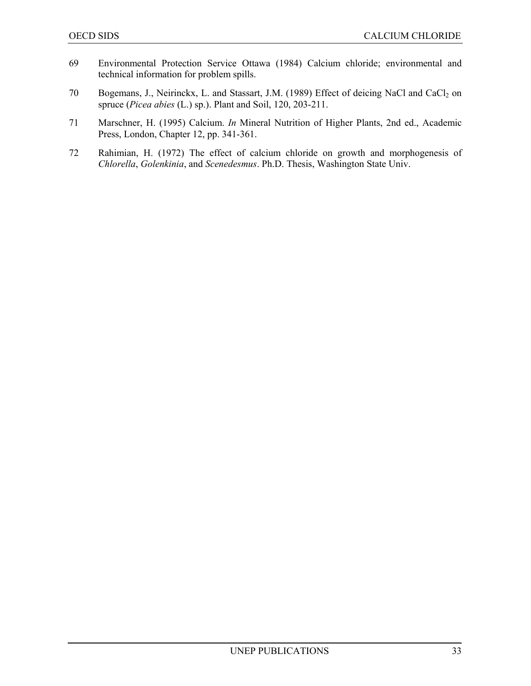- 69 Environmental Protection Service Ottawa (1984) Calcium chloride; environmental and technical information for problem spills.
- 70 Bogemans, J., Neirinckx, L. and Stassart, J.M. (1989) Effect of deicing NaCl and CaCl<sub>2</sub> on spruce (*Picea abies* (L.) sp.). Plant and Soil, 120, 203-211.
- 71 Marschner, H. (1995) Calcium. *In* Mineral Nutrition of Higher Plants, 2nd ed., Academic Press, London, Chapter 12, pp. 341-361.
- 72 Rahimian, H. (1972) The effect of calcium chloride on growth and morphogenesis of *Chlorella*, *Golenkinia*, and *Scenedesmus*. Ph.D. Thesis, Washington State Univ.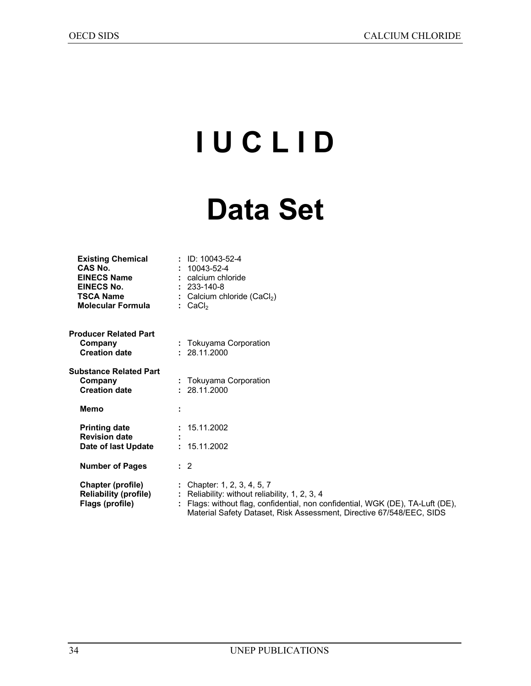# **I U C L I D**

## **Data Set**

| <b>Existing Chemical</b><br>CAS No.<br><b>EINECS Name</b><br>EINECS No.<br>TSCA Name<br>Molecular Formula | $:$ ID: 10043-52-4<br>$: 10043 - 52 - 4$<br>: calcium chloride<br>$: 233 - 140 - 8$<br>: Calcium chloride $(CaCl2)$<br>$:$ CaCl <sub>2</sub>                                                                                            |
|-----------------------------------------------------------------------------------------------------------|-----------------------------------------------------------------------------------------------------------------------------------------------------------------------------------------------------------------------------------------|
| <b>Producer Related Part</b><br>Company<br><b>Creation date</b>                                           | : Tokuyama Corporation<br>: 28.11.2000                                                                                                                                                                                                  |
| Substance Related Part<br>Company<br><b>Creation date</b>                                                 | : Tokuyama Corporation<br>: 28.11.2000                                                                                                                                                                                                  |
| <b>Memo</b>                                                                                               |                                                                                                                                                                                                                                         |
| <b>Printing date</b><br><b>Revision date</b><br>Date of last Update                                       | : 15.11.2002<br>: 15.11.2002                                                                                                                                                                                                            |
| <b>Number of Pages</b>                                                                                    | $\therefore$ 2                                                                                                                                                                                                                          |
| Chapter (profile)<br><b>Reliability (profile)</b><br>Flags (profile)                                      | : Chapter: 1, 2, 3, 4, 5, 7<br>: Reliability: without reliability, 1, 2, 3, 4<br>: Flags: without flag, confidential, non confidential, WGK (DE), TA-Luft (DE),<br>Material Safety Dataset, Risk Assessment, Directive 67/548/EEC, SIDS |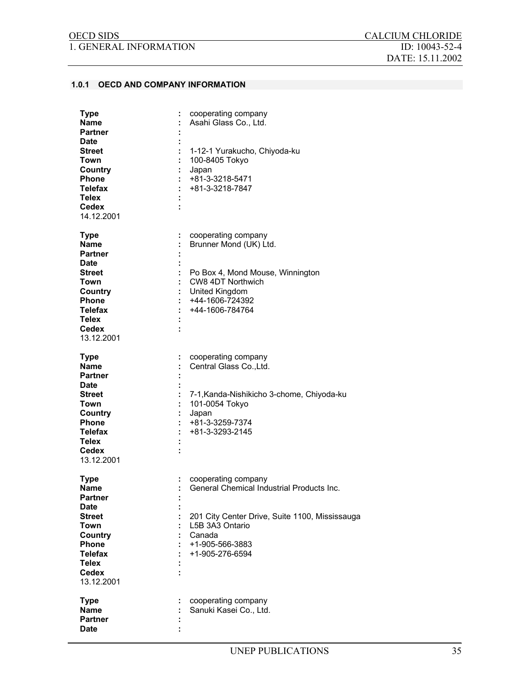1. GENERAL INFORMATION ID: 10043-52-4

#### **1.0.1 OECD AND COMPANY INFORMATION**

| Type<br>Name<br>Partner<br>Date                                                                                                                            | cooperating company<br>Asahi Glass Co., Ltd.                                                                                                                                          |
|------------------------------------------------------------------------------------------------------------------------------------------------------------|---------------------------------------------------------------------------------------------------------------------------------------------------------------------------------------|
| Street<br>Town<br>Country<br><b>Phone</b><br><b>Telefax</b><br>Telex<br><b>Cedex</b><br>14.12.2001                                                         | 1-12-1 Yurakucho, Chiyoda-ku<br>100-8405 Tokyo<br>Japan<br>+81-3-3218-5471<br>+81-3-3218-7847                                                                                         |
| <b>Type</b><br>÷<br>Name<br><b>Partner</b><br>Date<br><b>Street</b><br>Town<br>Country<br><b>Phone</b><br>Telefax<br>Telex<br>Cedex<br>13.12.2001          | cooperating company<br>Brunner Mond (UK) Ltd.<br>Po Box 4, Mond Mouse, Winnington<br>CW8 4DT Northwich<br>United Kingdom<br>+44-1606-724392<br>+44-1606-784764                        |
| <b>Type</b><br>Name<br><b>Partner</b><br>Date<br>Street<br>Town<br>Country<br><b>Phone</b><br><b>Telefax</b><br><b>Telex</b><br>Cedex<br>13.12.2001        | cooperating company<br>Central Glass Co., Ltd.<br>7-1, Kanda-Nishikicho 3-chome, Chiyoda-ku<br>101-0054 Tokyo<br>Japan<br>+81-3-3259-7374<br>+81-3-3293-2145                          |
| <b>Type</b><br>Name<br><b>Partner</b><br>Date<br><b>Street</b><br>Town<br>Country<br><b>Phone</b><br><b>Telefax</b><br><b>Telex</b><br>Cedex<br>13.12.2001 | cooperating company<br>General Chemical Industrial Products Inc.<br>201 City Center Drive, Suite 1100, Mississauga<br>L5B 3A3 Ontario<br>Canada<br>+1-905-566-3883<br>+1-905-276-6594 |
| <b>Type</b><br><b>Name</b><br>Partner<br>Date                                                                                                              | cooperating company<br>Sanuki Kasei Co., Ltd.                                                                                                                                         |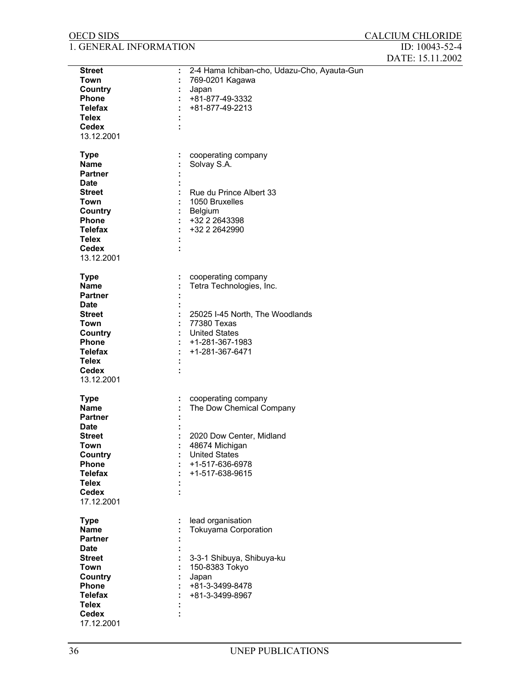| <b>OECD SIDS</b>       |                                             | <b>CALCIUM CHLORIDE</b> |
|------------------------|---------------------------------------------|-------------------------|
| 1. GENERAL INFORMATION |                                             | ID: 10043-52-4          |
|                        |                                             | DATE: 15.11.2002        |
| <b>Street</b>          | 2-4 Hama Ichiban-cho, Udazu-Cho, Ayauta-Gun |                         |
| Town                   | 769-0201 Kagawa                             |                         |
| Country                |                                             |                         |
| Phone                  | Japan                                       |                         |
|                        | +81-877-49-3332                             |                         |
| <b>Telefax</b>         | +81-877-49-2213                             |                         |
| <b>Telex</b>           |                                             |                         |
| <b>Cedex</b>           |                                             |                         |
| 13.12.2001             |                                             |                         |
| <b>Type</b>            | cooperating company                         |                         |
| <b>Name</b>            | Solvay S.A.                                 |                         |
| <b>Partner</b>         |                                             |                         |
| <b>Date</b>            |                                             |                         |
| <b>Street</b>          | Rue du Prince Albert 33                     |                         |
| <b>Town</b>            | 1050 Bruxelles                              |                         |
| Country                | Belgium                                     |                         |
| Phone                  | +32 2 2643398                               |                         |
| <b>Telefax</b>         | +32 2 2642990                               |                         |
| <b>Telex</b>           |                                             |                         |
|                        |                                             |                         |
| <b>Cedex</b>           |                                             |                         |
| 13.12.2001             |                                             |                         |
| <b>Type</b>            | cooperating company                         |                         |
| <b>Name</b>            | Tetra Technologies, Inc.                    |                         |
| Partner                |                                             |                         |
| Date                   |                                             |                         |
| <b>Street</b>          | 25025 I-45 North, The Woodlands             |                         |
| <b>Town</b>            | 77380 Texas                                 |                         |
| Country                | <b>United States</b>                        |                         |
| Phone                  | +1-281-367-1983                             |                         |
| <b>Telefax</b>         | +1-281-367-6471                             |                         |
| <b>Telex</b>           |                                             |                         |
| <b>Cedex</b>           |                                             |                         |
| 13.12.2001             |                                             |                         |
| <b>Type</b>            | cooperating company                         |                         |
| <b>Name</b>            | The Dow Chemical Company                    |                         |
| Partner                |                                             |                         |
| <b>Date</b>            |                                             |                         |
| <b>Street</b>          | 2020 Dow Center, Midland                    |                         |
| Town                   | 48674 Michigan                              |                         |
| <b>Country</b>         | <b>United States</b>                        |                         |
| Phone                  | +1-517-636-6978                             |                         |
| <b>Telefax</b>         | +1-517-638-9615                             |                         |
| <b>Telex</b>           |                                             |                         |
| <b>Cedex</b>           |                                             |                         |
| 17.12.2001             |                                             |                         |
|                        |                                             |                         |
| <b>Type</b>            | lead organisation                           |                         |
| <b>Name</b>            | Tokuyama Corporation                        |                         |
| <b>Partner</b>         |                                             |                         |
| <b>Date</b>            |                                             |                         |
| <b>Street</b>          | 3-3-1 Shibuya, Shibuya-ku                   |                         |
| Town                   | 150-8383 Tokyo                              |                         |
| Country                | Japan                                       |                         |
| Phone                  | +81-3-3499-8478                             |                         |
| <b>Telefax</b>         | +81-3-3499-8967                             |                         |
| <b>Telex</b>           |                                             |                         |
| Cedex                  |                                             |                         |
| 17.12.2001             |                                             |                         |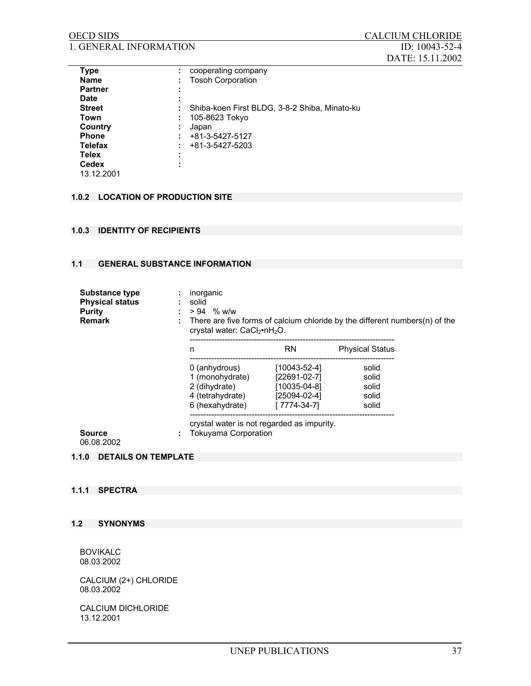| <b>OECD SIDS</b>              | CALCIUM CHLORIDE     |
|-------------------------------|----------------------|
| <b>1. GENERAL INFORMATION</b> | ID: $10043 - 52 - 4$ |
|                               | DATE: 15.11.2002     |

| <b>Type</b>    | ÷      | cooperating company                           |
|----------------|--------|-----------------------------------------------|
| <b>Name</b>    |        | <b>Tosoh Corporation</b>                      |
| <b>Partner</b> | ٠      |                                               |
| Date           | ÷      |                                               |
| <b>Street</b>  | ٠      | Shiba-koen First BLDG, 3-8-2 Shiba, Minato-ku |
| Town           |        | 105-8623 Tokyo                                |
| Country        | ٠<br>٠ | Japan                                         |
| <b>Phone</b>   |        | +81-3-5427-5127                               |
| <b>Telefax</b> |        | +81-3-5427-5203                               |
| <b>Telex</b>   | ٠<br>٠ |                                               |
| <b>Cedex</b>   |        |                                               |
| 13.12.2001     |        |                                               |

## **1.0.2 LOCATION OF PRODUCTION SITE**

#### **1.0.3 IDENTITY OF RECIPIENTS**

## **1.1 GENERAL SUBSTANCE INFORMATION**

| Substance type<br><b>Physical status</b><br>Purity<br>Remark | inorganic<br>solid<br>$> 94$ % w/w<br>crystal water: CaCl <sub>2</sub> •nH <sub>2</sub> O. |                                  | There are five forms of calcium chloride by the different numbers $(n)$ of the |
|--------------------------------------------------------------|--------------------------------------------------------------------------------------------|----------------------------------|--------------------------------------------------------------------------------|
|                                                              | n                                                                                          | <b>RN</b>                        | <b>Physical Status</b>                                                         |
|                                                              | 0 (anhydrous)                                                                              | $[10043 - 52 - 4]$               | solid                                                                          |
|                                                              | 1 (monohydrate)<br>2 (dihydrate)                                                           | $[22691-02-7]$<br>$[10035-04-8]$ | solid<br>solid                                                                 |
|                                                              | 4 (tetrahydrate)<br>6 (hexahydrate)                                                        | $[25094-02-4]$<br>[7774-34-7]    | solid<br>solid                                                                 |
|                                                              |                                                                                            |                                  |                                                                                |
| Source<br>06.08.2002                                         | crystal water is not regarded as impurity.<br><b>Tokuyama Corporation</b>                  |                                  |                                                                                |

# **1.1.0 DETAILS ON TEMPLATE**

#### **1.1.1 SPECTRA**

#### **1.2 SYNONYMS**

BOVIKALC 08.03.2002

CALCIUM (2+) CHLORIDE 08.03.2002

CALCIUM DICHLORIDE 13.12.2001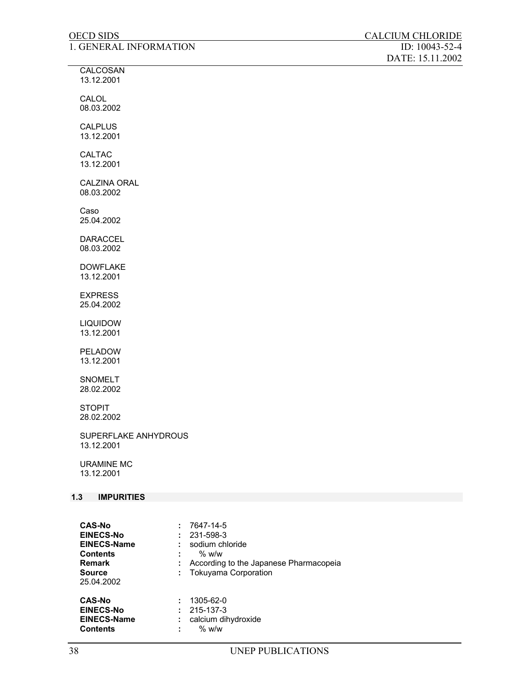| <b>OECD SIDS</b>                   | <b>CALCIUM CHLORIDE</b>            |
|------------------------------------|------------------------------------|
| 1. GENERAL INFORMATION             | ID: 10043-52-4<br>DATE: 15.11.2002 |
| CALCOSAN<br>13.12.2001             |                                    |
| CALOL<br>08.03.2002                |                                    |
| <b>CALPLUS</b><br>13.12.2001       |                                    |
| <b>CALTAC</b><br>13.12.2001        |                                    |
| <b>CALZINA ORAL</b><br>08.03.2002  |                                    |
| Caso<br>25.04.2002                 |                                    |
| <b>DARACCEL</b><br>08.03.2002      |                                    |
| <b>DOWFLAKE</b><br>13.12.2001      |                                    |
| <b>EXPRESS</b><br>25.04.2002       |                                    |
| <b>LIQUIDOW</b><br>13.12.2001      |                                    |
| PELADOW<br>13.12.2001              |                                    |
| <b>SNOMELT</b><br>28.02.2002       |                                    |
| <b>STOPIT</b><br>28.02.2002        |                                    |
| SUPERFLAKE ANHYDROUS<br>13.12.2001 |                                    |
| <b>URAMINE MC</b><br>13.12.2001    |                                    |
| $1.3$<br><b>IMPURITIES</b>         |                                    |

| <b>CAS-No</b>      |    | 7647-14-5                              |
|--------------------|----|----------------------------------------|
| <b>EINECS-No</b>   |    | 231-598-3                              |
| <b>EINECS-Name</b> |    | sodium chloride                        |
| <b>Contents</b>    |    | $%$ w/w                                |
| Remark             |    | According to the Japanese Pharmacopeia |
| <b>Source</b>      | ÷. | <b>Tokuyama Corporation</b>            |
| 25.04.2002         |    |                                        |
| <b>CAS-No</b>      |    | 1305-62-0                              |
| <b>EINECS-No</b>   |    | 215-137-3                              |
| <b>EINECS-Name</b> | ÷  | calcium dihydroxide                    |
| <b>Contents</b>    | ÷  | $%$ w/w                                |
|                    |    |                                        |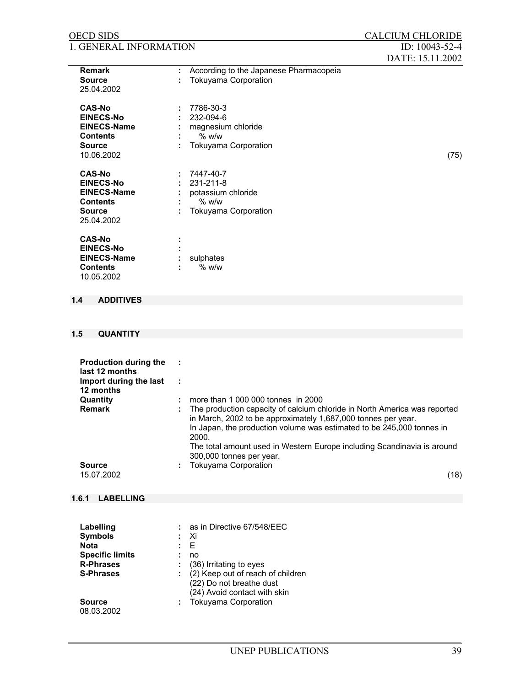| <b>OECD SIDS</b>                                                                                                              | <b>CALCIUM CHLORIDE</b>                                                                                                                                                                                                                                                                                                             |
|-------------------------------------------------------------------------------------------------------------------------------|-------------------------------------------------------------------------------------------------------------------------------------------------------------------------------------------------------------------------------------------------------------------------------------------------------------------------------------|
| 1. GENERAL INFORMATION                                                                                                        | ID: 10043-52-4<br>DATE: 15.11.2002                                                                                                                                                                                                                                                                                                  |
| <b>Remark</b><br><b>Source</b><br>25.04.2002                                                                                  | According to the Japanese Pharmacopeia<br><b>Tokuyama Corporation</b>                                                                                                                                                                                                                                                               |
| <b>CAS-No</b><br><b>EINECS-No</b><br><b>EINECS-Name</b><br><b>Contents</b><br><b>Source</b><br>10.06.2002                     | 7786-30-3<br>÷<br>232-094-6<br>magnesium chloride<br>$%$ w/w<br>Tokuyama Corporation<br>(75)                                                                                                                                                                                                                                        |
| <b>CAS-No</b><br><b>EINECS-No</b><br><b>EINECS-Name</b><br><b>Contents</b><br><b>Source</b><br>25.04.2002                     | 7447-40-7<br>231-211-8<br>÷<br>potassium chloride<br>$%$ w/w<br>Tokuyama Corporation                                                                                                                                                                                                                                                |
| <b>CAS-No</b><br><b>EINECS-No</b><br><b>EINECS-Name</b><br><b>Contents</b><br>10.05.2002                                      | sulphates<br>$%$ w/w                                                                                                                                                                                                                                                                                                                |
| <b>ADDITIVES</b><br>1.4                                                                                                       |                                                                                                                                                                                                                                                                                                                                     |
|                                                                                                                               |                                                                                                                                                                                                                                                                                                                                     |
| 1.5<br><b>QUANTITY</b>                                                                                                        |                                                                                                                                                                                                                                                                                                                                     |
| <b>Production during the</b><br>last 12 months<br>Import during the last<br>12 months<br>Quantity                             | ÷<br>÷<br>more than 1 000 000 tonnes in 2000                                                                                                                                                                                                                                                                                        |
| <b>Remark</b>                                                                                                                 | The production capacity of calcium chloride in North America was reported<br>in March, 2002 to be approximately 1,687,000 tonnes per year.<br>In Japan, the production volume was estimated to be 245,000 tonnes in<br>2000.<br>The total amount used in Western Europe including Scandinavia is around<br>300,000 tonnes per year. |
| <b>Source</b><br>15.07.2002                                                                                                   | <b>Tokuyama Corporation</b><br>(18)                                                                                                                                                                                                                                                                                                 |
| <b>LABELLING</b><br>1.6.1                                                                                                     |                                                                                                                                                                                                                                                                                                                                     |
| Labelling<br><b>Symbols</b><br><b>Nota</b><br><b>Specific limits</b><br><b>R-Phrases</b><br><b>S-Phrases</b><br><b>Source</b> | as in Directive 67/548/EEC<br>Хi<br>E<br>no<br>(36) Irritating to eyes<br>(2) Keep out of reach of children<br>(22) Do not breathe dust<br>(24) Avoid contact with skin<br>Tokuyama Corporation                                                                                                                                     |
| 08.03.2002                                                                                                                    |                                                                                                                                                                                                                                                                                                                                     |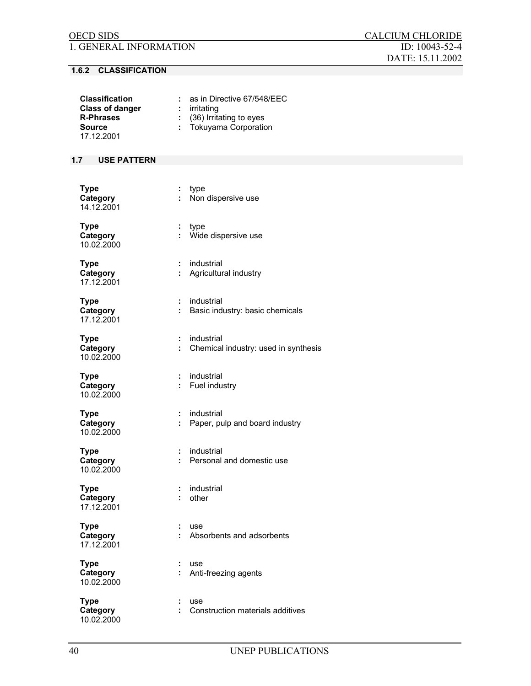# **1.6.2 CLASSIFICATION**

| <b>Classification</b><br><b>Class of danger</b><br><b>R-Phrases</b><br><b>Source</b><br>17.12.2001 | as in Directive 67/548/EEC<br>$:$ irritating<br>: (36) Irritating to eyes<br>Tokuyama Corporation |
|----------------------------------------------------------------------------------------------------|---------------------------------------------------------------------------------------------------|
| 1.7<br><b>USE PATTERN</b>                                                                          |                                                                                                   |
|                                                                                                    |                                                                                                   |
| <b>Type</b><br>Category<br>14.12.2001                                                              | type<br>÷<br>Non dispersive use<br>÷.                                                             |
| <b>Type</b><br>Category<br>10.02.2000                                                              | type<br>÷.<br>Wide dispersive use                                                                 |
| <b>Type</b><br>Category<br>17.12.2001                                                              | industrial<br>Agricultural industry                                                               |
| <b>Type</b><br>Category<br>17.12.2001                                                              | industrial<br>÷<br>Basic industry: basic chemicals                                                |
| <b>Type</b><br>Category<br>10.02.2000                                                              | industrial<br>÷<br>Chemical industry: used in synthesis<br>÷                                      |
| <b>Type</b><br>Category<br>10.02.2000                                                              | industrial<br>Fuel industry<br>÷.                                                                 |
| <b>Type</b><br>Category<br>10.02.2000                                                              | industrial<br>÷<br>Paper, pulp and board industry                                                 |
| <b>Type</b><br>Category<br>10.02.2000                                                              | industrial<br>Personal and domestic use                                                           |
| <b>Type</b><br>Category<br>17.12.2001                                                              | industrial<br>other                                                                               |
| <b>Type</b><br>Category<br>17.12.2001                                                              | ÷<br>use<br>Absorbents and adsorbents                                                             |
| <b>Type</b><br>Category<br>10.02.2000                                                              | use<br>Anti-freezing agents<br>÷                                                                  |
| <b>Type</b><br>Category<br>10.02.2000                                                              | use<br>Construction materials additives                                                           |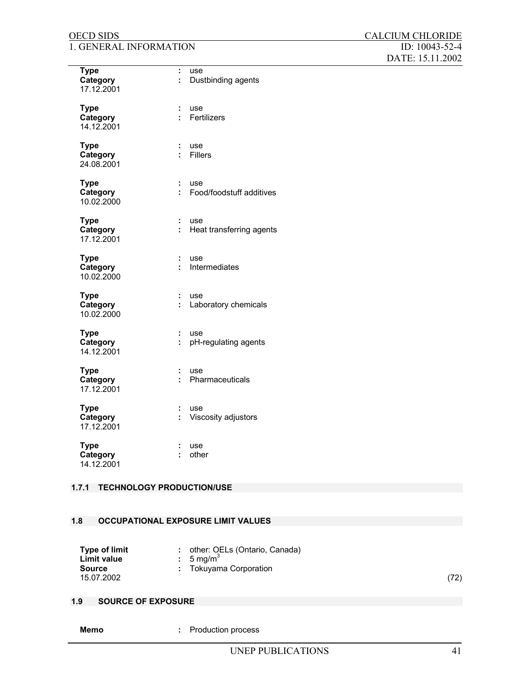| <b>Type</b><br>Category<br>17.12.2001 | ÷<br>use<br>÷<br>Dustbinding agents       |
|---------------------------------------|-------------------------------------------|
| <b>Type</b><br>Category<br>14.12.2001 | ÷<br>use<br>÷<br>Fertilizers              |
| <b>Type</b><br>Category<br>24.08.2001 | ÷<br>use<br>÷<br><b>Fillers</b>           |
| <b>Type</b><br>Category<br>10.02.2000 | ÷<br>use<br>Food/foodstuff additives<br>÷ |
| <b>Type</b><br>Category<br>17.12.2001 | ÷<br>use<br>÷<br>Heat transferring agents |
| <b>Type</b><br>Category<br>10.02.2000 | ÷<br>use<br>÷<br>Intermediates            |
| <b>Type</b><br>Category<br>10.02.2000 | ÷<br>use<br>÷<br>Laboratory chemicals     |
| <b>Type</b><br>Category<br>14.12.2001 | ÷<br>use<br>÷<br>pH-regulating agents     |
| <b>Type</b><br>Category<br>17.12.2001 | ÷<br>use<br>Pharmaceuticals<br>÷          |
| <b>Type</b><br>Category<br>17.12.2001 | use<br>÷<br>÷<br>Viscosity adjustors      |
| <b>Type</b><br>Category<br>14.12.2001 | use<br>÷<br>other<br>÷                    |

### **1.7.1 TECHNOLOGY PRODUCTION/USE**

## **1.8 OCCUPATIONAL EXPOSURE LIMIT VALUES**

| <b>Type of limit</b> | other: OELs (Ontario, Canada) |      |
|----------------------|-------------------------------|------|
| Limit value          | $: 5 \text{ mg/m}^3$          |      |
| <b>Source</b>        | : Tokuyama Corporation        |      |
| 15.07.2002           |                               | (72) |

# **1.9 SOURCE OF EXPOSURE**

**:** Production process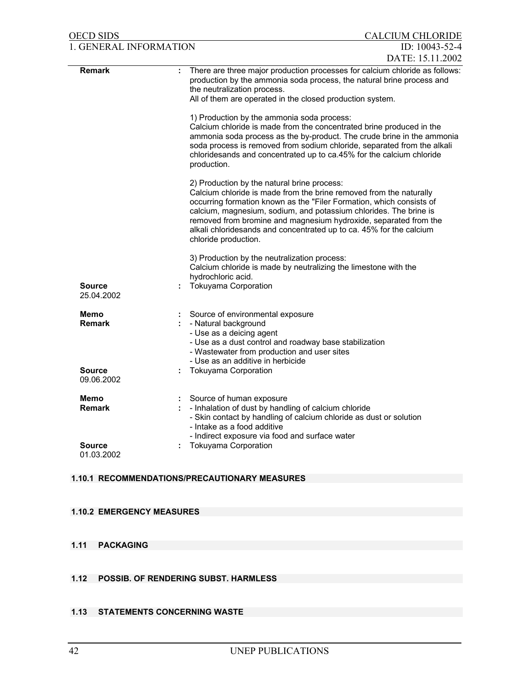| <b>OECD SIDS</b>             | <b>CALCIUM CHLORIDE</b>                                                                                                                                                                                                                                                                                                                                                                                                           |
|------------------------------|-----------------------------------------------------------------------------------------------------------------------------------------------------------------------------------------------------------------------------------------------------------------------------------------------------------------------------------------------------------------------------------------------------------------------------------|
| 1. GENERAL INFORMATION       | ID: $10043 - 52 - 4$                                                                                                                                                                                                                                                                                                                                                                                                              |
|                              | DATE: 15.11.2002                                                                                                                                                                                                                                                                                                                                                                                                                  |
| <b>Remark</b>                | There are three major production processes for calcium chloride as follows:<br>production by the ammonia soda process, the natural brine process and<br>the neutralization process.<br>All of them are operated in the closed production system.                                                                                                                                                                                  |
|                              | 1) Production by the ammonia soda process:<br>Calcium chloride is made from the concentrated brine produced in the<br>ammonia soda process as the by-product. The crude brine in the ammonia<br>soda process is removed from sodium chloride, separated from the alkali<br>chloridesands and concentrated up to ca.45% for the calcium chloride<br>production.                                                                    |
|                              | 2) Production by the natural brine process:<br>Calcium chloride is made from the brine removed from the naturally<br>occurring formation known as the "Filer Formation, which consists of<br>calcium, magnesium, sodium, and potassium chlorides. The brine is<br>removed from bromine and magnesium hydroxide, separated from the<br>alkali chloridesands and concentrated up to ca. 45% for the calcium<br>chloride production. |
| <b>Source</b>                | 3) Production by the neutralization process:<br>Calcium chloride is made by neutralizing the limestone with the<br>hydrochloric acid.<br><b>Tokuyama Corporation</b>                                                                                                                                                                                                                                                              |
| 25.04.2002                   |                                                                                                                                                                                                                                                                                                                                                                                                                                   |
| Memo<br><b>Remark</b>        | Source of environmental exposure<br>- Natural background<br>- Use as a deicing agent<br>- Use as a dust control and roadway base stabilization<br>- Wastewater from production and user sites<br>- Use as an additive in herbicide                                                                                                                                                                                                |
| <b>Source</b><br>09.06.2002  | <b>Tokuyama Corporation</b>                                                                                                                                                                                                                                                                                                                                                                                                       |
| <b>Memo</b><br><b>Remark</b> | Source of human exposure<br>- Inhalation of dust by handling of calcium chloride<br>- Skin contact by handling of calcium chloride as dust or solution<br>- Intake as a food additive<br>- Indirect exposure via food and surface water                                                                                                                                                                                           |
| <b>Source</b><br>01.03.2002  | <b>Tokuyama Corporation</b>                                                                                                                                                                                                                                                                                                                                                                                                       |

# **1.10.1 RECOMMENDATIONS/PRECAUTIONARY MEASURES**

# **1.10.2 EMERGENCY MEASURES**

# **1.11 PACKAGING**

- **1.12 POSSIB. OF RENDERING SUBST. HARMLESS**
- **1.13 STATEMENTS CONCERNING WASTE**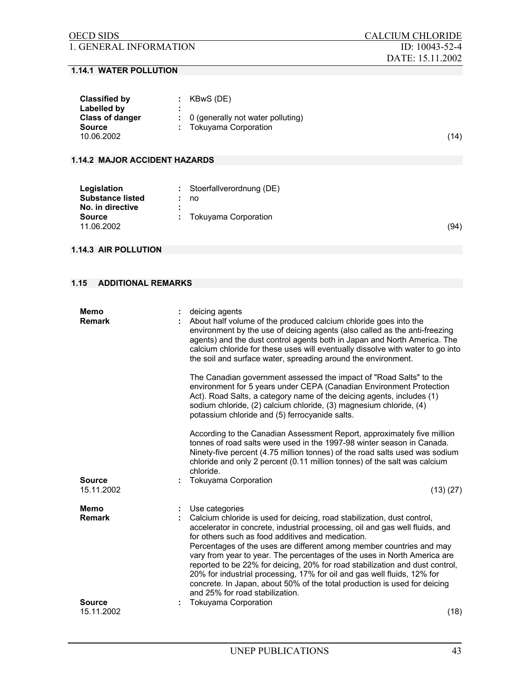| <b>Classified by</b>   | KBwS (DE)                                      |      |
|------------------------|------------------------------------------------|------|
| Labelled by            |                                                |      |
| <b>Class of danger</b> | $\therefore$ 0 (generally not water polluting) |      |
| <b>Source</b>          | Tokuyama Corporation                           |      |
| 10.06.2002             |                                                | (14) |

### **1.14.2 MAJOR ACCIDENT HAZARDS**

| Legislation<br><b>Substance listed</b><br>No. in directive | $:$ Stoerfallverordnung (DE)<br>no |      |
|------------------------------------------------------------|------------------------------------|------|
| <b>Source</b><br>11.06.2002                                | Tokuyama Corporation               | (94) |

# **1.14.3 AIR POLLUTION**

### **1.15 ADDITIONAL REMARKS**

| Memo<br><b>Remark</b>                  |   | deicing agents<br>About half volume of the produced calcium chloride goes into the<br>environment by the use of deicing agents (also called as the anti-freezing<br>agents) and the dust control agents both in Japan and North America. The<br>calcium chloride for these uses will eventually dissolve with water to go into<br>the soil and surface water, spreading around the environment.                                                                                                                                                                                                                                                               |
|----------------------------------------|---|---------------------------------------------------------------------------------------------------------------------------------------------------------------------------------------------------------------------------------------------------------------------------------------------------------------------------------------------------------------------------------------------------------------------------------------------------------------------------------------------------------------------------------------------------------------------------------------------------------------------------------------------------------------|
|                                        |   | The Canadian government assessed the impact of "Road Salts" to the<br>environment for 5 years under CEPA (Canadian Environment Protection<br>Act). Road Salts, a category name of the deicing agents, includes (1)<br>sodium chloride, (2) calcium chloride, (3) magnesium chloride, (4)<br>potassium chloride and (5) ferrocyanide salts.                                                                                                                                                                                                                                                                                                                    |
| <b>Source</b>                          | ÷ | According to the Canadian Assessment Report, approximately five million<br>tonnes of road salts were used in the 1997-98 winter season in Canada.<br>Ninety-five percent (4.75 million tonnes) of the road salts used was sodium<br>chloride and only 2 percent (0.11 million tonnes) of the salt was calcium<br>chloride.<br>Tokuyama Corporation                                                                                                                                                                                                                                                                                                            |
| 15.11.2002                             |   | (13)(27)                                                                                                                                                                                                                                                                                                                                                                                                                                                                                                                                                                                                                                                      |
| Memo<br><b>Remark</b><br><b>Source</b> |   | Use categories<br>Calcium chloride is used for deicing, road stabilization, dust control,<br>accelerator in concrete, industrial processing, oil and gas well fluids, and<br>for others such as food additives and medication.<br>Percentages of the uses are different among member countries and may<br>vary from year to year. The percentages of the uses in North America are<br>reported to be 22% for deicing, 20% for road stabilization and dust control,<br>20% for industrial processing, 17% for oil and gas well fluids, 12% for<br>concrete. In Japan, about 50% of the total production is used for deicing<br>and 25% for road stabilization. |
| 15.11.2002                             |   | <b>Tokuyama Corporation</b><br>(18)                                                                                                                                                                                                                                                                                                                                                                                                                                                                                                                                                                                                                           |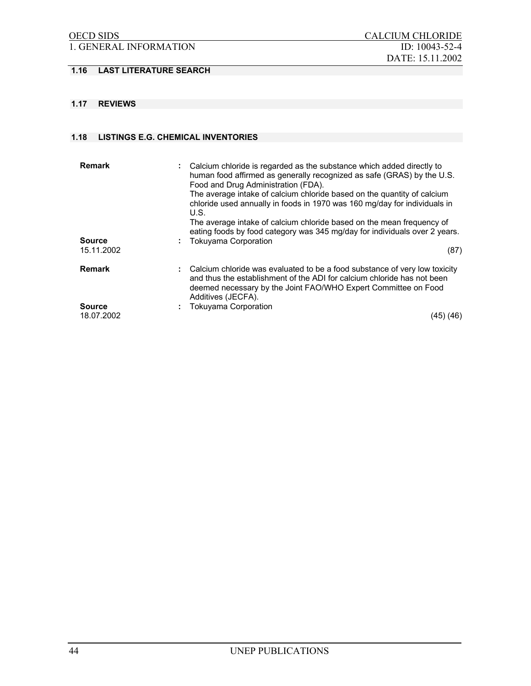# 1. GENERAL INFORMATION ID: 10043-52-4

# **1.16 LAST LITERATURE SEARCH**

## **1.17 REVIEWS**

#### **1.18 LISTINGS E.G. CHEMICAL INVENTORIES**

| <b>Remark</b><br><b>Source</b><br>15.11.2002 | : Calcium chloride is regarded as the substance which added directly to<br>human food affirmed as generally recognized as safe (GRAS) by the U.S.<br>Food and Drug Administration (FDA).<br>The average intake of calcium chloride based on the quantity of calcium<br>chloride used annually in foods in 1970 was 160 mg/day for individuals in<br>U.S.<br>The average intake of calcium chloride based on the mean frequency of<br>eating foods by food category was 345 mg/day for individuals over 2 years.<br>: Tokuyama Corporation<br>(87) |
|----------------------------------------------|---------------------------------------------------------------------------------------------------------------------------------------------------------------------------------------------------------------------------------------------------------------------------------------------------------------------------------------------------------------------------------------------------------------------------------------------------------------------------------------------------------------------------------------------------|
| <b>Remark</b><br><b>Source</b>               | : Calcium chloride was evaluated to be a food substance of very low toxicity<br>and thus the establishment of the ADI for calcium chloride has not been<br>deemed necessary by the Joint FAO/WHO Expert Committee on Food<br>Additives (JECFA).<br>Tokuyama Corporation                                                                                                                                                                                                                                                                           |
| 18.07.2002                                   | (45) (46)                                                                                                                                                                                                                                                                                                                                                                                                                                                                                                                                         |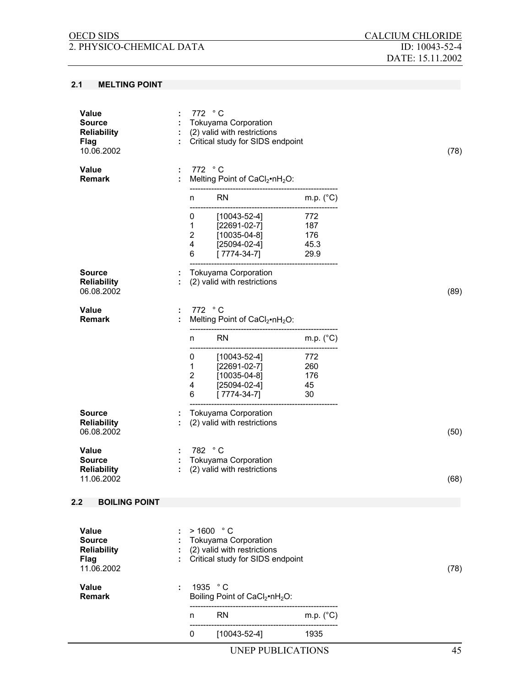#### **2.1 MELTING POINT**

|                                                                           |   | [22691-02-7]<br>[10035-04-8]<br>[25094-02-4]<br>$\mathbf{1}$<br>$\overline{2}$<br>4                         | 260<br>176<br>45   |      |
|---------------------------------------------------------------------------|---|-------------------------------------------------------------------------------------------------------------|--------------------|------|
|                                                                           |   | $[7774 - 34 - 7]$<br>6                                                                                      | 30                 |      |
| <b>Source</b><br><b>Reliability</b><br>06.08.2002                         |   | <b>Tokuyama Corporation</b><br>(2) valid with restrictions                                                  |                    | (50) |
| <b>Value</b>                                                              | ÷ | 782 °C                                                                                                      |                    |      |
| <b>Source</b><br><b>Reliability</b><br>11.06.2002                         |   | : Tokuyama Corporation<br>(2) valid with restrictions                                                       |                    | (68) |
| 2.2<br><b>BOILING POINT</b>                                               |   |                                                                                                             |                    |      |
|                                                                           |   |                                                                                                             |                    |      |
| <b>Value</b><br><b>Source</b><br><b>Reliability</b><br>Flag<br>11.06.2002 |   | > 1600 °C<br><b>Tokuyama Corporation</b><br>(2) valid with restrictions<br>Critical study for SIDS endpoint |                    | (78) |
| Value<br><b>Remark</b>                                                    | ÷ | 1935 °C<br>Boiling Point of CaCl <sub>2</sub> ·nH <sub>2</sub> O:                                           |                    |      |
|                                                                           |   | <b>RN</b><br>n                                                                                              | m.p. $(^{\circ}C)$ |      |
|                                                                           |   | $[10043 - 52 - 4]$<br>0                                                                                     | 1935               |      |
|                                                                           |   |                                                                                                             |                    |      |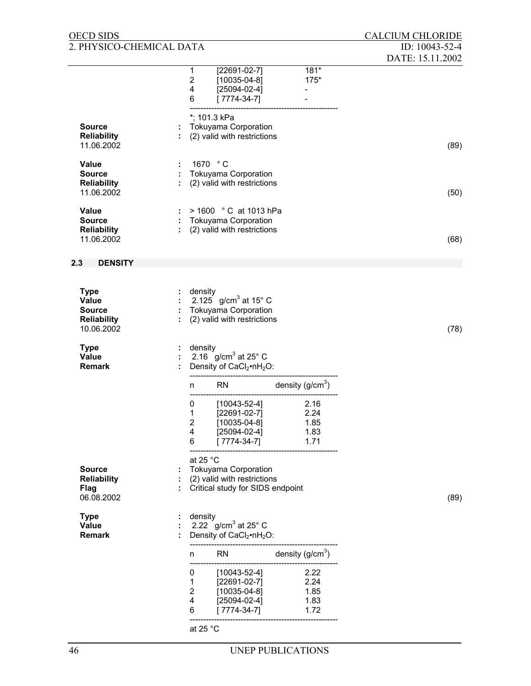| <b>OECD SIDS</b>                    |                              |                                                            |                          | <b>CALCIUM CHLORIDE</b> |
|-------------------------------------|------------------------------|------------------------------------------------------------|--------------------------|-------------------------|
| 2. PHYSICO-CHEMICAL DATA            |                              |                                                            |                          | ID: 10043-52-4          |
|                                     | 1                            | $[22691-02-7]$                                             | $181*$                   | DATE: 15.11.2002        |
|                                     | $\mathbf 2$                  | $[10035-04-8]$                                             | $175*$                   |                         |
|                                     | 4                            | $[25094-02-4]$                                             | $\overline{\phantom{0}}$ |                         |
|                                     | 6                            | $[7774-34-7]$                                              |                          |                         |
|                                     |                              | *; 101.3 kPa                                               |                          |                         |
| <b>Source</b><br><b>Reliability</b> |                              | <b>Tokuyama Corporation</b><br>(2) valid with restrictions |                          |                         |
| 11.06.2002                          |                              |                                                            |                          | (89)                    |
| Value                               |                              | 1670 °C                                                    |                          |                         |
| <b>Source</b>                       |                              | <b>Tokuyama Corporation</b>                                |                          |                         |
| <b>Reliability</b><br>11.06.2002    |                              | (2) valid with restrictions                                |                          | (50)                    |
|                                     |                              |                                                            |                          |                         |
| Value<br><b>Source</b>              |                              | > 1600 °C at 1013 hPa<br><b>Tokuyama Corporation</b>       |                          |                         |
| <b>Reliability</b>                  |                              | (2) valid with restrictions                                |                          |                         |
| 11.06.2002                          |                              |                                                            |                          | (68)                    |
| 2.3<br><b>DENSITY</b>               |                              |                                                            |                          |                         |
|                                     |                              |                                                            |                          |                         |
| <b>Type</b>                         | density                      |                                                            |                          |                         |
| Value                               |                              | 2.125 g/cm <sup>3</sup> at 15° C                           |                          |                         |
| <b>Source</b><br><b>Reliability</b> |                              | <b>Tokuyama Corporation</b><br>(2) valid with restrictions |                          |                         |
| 10.06.2002                          |                              |                                                            |                          | (78)                    |
| <b>Type</b>                         | density                      |                                                            |                          |                         |
| Value                               |                              | 2.16 $g/cm3$ at 25° C                                      |                          |                         |
| <b>Remark</b>                       |                              | Density of CaCl <sub>2</sub> •nH <sub>2</sub> O:           |                          |                         |
|                                     | n                            | <b>RN</b>                                                  | density $(g/cm3)$        |                         |
|                                     | 0                            | $[10043 - 52 - 4]$                                         | 2.16                     |                         |
|                                     | 1                            | [22691-02-7]                                               | 2.24                     |                         |
|                                     | $\overline{\mathbf{c}}$<br>4 | $[10035 - 04 - 8]$<br>$[25094-02-4]$                       | 1.85<br>1.83             |                         |
|                                     | 6                            | $[7774-34-7]$                                              | 1.71                     |                         |
|                                     | at 25 $^{\circ}$ C           |                                                            |                          |                         |
| <b>Source</b>                       |                              | <b>Tokuyama Corporation</b>                                |                          |                         |
| <b>Reliability</b>                  |                              | (2) valid with restrictions                                |                          |                         |
| Flag<br>06.08.2002                  |                              | Critical study for SIDS endpoint                           |                          | (89)                    |
|                                     |                              |                                                            |                          |                         |
| <b>Type</b><br>Value                | density                      | 2.22 g/cm <sup>3</sup> at 25 $^{\circ}$ C                  |                          |                         |
| <b>Remark</b>                       |                              | Density of CaCl <sub>2</sub> •nH <sub>2</sub> O:           |                          |                         |
|                                     | n                            | <b>RN</b>                                                  | density $(g/cm3)$        |                         |
|                                     | 0                            | [10043-52-4]                                               | 2.22                     |                         |
|                                     | 1                            | $[22691-02-7]$                                             | 2.24                     |                         |
|                                     | $\overline{2}$<br>4          | $[10035-04-8]$<br>$[25094-02-4]$                           | 1.85<br>1.83             |                         |
|                                     | 6                            | $[7774-34-7]$                                              | 1.72                     |                         |
|                                     | at 25 $^{\circ}$ C           |                                                            |                          |                         |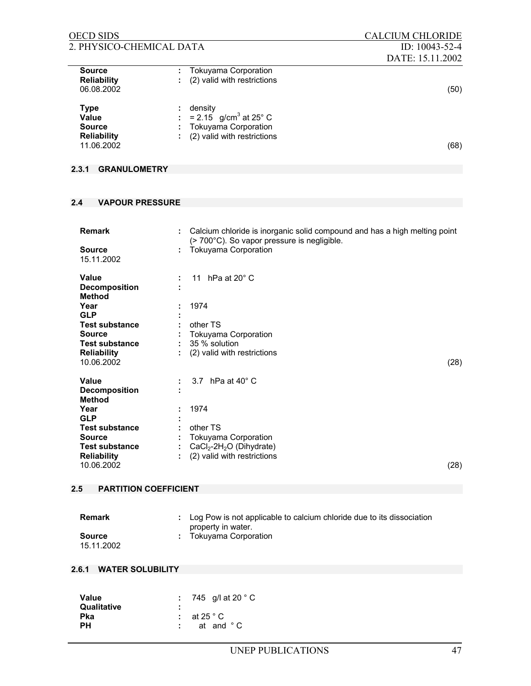| <b>OECD SIDS</b>                                                          |                                                                                                     | <b>CALCIUM CHLORIDE</b> |
|---------------------------------------------------------------------------|-----------------------------------------------------------------------------------------------------|-------------------------|
| 2. PHYSICO-CHEMICAL DATA                                                  |                                                                                                     | ID: 10043-52-4          |
|                                                                           |                                                                                                     | DATE: 15.11.2002        |
| <b>Source</b><br><b>Reliability</b><br>06.08.2002                         | Tokuyama Corporation<br>(2) valid with restrictions                                                 | (50)                    |
| <b>Type</b><br>Value<br><b>Source</b><br><b>Reliability</b><br>11.06.2002 | density<br>: = 2.15 $g/cm^3$ at 25° C<br><b>Tokuyama Corporation</b><br>(2) valid with restrictions | (68)                    |

# **2.3.1 GRANULOMETRY**

# **2.4 VAPOUR PRESSURE**

| <b>Remark</b><br><b>Source</b><br>15.11.2002                                                                                                                                       |   | Calcium chloride is inorganic solid compound and has a high melting point<br>$($ > 700 $^{\circ}$ C). So vapor pressure is negligible.<br><b>Tokuyama Corporation</b> |      |
|------------------------------------------------------------------------------------------------------------------------------------------------------------------------------------|---|-----------------------------------------------------------------------------------------------------------------------------------------------------------------------|------|
| <b>Value</b><br><b>Decomposition</b><br><b>Method</b><br>Year<br><b>GLP</b><br><b>Test substance</b><br><b>Source</b><br><b>Test substance</b><br><b>Reliability</b><br>10.06.2002 | ÷ | 11 hPa at $20^\circ$ C<br>1974<br>other TS<br>Tokuyama Corporation<br>35 % solution<br>(2) valid with restrictions                                                    | (28) |
| <b>Value</b><br><b>Decomposition</b><br><b>Method</b><br>Year<br><b>GLP</b><br><b>Test substance</b><br><b>Source</b><br><b>Test substance</b><br><b>Reliability</b><br>10.06.2002 |   | 3.7 hPa at $40^\circ$ C<br>1974<br>other TS<br>Tokuyama Corporation<br>$CaCl2-2H2O$ (Dihydrate)<br>(2) valid with restrictions                                        | (28) |

# **2.5 PARTITION COEFFICIENT**

| Remark                      | : Log Pow is not applicable to calcium chloride due to its dissociation<br>property in water. |
|-----------------------------|-----------------------------------------------------------------------------------------------|
| <b>Source</b><br>15.11.2002 | : Tokuyama Corporation                                                                        |

# **2.6.1 WATER SOLUBILITY**

| 745 g/l at 20 °C   |
|--------------------|
|                    |
| at 25 $^{\circ}$ C |
| at and °C          |
|                    |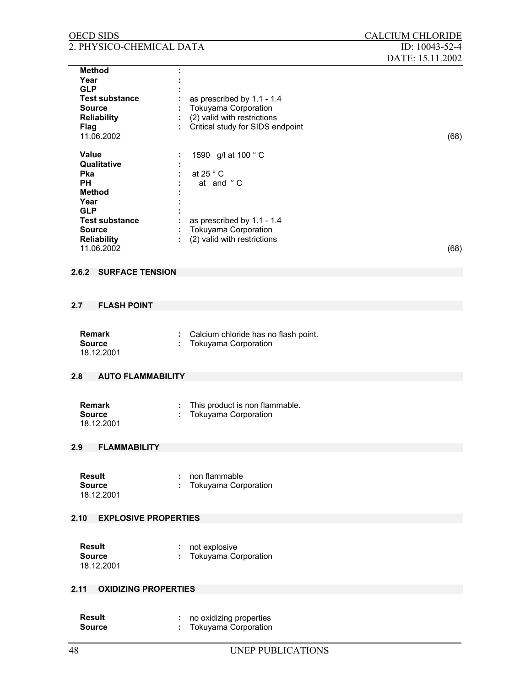| <b>OECD SIDS</b>                                                                                                                                                                                                                  |                                                                                                                                                                       | <b>CALCIUM CHLORIDE</b>            |
|-----------------------------------------------------------------------------------------------------------------------------------------------------------------------------------------------------------------------------------|-----------------------------------------------------------------------------------------------------------------------------------------------------------------------|------------------------------------|
| 2. PHYSICO-CHEMICAL DATA                                                                                                                                                                                                          |                                                                                                                                                                       | ID: 10043-52-4<br>DATE: 15.11.2002 |
| <b>Method</b><br>Year<br><b>GLP</b><br><b>Test substance</b><br><b>Source</b><br><b>Reliability</b><br><b>Flag</b><br>11.06.2002<br><b>Value</b><br>Qualitative<br><b>Pka</b><br><b>PH</b><br><b>Method</b><br>Year<br><b>GLP</b> | as prescribed by 1.1 - 1.4<br>Tokuyama Corporation<br>(2) valid with restrictions<br>Critical study for SIDS endpoint<br>1590 g/l at 100 °C<br>at 25 ° C<br>at and °C | (68)                               |
| <b>Test substance</b><br><b>Source</b><br><b>Reliability</b><br>11.06.2002                                                                                                                                                        | as prescribed by 1.1 - 1.4<br><b>Tokuyama Corporation</b><br>(2) valid with restrictions                                                                              | (68)                               |
| <b>SURFACE TENSION</b><br>2.6.2                                                                                                                                                                                                   |                                                                                                                                                                       |                                    |
| <b>FLASH POINT</b><br>2.7                                                                                                                                                                                                         |                                                                                                                                                                       |                                    |
| <b>Remark</b><br><b>Source</b><br>18.12.2001                                                                                                                                                                                      | Calcium chloride has no flash point.<br>÷<br><b>Tokuyama Corporation</b>                                                                                              |                                    |
| <b>AUTO FLAMMABILITY</b><br>2.8                                                                                                                                                                                                   |                                                                                                                                                                       |                                    |
| <b>Remark</b><br><b>Source</b><br>18.12.2001                                                                                                                                                                                      | This product is non flammable.<br>÷<br><b>Tokuyama Corporation</b>                                                                                                    |                                    |
| <b>FLAMMABILITY</b><br>2.9                                                                                                                                                                                                        |                                                                                                                                                                       |                                    |
| <b>Result</b><br><b>Source</b><br>18.12.2001                                                                                                                                                                                      | non flammable<br><b>Tokuyama Corporation</b>                                                                                                                          |                                    |
| <b>EXPLOSIVE PROPERTIES</b><br>2.10                                                                                                                                                                                               |                                                                                                                                                                       |                                    |
| <b>Result</b><br><b>Source</b><br>18.12.2001                                                                                                                                                                                      | not explosive<br>÷<br><b>Tokuyama Corporation</b>                                                                                                                     |                                    |
| <b>OXIDIZING PROPERTIES</b><br>2.11                                                                                                                                                                                               |                                                                                                                                                                       |                                    |
| <b>Result</b><br><b>Source</b>                                                                                                                                                                                                    | no oxidizing properties<br>Tokuyama Corporation                                                                                                                       |                                    |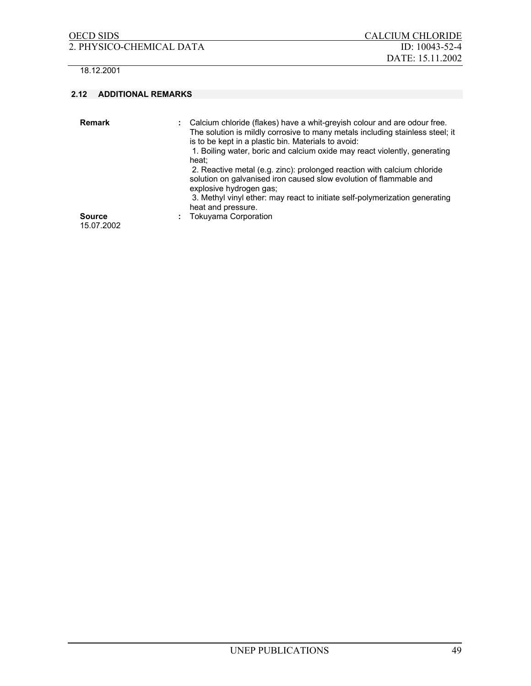2. PHYSICO-CHEMICAL DATA ID: 10043-52-4

18.12.2001

### **2.12 ADDITIONAL REMARKS**

| <b>Remark</b><br><b>Source</b> | Calcium chloride (flakes) have a whit-greyish colour and are odour free.<br>The solution is mildly corrosive to many metals including stainless steel; it<br>is to be kept in a plastic bin. Materials to avoid:<br>1. Boiling water, boric and calcium oxide may react violently, generating<br>heat:<br>2. Reactive metal (e.g. zinc): prolonged reaction with calcium chloride<br>solution on galvanised iron caused slow evolution of flammable and<br>explosive hydrogen gas;<br>3. Methyl vinyl ether: may react to initiate self-polymerization generating<br>heat and pressure.<br><b>Tokuyama Corporation</b> |
|--------------------------------|------------------------------------------------------------------------------------------------------------------------------------------------------------------------------------------------------------------------------------------------------------------------------------------------------------------------------------------------------------------------------------------------------------------------------------------------------------------------------------------------------------------------------------------------------------------------------------------------------------------------|
| 15.07.2002                     |                                                                                                                                                                                                                                                                                                                                                                                                                                                                                                                                                                                                                        |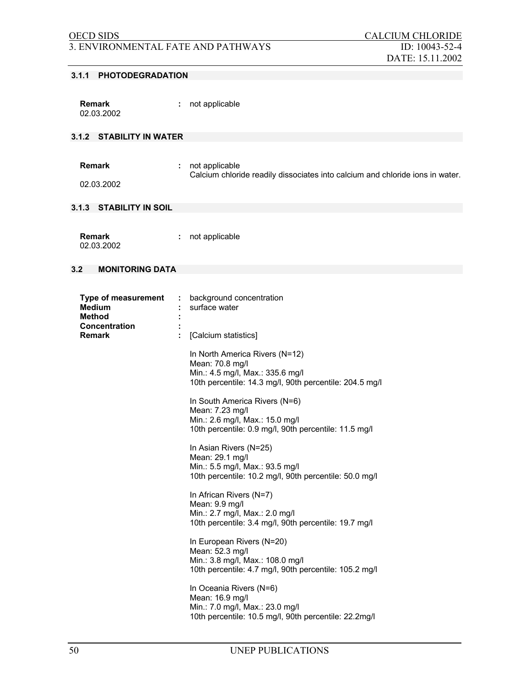# 3. ENVIRONMENTAL FATE AND PATHWAYS ID: 10043-52-4

#### **3.1.1 PHOTODEGRADATION**

| Remark     | not applicable |
|------------|----------------|
| 02.03.2002 |                |

# **3.1.2 STABILITY IN WATER**

| <b>Remark</b> | : not applicable                                                              |
|---------------|-------------------------------------------------------------------------------|
|               | Calcium chloride readily dissociates into calcium and chloride ions in water. |

02.03.2002

### **3.1.3 STABILITY IN SOIL**

| <b>Remark</b> | not applicable |
|---------------|----------------|
| 02.03.2002    |                |

### **3.2 MONITORING DATA**

| Type of measurement<br><b>Medium</b><br><b>Method</b> | ÷ | background concentration<br>surface water                                                                                                        |
|-------------------------------------------------------|---|--------------------------------------------------------------------------------------------------------------------------------------------------|
| <b>Concentration</b><br><b>Remark</b>                 | ÷ | [Calcium statistics]                                                                                                                             |
|                                                       |   | In North America Rivers (N=12)<br>Mean: 70.8 mg/l<br>Min.: 4.5 mg/l, Max.: 335.6 mg/l<br>10th percentile: 14.3 mg/l, 90th percentile: 204.5 mg/l |
|                                                       |   | In South America Rivers (N=6)<br>Mean: 7.23 mg/l<br>Min.: 2.6 mg/l, Max.: 15.0 mg/l<br>10th percentile: 0.9 mg/l, 90th percentile: 11.5 mg/l     |
|                                                       |   | In Asian Rivers (N=25)<br>Mean: 29.1 mg/l<br>Min.: 5.5 mg/l, Max.: 93.5 mg/l<br>10th percentile: 10.2 mg/l, 90th percentile: 50.0 mg/l           |
|                                                       |   | In African Rivers (N=7)<br>Mean: 9.9 mg/l<br>Min.: 2.7 mg/l, Max.: 2.0 mg/l<br>10th percentile: 3.4 mg/l, 90th percentile: 19.7 mg/l             |
|                                                       |   | In European Rivers (N=20)<br>Mean: 52.3 mg/l<br>Min.: 3.8 mg/l, Max.: 108.0 mg/l<br>10th percentile: 4.7 mg/l, 90th percentile: 105.2 mg/l       |
|                                                       |   | In Oceania Rivers (N=6)<br>Mean: 16.9 mg/l<br>Min.: 7.0 mg/l, Max.: 23.0 mg/l<br>10th percentile: 10.5 mg/l, 90th percentile: 22.2mg/l           |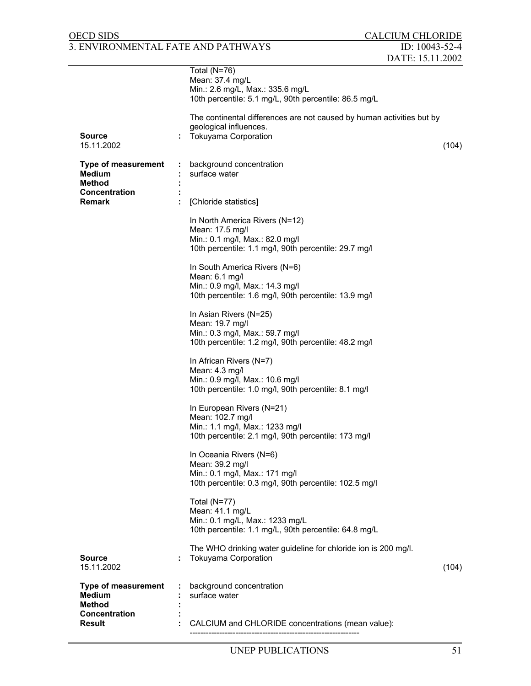# OECD SIDS CALCIUM CHLORIDE 3. ENVIRONMENTAL FATE AND PATHWAYS ID: 10043-52-4

| <b>Source</b><br>15.11.2002                                                   | Total (N=76)<br>Mean: 37.4 mg/L<br>Min.: 2.6 mg/L, Max.: 335.6 mg/L<br>10th percentile: 5.1 mg/L, 90th percentile: 86.5 mg/L<br>The continental differences are not caused by human activities but by<br>geological influences.<br><b>Tokuyama Corporation</b> | (104) |
|-------------------------------------------------------------------------------|----------------------------------------------------------------------------------------------------------------------------------------------------------------------------------------------------------------------------------------------------------------|-------|
| <b>Type of measurement</b><br>Medium<br>Method                                | background concentration<br>surface water                                                                                                                                                                                                                      |       |
| Concentration<br><b>Remark</b>                                                | [Chloride statistics]                                                                                                                                                                                                                                          |       |
|                                                                               | In North America Rivers (N=12)<br>Mean: 17.5 mg/l<br>Min.: 0.1 mg/l, Max.: 82.0 mg/l<br>10th percentile: 1.1 mg/l, 90th percentile: 29.7 mg/l                                                                                                                  |       |
|                                                                               | In South America Rivers (N=6)<br>Mean: 6.1 mg/l<br>Min.: 0.9 mg/l, Max.: 14.3 mg/l<br>10th percentile: 1.6 mg/l, 90th percentile: 13.9 mg/l                                                                                                                    |       |
|                                                                               | In Asian Rivers (N=25)<br>Mean: 19.7 mg/l<br>Min.: 0.3 mg/l, Max.: 59.7 mg/l<br>10th percentile: 1.2 mg/l, 90th percentile: 48.2 mg/l                                                                                                                          |       |
|                                                                               | In African Rivers (N=7)<br>Mean: 4.3 mg/l<br>Min.: 0.9 mg/l, Max.: 10.6 mg/l<br>10th percentile: 1.0 mg/l, 90th percentile: 8.1 mg/l                                                                                                                           |       |
|                                                                               | In European Rivers (N=21)<br>Mean: 102.7 mg/l<br>Min.: 1.1 mg/l, Max.: 1233 mg/l<br>10th percentile: 2.1 mg/l, 90th percentile: 173 mg/l                                                                                                                       |       |
|                                                                               | In Oceania Rivers (N=6)<br>Mean: 39.2 mg/l<br>Min.: 0.1 mg/l, Max.: 171 mg/l<br>10th percentile: 0.3 mg/l, 90th percentile: 102.5 mg/l                                                                                                                         |       |
|                                                                               | Total (N=77)<br>Mean: 41.1 mg/L<br>Min.: 0.1 mg/L, Max.: 1233 mg/L<br>10th percentile: 1.1 mg/L, 90th percentile: 64.8 mg/L                                                                                                                                    |       |
| <b>Source</b><br>15.11.2002                                                   | The WHO drinking water guideline for chloride ion is 200 mg/l.<br><b>Tokuyama Corporation</b>                                                                                                                                                                  | (104) |
| <b>Type of measurement</b><br><b>Medium</b><br><b>Method</b><br>Concentration | background concentration<br>surface water                                                                                                                                                                                                                      |       |
| Result                                                                        | CALCIUM and CHLORIDE concentrations (mean value):                                                                                                                                                                                                              |       |

---------------------------------------------------------------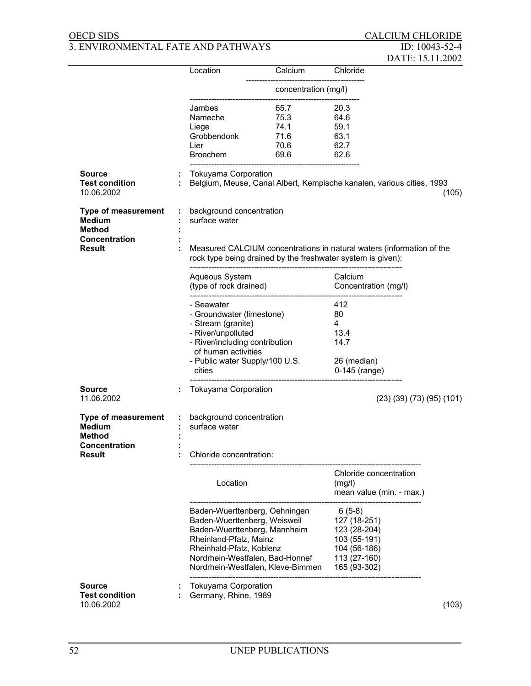# OECD SIDS CALCIUM CHLORIDE 3. ENVIRONMENTAL FATE AND PATHWAYS ID: 10043-52-4

|                                                              |                               |                                           |                                                                                                                                      |                                                              | DATE: 15.11.2002                    |       |
|--------------------------------------------------------------|-------------------------------|-------------------------------------------|--------------------------------------------------------------------------------------------------------------------------------------|--------------------------------------------------------------|-------------------------------------|-------|
|                                                              |                               | Location                                  | Calcium                                                                                                                              | Chloride                                                     |                                     |       |
|                                                              |                               |                                           | concentration (mg/l)                                                                                                                 |                                                              |                                     |       |
|                                                              |                               | Jambes                                    | 65.7                                                                                                                                 | 20.3                                                         |                                     |       |
|                                                              |                               | Nameche                                   | 75.3                                                                                                                                 | 64.6                                                         |                                     |       |
|                                                              |                               | Liege                                     | 74.1                                                                                                                                 | 59.1                                                         |                                     |       |
|                                                              |                               | Grobbendonk                               | 71.6                                                                                                                                 | 63.1                                                         |                                     |       |
|                                                              |                               | Lier                                      | 70.6                                                                                                                                 | 62.7                                                         |                                     |       |
|                                                              |                               | Broechem                                  | 69.6                                                                                                                                 | 62.6                                                         |                                     |       |
| <b>Source</b><br><b>Test condition</b><br>10.06.2002         |                               | Tokuyama Corporation                      | Belgium, Meuse, Canal Albert, Kempische kanalen, various cities, 1993                                                                |                                                              |                                     | (105) |
| <b>Type of measurement</b><br><b>Medium</b><br><b>Method</b> | $\mathcal{I}^{\mathcal{A}}$ . | background concentration<br>surface water |                                                                                                                                      |                                                              |                                     |       |
| <b>Concentration</b><br><b>Result</b>                        |                               |                                           | Measured CALCIUM concentrations in natural waters (information of the<br>rock type being drained by the freshwater system is given): |                                                              |                                     |       |
|                                                              |                               | Aqueous System<br>(type of rock drained)  |                                                                                                                                      | Calcium<br>Concentration (mg/l)                              |                                     |       |
|                                                              |                               | - Seawater                                |                                                                                                                                      | 412                                                          |                                     |       |
|                                                              |                               | - Groundwater (limestone)                 |                                                                                                                                      | 80                                                           |                                     |       |
|                                                              |                               | - Stream (granite)                        |                                                                                                                                      | 4                                                            |                                     |       |
|                                                              |                               | - River/unpolluted                        |                                                                                                                                      | 13.4                                                         |                                     |       |
|                                                              |                               |                                           |                                                                                                                                      |                                                              |                                     |       |
|                                                              |                               | - River/including contribution            |                                                                                                                                      | 14.7                                                         |                                     |       |
|                                                              |                               | of human activities                       |                                                                                                                                      |                                                              |                                     |       |
|                                                              |                               | - Public water Supply/100 U.S.            |                                                                                                                                      | 26 (median)                                                  |                                     |       |
|                                                              |                               | cities                                    |                                                                                                                                      | 0-145 (range)                                                |                                     |       |
| <b>Source</b>                                                |                               | <b>Tokuyama Corporation</b>               |                                                                                                                                      |                                                              |                                     |       |
| 11.06.2002                                                   |                               |                                           |                                                                                                                                      |                                                              | $(23)$ $(39)$ $(73)$ $(95)$ $(101)$ |       |
| Type of measurement                                          |                               | : background concentration                |                                                                                                                                      |                                                              |                                     |       |
| Medium                                                       |                               | surface water                             |                                                                                                                                      |                                                              |                                     |       |
| Method                                                       |                               |                                           |                                                                                                                                      |                                                              |                                     |       |
| Concentration                                                |                               |                                           |                                                                                                                                      |                                                              |                                     |       |
| Result                                                       |                               | Chloride concentration:                   |                                                                                                                                      |                                                              |                                     |       |
|                                                              |                               | Location                                  |                                                                                                                                      | Chloride concentration<br>(mg/l)<br>mean value (min. - max.) |                                     |       |
|                                                              |                               |                                           |                                                                                                                                      |                                                              |                                     |       |
|                                                              |                               | Baden-Wuerttenberg, Oehningen             |                                                                                                                                      | $6(5-8)$                                                     |                                     |       |
|                                                              |                               | Baden-Wuerttenberg, Weisweil              |                                                                                                                                      | 127 (18-251)                                                 |                                     |       |
|                                                              |                               | Baden-Wuerttenberg, Mannheim              |                                                                                                                                      | 123 (28-204)                                                 |                                     |       |
|                                                              |                               | Rheinland-Pfalz, Mainz                    |                                                                                                                                      | 103 (55-191)                                                 |                                     |       |
|                                                              |                               | Rheinhald-Pfalz, Koblenz                  |                                                                                                                                      | 104 (56-186)                                                 |                                     |       |
|                                                              |                               | Nordrhein-Westfalen, Bad-Honnef           |                                                                                                                                      | 113 (27-160)                                                 |                                     |       |
|                                                              |                               | Nordrhein-Westfalen, Kleve-Bimmen         |                                                                                                                                      | 165 (93-302)                                                 |                                     |       |
| <b>Source</b>                                                |                               | <b>Tokuyama Corporation</b>               |                                                                                                                                      |                                                              |                                     |       |
| <b>Test condition</b>                                        |                               | Germany, Rhine, 1989                      |                                                                                                                                      |                                                              |                                     |       |
| 10.06.2002                                                   |                               |                                           |                                                                                                                                      |                                                              |                                     | (103) |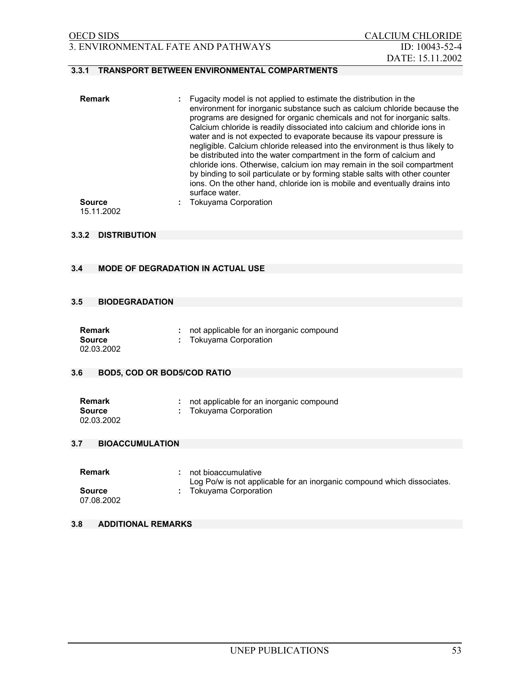# 3. ENVIRONMENTAL FATE AND PATHWAYS ID: 10043-52-4

# **3.3.1 TRANSPORT BETWEEN ENVIRONMENTAL COMPARTMENTS**

| <b>Remark</b> | Fugacity model is not applied to estimate the distribution in the<br>environment for inorganic substance such as calcium chloride because the<br>programs are designed for organic chemicals and not for inorganic salts.<br>Calcium chloride is readily dissociated into calcium and chloride ions in<br>water and is not expected to evaporate because its vapour pressure is<br>negligible. Calcium chloride released into the environment is thus likely to<br>be distributed into the water compartment in the form of calcium and<br>chloride ions. Otherwise, calcium ion may remain in the soil compartment<br>by binding to soil particulate or by forming stable salts with other counter<br>ions. On the other hand, chloride ion is mobile and eventually drains into<br>surface water. |
|---------------|-----------------------------------------------------------------------------------------------------------------------------------------------------------------------------------------------------------------------------------------------------------------------------------------------------------------------------------------------------------------------------------------------------------------------------------------------------------------------------------------------------------------------------------------------------------------------------------------------------------------------------------------------------------------------------------------------------------------------------------------------------------------------------------------------------|
| <b>Source</b> | <b>Tokuvama Corporation</b>                                                                                                                                                                                                                                                                                                                                                                                                                                                                                                                                                                                                                                                                                                                                                                         |

15.11.2002

#### **3.3.2 DISTRIBUTION**

## **3.4 MODE OF DEGRADATION IN ACTUAL USE**

### **3.5 BIODEGRADATION**

| Remark     | not applicable for an inorganic compound |
|------------|------------------------------------------|
| Source     | Tokuyama Corporation                     |
| 02.03.2002 |                                          |

# **3.6 BOD5, COD OR BOD5/COD RATIO**

| <b>Remark</b> | not applicable for an inorganic compound |
|---------------|------------------------------------------|
| <b>Source</b> | : Tokuyama Corporation                   |
| 02.03.2002    |                                          |

### **3.7 BIOACCUMULATION**

| Remark                      | not bioaccumulative<br>Log Po/w is not applicable for an inorganic compound which dissociates. |
|-----------------------------|------------------------------------------------------------------------------------------------|
| <b>Source</b><br>07.08.2002 | Tokuyama Corporation                                                                           |

## **3.8 ADDITIONAL REMARKS**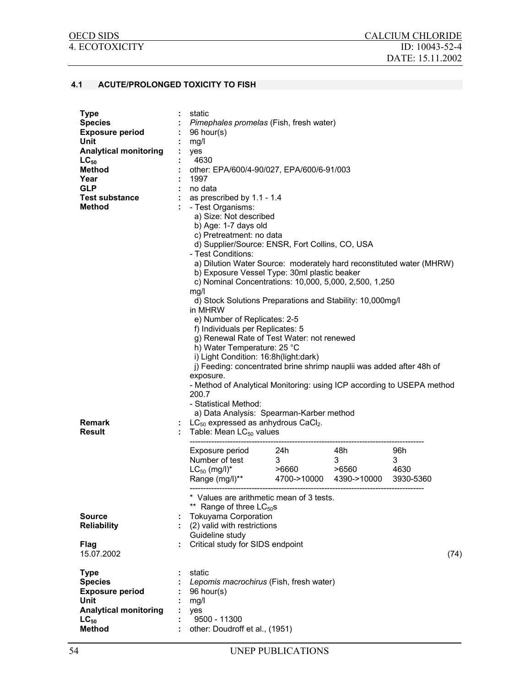#### **4.1 ACUTE/PROLONGED TOXICITY TO FISH**

| <b>Type</b><br><b>Species</b><br><b>Exposure period</b><br>Unit<br><b>Analytical monitoring</b><br>$LC_{50}$<br><b>Method</b><br>Year<br><b>GLP</b><br><b>Test substance</b><br><b>Method</b> | ÷ | static<br>: Pimephales promelas (Fish, fresh water)<br>$: 96$ hour(s)<br>mg/l<br>yes<br>4630<br>other: EPA/600/4-90/027, EPA/600/6-91/003<br>1997<br>no data<br>as prescribed by 1.1 - 1.4<br>- Test Organisms:<br>a) Size: Not described<br>b) Age: 1-7 days old<br>c) Pretreatment: no data<br>d) Supplier/Source: ENSR, Fort Collins, CO, USA<br>- Test Conditions:<br>a) Dilution Water Source: moderately hard reconstituted water (MHRW)<br>b) Exposure Vessel Type: 30ml plastic beaker<br>c) Nominal Concentrations: 10,000, 5,000, 2,500, 1,250<br>mq/1<br>d) Stock Solutions Preparations and Stability: 10,000mg/l<br>in MHRW<br>e) Number of Replicates: 2-5<br>f) Individuals per Replicates: 5<br>g) Renewal Rate of Test Water: not renewed<br>h) Water Temperature: 25 °C<br>i) Light Condition: 16:8h(light:dark)<br>j) Feeding: concentrated brine shrimp nauplii was added after 48h of<br>exposure.<br>- Method of Analytical Monitoring: using ICP according to USEPA method<br>200.7<br>- Statistical Method:<br>a) Data Analysis: Spearman-Karber method |  |  |  |      |  |
|-----------------------------------------------------------------------------------------------------------------------------------------------------------------------------------------------|---|---------------------------------------------------------------------------------------------------------------------------------------------------------------------------------------------------------------------------------------------------------------------------------------------------------------------------------------------------------------------------------------------------------------------------------------------------------------------------------------------------------------------------------------------------------------------------------------------------------------------------------------------------------------------------------------------------------------------------------------------------------------------------------------------------------------------------------------------------------------------------------------------------------------------------------------------------------------------------------------------------------------------------------------------------------------------------------|--|--|--|------|--|
| Remark<br>Result                                                                                                                                                                              |   | $LC_{50}$ expressed as anhydrous CaCl <sub>2</sub> .<br>Table: Mean $LC_{50}$ values                                                                                                                                                                                                                                                                                                                                                                                                                                                                                                                                                                                                                                                                                                                                                                                                                                                                                                                                                                                            |  |  |  |      |  |
|                                                                                                                                                                                               |   | Exposure period 24h 48h 96h<br>Number of test 3 3 3<br>LC <sub>50</sub> (mg/l)* >6660 >6560 4630<br>Range (mg/l)** 4700->10000 4390->10000 3930-5360<br>* Values are arithmetic mean of 3 tests.<br>** Range of three LC <sub>50</sub> s                                                                                                                                                                                                                                                                                                                                                                                                                                                                                                                                                                                                                                                                                                                                                                                                                                        |  |  |  |      |  |
| <b>Source</b>                                                                                                                                                                                 |   | <b>Tokuyama Corporation</b>                                                                                                                                                                                                                                                                                                                                                                                                                                                                                                                                                                                                                                                                                                                                                                                                                                                                                                                                                                                                                                                     |  |  |  |      |  |
| <b>Reliability</b>                                                                                                                                                                            |   | (2) valid with restrictions<br>Guideline study                                                                                                                                                                                                                                                                                                                                                                                                                                                                                                                                                                                                                                                                                                                                                                                                                                                                                                                                                                                                                                  |  |  |  |      |  |
| <b>Flag</b><br>15.07.2002                                                                                                                                                                     |   | Critical study for SIDS endpoint                                                                                                                                                                                                                                                                                                                                                                                                                                                                                                                                                                                                                                                                                                                                                                                                                                                                                                                                                                                                                                                |  |  |  | (74) |  |
| <b>Type</b><br><b>Species</b><br><b>Exposure period</b><br>Unit<br><b>Analytical monitoring</b>                                                                                               |   | static<br>Lepomis macrochirus (Fish, fresh water)<br>96 hour(s)<br>mg/l<br>yes                                                                                                                                                                                                                                                                                                                                                                                                                                                                                                                                                                                                                                                                                                                                                                                                                                                                                                                                                                                                  |  |  |  |      |  |
| $LC_{50}$                                                                                                                                                                                     |   | 9500 - 11300                                                                                                                                                                                                                                                                                                                                                                                                                                                                                                                                                                                                                                                                                                                                                                                                                                                                                                                                                                                                                                                                    |  |  |  |      |  |
| <b>Method</b>                                                                                                                                                                                 |   | other: Doudroff et al., (1951)                                                                                                                                                                                                                                                                                                                                                                                                                                                                                                                                                                                                                                                                                                                                                                                                                                                                                                                                                                                                                                                  |  |  |  |      |  |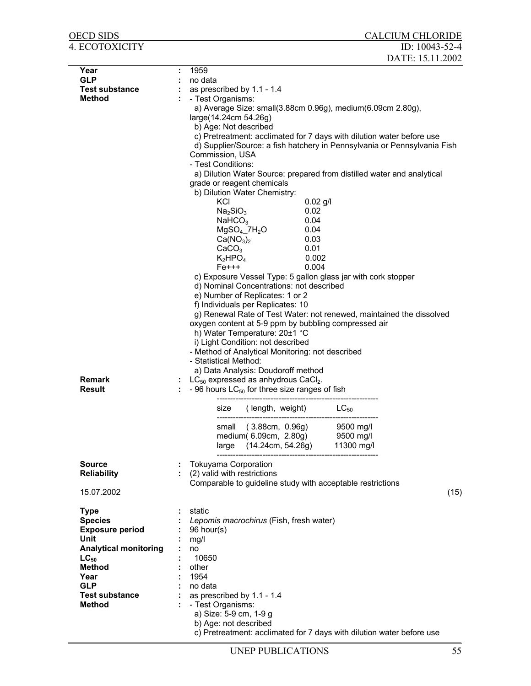| OECD SIDS                            |   | <b>CALCIUM CHLORIDE</b>                                                                        |
|--------------------------------------|---|------------------------------------------------------------------------------------------------|
| 4. ECOTOXICITY                       |   | ID: 10043-52-4                                                                                 |
|                                      |   | DATE: 15.11.2002                                                                               |
| Year                                 | ÷ | 1959                                                                                           |
| <b>GLP</b>                           |   | no data                                                                                        |
| <b>Test substance</b>                |   | as prescribed by 1.1 - 1.4                                                                     |
| <b>Method</b>                        |   | - Test Organisms:                                                                              |
|                                      |   | a) Average Size: small(3.88cm 0.96g), medium(6.09cm 2.80g),                                    |
|                                      |   | large(14.24cm 54.26g)                                                                          |
|                                      |   | b) Age: Not described<br>c) Pretreatment: acclimated for 7 days with dilution water before use |
|                                      |   | d) Supplier/Source: a fish hatchery in Pennsylvania or Pennsylvania Fish                       |
|                                      |   | Commission, USA                                                                                |
|                                      |   | - Test Conditions:                                                                             |
|                                      |   | a) Dilution Water Source: prepared from distilled water and analytical                         |
|                                      |   | grade or reagent chemicals                                                                     |
|                                      |   | b) Dilution Water Chemistry:                                                                   |
|                                      |   | KCI<br>$0.02$ g/l<br>0.02<br>Na <sub>2</sub> SiO <sub>3</sub>                                  |
|                                      |   | 0.04<br>NAHCO <sub>3</sub>                                                                     |
|                                      |   | $MgSO_4$ _7 $H_2O$<br>0.04                                                                     |
|                                      |   | Ca(NO <sub>3</sub> ) <sub>2</sub><br>0.03                                                      |
|                                      |   | CaCO <sub>3</sub><br>0.01                                                                      |
|                                      |   | $K_2HPO_4$<br>0.002                                                                            |
|                                      |   | $Fe+++$<br>0.004                                                                               |
|                                      |   | c) Exposure Vessel Type: 5 gallon glass jar with cork stopper                                  |
|                                      |   | d) Nominal Concentrations: not described<br>e) Number of Replicates: 1 or 2                    |
|                                      |   | f) Individuals per Replicates: 10                                                              |
|                                      |   | g) Renewal Rate of Test Water: not renewed, maintained the dissolved                           |
|                                      |   | oxygen content at 5-9 ppm by bubbling compressed air                                           |
|                                      |   | h) Water Temperature: 20±1 °C                                                                  |
|                                      |   | i) Light Condition: not described                                                              |
|                                      |   | - Method of Analytical Monitoring: not described                                               |
|                                      |   | - Statistical Method:                                                                          |
| <b>Remark</b>                        |   | a) Data Analysis: Doudoroff method<br>$LC_{50}$ expressed as anhydrous CaCl <sub>2</sub> .     |
| Result                               |   | - 96 hours $LC_{50}$ for three size ranges of fish                                             |
|                                      |   |                                                                                                |
|                                      |   | size (length, weight) $LC_{50}$                                                                |
|                                      |   | (3.88cm, 0.96g)<br>9500 mg/l<br>small                                                          |
|                                      |   | medium(6.09cm, 2.80g)<br>9500 mg/l                                                             |
|                                      |   | large (14.24cm, 54.26g)<br>11300 mg/l                                                          |
|                                      |   |                                                                                                |
| <b>Source</b>                        |   | <b>Tokuyama Corporation</b>                                                                    |
| <b>Reliability</b>                   |   | (2) valid with restrictions                                                                    |
| 15.07.2002                           |   | Comparable to guideline study with acceptable restrictions<br>(15)                             |
|                                      |   |                                                                                                |
| <b>Type</b>                          |   | static                                                                                         |
| <b>Species</b>                       |   | Lepomis macrochirus (Fish, fresh water)                                                        |
| <b>Exposure period</b>               |   | 96 hour(s)                                                                                     |
| Unit<br><b>Analytical monitoring</b> |   | mg/l<br>no                                                                                     |
| $LC_{50}$                            |   | 10650                                                                                          |
| <b>Method</b>                        |   | other                                                                                          |
| Year                                 |   | 1954                                                                                           |
| <b>GLP</b>                           |   | no data                                                                                        |
| <b>Test substance</b>                |   | as prescribed by 1.1 - 1.4                                                                     |
| <b>Method</b>                        |   | - Test Organisms:                                                                              |
|                                      |   | a) Size: 5-9 cm, 1-9 g                                                                         |
|                                      |   | b) Age: not described                                                                          |
|                                      |   | c) Pretreatment: acclimated for 7 days with dilution water before use                          |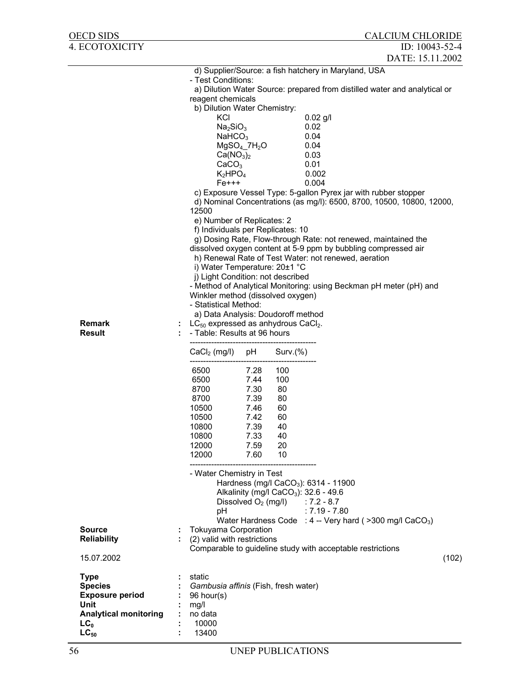| OECD SIDS                           |                                                                 |                            |             | <b>CALCIUM CHLORIDE</b>                                                                                                                  |       |
|-------------------------------------|-----------------------------------------------------------------|----------------------------|-------------|------------------------------------------------------------------------------------------------------------------------------------------|-------|
| 4. ECOTOXICITY                      |                                                                 |                            |             | ID: 10043-52-4                                                                                                                           |       |
|                                     |                                                                 |                            |             | DATE: 15.11.2002                                                                                                                         |       |
|                                     | - Test Conditions:                                              |                            |             | d) Supplier/Source: a fish hatchery in Maryland, USA                                                                                     |       |
|                                     |                                                                 |                            |             | a) Dilution Water Source: prepared from distilled water and analytical or                                                                |       |
|                                     | reagent chemicals                                               |                            |             |                                                                                                                                          |       |
|                                     | b) Dilution Water Chemistry:                                    |                            |             |                                                                                                                                          |       |
|                                     | KCI<br>Na <sub>2</sub> SiO <sub>3</sub>                         |                            |             | $0.02$ g/l<br>0.02                                                                                                                       |       |
|                                     | NaHCO <sub>3</sub>                                              |                            |             | 0.04                                                                                                                                     |       |
|                                     |                                                                 | $MgSO4$ _7H <sub>2</sub> O |             | 0.04                                                                                                                                     |       |
|                                     | Ca(NO <sub>3</sub> ) <sub>2</sub>                               |                            |             | 0.03                                                                                                                                     |       |
|                                     | CaCO <sub>3</sub><br>$K_2HPO_4$                                 |                            |             | 0.01<br>0.002                                                                                                                            |       |
|                                     | $Fe+++$                                                         |                            |             | 0.004                                                                                                                                    |       |
|                                     | 12500                                                           |                            |             | c) Exposure Vessel Type: 5-gallon Pyrex jar with rubber stopper<br>d) Nominal Concentrations (as mg/l): 6500, 8700, 10500, 10800, 12000, |       |
|                                     | e) Number of Replicates: 2<br>f) Individuals per Replicates: 10 |                            |             |                                                                                                                                          |       |
|                                     |                                                                 |                            |             | g) Dosing Rate, Flow-through Rate: not renewed, maintained the                                                                           |       |
|                                     |                                                                 |                            |             | dissolved oxygen content at 5-9 ppm by bubbling compressed air                                                                           |       |
|                                     | i) Water Temperature: 20±1 °C                                   |                            |             | h) Renewal Rate of Test Water: not renewed, aeration                                                                                     |       |
|                                     | j) Light Condition: not described                               |                            |             |                                                                                                                                          |       |
|                                     |                                                                 |                            |             | - Method of Analytical Monitoring: using Beckman pH meter (pH) and                                                                       |       |
|                                     | Winkler method (dissolved oxygen)<br>- Statistical Method:      |                            |             |                                                                                                                                          |       |
|                                     | a) Data Analysis: Doudoroff method                              |                            |             |                                                                                                                                          |       |
| <b>Remark</b>                       | $LC_{50}$ expressed as anhydrous CaCl <sub>2</sub> .            |                            |             |                                                                                                                                          |       |
| Result                              | - Table: Results at 96 hours                                    |                            |             |                                                                                                                                          |       |
|                                     | $CaCl2$ (mg/l)                                                  | pH                         | $Surv.$ (%) |                                                                                                                                          |       |
|                                     | 6500                                                            | 7.28                       | 100         |                                                                                                                                          |       |
|                                     | 6500<br>8700                                                    | 7.44<br>7.30               | 100<br>80   |                                                                                                                                          |       |
|                                     | 8700                                                            | 7.39                       | 80          |                                                                                                                                          |       |
|                                     | 10500                                                           | 7.46                       | 60          |                                                                                                                                          |       |
|                                     | 10500<br>10800                                                  | 7.42<br>7.39               | 60<br>40    |                                                                                                                                          |       |
|                                     | 10800                                                           | 7.33                       | 40          |                                                                                                                                          |       |
|                                     | 12000                                                           | 7.59                       | 20          |                                                                                                                                          |       |
|                                     | 12000                                                           | 7.60                       | 10          |                                                                                                                                          |       |
|                                     | - Water Chemistry in Test                                       |                            |             |                                                                                                                                          |       |
|                                     |                                                                 |                            |             | Hardness (mg/l CaCO <sub>3</sub> ): 6314 - 11900                                                                                         |       |
|                                     |                                                                 |                            |             | Alkalinity (mg/l CaCO <sub>3</sub> ): $32.6 - 49.6$<br>Dissolved $O_2$ (mg/l) : 7.2 - 8.7                                                |       |
|                                     | рH                                                              |                            |             | $: 7.19 - 7.80$                                                                                                                          |       |
|                                     |                                                                 |                            |             | Water Hardness Code : $4 -$ Very hard ( $>$ 300 mg/l CaCO <sub>3</sub> )                                                                 |       |
| <b>Source</b><br><b>Reliability</b> | Tokuyama Corporation                                            |                            |             |                                                                                                                                          |       |
|                                     | (2) valid with restrictions                                     |                            |             | Comparable to guideline study with acceptable restrictions                                                                               |       |
| 15.07.2002                          |                                                                 |                            |             |                                                                                                                                          | (102) |
| <b>Type</b>                         | static                                                          |                            |             |                                                                                                                                          |       |
| <b>Species</b>                      | Gambusia affinis (Fish, fresh water)                            |                            |             |                                                                                                                                          |       |
| <b>Exposure period</b><br>Unit      | $96$ hour(s)<br>mg/l                                            |                            |             |                                                                                                                                          |       |
| <b>Analytical monitoring</b>        | no data                                                         |                            |             |                                                                                                                                          |       |
| LC <sub>0</sub>                     | 10000                                                           |                            |             |                                                                                                                                          |       |
| $LC_{50}$                           | 13400                                                           |                            |             |                                                                                                                                          |       |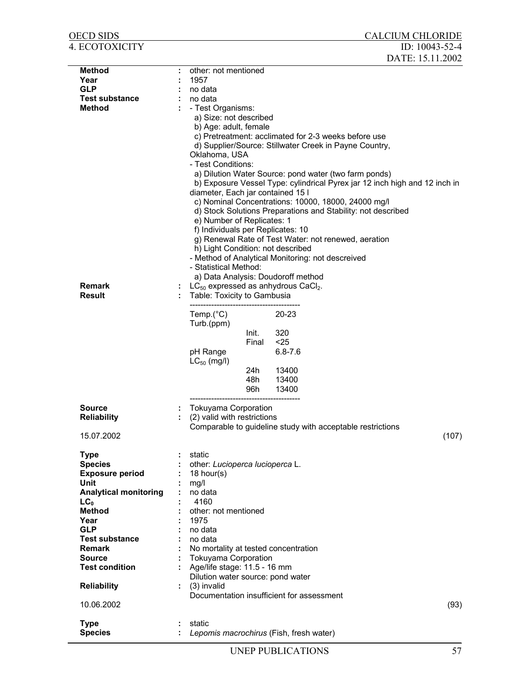| <b>OECD SIDS</b>                 |                                                 |                | <b>CALCIUM CHLORIDE</b>                                                    |       |
|----------------------------------|-------------------------------------------------|----------------|----------------------------------------------------------------------------|-------|
| <b>4. ECOTOXICITY</b>            |                                                 |                | ID: 10043-52-4                                                             |       |
|                                  |                                                 |                | DATE: 15.11.2002                                                           |       |
| <b>Method</b>                    | other: not mentioned                            |                |                                                                            |       |
| Year                             | 1957                                            |                |                                                                            |       |
| <b>GLP</b>                       | no data                                         |                |                                                                            |       |
| <b>Test substance</b>            | no data                                         |                |                                                                            |       |
| <b>Method</b>                    | - Test Organisms:                               |                |                                                                            |       |
|                                  | a) Size: not described<br>b) Age: adult, female |                |                                                                            |       |
|                                  |                                                 |                | c) Pretreatment: acclimated for 2-3 weeks before use                       |       |
|                                  |                                                 |                | d) Supplier/Source: Stillwater Creek in Payne Country,                     |       |
|                                  | Oklahoma, USA                                   |                |                                                                            |       |
|                                  | - Test Conditions:                              |                |                                                                            |       |
|                                  |                                                 |                | a) Dilution Water Source: pond water (two farm ponds)                      |       |
|                                  |                                                 |                | b) Exposure Vessel Type: cylindrical Pyrex jar 12 inch high and 12 inch in |       |
|                                  | diameter, Each jar contained 15 I               |                |                                                                            |       |
|                                  |                                                 |                | c) Nominal Concentrations: 10000, 18000, 24000 mg/l                        |       |
|                                  |                                                 |                | d) Stock Solutions Preparations and Stability: not described               |       |
|                                  | e) Number of Replicates: 1                      |                |                                                                            |       |
|                                  | f) Individuals per Replicates: 10               |                |                                                                            |       |
|                                  | h) Light Condition: not described               |                | g) Renewal Rate of Test Water: not renewed, aeration                       |       |
|                                  |                                                 |                | - Method of Analytical Monitoring: not descreived                          |       |
|                                  | - Statistical Method:                           |                |                                                                            |       |
|                                  |                                                 |                | a) Data Analysis: Doudoroff method                                         |       |
| <b>Remark</b>                    |                                                 |                | $LC_{50}$ expressed as anhydrous CaCl <sub>2</sub> .                       |       |
| <b>Result</b>                    | Table: Toxicity to Gambusia                     |                |                                                                            |       |
|                                  |                                                 |                |                                                                            |       |
|                                  | Temp. $(^{\circ}C)$                             |                | $20 - 23$                                                                  |       |
|                                  | Turb.(ppm)                                      |                |                                                                            |       |
|                                  |                                                 | Init.<br>Final | 320<br>$25$                                                                |       |
|                                  | pH Range                                        |                | $6.8 - 7.6$                                                                |       |
|                                  | $LC_{50}$ (mg/l)                                |                |                                                                            |       |
|                                  |                                                 | 24h            | 13400                                                                      |       |
|                                  |                                                 | 48h            | 13400                                                                      |       |
|                                  |                                                 | 96h            | 13400                                                                      |       |
|                                  |                                                 |                |                                                                            |       |
| Source                           | <b>Tokuyama Corporation</b>                     |                |                                                                            |       |
| <b>Reliability</b>               | (2) valid with restrictions                     |                | Comparable to guideline study with acceptable restrictions                 |       |
| 15.07.2002                       |                                                 |                |                                                                            | (107) |
|                                  |                                                 |                |                                                                            |       |
| <b>Type</b>                      | static                                          |                |                                                                            |       |
| <b>Species</b>                   | other: Lucioperca lucioperca L.                 |                |                                                                            |       |
| <b>Exposure period</b>           | 18 hour(s)                                      |                |                                                                            |       |
| Unit                             | mg/l                                            |                |                                                                            |       |
| <b>Analytical monitoring</b>     | no data<br>4160                                 |                |                                                                            |       |
| LC <sub>0</sub><br><b>Method</b> | other: not mentioned                            |                |                                                                            |       |
| Year                             | 1975                                            |                |                                                                            |       |
| <b>GLP</b>                       | no data                                         |                |                                                                            |       |
| <b>Test substance</b>            | no data                                         |                |                                                                            |       |
| <b>Remark</b>                    |                                                 |                | No mortality at tested concentration                                       |       |
| <b>Source</b>                    | <b>Tokuyama Corporation</b>                     |                |                                                                            |       |
| <b>Test condition</b>            | Age/life stage: 11.5 - 16 mm                    |                |                                                                            |       |
|                                  | Dilution water source: pond water               |                |                                                                            |       |
| <b>Reliability</b>               | (3) invalid                                     |                | Documentation insufficient for assessment                                  |       |
| 10.06.2002                       |                                                 |                |                                                                            | (93)  |
|                                  |                                                 |                |                                                                            |       |
| <b>Type</b>                      | static                                          |                |                                                                            |       |
| <b>Species</b>                   |                                                 |                | Lepomis macrochirus (Fish, fresh water)                                    |       |
|                                  |                                                 |                |                                                                            |       |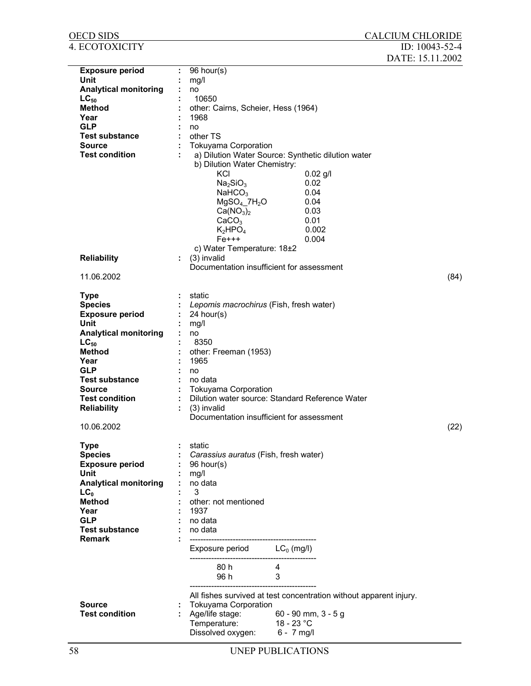| OECD SIDS                              |    |                                                                                |                |                                                                    | <b>CALCIUM CHLORIDE</b> |      |
|----------------------------------------|----|--------------------------------------------------------------------------------|----------------|--------------------------------------------------------------------|-------------------------|------|
| 4. ECOTOXICITY                         |    |                                                                                |                |                                                                    | ID: 10043-52-4          |      |
|                                        |    |                                                                                |                |                                                                    | DATE: 15.11.2002        |      |
| <b>Exposure period</b>                 | ÷  | 96 hour(s)                                                                     |                |                                                                    |                         |      |
| Unit                                   |    | mg/l                                                                           |                |                                                                    |                         |      |
| <b>Analytical monitoring</b>           |    | no                                                                             |                |                                                                    |                         |      |
| $LC_{50}$                              |    | 10650                                                                          |                |                                                                    |                         |      |
| <b>Method</b>                          |    | other: Cairns, Scheier, Hess (1964)                                            |                |                                                                    |                         |      |
| Year                                   |    | 1968                                                                           |                |                                                                    |                         |      |
| <b>GLP</b>                             |    | no                                                                             |                |                                                                    |                         |      |
| <b>Test substance</b><br><b>Source</b> |    | other TS                                                                       |                |                                                                    |                         |      |
| <b>Test condition</b>                  |    | <b>Tokuyama Corporation</b>                                                    |                | a) Dilution Water Source: Synthetic dilution water                 |                         |      |
|                                        |    | b) Dilution Water Chemistry:                                                   |                |                                                                    |                         |      |
|                                        |    | KCI                                                                            |                | $0.02$ g/l                                                         |                         |      |
|                                        |    | Na <sub>2</sub> SiO <sub>3</sub>                                               |                | 0.02                                                               |                         |      |
|                                        |    | NAHCO <sub>3</sub>                                                             |                | 0.04                                                               |                         |      |
|                                        |    | $MgSO4$ .7H <sub>2</sub> O                                                     |                | 0.04                                                               |                         |      |
|                                        |    | Ca(NO <sub>3</sub> ) <sub>2</sub>                                              |                | 0.03                                                               |                         |      |
|                                        |    | CaCO <sub>3</sub>                                                              |                | 0.01                                                               |                         |      |
|                                        |    | $K_2HPO_4$                                                                     |                | 0.002                                                              |                         |      |
|                                        |    | $Fe+++$                                                                        |                | 0.004                                                              |                         |      |
|                                        |    | c) Water Temperature: 18±2                                                     |                |                                                                    |                         |      |
| <b>Reliability</b>                     | ÷. | (3) invalid                                                                    |                |                                                                    |                         |      |
|                                        |    | Documentation insufficient for assessment                                      |                |                                                                    |                         |      |
| 11.06.2002                             |    |                                                                                |                |                                                                    |                         | (84) |
| <b>Type</b>                            |    | static                                                                         |                |                                                                    |                         |      |
| <b>Species</b>                         |    | Lepomis macrochirus (Fish, fresh water)                                        |                |                                                                    |                         |      |
| <b>Exposure period</b>                 |    | 24 hour(s)                                                                     |                |                                                                    |                         |      |
| Unit                                   |    | mg/l                                                                           |                |                                                                    |                         |      |
| <b>Analytical monitoring</b>           |    | no                                                                             |                |                                                                    |                         |      |
| $LC_{50}$                              |    | 8350                                                                           |                |                                                                    |                         |      |
| <b>Method</b>                          |    | other: Freeman (1953)                                                          |                |                                                                    |                         |      |
| Year                                   |    | 1965                                                                           |                |                                                                    |                         |      |
| <b>GLP</b>                             |    | no                                                                             |                |                                                                    |                         |      |
| <b>Test substance</b>                  |    | no data                                                                        |                |                                                                    |                         |      |
| Source<br><b>Test condition</b>        |    | <b>Tokuyama Corporation</b><br>Dilution water source: Standard Reference Water |                |                                                                    |                         |      |
| <b>Reliability</b>                     |    | (3) invalid                                                                    |                |                                                                    |                         |      |
|                                        |    | Documentation insufficient for assessment                                      |                |                                                                    |                         |      |
| 10.06.2002                             |    |                                                                                |                |                                                                    |                         | (22) |
|                                        |    |                                                                                |                |                                                                    |                         |      |
| <b>Type</b>                            |    | static                                                                         |                |                                                                    |                         |      |
| <b>Species</b>                         |    | Carassius auratus (Fish, fresh water)                                          |                |                                                                    |                         |      |
| <b>Exposure period</b>                 |    | 96 hour(s)                                                                     |                |                                                                    |                         |      |
| Unit                                   |    | mg/l                                                                           |                |                                                                    |                         |      |
| <b>Analytical monitoring</b>           |    | no data<br>3                                                                   |                |                                                                    |                         |      |
| LC <sub>0</sub><br><b>Method</b>       |    | other: not mentioned                                                           |                |                                                                    |                         |      |
| Year                                   |    | 1937                                                                           |                |                                                                    |                         |      |
| <b>GLP</b>                             |    | no data                                                                        |                |                                                                    |                         |      |
| <b>Test substance</b>                  |    | no data                                                                        |                |                                                                    |                         |      |
| <b>Remark</b>                          |    |                                                                                |                |                                                                    |                         |      |
|                                        |    | Exposure period $LC_0$ (mg/l)                                                  |                |                                                                    |                         |      |
|                                        |    | 80 h                                                                           | $\overline{4}$ |                                                                    |                         |      |
|                                        |    | 96 h                                                                           | 3              |                                                                    |                         |      |
|                                        |    |                                                                                |                |                                                                    |                         |      |
|                                        |    |                                                                                |                | All fishes survived at test concentration without apparent injury. |                         |      |
| Source                                 |    | Tokuyama Corporation                                                           |                |                                                                    |                         |      |
| <b>Test condition</b>                  |    | Age/life stage:                                                                |                | 60 - 90 mm, $3 - 5g$                                               |                         |      |
|                                        |    | Temperature:<br>Dissolved oxygen:                                              | 18 - 23 °C     |                                                                    |                         |      |
|                                        |    |                                                                                | 6 - 7 mg/l     |                                                                    |                         |      |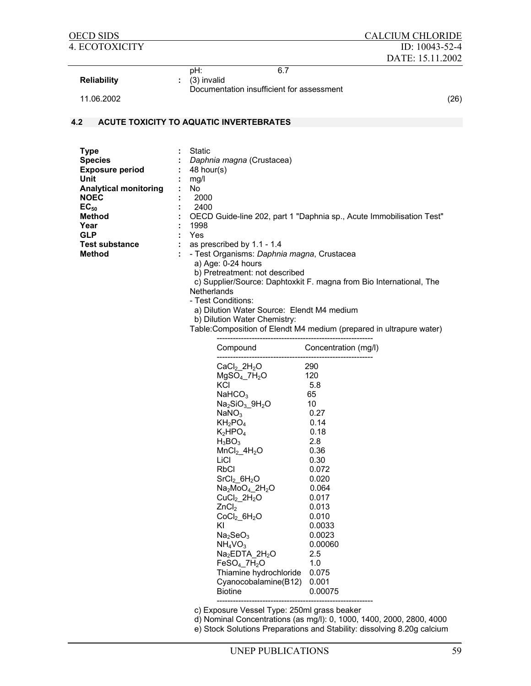| <b>OECD SIDS</b>             |     |                                                         | <b>CALCIUM CHLORIDE</b>                                              |
|------------------------------|-----|---------------------------------------------------------|----------------------------------------------------------------------|
| <b>4. ECOTOXICITY</b>        |     |                                                         | ID: 10043-52-4                                                       |
|                              |     |                                                         | DATE: 15.11.2002                                                     |
| <b>Reliability</b>           | pH: | 6.7<br>(3) invalid                                      |                                                                      |
|                              |     | Documentation insufficient for assessment               |                                                                      |
| 11.06.2002                   |     |                                                         | (26)                                                                 |
|                              |     |                                                         |                                                                      |
| 4.2                          |     | ACUTE TOXICITY TO AQUATIC INVERTEBRATES                 |                                                                      |
|                              |     |                                                         |                                                                      |
| <b>Type</b>                  |     | Static                                                  |                                                                      |
| <b>Species</b>               |     | Daphnia magna (Crustacea)                               |                                                                      |
| <b>Exposure period</b>       |     | 48 hour(s)                                              |                                                                      |
| Unit                         |     | mg/l                                                    |                                                                      |
| <b>Analytical monitoring</b> | No  |                                                         |                                                                      |
| <b>NOEC</b>                  |     | 2000                                                    |                                                                      |
| $EC_{50}$                    |     | 2400                                                    |                                                                      |
| <b>Method</b><br>Year        |     | 1998                                                    | OECD Guide-line 202, part 1 "Daphnia sp., Acute Immobilisation Test" |
| <b>GLP</b>                   |     | Yes                                                     |                                                                      |
| <b>Test substance</b>        | ÷   | as prescribed by 1.1 - 1.4                              |                                                                      |
| <b>Method</b>                |     | - Test Organisms: Daphnia magna, Crustacea              |                                                                      |
|                              |     | a) Age: 0-24 hours                                      |                                                                      |
|                              |     | b) Pretreatment: not described                          |                                                                      |
|                              |     | Netherlands                                             | c) Supplier/Source: Daphtoxkit F. magna from Bio International, The  |
|                              |     | - Test Conditions:                                      |                                                                      |
|                              |     | a) Dilution Water Source: Elendt M4 medium              |                                                                      |
|                              |     | b) Dilution Water Chemistry:                            |                                                                      |
|                              |     |                                                         | Table: Composition of Elendt M4 medium (prepared in ultrapure water) |
|                              |     | Compound                                                | Concentration (mg/l)                                                 |
|                              |     |                                                         |                                                                      |
|                              |     | $CaCl2$ 2H <sub>2</sub> O<br>$MgSO4$ _7H <sub>2</sub> O | 290<br>120                                                           |
|                              |     | KČI                                                     | 5.8                                                                  |
|                              |     | NAHCO <sub>3</sub>                                      | 65                                                                   |
|                              |     | $Na2SiO3$ _9H <sub>2</sub> O                            | 10                                                                   |
|                              |     | NaNO <sub>3</sub>                                       | 0.27                                                                 |
|                              |     | $KH_2PO_4$                                              | 0.14                                                                 |
|                              |     | $K_2HPO_4$                                              | 0.18                                                                 |
|                              |     | $H_3BO_3$<br>$MnCl2$ _4H <sub>2</sub> O                 | 2.8<br>0.36                                                          |
|                              |     | LiCl                                                    | 0.30                                                                 |
|                              |     | <b>RbCl</b>                                             | 0.072                                                                |
|                              |     | SrCl <sub>2</sub> 6H <sub>2</sub> O                     | 0.020                                                                |
|                              |     | $Na2MoO4$ _2H <sub>2</sub> O                            | 0.064                                                                |
|                              |     | $CuCl2$ 2H <sub>2</sub> O                               | 0.017                                                                |
|                              |     | ZnCl <sub>2</sub>                                       | 0.013                                                                |
|                              |     | $CoCl2$ 6H <sub>2</sub> O<br>ΚI                         | 0.010                                                                |
|                              |     | Na <sub>2</sub> SeO <sub>3</sub>                        | 0.0033<br>0.0023                                                     |
|                              |     | NH <sub>4</sub> VO <sub>3</sub>                         | 0.00060                                                              |
|                              |     | $Na2EDTA_2H2O$                                          | 2.5                                                                  |
|                              |     | $FeSO4$ 7H <sub>2</sub> O                               | 1.0                                                                  |
|                              |     | Thiamine hydrochloride                                  | 0.075                                                                |
|                              |     | Cyanocobalamine(B12)                                    | 0.001                                                                |
|                              |     | <b>Biotine</b>                                          | 0.00075                                                              |
|                              |     |                                                         |                                                                      |

c) Exposure Vessel Type: 250ml grass beaker

d) Nominal Concentrations (as mg/l): 0, 1000, 1400, 2000, 2800, 4000

e) Stock Solutions Preparations and Stability: dissolving 8.20g calcium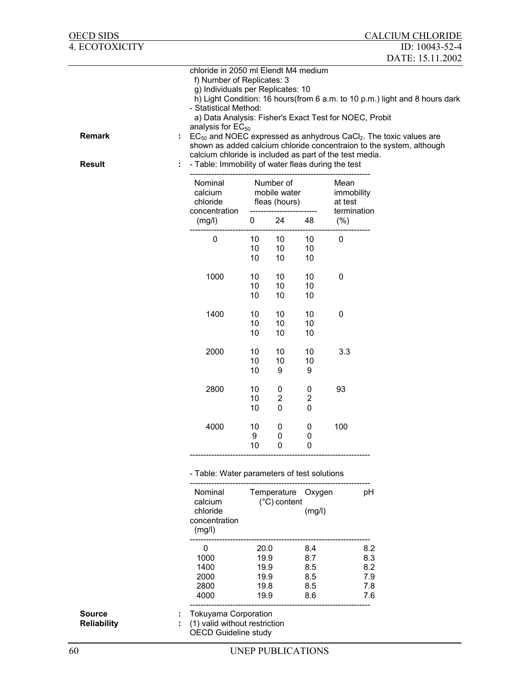| <b>OECD SIDS</b>                    |                                                                                                                                                                                                                                                                                                                                       |                                              |                                            |                                        |                               | <b>CALCIUM CHLORIDE</b>                                                                                                                                                                                                                   |
|-------------------------------------|---------------------------------------------------------------------------------------------------------------------------------------------------------------------------------------------------------------------------------------------------------------------------------------------------------------------------------------|----------------------------------------------|--------------------------------------------|----------------------------------------|-------------------------------|-------------------------------------------------------------------------------------------------------------------------------------------------------------------------------------------------------------------------------------------|
| 4. ECOTOXICITY                      |                                                                                                                                                                                                                                                                                                                                       |                                              |                                            |                                        |                               | ID: 10043-52-4                                                                                                                                                                                                                            |
|                                     |                                                                                                                                                                                                                                                                                                                                       |                                              |                                            |                                        |                               | DATE: 15.11.2002                                                                                                                                                                                                                          |
| <b>Remark</b><br><b>Result</b>      | chloride in 2050 ml Elendt M4 medium<br>f) Number of Replicates: 3<br>g) Individuals per Replicates: 10<br>- Statistical Method:<br>a) Data Analysis: Fisher's Exact Test for NOEC, Probit<br>analysis for $EC_{50}$<br>calcium chloride is included as part of the test media.<br>- Table: Immobility of water fleas during the test |                                              |                                            |                                        |                               | h) Light Condition: 16 hours(from 6 a.m. to 10 p.m.) light and 8 hours dark<br>$EC_{50}$ and NOEC expressed as anhydrous CaCl <sub>2</sub> . The toxic values are<br>shown as added calcium chloride concentraion to the system, although |
|                                     | Nominal<br>calcium<br>chloride                                                                                                                                                                                                                                                                                                        |                                              | Number of<br>mobile water<br>fleas (hours) |                                        | Mean<br>immobility<br>at test |                                                                                                                                                                                                                                           |
|                                     | concentration<br>(mg/l)                                                                                                                                                                                                                                                                                                               | 0                                            | 24                                         | 48                                     | termination<br>$(\% )$        |                                                                                                                                                                                                                                           |
|                                     | $\pmb{0}$                                                                                                                                                                                                                                                                                                                             | 10<br>10<br>10                               | 10<br>10<br>10                             | 10<br>10<br>10                         | $\mathbf 0$                   |                                                                                                                                                                                                                                           |
|                                     | 1000                                                                                                                                                                                                                                                                                                                                  | 10<br>10<br>10                               | 10<br>10<br>10                             | 10<br>10<br>10                         | 0                             |                                                                                                                                                                                                                                           |
|                                     | 1400                                                                                                                                                                                                                                                                                                                                  | 10<br>10<br>10                               | 10<br>10<br>10                             | 10<br>10<br>10                         | $\pmb{0}$                     |                                                                                                                                                                                                                                           |
|                                     | 2000                                                                                                                                                                                                                                                                                                                                  | 10<br>10<br>10                               | 10<br>10<br>9                              | 10<br>10<br>9                          | 3.3                           |                                                                                                                                                                                                                                           |
|                                     | 2800                                                                                                                                                                                                                                                                                                                                  | 10<br>10<br>10                               | 0<br>$\mathbf 2$<br>0                      | 0<br>$\overline{\mathbf{c}}$<br>0      | 93                            |                                                                                                                                                                                                                                           |
|                                     | 4000                                                                                                                                                                                                                                                                                                                                  | 10<br>9<br>10                                | 0<br>0<br>0                                | 0<br>0<br>0                            | 100                           |                                                                                                                                                                                                                                           |
|                                     | - Table: Water parameters of test solutions                                                                                                                                                                                                                                                                                           |                                              |                                            |                                        |                               |                                                                                                                                                                                                                                           |
|                                     | Nominal<br>calcium<br>chloride<br>concentration<br>(mg/l)                                                                                                                                                                                                                                                                             |                                              | (°C) content                               | Temperature Oxygen<br>(mg/l)           |                               | pH                                                                                                                                                                                                                                        |
|                                     | 0<br>1000<br>1400<br>2000<br>2800<br>4000                                                                                                                                                                                                                                                                                             | 20.0<br>19.9<br>19.9<br>19.9<br>19.8<br>19.9 |                                            | 8.4<br>8.7<br>8.5<br>8.5<br>8.5<br>8.6 |                               | 8.2<br>8.3<br>8.2<br>7.9<br>7.8<br>7.6                                                                                                                                                                                                    |
| <b>Source</b><br><b>Reliability</b> | <b>Tokuyama Corporation</b><br>(1) valid without restriction<br><b>OECD Guideline study</b>                                                                                                                                                                                                                                           |                                              |                                            |                                        |                               |                                                                                                                                                                                                                                           |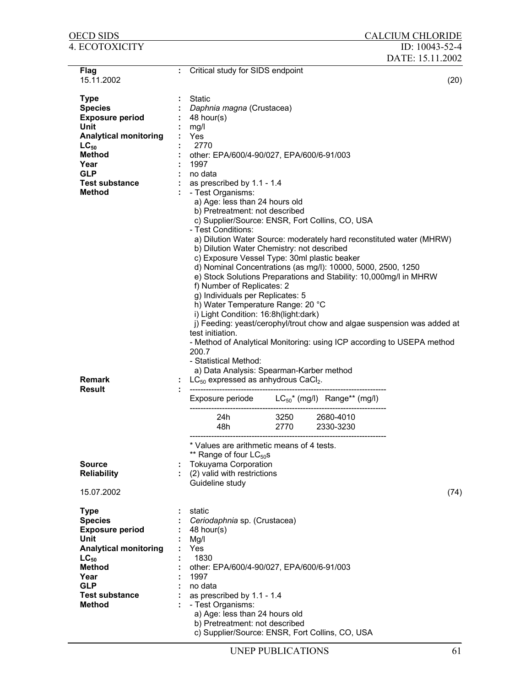| OECD SIDS                    |   |                                                                       |      |                        | <b>CALCIUM CHLORIDE</b>                                                 |
|------------------------------|---|-----------------------------------------------------------------------|------|------------------------|-------------------------------------------------------------------------|
| 4. ECOTOXICITY               |   |                                                                       |      |                        | ID: 10043-52-4                                                          |
|                              |   |                                                                       |      |                        | DATE: 15.11.2002                                                        |
| Flag                         | ÷ | Critical study for SIDS endpoint                                      |      |                        |                                                                         |
| 15.11.2002                   |   |                                                                       |      |                        | (20)                                                                    |
|                              |   |                                                                       |      |                        |                                                                         |
| <b>Type</b>                  |   | <b>Static</b>                                                         |      |                        |                                                                         |
| <b>Species</b>               |   | Daphnia magna (Crustacea)                                             |      |                        |                                                                         |
| <b>Exposure period</b>       |   | 48 hour(s)                                                            |      |                        |                                                                         |
| Unit                         |   | mg/l                                                                  |      |                        |                                                                         |
| <b>Analytical monitoring</b> |   | Yes                                                                   |      |                        |                                                                         |
| $LC_{50}$                    |   | 2770                                                                  |      |                        |                                                                         |
| <b>Method</b>                |   | other: EPA/600/4-90/027, EPA/600/6-91/003                             |      |                        |                                                                         |
| Year                         |   | 1997                                                                  |      |                        |                                                                         |
| <b>GLP</b>                   |   | no data                                                               |      |                        |                                                                         |
| <b>Test substance</b>        |   | as prescribed by 1.1 - 1.4                                            |      |                        |                                                                         |
| <b>Method</b>                |   | - Test Organisms:                                                     |      |                        |                                                                         |
|                              |   | a) Age: less than 24 hours old                                        |      |                        |                                                                         |
|                              |   | b) Pretreatment: not described                                        |      |                        |                                                                         |
|                              |   | c) Supplier/Source: ENSR, Fort Collins, CO, USA<br>- Test Conditions: |      |                        |                                                                         |
|                              |   |                                                                       |      |                        | a) Dilution Water Source: moderately hard reconstituted water (MHRW)    |
|                              |   | b) Dilution Water Chemistry: not described                            |      |                        |                                                                         |
|                              |   | c) Exposure Vessel Type: 30ml plastic beaker                          |      |                        |                                                                         |
|                              |   | d) Nominal Concentrations (as mg/l): 10000, 5000, 2500, 1250          |      |                        |                                                                         |
|                              |   | e) Stock Solutions Preparations and Stability: 10,000mg/l in MHRW     |      |                        |                                                                         |
|                              |   | f) Number of Replicates: 2                                            |      |                        |                                                                         |
|                              |   | g) Individuals per Replicates: 5                                      |      |                        |                                                                         |
|                              |   | h) Water Temperature Range: 20 °C                                     |      |                        |                                                                         |
|                              |   | i) Light Condition: 16:8h(light:dark)                                 |      |                        |                                                                         |
|                              |   |                                                                       |      |                        | j) Feeding: yeast/cerophyl/trout chow and algae suspension was added at |
|                              |   | test initiation.                                                      |      |                        |                                                                         |
|                              |   |                                                                       |      |                        | - Method of Analytical Monitoring: using ICP according to USEPA method  |
|                              |   | 200.7                                                                 |      |                        |                                                                         |
|                              |   | - Statistical Method:                                                 |      |                        |                                                                         |
|                              |   | a) Data Analysis: Spearman-Karber method                              |      |                        |                                                                         |
| <b>Remark</b>                |   | $LC_{50}$ expressed as anhydrous CaCl <sub>2</sub> .                  |      |                        |                                                                         |
| <b>Result</b>                |   |                                                                       |      |                        |                                                                         |
|                              |   | Exposure periode $LC_{50}^*$ (mg/l) Range** (mg/l)                    |      |                        |                                                                         |
|                              |   |                                                                       | 3250 |                        |                                                                         |
|                              |   | 24h<br>48h                                                            | 2770 | 2680-4010<br>2330-3230 |                                                                         |
|                              |   |                                                                       |      |                        |                                                                         |
|                              |   | * Values are arithmetic means of 4 tests.                             |      |                        |                                                                         |
|                              |   | ** Range of four $LC_{50}$ s                                          |      |                        |                                                                         |
| <b>Source</b>                |   | <b>Tokuyama Corporation</b>                                           |      |                        |                                                                         |
| <b>Reliability</b>           |   | (2) valid with restrictions                                           |      |                        |                                                                         |
|                              |   | Guideline study                                                       |      |                        |                                                                         |
| 15.07.2002                   |   |                                                                       |      |                        | (74)                                                                    |
|                              |   |                                                                       |      |                        |                                                                         |
| <b>Type</b>                  |   | static                                                                |      |                        |                                                                         |
| <b>Species</b>               |   | Ceriodaphnia sp. (Crustacea)                                          |      |                        |                                                                         |
| <b>Exposure period</b>       |   | 48 hour(s)                                                            |      |                        |                                                                         |
| Unit                         |   | Mg/l                                                                  |      |                        |                                                                         |
| <b>Analytical monitoring</b> |   | Yes                                                                   |      |                        |                                                                         |
| $LC_{50}$                    |   | 1830                                                                  |      |                        |                                                                         |
| <b>Method</b>                |   | other: EPA/600/4-90/027, EPA/600/6-91/003                             |      |                        |                                                                         |
| Year                         |   | 1997                                                                  |      |                        |                                                                         |
| <b>GLP</b>                   |   | no data                                                               |      |                        |                                                                         |
| <b>Test substance</b>        |   | as prescribed by 1.1 - 1.4                                            |      |                        |                                                                         |
| <b>Method</b>                |   | - Test Organisms:                                                     |      |                        |                                                                         |
|                              |   | a) Age: less than 24 hours old                                        |      |                        |                                                                         |
|                              |   | b) Pretreatment: not described                                        |      |                        |                                                                         |
|                              |   | c) Supplier/Source: ENSR, Fort Collins, CO, USA                       |      |                        |                                                                         |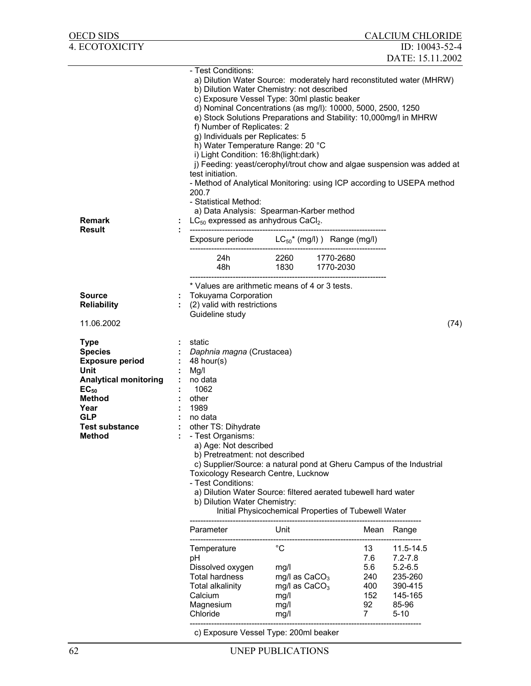| OECD SIDS                                                                                                                                                                                     |                            |                                                                                                                                                                                                                                                                                                                                                                                                                                                                                                                                                                                                                                                                                                                                                                                              |                                                                                   |                                                            | <b>CALCIUM CHLORIDE</b>                                                                   |
|-----------------------------------------------------------------------------------------------------------------------------------------------------------------------------------------------|----------------------------|----------------------------------------------------------------------------------------------------------------------------------------------------------------------------------------------------------------------------------------------------------------------------------------------------------------------------------------------------------------------------------------------------------------------------------------------------------------------------------------------------------------------------------------------------------------------------------------------------------------------------------------------------------------------------------------------------------------------------------------------------------------------------------------------|-----------------------------------------------------------------------------------|------------------------------------------------------------|-------------------------------------------------------------------------------------------|
| 4. ECOTOXICITY                                                                                                                                                                                |                            |                                                                                                                                                                                                                                                                                                                                                                                                                                                                                                                                                                                                                                                                                                                                                                                              |                                                                                   |                                                            | ID: 10043-52-4                                                                            |
|                                                                                                                                                                                               |                            |                                                                                                                                                                                                                                                                                                                                                                                                                                                                                                                                                                                                                                                                                                                                                                                              |                                                                                   |                                                            | DATE: 15.11.2002                                                                          |
| <b>Remark</b>                                                                                                                                                                                 |                            | - Test Conditions:<br>a) Dilution Water Source: moderately hard reconstituted water (MHRW)<br>b) Dilution Water Chemistry: not described<br>c) Exposure Vessel Type: 30ml plastic beaker<br>d) Nominal Concentrations (as mg/l): 10000, 5000, 2500, 1250<br>e) Stock Solutions Preparations and Stability: 10,000mg/l in MHRW<br>f) Number of Replicates: 2<br>g) Individuals per Replicates: 5<br>h) Water Temperature Range: 20 °C<br>i) Light Condition: 16:8h(light:dark)<br>j) Feeding: yeast/cerophyl/trout chow and algae suspension was added at<br>test initiation.<br>- Method of Analytical Monitoring: using ICP according to USEPA method<br>200.7<br>- Statistical Method:<br>a) Data Analysis: Spearman-Karber method<br>$LC_{50}$ expressed as anhydrous CaCl <sub>2</sub> . |                                                                                   |                                                            |                                                                                           |
| <b>Result</b>                                                                                                                                                                                 |                            | Exposure periode $LC_{50}^*$ (mg/l) ) Range (mg/l)                                                                                                                                                                                                                                                                                                                                                                                                                                                                                                                                                                                                                                                                                                                                           |                                                                                   |                                                            |                                                                                           |
|                                                                                                                                                                                               |                            |                                                                                                                                                                                                                                                                                                                                                                                                                                                                                                                                                                                                                                                                                                                                                                                              | 24h 2260 1770-2680                                                                |                                                            |                                                                                           |
|                                                                                                                                                                                               |                            |                                                                                                                                                                                                                                                                                                                                                                                                                                                                                                                                                                                                                                                                                                                                                                                              |                                                                                   |                                                            |                                                                                           |
| <b>Source</b><br><b>Reliability</b><br>11.06.2002                                                                                                                                             |                            | * Values are arithmetic means of 4 or 3 tests.<br><b>Tokuyama Corporation</b><br>(2) valid with restrictions<br>Guideline study                                                                                                                                                                                                                                                                                                                                                                                                                                                                                                                                                                                                                                                              |                                                                                   |                                                            | (74)                                                                                      |
| <b>Type</b><br><b>Species</b><br><b>Exposure period</b><br>Unit<br><b>Analytical monitoring</b><br>$EC_{50}$<br><b>Method</b><br>Year<br><b>GLP</b><br><b>Test substance</b><br><b>Method</b> | $\mathcal{L}^{\text{max}}$ | static<br>: Daphnia magna (Crustacea)<br>48 hour(s)<br>Mg/l<br>no data<br>: 1062<br>other<br>1989<br>no data<br>other TS: Dihydrate<br>- Test Organisms:<br>a) Age: Not described<br>b) Pretreatment: not described<br>c) Supplier/Source: a natural pond at Gheru Campus of the Industrial<br>Toxicology Research Centre, Lucknow<br>- Test Conditions:<br>a) Dilution Water Source: filtered aerated tubewell hard water<br>b) Dilution Water Chemistry:                                                                                                                                                                                                                                                                                                                                   | Initial Physicochemical Properties of Tubewell Water                              |                                                            |                                                                                           |
|                                                                                                                                                                                               |                            | Parameter                                                                                                                                                                                                                                                                                                                                                                                                                                                                                                                                                                                                                                                                                                                                                                                    | Unit                                                                              |                                                            | Mean Range                                                                                |
|                                                                                                                                                                                               |                            | Temperature<br>рH<br>Dissolved oxygen<br><b>Total hardness</b><br><b>Total alkalinity</b><br>Calcium<br>Magnesium<br>Chloride                                                                                                                                                                                                                                                                                                                                                                                                                                                                                                                                                                                                                                                                | $^{\circ}C$<br>mg/l<br>mg/l as $CaCO3$<br>mg/l as $CaCO3$<br>mg/l<br>mg/l<br>mg/l | 13<br>7.6<br>5.6<br>240<br>400<br>152<br>92<br>$7^{\circ}$ | 11.5-14.5<br>$7.2 - 7.8$<br>$5.2 - 6.5$<br>235-260<br>390-415<br>145-165<br>85-96<br>5-10 |
|                                                                                                                                                                                               |                            |                                                                                                                                                                                                                                                                                                                                                                                                                                                                                                                                                                                                                                                                                                                                                                                              | $11 - 21$ T. $= 0.00$                                                             |                                                            |                                                                                           |

c) Exposure Vessel Type: 200ml beaker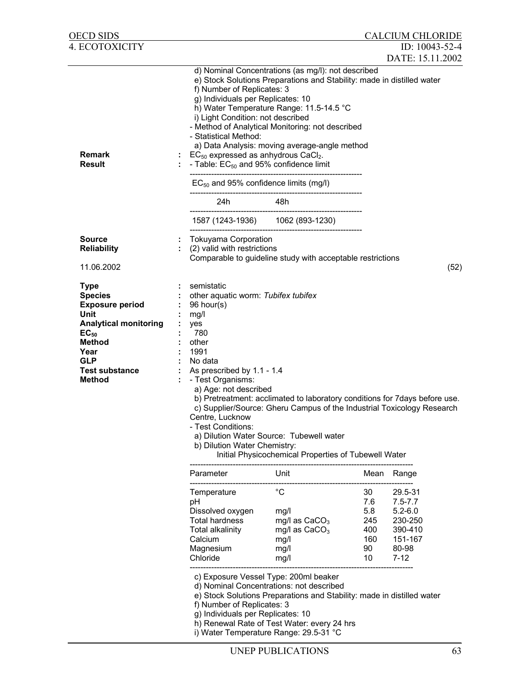|                                                                                                                                          |                                                                                   |                                                                                                                                                                                                                                                                                                                                                                                                                                                                                                                                                                                                                                                                                                                                                                                | ID: 10043-52-4                                                                                                                                                                                                                                     |                                                                                                                                                                                                                                                                                                                                                                                                                                                                               |
|------------------------------------------------------------------------------------------------------------------------------------------|-----------------------------------------------------------------------------------|--------------------------------------------------------------------------------------------------------------------------------------------------------------------------------------------------------------------------------------------------------------------------------------------------------------------------------------------------------------------------------------------------------------------------------------------------------------------------------------------------------------------------------------------------------------------------------------------------------------------------------------------------------------------------------------------------------------------------------------------------------------------------------|----------------------------------------------------------------------------------------------------------------------------------------------------------------------------------------------------------------------------------------------------|-------------------------------------------------------------------------------------------------------------------------------------------------------------------------------------------------------------------------------------------------------------------------------------------------------------------------------------------------------------------------------------------------------------------------------------------------------------------------------|
| 24h                                                                                                                                      |                                                                                   |                                                                                                                                                                                                                                                                                                                                                                                                                                                                                                                                                                                                                                                                                                                                                                                |                                                                                                                                                                                                                                                    |                                                                                                                                                                                                                                                                                                                                                                                                                                                                               |
|                                                                                                                                          |                                                                                   |                                                                                                                                                                                                                                                                                                                                                                                                                                                                                                                                                                                                                                                                                                                                                                                |                                                                                                                                                                                                                                                    |                                                                                                                                                                                                                                                                                                                                                                                                                                                                               |
|                                                                                                                                          |                                                                                   |                                                                                                                                                                                                                                                                                                                                                                                                                                                                                                                                                                                                                                                                                                                                                                                |                                                                                                                                                                                                                                                    |                                                                                                                                                                                                                                                                                                                                                                                                                                                                               |
|                                                                                                                                          |                                                                                   |                                                                                                                                                                                                                                                                                                                                                                                                                                                                                                                                                                                                                                                                                                                                                                                |                                                                                                                                                                                                                                                    |                                                                                                                                                                                                                                                                                                                                                                                                                                                                               |
|                                                                                                                                          |                                                                                   |                                                                                                                                                                                                                                                                                                                                                                                                                                                                                                                                                                                                                                                                                                                                                                                |                                                                                                                                                                                                                                                    | (52)                                                                                                                                                                                                                                                                                                                                                                                                                                                                          |
| semistatic<br>96 hour(s)<br>mg/l<br>yes<br>780<br>other<br>1991<br>No data<br>- Test Organisms:<br>Centre, Lucknow<br>- Test Conditions: |                                                                                   |                                                                                                                                                                                                                                                                                                                                                                                                                                                                                                                                                                                                                                                                                                                                                                                |                                                                                                                                                                                                                                                    |                                                                                                                                                                                                                                                                                                                                                                                                                                                                               |
| Parameter                                                                                                                                | Unit                                                                              | Mean                                                                                                                                                                                                                                                                                                                                                                                                                                                                                                                                                                                                                                                                                                                                                                           | Range                                                                                                                                                                                                                                              |                                                                                                                                                                                                                                                                                                                                                                                                                                                                               |
| Temperature<br>рH<br>Dissolved oxygen<br>Total hardness<br>Total alkalinity<br>Calcium<br>Magnesium<br>Chloride                          | $^{\circ}C$<br>mg/l<br>mg/l as $CaCO3$<br>mg/l as $CaCO3$<br>mg/l<br>mg/l<br>mg/l | 30<br>7.6<br>5.8<br>245<br>400<br>160<br>90<br>10                                                                                                                                                                                                                                                                                                                                                                                                                                                                                                                                                                                                                                                                                                                              | 29.5-31<br>$7.5 - 7.7$<br>$5.2 - 6.0$<br>230-250<br>390-410<br>151-167<br>80-98<br>$7 - 12$                                                                                                                                                        |                                                                                                                                                                                                                                                                                                                                                                                                                                                                               |
|                                                                                                                                          |                                                                                   | f) Number of Replicates: 3<br>g) Individuals per Replicates: 10<br>i) Light Condition: not described<br>- Statistical Method:<br>$EC_{50}$ expressed as anhydrous CaCl <sub>2</sub> .<br>- Table: EC <sub>50</sub> and 95% confidence limit<br>$EC_{50}$ and 95% confidence limits (mg/l)<br>48h<br>1587 (1243-1936) 1062 (893-1230)<br><b>Tokuyama Corporation</b><br>(2) valid with restrictions<br>other aquatic worm: Tubifex tubifex<br>As prescribed by 1.1 - 1.4<br>a) Age: not described<br>a) Dilution Water Source: Tubewell water<br>b) Dilution Water Chemistry:<br>c) Exposure Vessel Type: 200ml beaker<br>d) Nominal Concentrations: not described<br>f) Number of Replicates: 3<br>g) Individuals per Replicates: 10<br>i) Water Temperature Range: 29.5-31 °C | d) Nominal Concentrations (as mg/l): not described<br>h) Water Temperature Range: 11.5-14.5 °C<br>- Method of Analytical Monitoring: not described<br>a) Data Analysis: moving average-angle method<br>h) Renewal Rate of Test Water: every 24 hrs | <b>CALCIUM CHLORIDE</b><br>DATE: 15.11.2002<br>e) Stock Solutions Preparations and Stability: made in distilled water<br>Comparable to guideline study with acceptable restrictions<br>b) Pretreatment: acclimated to laboratory conditions for 7days before use.<br>c) Supplier/Source: Gheru Campus of the Industrial Toxicology Research<br>Initial Physicochemical Properties of Tubewell Water<br>e) Stock Solutions Preparations and Stability: made in distilled water |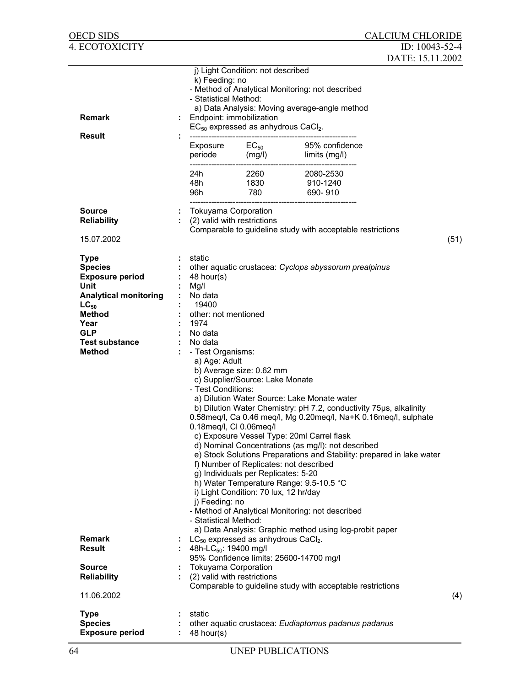| <b>OECD SIDS</b>                                                                                |                                                                                                                |                                                                                                                                                                        |                                                                                                                                                                                                                                                                                                                                                                                                                                                                                                                                                                        | <b>CALCIUM CHLORIDE</b> |      |
|-------------------------------------------------------------------------------------------------|----------------------------------------------------------------------------------------------------------------|------------------------------------------------------------------------------------------------------------------------------------------------------------------------|------------------------------------------------------------------------------------------------------------------------------------------------------------------------------------------------------------------------------------------------------------------------------------------------------------------------------------------------------------------------------------------------------------------------------------------------------------------------------------------------------------------------------------------------------------------------|-------------------------|------|
| <b>4. ECOTOXICITY</b>                                                                           |                                                                                                                |                                                                                                                                                                        |                                                                                                                                                                                                                                                                                                                                                                                                                                                                                                                                                                        | ID: $10043 - 52 - 4$    |      |
|                                                                                                 |                                                                                                                |                                                                                                                                                                        |                                                                                                                                                                                                                                                                                                                                                                                                                                                                                                                                                                        | DATE: 15.11.2002        |      |
| <b>Remark</b><br><b>Result</b>                                                                  | k) Feeding: no<br>- Statistical Method:<br>Endpoint: immobilization<br>----------------------------<br>24h     | j) Light Condition: not described<br>$EC_{50}$ expressed as anhydrous CaCl <sub>2</sub> .                                                                              | - Method of Analytical Monitoring: not described<br>a) Data Analysis: Moving average-angle method<br>Exposure $EC_{50}$ 95% confide<br>periode $(mg/l)$ limits $(mg/l)$<br>95% confidence<br>2260 2080-2530                                                                                                                                                                                                                                                                                                                                                            |                         |      |
|                                                                                                 |                                                                                                                |                                                                                                                                                                        | 910-1240                                                                                                                                                                                                                                                                                                                                                                                                                                                                                                                                                               |                         |      |
|                                                                                                 |                                                                                                                |                                                                                                                                                                        | 690-910                                                                                                                                                                                                                                                                                                                                                                                                                                                                                                                                                                |                         |      |
| <b>Source</b><br><b>Reliability</b>                                                             | Tokuyama Corporation                                                                                           | (2) valid with restrictions                                                                                                                                            |                                                                                                                                                                                                                                                                                                                                                                                                                                                                                                                                                                        |                         |      |
|                                                                                                 |                                                                                                                |                                                                                                                                                                        | Comparable to guideline study with acceptable restrictions                                                                                                                                                                                                                                                                                                                                                                                                                                                                                                             |                         |      |
| 15.07.2002                                                                                      |                                                                                                                |                                                                                                                                                                        |                                                                                                                                                                                                                                                                                                                                                                                                                                                                                                                                                                        |                         | (51) |
| <b>Type</b><br><b>Species</b><br><b>Exposure period</b><br>Unit<br><b>Analytical monitoring</b> | static<br>48 hour(s)<br>Mg/l<br>No data                                                                        |                                                                                                                                                                        | other aquatic crustacea: Cyclops abyssorum prealpinus                                                                                                                                                                                                                                                                                                                                                                                                                                                                                                                  |                         |      |
| $LC_{50}$                                                                                       | 19400                                                                                                          |                                                                                                                                                                        |                                                                                                                                                                                                                                                                                                                                                                                                                                                                                                                                                                        |                         |      |
| <b>Method</b><br>Year                                                                           | other: not mentioned<br>1974                                                                                   |                                                                                                                                                                        |                                                                                                                                                                                                                                                                                                                                                                                                                                                                                                                                                                        |                         |      |
| <b>GLP</b>                                                                                      | No data                                                                                                        |                                                                                                                                                                        |                                                                                                                                                                                                                                                                                                                                                                                                                                                                                                                                                                        |                         |      |
| <b>Test substance</b><br><b>Method</b>                                                          | No data<br>- Test Organisms:<br>a) Age: Adult<br>- Test Conditions:<br>j) Feeding: no<br>- Statistical Method: | b) Average size: 0.62 mm<br>c) Supplier/Source: Lake Monate<br>0.18meq/l, Cl 0.06meq/l<br>g) Individuals per Replicates: 5-20<br>i) Light Condition: 70 lux, 12 hr/day | a) Dilution Water Source: Lake Monate water<br>b) Dilution Water Chemistry: pH 7.2, conductivity 75µs, alkalinity<br>0.58meq/l, Ca 0.46 meq/l, Mg 0.20meq/l, Na+K 0.16meq/l, sulphate<br>c) Exposure Vessel Type: 20ml Carrel flask<br>d) Nominal Concentrations (as mg/l): not described<br>e) Stock Solutions Preparations and Stability: prepared in lake water<br>f) Number of Replicates: not described<br>h) Water Temperature Range: 9.5-10.5 °C<br>- Method of Analytical Monitoring: not described<br>a) Data Analysis: Graphic method using log-probit paper |                         |      |
| <b>Remark</b><br><b>Result</b>                                                                  | 48h-LC <sub>50</sub> : 19400 mg/l                                                                              | $LC_{50}$ expressed as anhydrous CaCl <sub>2</sub> .                                                                                                                   |                                                                                                                                                                                                                                                                                                                                                                                                                                                                                                                                                                        |                         |      |
|                                                                                                 |                                                                                                                |                                                                                                                                                                        | 95% Confidence limits: 25600-14700 mg/l                                                                                                                                                                                                                                                                                                                                                                                                                                                                                                                                |                         |      |
| <b>Source</b><br><b>Reliability</b>                                                             | <b>Tokuyama Corporation</b><br>(2) valid with restrictions                                                     |                                                                                                                                                                        |                                                                                                                                                                                                                                                                                                                                                                                                                                                                                                                                                                        |                         |      |
| 11.06.2002                                                                                      |                                                                                                                |                                                                                                                                                                        | Comparable to guideline study with acceptable restrictions                                                                                                                                                                                                                                                                                                                                                                                                                                                                                                             |                         | (4)  |
| <b>Type</b>                                                                                     | static                                                                                                         |                                                                                                                                                                        |                                                                                                                                                                                                                                                                                                                                                                                                                                                                                                                                                                        |                         |      |
| <b>Species</b><br><b>Exposure period</b>                                                        | 48 hour(s)                                                                                                     |                                                                                                                                                                        | other aquatic crustacea: Eudiaptomus padanus padanus                                                                                                                                                                                                                                                                                                                                                                                                                                                                                                                   |                         |      |
| 64                                                                                              |                                                                                                                | UNEP PUBLICATIONS                                                                                                                                                      |                                                                                                                                                                                                                                                                                                                                                                                                                                                                                                                                                                        |                         |      |
|                                                                                                 |                                                                                                                |                                                                                                                                                                        |                                                                                                                                                                                                                                                                                                                                                                                                                                                                                                                                                                        |                         |      |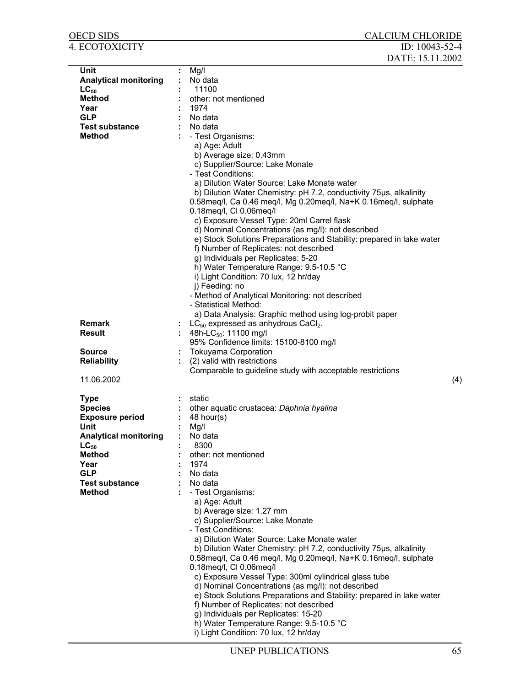| <b>OECD SIDS</b>                                                                                                                                                                              | <b>CALCIUM CHLORIDE</b>                                                                                                                                                                                                                                                                                                                                                                                                                                                                                                                                                                                                                                                                    |
|-----------------------------------------------------------------------------------------------------------------------------------------------------------------------------------------------|--------------------------------------------------------------------------------------------------------------------------------------------------------------------------------------------------------------------------------------------------------------------------------------------------------------------------------------------------------------------------------------------------------------------------------------------------------------------------------------------------------------------------------------------------------------------------------------------------------------------------------------------------------------------------------------------|
| 4. ECOTOXICITY                                                                                                                                                                                | ID: $10043 - 52 - 4$                                                                                                                                                                                                                                                                                                                                                                                                                                                                                                                                                                                                                                                                       |
|                                                                                                                                                                                               | DATE: 15.11.2002                                                                                                                                                                                                                                                                                                                                                                                                                                                                                                                                                                                                                                                                           |
| Unit<br><b>Analytical monitoring</b><br>$LC_{50}$<br><b>Method</b><br>Year<br><b>GLP</b><br><b>Test substance</b><br><b>Method</b>                                                            | Mg/I<br>No data<br>11100<br>other: not mentioned<br>1974<br>No data<br>No data<br>- Test Organisms:<br>a) Age: Adult<br>b) Average size: 0.43mm<br>c) Supplier/Source: Lake Monate<br>- Test Conditions:<br>a) Dilution Water Source: Lake Monate water<br>b) Dilution Water Chemistry: pH 7.2, conductivity 75µs, alkalinity<br>0.58meq/l, Ca 0.46 meq/l, Mg 0.20meq/l, Na+K 0.16meq/l, sulphate<br>0.18meg/l, Cl 0.06meg/l<br>c) Exposure Vessel Type: 20ml Carrel flask<br>d) Nominal Concentrations (as mg/l): not described<br>e) Stock Solutions Preparations and Stability: prepared in lake water<br>f) Number of Replicates: not described<br>g) Individuals per Replicates: 5-20 |
| <b>Remark</b><br><b>Result</b><br><b>Source</b><br><b>Reliability</b>                                                                                                                         | h) Water Temperature Range: 9.5-10.5 °C<br>i) Light Condition: 70 lux, 12 hr/day<br>j) Feeding: no<br>- Method of Analytical Monitoring: not described<br>- Statistical Method:<br>a) Data Analysis: Graphic method using log-probit paper<br>$LC_{50}$ expressed as anhydrous CaCl <sub>2</sub> .<br>48h-LC <sub>50</sub> : 11100 mg/l<br>95% Confidence limits: 15100-8100 mg/l<br><b>Tokuyama Corporation</b><br>(2) valid with restrictions<br>Comparable to guideline study with acceptable restrictions                                                                                                                                                                              |
| 11.06.2002                                                                                                                                                                                    | (4)                                                                                                                                                                                                                                                                                                                                                                                                                                                                                                                                                                                                                                                                                        |
| <b>Type</b><br><b>Species</b><br><b>Exposure period</b><br>Unit<br><b>Analytical monitoring</b><br>$LC_{50}$<br><b>Method</b><br>Year<br><b>GLP</b><br><b>Test substance</b><br><b>Method</b> | static<br>other aquatic crustacea: Daphnia hyalina<br>48 hour(s)<br>Mg/I<br>No data<br>8300<br>other: not mentioned<br>1974<br>No data<br>No data<br>- Test Organisms:<br>a) Age: Adult<br>b) Average size: 1.27 mm<br>c) Supplier/Source: Lake Monate<br>- Test Conditions:<br>a) Dilution Water Source: Lake Monate water<br>b) Dilution Water Chemistry: pH 7.2, conductivity 75µs, alkalinity<br>0.58meq/l, Ca 0.46 meq/l, Mg 0.20meq/l, Na+K 0.16meq/l, sulphate<br>0.18meq/l, Cl 0.06meq/l<br>c) Exposure Vessel Type: 300ml cylindrical glass tube<br>a) Nominal Concentrations (as mall); not described                                                                            |

- e) Stock Solutions Preparations and Stability: prepared in lake water
- f) Number of Replicates: not described
- g) Individuals per Replicates: 15-20
- h) Water Temperature Range: 9.5-10.5 °C
- i) Light Condition: 70 lux, 12 hr/day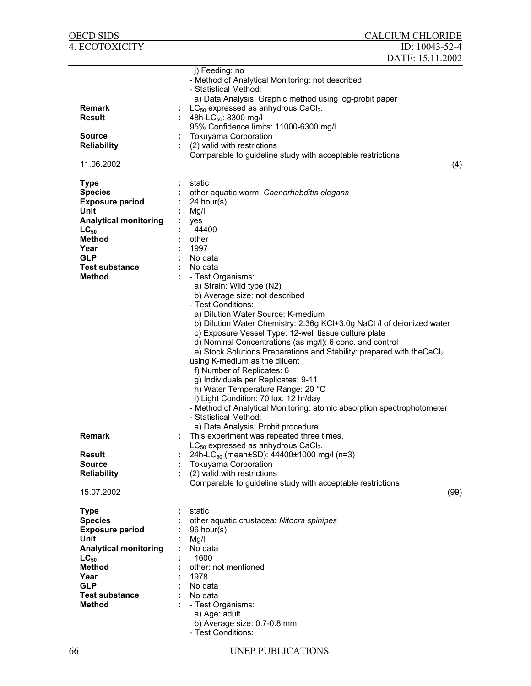| OECD SIDS                                                                                                                                                                                     | <b>CALCIUM CHLORIDE</b>                                                                                                                                                                                                                                                                                                                                                                                                                                                                                                                                                                                                                                           |
|-----------------------------------------------------------------------------------------------------------------------------------------------------------------------------------------------|-------------------------------------------------------------------------------------------------------------------------------------------------------------------------------------------------------------------------------------------------------------------------------------------------------------------------------------------------------------------------------------------------------------------------------------------------------------------------------------------------------------------------------------------------------------------------------------------------------------------------------------------------------------------|
| 4. ECOTOXICITY                                                                                                                                                                                | ID: 10043-52-4                                                                                                                                                                                                                                                                                                                                                                                                                                                                                                                                                                                                                                                    |
|                                                                                                                                                                                               | DATE: 15.11.2002                                                                                                                                                                                                                                                                                                                                                                                                                                                                                                                                                                                                                                                  |
| <b>Remark</b><br><b>Result</b>                                                                                                                                                                | j) Feeding: no<br>- Method of Analytical Monitoring: not described<br>- Statistical Method:<br>a) Data Analysis: Graphic method using log-probit paper<br>$LC_{50}$ expressed as anhydrous CaCl <sub>2</sub> .<br>: 48h-LC <sub>50</sub> : 8300 mg/l<br>95% Confidence limits: 11000-6300 mg/l                                                                                                                                                                                                                                                                                                                                                                    |
| <b>Source</b><br><b>Reliability</b>                                                                                                                                                           | <b>Tokuyama Corporation</b><br>(2) valid with restrictions                                                                                                                                                                                                                                                                                                                                                                                                                                                                                                                                                                                                        |
| 11.06.2002                                                                                                                                                                                    | Comparable to guideline study with acceptable restrictions<br>(4)                                                                                                                                                                                                                                                                                                                                                                                                                                                                                                                                                                                                 |
| <b>Type</b><br><b>Species</b><br><b>Exposure period</b><br>Unit<br><b>Analytical monitoring</b><br>$LC_{50}$<br><b>Method</b><br>Year<br><b>GLP</b><br><b>Test substance</b><br><b>Method</b> | static<br>other aquatic worm: Caenorhabditis elegans<br>$24$ hour(s)<br>Mg/l<br>yes<br>44400<br>other<br>1997<br>No data<br>No data<br>- Test Organisms:<br>a) Strain: Wild type (N2)<br>b) Average size: not described<br>- Test Conditions:<br>a) Dilution Water Source: K-medium<br>b) Dilution Water Chemistry: 2.36g KCI+3.0g NaCl /I of deionized water<br>c) Exposure Vessel Type: 12-well tissue culture plate<br>d) Nominal Concentrations (as mg/l): 6 conc. and control<br>e) Stock Solutions Preparations and Stability: prepared with theCaCl2<br>using K-medium as the diluent<br>f) Number of Replicates: 6<br>g) Individuals per Replicates: 9-11 |
| <b>Remark</b><br><b>Result</b><br><b>Source</b><br><b>Reliability</b>                                                                                                                         | h) Water Temperature Range: 20 °C<br>i) Light Condition: 70 lux, 12 hr/day<br>- Method of Analytical Monitoring: atomic absorption spectrophotometer<br>- Statistical Method:<br>a) Data Analysis: Probit procedure<br>This experiment was repeated three times.<br>$LC_{50}$ expressed as anhydrous CaCl <sub>2</sub> .<br>24h-LC <sub>50</sub> (mean±SD): 44400±1000 mg/l (n=3)<br><b>Tokuyama Corporation</b><br>(2) valid with restrictions                                                                                                                                                                                                                   |
| 15.07.2002                                                                                                                                                                                    | Comparable to guideline study with acceptable restrictions<br>(99)                                                                                                                                                                                                                                                                                                                                                                                                                                                                                                                                                                                                |
| <b>Type</b><br><b>Species</b><br><b>Exposure period</b><br>Unit                                                                                                                               | static<br>other aquatic crustacea: Nitocra spinipes<br>96 hour(s)<br>Mg/l                                                                                                                                                                                                                                                                                                                                                                                                                                                                                                                                                                                         |
| <b>Analytical monitoring</b><br>$LC_{50}$<br><b>Method</b><br>Year<br><b>GLP</b>                                                                                                              | ÷<br>No data<br>1600<br>other: not mentioned<br>1978<br>No data                                                                                                                                                                                                                                                                                                                                                                                                                                                                                                                                                                                                   |
| <b>Test substance</b><br><b>Method</b>                                                                                                                                                        | No data<br>- Test Organisms:<br>a) Age: adult<br>b) Average size: 0.7-0.8 mm<br>- Test Conditions:                                                                                                                                                                                                                                                                                                                                                                                                                                                                                                                                                                |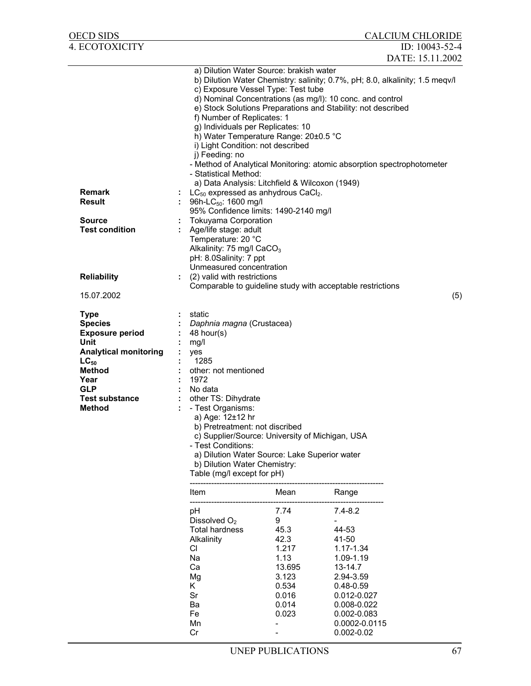| OECD SIDS                                                                                                                                                                                     |                                                                                                                                                                                                                                                                                                                                                                                                                                                                                                                                                                                                                                                                                                                                                                                                                                                                                |                                                                                                   |                                                                                                                                                                                      | <b>CALCIUM CHLORIDE</b> |
|-----------------------------------------------------------------------------------------------------------------------------------------------------------------------------------------------|--------------------------------------------------------------------------------------------------------------------------------------------------------------------------------------------------------------------------------------------------------------------------------------------------------------------------------------------------------------------------------------------------------------------------------------------------------------------------------------------------------------------------------------------------------------------------------------------------------------------------------------------------------------------------------------------------------------------------------------------------------------------------------------------------------------------------------------------------------------------------------|---------------------------------------------------------------------------------------------------|--------------------------------------------------------------------------------------------------------------------------------------------------------------------------------------|-------------------------|
| 4. ECOTOXICITY                                                                                                                                                                                |                                                                                                                                                                                                                                                                                                                                                                                                                                                                                                                                                                                                                                                                                                                                                                                                                                                                                |                                                                                                   |                                                                                                                                                                                      | ID: 10043-52-4          |
|                                                                                                                                                                                               |                                                                                                                                                                                                                                                                                                                                                                                                                                                                                                                                                                                                                                                                                                                                                                                                                                                                                |                                                                                                   |                                                                                                                                                                                      | DATE: 15.11.2002        |
| <b>Remark</b><br><b>Result</b><br><b>Source</b><br><b>Test condition</b>                                                                                                                      | a) Dilution Water Source: brakish water<br>b) Dilution Water Chemistry: salinity; 0.7%, pH; 8.0, alkalinity; 1.5 meqv/l<br>c) Exposure Vessel Type: Test tube<br>d) Nominal Concentrations (as mg/l): 10 conc. and control<br>e) Stock Solutions Preparations and Stability: not described<br>f) Number of Replicates: 1<br>g) Individuals per Replicates: 10<br>h) Water Temperature Range: 20±0.5 °C<br>i) Light Condition: not described<br>j) Feeding: no<br>- Method of Analytical Monitoring: atomic absorption spectrophotometer<br>- Statistical Method:<br>a) Data Analysis: Litchfield & Wilcoxon (1949)<br>$LC_{50}$ expressed as anhydrous CaCl <sub>2</sub> .<br>96h-LC <sub>50</sub> : 1600 mg/l<br>95% Confidence limits: 1490-2140 mg/l<br><b>Tokuyama Corporation</b><br>Age/life stage: adult<br>Temperature: 20 °C<br>Alkalinity: 75 mg/l CaCO <sub>3</sub> |                                                                                                   |                                                                                                                                                                                      |                         |
|                                                                                                                                                                                               | pH: 8.0Salinity: 7 ppt<br>Unmeasured concentration                                                                                                                                                                                                                                                                                                                                                                                                                                                                                                                                                                                                                                                                                                                                                                                                                             |                                                                                                   |                                                                                                                                                                                      |                         |
| <b>Reliability</b>                                                                                                                                                                            | (2) valid with restrictions                                                                                                                                                                                                                                                                                                                                                                                                                                                                                                                                                                                                                                                                                                                                                                                                                                                    |                                                                                                   |                                                                                                                                                                                      |                         |
| 15.07.2002                                                                                                                                                                                    | Comparable to guideline study with acceptable restrictions                                                                                                                                                                                                                                                                                                                                                                                                                                                                                                                                                                                                                                                                                                                                                                                                                     |                                                                                                   |                                                                                                                                                                                      | (5)                     |
| <b>Type</b><br><b>Species</b><br><b>Exposure period</b><br>Unit<br><b>Analytical monitoring</b><br>$LC_{50}$<br><b>Method</b><br>Year<br><b>GLP</b><br><b>Test substance</b><br><b>Method</b> | static<br>Daphnia magna (Crustacea)<br>48 hour(s)<br>mg/l<br>yes<br>1285<br>other: not mentioned<br>1972<br>No data<br>other TS: Dihydrate<br>- Test Organisms:<br>a) Age: 12±12 hr<br>b) Pretreatment: not discribed<br>c) Supplier/Source: University of Michigan, USA<br>- Test Conditions:<br>a) Dilution Water Source: Lake Superior water<br>b) Dilution Water Chemistry:<br>Table (mg/l except for pH)                                                                                                                                                                                                                                                                                                                                                                                                                                                                  |                                                                                                   |                                                                                                                                                                                      |                         |
|                                                                                                                                                                                               | Item                                                                                                                                                                                                                                                                                                                                                                                                                                                                                                                                                                                                                                                                                                                                                                                                                                                                           | Mean                                                                                              | Range                                                                                                                                                                                |                         |
|                                                                                                                                                                                               | pH<br>Dissolved O <sub>2</sub><br>Total hardness<br>Alkalinity<br>CI.<br>Na<br>Ca<br>Mg<br>K.<br>Sr<br>Ba<br>Fe<br>Mn<br>Cr                                                                                                                                                                                                                                                                                                                                                                                                                                                                                                                                                                                                                                                                                                                                                    | 7.74<br>9<br>45.3<br>42.3<br>1.217<br>1.13<br>13.695<br>3.123<br>0.534<br>0.016<br>0.014<br>0.023 | $7.4 - 8.2$<br>44-53<br>41-50<br>$1.17 - 1.34$<br>1.09-1.19<br>13-14.7<br>2.94-3.59<br>$0.48 - 0.59$<br>0.012-0.027<br>0.008-0.022<br>0.002-0.083<br>0.0002-0.0115<br>$0.002 - 0.02$ |                         |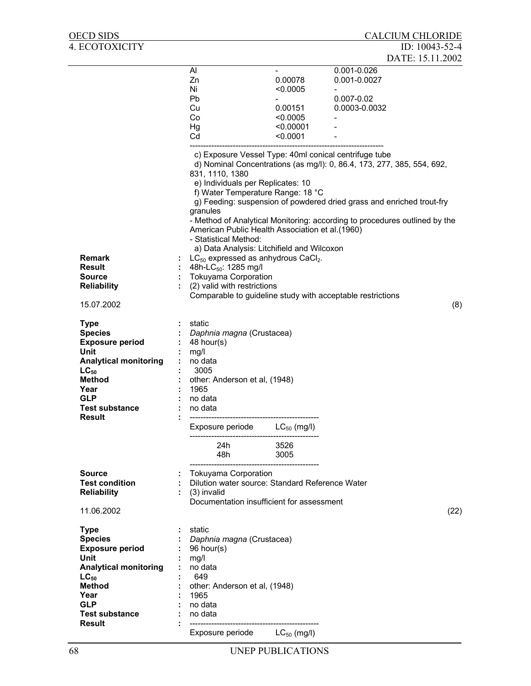| <b>OECD SIDS</b>                                                                                                                                                                              |                                                                                                                                                        |                  |                                                                                                                                                                                                                                 | <b>CALCIUM CHLORIDE</b>                                                                                                                                                                                                                                                                                                                              |      |
|-----------------------------------------------------------------------------------------------------------------------------------------------------------------------------------------------|--------------------------------------------------------------------------------------------------------------------------------------------------------|------------------|---------------------------------------------------------------------------------------------------------------------------------------------------------------------------------------------------------------------------------|------------------------------------------------------------------------------------------------------------------------------------------------------------------------------------------------------------------------------------------------------------------------------------------------------------------------------------------------------|------|
| <b>4. ECOTOXICITY</b>                                                                                                                                                                         |                                                                                                                                                        |                  |                                                                                                                                                                                                                                 | ID: $10043 - 52 - 4$<br>DATE: 15.11.2002                                                                                                                                                                                                                                                                                                             |      |
|                                                                                                                                                                                               | Al<br>Zn<br>Ni<br><b>Pb</b><br>Cu<br>Co<br>Hg<br>Cd                                                                                                    |                  | 0.00078<br>< 0.0005<br>0.00151<br>< 0.0005<br>< 0.00001<br>< 0.0001                                                                                                                                                             | 0.001-0.026<br>0.001-0.0027<br>$0.007 - 0.02$<br>0.0003-0.0032                                                                                                                                                                                                                                                                                       |      |
| <b>Remark</b><br>Result<br><b>Source</b><br><b>Reliability</b><br>15.07.2002                                                                                                                  | 831, 1110, 1380<br>granules<br>- Statistical Method:<br>48h-LC <sub>50</sub> : 1285 mg/l<br><b>Tokuyama Corporation</b><br>(2) valid with restrictions |                  | e) Individuals per Replicates: 10<br>f) Water Temperature Range: 18 °C<br>American Public Health Association et al.(1960)<br>a) Data Analysis: Litchifield and Wilcoxon<br>$LC_{50}$ expressed as anhydrous CaCl <sub>2</sub> . | c) Exposure Vessel Type: 40ml conical centrifuge tube<br>d) Nominal Concentrations (as mg/l): 0, 86.4, 173, 277, 385, 554, 692,<br>g) Feeding: suspension of powdered dried grass and enriched trout-fry<br>- Method of Analytical Monitoring: according to procedures outlined by the<br>Comparable to guideline study with acceptable restrictions | (8)  |
| <b>Type</b><br><b>Species</b><br><b>Exposure period</b><br>Unit<br><b>Analytical monitoring</b><br>$LC_{50}$<br><b>Method</b><br>Year<br><b>GLP</b><br><b>Test substance</b><br><b>Result</b> | static<br>Daphnia magna (Crustacea)<br>48 hour(s)<br>mg/l<br>no data<br>3005<br>other: Anderson et al, (1948)<br>1965<br>no data<br>no data            |                  |                                                                                                                                                                                                                                 |                                                                                                                                                                                                                                                                                                                                                      |      |
|                                                                                                                                                                                               |                                                                                                                                                        | Exposure periode | $LC_{50}$ (mg/l)                                                                                                                                                                                                                |                                                                                                                                                                                                                                                                                                                                                      |      |
|                                                                                                                                                                                               | 48h                                                                                                                                                    | 24h              | 3526<br>3005                                                                                                                                                                                                                    |                                                                                                                                                                                                                                                                                                                                                      |      |
| <b>Source</b><br><b>Test condition</b><br><b>Reliability</b><br>11.06.2002                                                                                                                    | <b>Tokuyama Corporation</b><br>υ.<br>$(3)$ invalid                                                                                                     |                  | Dilution water source: Standard Reference Water<br>Documentation insufficient for assessment                                                                                                                                    |                                                                                                                                                                                                                                                                                                                                                      | (22) |
| <b>Type</b><br><b>Species</b><br><b>Exposure period</b><br>Unit<br><b>Analytical monitoring</b><br>$LC_{50}$<br><b>Method</b><br>Year<br><b>GLP</b><br><b>Test substance</b><br><b>Result</b> | static<br>Daphnia magna (Crustacea)<br>96 hour(s)<br>mg/l<br>no data<br>649<br>other: Anderson et al, (1948)<br>1965<br>no data<br>no data             |                  |                                                                                                                                                                                                                                 |                                                                                                                                                                                                                                                                                                                                                      |      |
|                                                                                                                                                                                               |                                                                                                                                                        |                  | Exposure periode $LC_{50}$ (mg/l)                                                                                                                                                                                               |                                                                                                                                                                                                                                                                                                                                                      |      |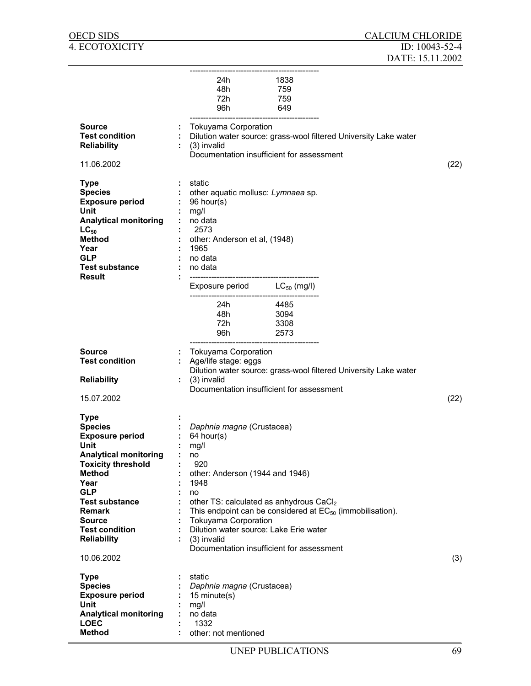|                                                                                                                                                                                                                                                                                      | 24h 1838<br>48h<br>759<br>72h<br>759<br>96h<br>649                                                                                                                                                                                                                                                                                                              |      |
|--------------------------------------------------------------------------------------------------------------------------------------------------------------------------------------------------------------------------------------------------------------------------------------|-----------------------------------------------------------------------------------------------------------------------------------------------------------------------------------------------------------------------------------------------------------------------------------------------------------------------------------------------------------------|------|
| Source<br><b>Test condition</b><br><b>Reliability</b><br>11.06.2002                                                                                                                                                                                                                  | <b>Tokuyama Corporation</b><br>÷<br>Dilution water source: grass-wool filtered University Lake water<br>(3) invalid<br>Documentation insufficient for assessment                                                                                                                                                                                                | (22) |
| <b>Type</b><br><b>Species</b><br><b>Exposure period</b><br>Unit<br><b>Analytical monitoring</b><br>$LC_{50}$<br><b>Method</b><br>Year<br><b>GLP</b><br><b>Test substance</b><br>Result                                                                                               | static<br>other aquatic mollusc: Lymnaea sp.<br>96 hour(s)<br>mg/l<br>÷<br>no data<br>2573<br>other: Anderson et al, (1948)<br>1965<br>÷.<br>no data<br>÷.<br>no data                                                                                                                                                                                           |      |
|                                                                                                                                                                                                                                                                                      | Exposure period $LC_{50}$ (mg/l)<br>24h<br>4485<br>48h 3094<br>72h 3308<br>96h <b>and 1968</b><br>2573                                                                                                                                                                                                                                                          |      |
| Source<br><b>Test condition</b>                                                                                                                                                                                                                                                      | <b>Tokuyama Corporation</b><br>Age/life stage: eggs<br>÷.<br>Dilution water source: grass-wool filtered University Lake water                                                                                                                                                                                                                                   |      |
| <b>Reliability</b><br>15.07.2002                                                                                                                                                                                                                                                     | (3) invalid<br>÷.<br>Documentation insufficient for assessment                                                                                                                                                                                                                                                                                                  | (22) |
| <b>Type</b><br><b>Species</b><br><b>Exposure period</b><br>Unit<br><b>Analytical monitoring</b><br><b>Toxicity threshold</b><br><b>Method</b><br>Year<br><b>GLP</b><br><b>Test substance</b><br><b>Remark</b><br>Source<br><b>Test condition</b><br><b>Reliability</b><br>10.06.2002 | Daphnia magna (Crustacea)<br>64 hour(s)<br>mg/l<br>no<br>920<br>other: Anderson (1944 and 1946)<br>1948<br>no<br>other TS: calculated as anhydrous CaCl2<br>This endpoint can be considered at $EC_{50}$ (immobilisation).<br><b>Tokuyama Corporation</b><br>Dilution water source: Lake Erie water<br>(3) invalid<br>Documentation insufficient for assessment | (3)  |
| <b>Type</b><br><b>Species</b><br><b>Exposure period</b><br>Unit<br><b>Analytical monitoring</b><br><b>LOEC</b><br><b>Method</b>                                                                                                                                                      | static<br>Daphnia magna (Crustacea)<br>15 minute(s)<br>mg/l<br>no data<br>1332<br>other: not mentioned                                                                                                                                                                                                                                                          |      |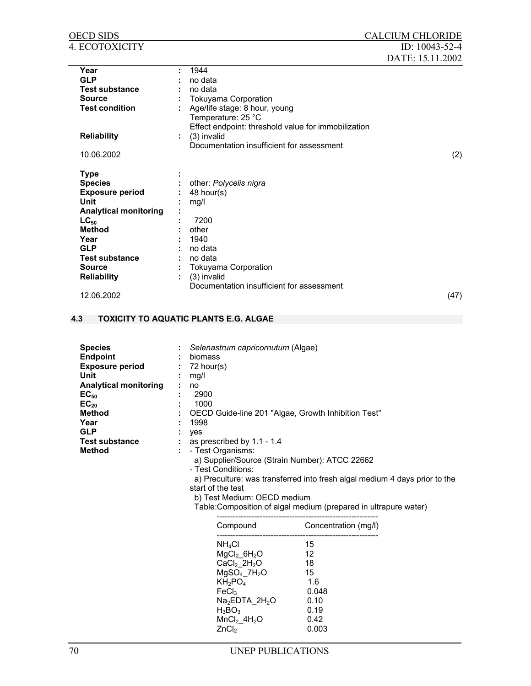| <b>OECD SIDS</b><br>4. ECOTOXICITY                                                                                                                                                                             | <b>CALCIUM CHLORIDE</b><br>ID: $10043-52-4$                                                                                                                                                                                                                                                                                                                                                                                                                                                     |
|----------------------------------------------------------------------------------------------------------------------------------------------------------------------------------------------------------------|-------------------------------------------------------------------------------------------------------------------------------------------------------------------------------------------------------------------------------------------------------------------------------------------------------------------------------------------------------------------------------------------------------------------------------------------------------------------------------------------------|
|                                                                                                                                                                                                                | DATE: 15.11.2002                                                                                                                                                                                                                                                                                                                                                                                                                                                                                |
| Year<br><b>GLP</b><br><b>Test substance</b><br><b>Source</b><br><b>Test condition</b><br><b>Reliability</b>                                                                                                    | 1944<br>no data<br>no data<br><b>Tokuyama Corporation</b><br>Age/life stage: 8 hour, young<br>Temperature: 25 °C<br>Effect endpoint: threshold value for immobilization<br>(3) invalid<br>Documentation insufficient for assessment                                                                                                                                                                                                                                                             |
| 10.06.2002                                                                                                                                                                                                     | (2)                                                                                                                                                                                                                                                                                                                                                                                                                                                                                             |
| <b>Type</b><br><b>Species</b><br><b>Exposure period</b><br><b>Unit</b><br><b>Analytical monitoring</b><br>$LC_{50}$<br><b>Method</b><br>Year<br><b>GLP</b><br><b>Test substance</b><br><b>Source</b>           | other: Polycelis nigra<br>48 hour(s)<br>mg/l<br>7200<br>other<br>1940<br>no data<br>no data<br><b>Tokuyama Corporation</b>                                                                                                                                                                                                                                                                                                                                                                      |
| <b>Reliability</b><br>12.06.2002                                                                                                                                                                               | (3) invalid<br>Documentation insufficient for assessment<br>(47)                                                                                                                                                                                                                                                                                                                                                                                                                                |
| 4.3                                                                                                                                                                                                            | <b>TOXICITY TO AQUATIC PLANTS E.G. ALGAE</b>                                                                                                                                                                                                                                                                                                                                                                                                                                                    |
| <b>Species</b><br><b>Endpoint</b><br><b>Exposure period</b><br>Unit<br><b>Analytical monitoring</b><br>$EC_{50}$<br>$EC_{20}$<br><b>Method</b><br>Year<br><b>GLP</b><br><b>Test substance</b><br><b>Method</b> | Selenastrum capricornutum (Algae)<br>biomass<br>72 hour(s)<br>mg/l<br>no<br>2900<br>1000<br>OECD Guide-line 201 "Algae, Growth Inhibition Test"<br>1998<br>yes<br>as prescribed by 1.1 - 1.4<br>- Test Organisms:<br>a) Supplier/Source (Strain Number): ATCC 22662<br>- Test Conditions:<br>a) Preculture: was transferred into fresh algal medium 4 days prior to the<br>start of the test<br>b) Test Medium: OECD medium<br>Table: Composition of algal medium (prepared in ultrapure water) |

| Compound                               | Concentration (mg/l) |
|----------------------------------------|----------------------|
| $NH_4Cl$                               | 15                   |
| $MgCl2$ 6H <sub>2</sub> O              | 12                   |
| CaCl <sub>2</sub> 2H <sub>2</sub> O    | 18                   |
| MgSO <sub>4</sub> 7H <sub>2</sub> O    | 15                   |
| KH <sub>2</sub> PO <sub>4</sub>        | 1.6                  |
| FeCl <sub>3</sub>                      | 0.048                |
| Na <sub>2</sub> EDTA 2H <sub>2</sub> O | ი 10                 |
| $H_3BO_3$                              | 0.19                 |
| MnCl <sub>2</sub> 4H <sub>2</sub> O    | 0.42                 |
| ZnCl <sub>2</sub>                      | 0.003                |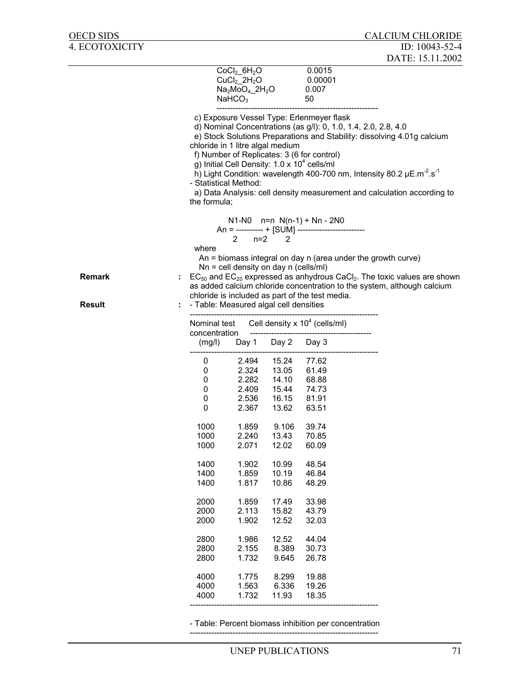|               |                                                        |                                                                                                              |                                  |                                                                                                                                                    | DATE: 15.11.2002                                                                                                                                                                                                                           |
|---------------|--------------------------------------------------------|--------------------------------------------------------------------------------------------------------------|----------------------------------|----------------------------------------------------------------------------------------------------------------------------------------------------|--------------------------------------------------------------------------------------------------------------------------------------------------------------------------------------------------------------------------------------------|
|               |                                                        | $CoCl2$ 6H <sub>2</sub> O<br>$CuCl2$ 2H <sub>2</sub> O<br>$Na2MoO4$ _2H <sub>2</sub> O<br>NAHCO <sub>3</sub> |                                  | 0.0015<br>0.00001<br>0.007<br>50                                                                                                                   |                                                                                                                                                                                                                                            |
|               | chloride in 1 litre algal medium                       |                                                                                                              |                                  | c) Exposure Vessel Type: Erlenmeyer flask<br>f) Number of Replicates: 3 (6 for control)<br>g) Initial Cell Density: 1.0 x 10 <sup>4</sup> cells/ml | d) Nominal Concentrations (as g/l): 0, 1.0, 1.4, 2.0, 2.8, 4.0<br>e) Stock Solutions Preparations and Stability: dissolving 4.01g calcium                                                                                                  |
|               | - Statistical Method:<br>the formula;                  |                                                                                                              |                                  |                                                                                                                                                    | h) Light Condition: wavelength 400-700 nm, Intensity 80.2 $\mu$ E.m <sup>-2</sup> .s <sup>-1</sup><br>a) Data Analysis: cell density measurement and calculation according to                                                              |
|               | where                                                  | $n=2$<br>2                                                                                                   | 2                                | $N1-N0$ n=n $N(n-1) + Nn - 2N0$<br>An = ---------- + [SUM] ------------------------                                                                |                                                                                                                                                                                                                                            |
| <b>Remark</b> |                                                        | $Nn =$ cell density on day n (cells/ml)                                                                      |                                  | chloride is included as part of the test media.                                                                                                    | An $=$ biomass integral on day n (area under the growth curve)<br>$EC_{50}$ and $EC_{20}$ expressed as anhydrous CaCl <sub>2</sub> . The toxic values are shown<br>as added calcium chloride concentration to the system, although calcium |
| <b>Result</b> | - Table: Measured algal cell densities<br>Nominal test |                                                                                                              |                                  | Cell density $x$ 10 <sup>4</sup> (cells/ml)                                                                                                        |                                                                                                                                                                                                                                            |
|               | concentration<br>(mg/l)                                | Day 1                                                                                                        | Day 2                            | Day 3                                                                                                                                              |                                                                                                                                                                                                                                            |
|               | 0<br>0                                                 | 2.494<br>2.324                                                                                               | 15.24<br>13.05                   | 77.62<br>61.49                                                                                                                                     |                                                                                                                                                                                                                                            |
|               | 0<br>0<br>0<br>0                                       | 2.282<br>2.409<br>2.536<br>2.367                                                                             | 14.10<br>15.44<br>16.15<br>13.62 | 68.88<br>74.73<br>81.91<br>63.51                                                                                                                   |                                                                                                                                                                                                                                            |
|               | 1000<br>1000                                           | 1.859<br>2.240                                                                                               | 9.106<br>13.43                   | 39.74<br>70.85                                                                                                                                     |                                                                                                                                                                                                                                            |
|               | 1000<br>1400                                           | 2.071                                                                                                        | 12.02<br>10.99                   | 60.09<br>48.54                                                                                                                                     |                                                                                                                                                                                                                                            |
|               | 1400<br>1400                                           | 1.902<br>1.859<br>1.817                                                                                      | 10.19<br>10.86                   | 46.84<br>48.29                                                                                                                                     |                                                                                                                                                                                                                                            |
|               | 2000<br>2000<br>2000                                   | 1.859<br>2.113<br>1.902                                                                                      | 17.49<br>15.82<br>12.52          | 33.98<br>43.79<br>32.03                                                                                                                            |                                                                                                                                                                                                                                            |
|               | 2800<br>2800<br>2800                                   | 1.986<br>2.155<br>1.732                                                                                      | 12.52<br>8.389<br>9.645          | 44.04<br>30.73<br>26.78                                                                                                                            |                                                                                                                                                                                                                                            |
|               | 4000<br>4000<br>4000                                   | 1.775<br>1.563<br>1.732                                                                                      | 8.299<br>6.336<br>11.93          | 19.88<br>19.26<br>18.35                                                                                                                            |                                                                                                                                                                                                                                            |

- Table: Percent biomass inhibition per concentration

----------------------------------------------------------------------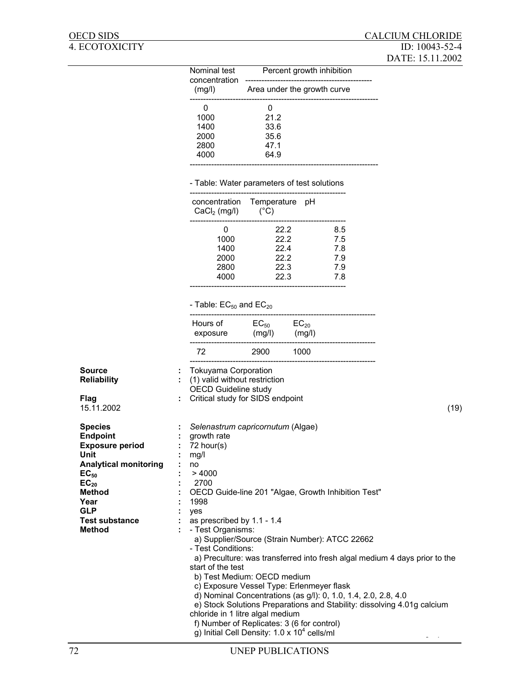| Nominal test            | Percent growth inhibition   |
|-------------------------|-----------------------------|
| concentration<br>(mg/l) | Area under the growth curve |
|                         |                             |
| 1000                    | 21.2                        |
| 1400                    | 33.6                        |
| 2000                    | 35.6                        |
| 2800                    | 47 1                        |
| 4000                    | 64.9                        |
|                         |                             |

#### - Table: Water parameters of test solutions

| $CaCl2$ (mg/l)                       | concentration Temperature pH<br>$(^{\circ}C)$ |                                      |
|--------------------------------------|-----------------------------------------------|--------------------------------------|
| 1000<br>1400<br>2000<br>2800<br>4000 | 22 2<br>22 2<br>22 4<br>22 2<br>22.3<br>22.3  | 8.5<br>7.5<br>7.8<br>79<br>7.9<br>78 |

# - Table:  $EC_{50}$  and  $EC_{20}$

| Hours of | $EC_{50}$ | $EC_{20}$ |
|----------|-----------|-----------|
| exposure | (mg/l)    | (mg/l)    |
| 72.      | 2900      | 1000      |

| <b>Source</b><br><b>Reliability</b><br>Flag<br>15.11.2002                                                                                                                                                      |   | <b>Tokuyama Corporation</b><br>(1) valid without restriction<br><b>OECD Guideline study</b><br>Critical study for SIDS endpoint<br>(19)                                                                                                                                                                                                                                                                                                                                                                                                                                                                                                                                                                                                                             |
|----------------------------------------------------------------------------------------------------------------------------------------------------------------------------------------------------------------|---|---------------------------------------------------------------------------------------------------------------------------------------------------------------------------------------------------------------------------------------------------------------------------------------------------------------------------------------------------------------------------------------------------------------------------------------------------------------------------------------------------------------------------------------------------------------------------------------------------------------------------------------------------------------------------------------------------------------------------------------------------------------------|
| <b>Species</b><br><b>Endpoint</b><br><b>Exposure period</b><br>Unit<br><b>Analytical monitoring</b><br>EC <sub>50</sub><br>$EC_{20}$<br>Method<br>Year<br><b>GLP</b><br><b>Test substance</b><br><b>Method</b> | ÷ | Selenastrum capricornutum (Algae)<br>growth rate<br>72 hour(s)<br>mg/l<br>no<br>>4000<br>2700<br>OECD Guide-line 201 "Algae, Growth Inhibition Test"<br>1998<br>yes<br>as prescribed by 1.1 - 1.4<br>- Test Organisms:<br>a) Supplier/Source (Strain Number): ATCC 22662<br>- Test Conditions:<br>a) Preculture: was transferred into fresh algal medium 4 days prior to the<br>start of the test<br>b) Test Medium: OECD medium<br>c) Exposure Vessel Type: Erlenmeyer flask<br>d) Nominal Concentrations (as g/l): 0, 1.0, 1.4, 2.0, 2.8, 4.0<br>e) Stock Solutions Preparations and Stability: dissolving 4.01g calcium<br>chloride in 1 litre algal medium<br>f) Number of Replicates: 3 (6 for control)<br>g) Initial Cell Density: $1.0 \times 10^4$ cells/ml |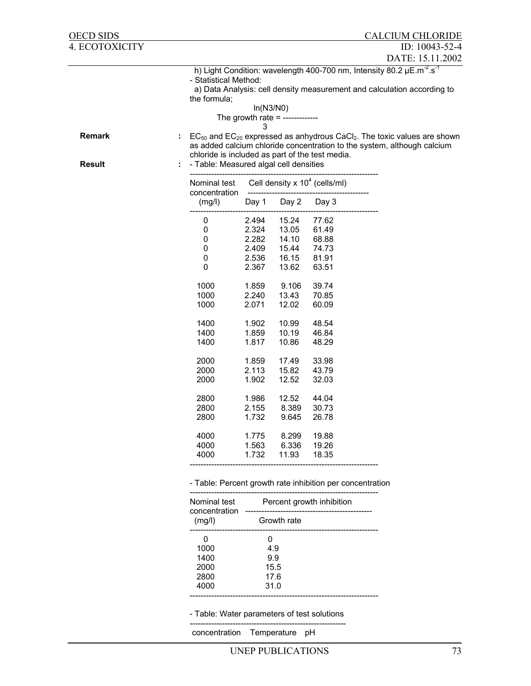| OECD SIDS      |   |                                                                                           |                |                                 |                                                           | <b>CALCIUM CHLORIDE</b>                                                                                                                                                  |
|----------------|---|-------------------------------------------------------------------------------------------|----------------|---------------------------------|-----------------------------------------------------------|--------------------------------------------------------------------------------------------------------------------------------------------------------------------------|
| 4. ECOTOXICITY |   |                                                                                           |                |                                 |                                                           | ID: 10043-52-4                                                                                                                                                           |
|                |   |                                                                                           |                |                                 |                                                           | DATE: 15.11.2002                                                                                                                                                         |
|                |   | - Statistical Method:<br>the formula;                                                     | In(N3/N0)<br>3 | The growth rate = ------------- |                                                           | h) Light Condition: wavelength 400-700 nm, Intensity 80.2 µE.m <sup>-2</sup> .s <sup>-1</sup><br>a) Data Analysis: cell density measurement and calculation according to |
| <b>Remark</b>  | ÷ |                                                                                           |                |                                 |                                                           | $EC_{50}$ and $EC_{20}$ expressed as anhydrous CaCl <sub>2</sub> . The toxic values are shown<br>as added calcium chloride concentration to the system, although calcium |
| <b>Result</b>  |   | chloride is included as part of the test media.<br>- Table: Measured algal cell densities |                |                                 |                                                           |                                                                                                                                                                          |
|                |   | Nominal test<br>concentration                                                             |                |                                 | Cell density $x$ 10 <sup>4</sup> (cells/ml)               |                                                                                                                                                                          |
|                |   | (mg/l)                                                                                    | Day 1          | Day 2                           | Day 3                                                     |                                                                                                                                                                          |
|                |   | 0                                                                                         | 2.494          | 15.24                           | 77.62                                                     |                                                                                                                                                                          |
|                |   | 0                                                                                         | 2.324          | 13.05                           | 61.49                                                     |                                                                                                                                                                          |
|                |   | 0                                                                                         | 2.282          | 14.10                           | 68.88                                                     |                                                                                                                                                                          |
|                |   | 0                                                                                         | 2.409          | 15.44                           | 74.73                                                     |                                                                                                                                                                          |
|                |   | 0<br>0                                                                                    | 2.536<br>2.367 | 16.15<br>13.62                  | 81.91<br>63.51                                            |                                                                                                                                                                          |
|                |   | 1000                                                                                      | 1.859          | 9.106                           | 39.74                                                     |                                                                                                                                                                          |
|                |   | 1000                                                                                      | 2.240          | 13.43                           | 70.85                                                     |                                                                                                                                                                          |
|                |   | 1000                                                                                      | 2.071          | 12.02                           | 60.09                                                     |                                                                                                                                                                          |
|                |   | 1400                                                                                      | 1.902          | 10.99                           | 48.54                                                     |                                                                                                                                                                          |
|                |   | 1400                                                                                      | 1.859          | 10.19                           | 46.84                                                     |                                                                                                                                                                          |
|                |   | 1400                                                                                      | 1.817          | 10.86                           | 48.29                                                     |                                                                                                                                                                          |
|                |   | 2000                                                                                      | 1.859          | 17.49                           | 33.98                                                     |                                                                                                                                                                          |
|                |   | 2000                                                                                      | 2.113          | 15.82                           | 43.79                                                     |                                                                                                                                                                          |
|                |   | 2000                                                                                      | 1.902          | 12.52                           | 32.03                                                     |                                                                                                                                                                          |
|                |   | 2800                                                                                      | 1.986          | 12.52                           | 44.04                                                     |                                                                                                                                                                          |
|                |   | 2800                                                                                      | 2.155          | 8.389                           | 30.73                                                     |                                                                                                                                                                          |
|                |   | 2800                                                                                      | 1.732          | 9.645                           | 26.78                                                     |                                                                                                                                                                          |
|                |   | 4000                                                                                      | 1.775          | 8.299                           | 19.88                                                     |                                                                                                                                                                          |
|                |   | 4000                                                                                      | 1.563          | 6.336                           | 19.26                                                     |                                                                                                                                                                          |
|                |   | 4000                                                                                      | 1.732          | 11.93                           | 18.35                                                     |                                                                                                                                                                          |
|                |   |                                                                                           |                |                                 | - Table: Percent growth rate inhibition per concentration |                                                                                                                                                                          |

| Nominal test<br>concentration | Percent growth inhibition |
|-------------------------------|---------------------------|
| (mg/l)                        | Growth rate               |
|                               |                           |
| 1000                          | 49                        |
| 1400                          | 99                        |
| 2000                          | 15.5                      |
| 2800                          | 17.6                      |
| 4000                          | 31.0                      |
|                               |                           |

- Table: Water parameters of test solutions ----------------------------------------------------------

concentration Temperature pH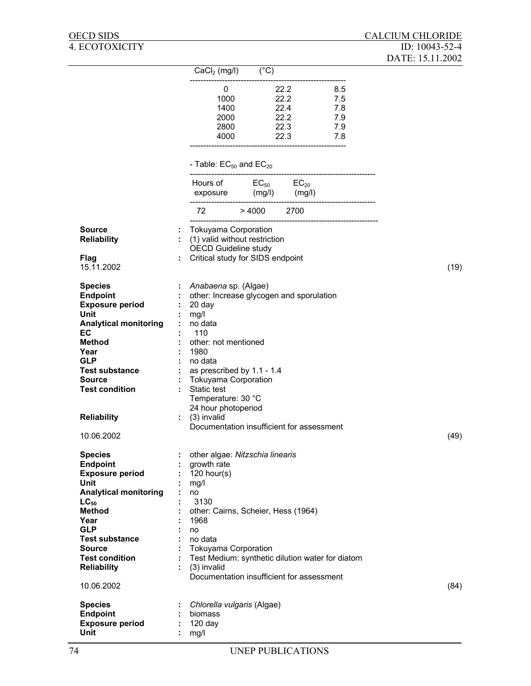|                                           |    | $CaCl2 (mg/l)$ (°C)                                                                         |                        |                                                  |            |      |
|-------------------------------------------|----|---------------------------------------------------------------------------------------------|------------------------|--------------------------------------------------|------------|------|
|                                           |    | 0                                                                                           |                        | 22.2 8.5                                         |            |      |
|                                           |    |                                                                                             | 1000 000               | 22.2                                             | 7.5        |      |
|                                           |    | 1400                                                                                        |                        | 22.4                                             | 7.8        |      |
|                                           |    | 2000<br>2800                                                                                |                        | 22.2<br>22.3                                     | 7.9<br>7.9 |      |
|                                           |    |                                                                                             |                        | 4000 22.3                                        | 7.8        |      |
|                                           |    |                                                                                             |                        |                                                  |            |      |
|                                           |    | - Table: $EC_{50}$ and $EC_{20}$                                                            |                        |                                                  |            |      |
|                                           |    | Hours of $EC_{50}$ $EC_{20}$                                                                |                        |                                                  |            |      |
|                                           |    |                                                                                             | exposure (mg/l) (mg/l) |                                                  |            |      |
|                                           |    |                                                                                             | 72 > 4000 2700         |                                                  |            |      |
| <b>Source</b><br><b>Reliability</b>       |    | <b>Tokuyama Corporation</b><br>(1) valid without restriction<br><b>OECD Guideline study</b> |                        |                                                  |            |      |
| Flag                                      |    | Critical study for SIDS endpoint                                                            |                        |                                                  |            |      |
| 15.11.2002                                |    |                                                                                             |                        |                                                  |            | (19) |
| <b>Species</b>                            |    | : <i>Anabaena</i> sp. (Algae)                                                               |                        |                                                  |            |      |
| <b>Endpoint</b>                           |    |                                                                                             |                        | other: Increase glycogen and sporulation         |            |      |
| <b>Exposure period</b><br><b>Unit</b>     |    | 20 day                                                                                      |                        |                                                  |            |      |
| <b>Analytical monitoring</b>              |    | mg/l<br>$:$ no data                                                                         |                        |                                                  |            |      |
| EC                                        |    | 110                                                                                         |                        |                                                  |            |      |
| <b>Method</b>                             |    | other: not mentioned                                                                        |                        |                                                  |            |      |
| Year<br><b>GLP</b>                        |    | 1980                                                                                        |                        |                                                  |            |      |
| <b>Test substance</b>                     | ÷. | no data<br>$:$ as prescribed by 1.1 - 1.4                                                   |                        |                                                  |            |      |
| <b>Source</b>                             | ÷. | <b>Tokuyama Corporation</b>                                                                 |                        |                                                  |            |      |
| <b>Test condition</b>                     | ÷. | Static test                                                                                 |                        |                                                  |            |      |
|                                           |    | Temperature: 30 °C                                                                          |                        |                                                  |            |      |
|                                           |    | 24 hour photoperiod                                                                         |                        |                                                  |            |      |
| <b>Reliability</b>                        |    | $: (3)$ invalid                                                                             |                        | Documentation insufficient for assessment        |            |      |
| 10.06.2002                                |    |                                                                                             |                        |                                                  |            | (49) |
|                                           |    |                                                                                             |                        |                                                  |            |      |
| <b>Species</b>                            |    | : other algae: Nitzschia linearis                                                           |                        |                                                  |            |      |
| <b>Endpoint</b><br><b>Exposure period</b> |    | growth rate<br>120 hour(s)                                                                  |                        |                                                  |            |      |
| <b>Unit</b>                               |    | mg/l                                                                                        |                        |                                                  |            |      |
| <b>Analytical monitoring</b>              |    | no                                                                                          |                        |                                                  |            |      |
| $LC_{50}$                                 |    | 3130                                                                                        |                        |                                                  |            |      |
| <b>Method</b><br>Year                     |    | other: Cairns, Scheier, Hess (1964)<br>1968                                                 |                        |                                                  |            |      |
| <b>GLP</b>                                |    | no                                                                                          |                        |                                                  |            |      |
| <b>Test substance</b>                     |    | no data                                                                                     |                        |                                                  |            |      |
| <b>Source</b>                             |    | <b>Tokuyama Corporation</b>                                                                 |                        |                                                  |            |      |
| <b>Test condition</b>                     |    |                                                                                             |                        | Test Medium: synthetic dilution water for diatom |            |      |
| <b>Reliability</b>                        |    | (3) invalid                                                                                 |                        | Documentation insufficient for assessment        |            |      |
| 10.06.2002                                |    |                                                                                             |                        |                                                  |            | (84) |
| <b>Species</b>                            |    | Chlorella vulgaris (Algae)                                                                  |                        |                                                  |            |      |
| <b>Endpoint</b>                           |    | biomass                                                                                     |                        |                                                  |            |      |
| <b>Exposure period</b>                    |    | 120 day                                                                                     |                        |                                                  |            |      |
| Unit                                      |    | mg/l                                                                                        |                        |                                                  |            |      |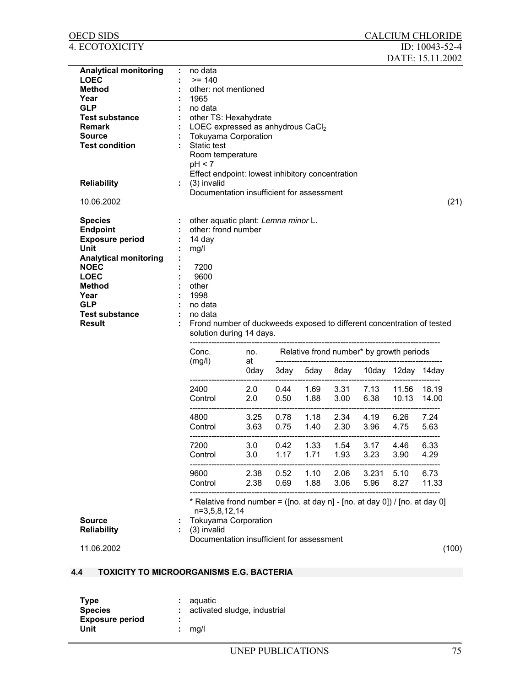| OECD SIDS                                                                                                                                                                                                   |   |                                                                                                                                                                                                                                                              |              |              |                                          |              |               |                   | <b>CALCIUM CHLORIDE</b> |       |
|-------------------------------------------------------------------------------------------------------------------------------------------------------------------------------------------------------------|---|--------------------------------------------------------------------------------------------------------------------------------------------------------------------------------------------------------------------------------------------------------------|--------------|--------------|------------------------------------------|--------------|---------------|-------------------|-------------------------|-------|
| 4. ECOTOXICITY                                                                                                                                                                                              |   |                                                                                                                                                                                                                                                              |              |              |                                          |              |               |                   | ID: 10043-52-4          |       |
| Analytical monitoring<br><b>LOEC</b><br><b>Method</b><br>Year<br><b>GLP</b><br><b>Test substance</b><br><b>Remark</b><br>Source<br><b>Test condition</b>                                                    | ÷ | no data<br>$>= 140$<br>other: not mentioned<br>1965<br>no data<br>other TS: Hexahydrate<br>LOEC expressed as anhydrous CaCl2<br><b>Tokuyama Corporation</b><br>Static test<br>Room temperature<br>pH < 7<br>Effect endpoint: lowest inhibitory concentration |              |              |                                          |              |               |                   | DATE: 15.11.2002        |       |
| <b>Reliability</b>                                                                                                                                                                                          |   | (3) invalid<br>Documentation insufficient for assessment                                                                                                                                                                                                     |              |              |                                          |              |               |                   |                         |       |
| 10.06.2002                                                                                                                                                                                                  |   |                                                                                                                                                                                                                                                              |              |              |                                          |              |               |                   |                         | (21)  |
| <b>Species</b><br><b>Endpoint</b><br><b>Exposure period</b><br>Unit<br><b>Analytical monitoring</b><br><b>NOEC</b><br><b>LOEC</b><br>Method<br>Year<br><b>GLP</b><br><b>Test substance</b><br><b>Result</b> |   | other aquatic plant: Lemna minor L.<br>other: frond number<br>14 day<br>mg/l<br>7200<br>9600<br>other<br>1998<br>no data<br>no data<br>Frond number of duckweeds exposed to different concentration of tested<br>solution during 14 days.                    |              |              |                                          |              |               |                   |                         |       |
|                                                                                                                                                                                                             |   | Conc.                                                                                                                                                                                                                                                        | no.          |              | Relative frond number* by growth periods |              |               |                   |                         |       |
|                                                                                                                                                                                                             |   | (mg/l)                                                                                                                                                                                                                                                       | at<br>0day   | 3day         | 5day                                     | 8day         |               | 10day 12day 14day |                         |       |
|                                                                                                                                                                                                             |   | 2400<br>Control                                                                                                                                                                                                                                              | 2.0<br>2.0   | 0.44<br>0.50 | 1.69<br>1.88                             | 3.31<br>3.00 | 7.13<br>6.38  | 11.56<br>10.13    | 18.19<br>14.00          |       |
|                                                                                                                                                                                                             |   | 4800<br>Control                                                                                                                                                                                                                                              | 3.25<br>3.63 | 0.78<br>0.75 | 1.18<br>1.40                             | 2.34<br>2.30 | 4.19<br>3.96  | 6.26<br>4.75      | 7.24<br>5.63            |       |
|                                                                                                                                                                                                             |   | 7200<br>Control                                                                                                                                                                                                                                              | 3.0<br>3.0   | 0.42<br>1.17 | 1.33<br>1.71                             | 1.54<br>1.93 | 3.17<br>3.23  | 4.46<br>3.90      | 6.33<br>4.29            |       |
|                                                                                                                                                                                                             |   | 9600<br>Control                                                                                                                                                                                                                                              | 2.38<br>2.38 | 0.52<br>0.69 | 1.10<br>1.88                             | 2.06<br>3.06 | 3.231<br>5.96 | 5.10<br>8.27      | 6.73<br>11.33           |       |
| <b>Source</b><br><b>Reliability</b><br>11.06.2002                                                                                                                                                           |   | * Relative frond number = ([no. at day n] - [no. at day 0]) / [no. at day 0]<br>n=3,5,8,12,14<br>Tokuyama Corporation<br>(3) invalid<br>Documentation insufficient for assessment                                                                            |              |              |                                          |              |               |                   |                         | (100) |
| <b>TOXICITY TO MICROORGANISMS E.G. BACTERIA</b><br>4.4                                                                                                                                                      |   |                                                                                                                                                                                                                                                              |              |              |                                          |              |               |                   |                         |       |
|                                                                                                                                                                                                             |   |                                                                                                                                                                                                                                                              |              |              |                                          |              |               |                   |                         |       |

| <b>Type</b>            | : aquatic                      |
|------------------------|--------------------------------|
| <b>Species</b>         | : activated sludge, industrial |
| <b>Exposure period</b> | ٠                              |
| Unit                   | $:$ ma/l                       |
|                        |                                |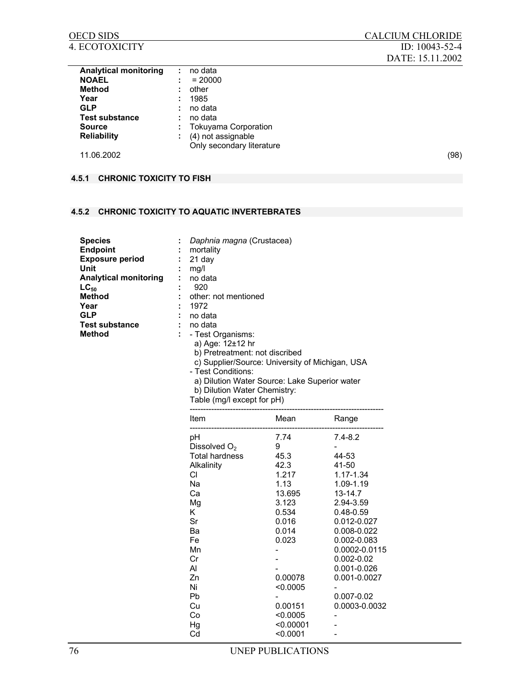| <b>Analytical monitoring</b> | ÷  | no data                   |      |
|------------------------------|----|---------------------------|------|
| <b>NOAEL</b>                 |    | $= 20000$                 |      |
| Method                       |    | other                     |      |
| Year                         | ٠. | 1985                      |      |
| <b>GLP</b>                   |    | no data                   |      |
| <b>Test substance</b>        |    | no data                   |      |
| <b>Source</b>                |    | Tokuyama Corporation      |      |
| <b>Reliability</b>           | ÷  | (4) not assignable        |      |
|                              |    | Only secondary literature |      |
| 11.06.2002                   |    |                           | (98) |
|                              |    |                           |      |

## **4.5.1 CHRONIC TOXICITY TO FISH**

## **4.5.2 CHRONIC TOXICITY TO AQUATIC INVERTEBRATES**

| <b>Species</b><br><b>Endpoint</b><br><b>Exposure period</b><br>Unit<br><b>Analytical monitoring</b><br>$LC_{50}$<br>Method<br>Year<br><b>GLP</b><br><b>Test substance</b><br>Method<br>÷. | Daphnia magna (Crustacea)<br>mortality<br>21 day<br>mq/l<br>no data<br>920<br>other: not mentioned<br>1972<br>no data<br>no data<br>- Test Organisms:<br>a) Age: 12±12 hr<br>b) Pretreatment: not discribed<br>c) Supplier/Source: University of Michigan, USA<br>- Test Conditions: |
|-------------------------------------------------------------------------------------------------------------------------------------------------------------------------------------------|--------------------------------------------------------------------------------------------------------------------------------------------------------------------------------------------------------------------------------------------------------------------------------------|
|-------------------------------------------------------------------------------------------------------------------------------------------------------------------------------------------|--------------------------------------------------------------------------------------------------------------------------------------------------------------------------------------------------------------------------------------------------------------------------------------|

a) Dilution Water Source: Lake Superior water

b) Dilution Water Chemistry:

|  | Table (mg/l except for pH) |  |
|--|----------------------------|--|
|--|----------------------------|--|

| Item                  | Mean      | Range         |
|-----------------------|-----------|---------------|
| рH                    | 7.74      | $7.4 - 8.2$   |
| Dissolved $O2$        | 9         |               |
| <b>Total hardness</b> | 45.3      | 44-53         |
| Alkalinity            | 42.3      | 41-50         |
| СI                    | 1.217     | 1.17-1.34     |
| Na                    | 1.13      | 1.09-1.19     |
| Ca                    | 13.695    | 13-14.7       |
| Mg                    | 3.123     | 2.94-3.59     |
| Κ                     | 0.534     | 0.48-0.59     |
| Sr                    | 0.016     | 0.012-0.027   |
| Ba                    | 0.014     | 0.008-0.022   |
| Fe                    | 0.023     | 0.002-0.083   |
| Mn                    |           | 0.0002-0.0115 |
| Cr                    |           | 0.002-0.02    |
| Al                    |           | 0.001-0.026   |
| Zn                    | 0.00078   | 0.001-0.0027  |
| Ni                    | < 0.0005  |               |
| Pb                    |           | 0.007-0.02    |
| Cu                    | 0.00151   | 0.0003-0.0032 |
| Co                    | < 0.0005  |               |
| Hg                    | < 0.00001 |               |
| Cd                    | < 0.0001  |               |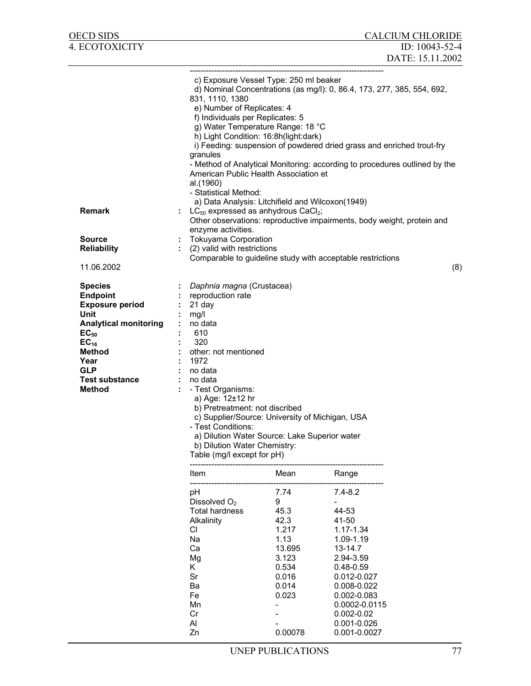| OECD SIDS                                                                                                                                                                                               |                                                                      |                                                                                                                                                                                                                                                                                                  |                                                                                                                                                                                                                                                                           | <b>CALCIUM CHLORIDE</b>                                                                                                                                                                                                       |     |
|---------------------------------------------------------------------------------------------------------------------------------------------------------------------------------------------------------|----------------------------------------------------------------------|--------------------------------------------------------------------------------------------------------------------------------------------------------------------------------------------------------------------------------------------------------------------------------------------------|---------------------------------------------------------------------------------------------------------------------------------------------------------------------------------------------------------------------------------------------------------------------------|-------------------------------------------------------------------------------------------------------------------------------------------------------------------------------------------------------------------------------|-----|
| 4. ECOTOXICITY                                                                                                                                                                                          |                                                                      |                                                                                                                                                                                                                                                                                                  |                                                                                                                                                                                                                                                                           | ID: 10043-52-4                                                                                                                                                                                                                |     |
|                                                                                                                                                                                                         |                                                                      |                                                                                                                                                                                                                                                                                                  |                                                                                                                                                                                                                                                                           | DATE: 15.11.2002                                                                                                                                                                                                              |     |
|                                                                                                                                                                                                         |                                                                      |                                                                                                                                                                                                                                                                                                  |                                                                                                                                                                                                                                                                           |                                                                                                                                                                                                                               |     |
| <b>Remark</b>                                                                                                                                                                                           |                                                                      | 831, 1110, 1380<br>e) Number of Replicates: 4<br>f) Individuals per Replicates: 5<br>granules<br>al.(1960)<br>- Statistical Method:                                                                                                                                                              | c) Exposure Vessel Type: 250 ml beaker<br>g) Water Temperature Range: 18 °C<br>h) Light Condition: 16:8h(light:dark)<br>American Public Health Association et<br>a) Data Analysis: Litchifield and Wilcoxon(1949)<br>$LC_{50}$ expressed as anhydrous CaCl <sub>2</sub> ; | d) Nominal Concentrations (as mg/l): 0, 86.4, 173, 277, 385, 554, 692,<br>i) Feeding: suspension of powdered dried grass and enriched trout-fry<br>- Method of Analytical Monitoring: according to procedures outlined by the |     |
|                                                                                                                                                                                                         |                                                                      |                                                                                                                                                                                                                                                                                                  |                                                                                                                                                                                                                                                                           | Other observations: reproductive impairments, body weight, protein and                                                                                                                                                        |     |
| <b>Source</b>                                                                                                                                                                                           | ÷                                                                    | enzyme activities.<br><b>Tokuyama Corporation</b>                                                                                                                                                                                                                                                |                                                                                                                                                                                                                                                                           |                                                                                                                                                                                                                               |     |
| <b>Reliability</b>                                                                                                                                                                                      |                                                                      | (2) valid with restrictions                                                                                                                                                                                                                                                                      |                                                                                                                                                                                                                                                                           |                                                                                                                                                                                                                               |     |
|                                                                                                                                                                                                         |                                                                      |                                                                                                                                                                                                                                                                                                  |                                                                                                                                                                                                                                                                           | Comparable to guideline study with acceptable restrictions                                                                                                                                                                    |     |
| 11.06.2002                                                                                                                                                                                              |                                                                      |                                                                                                                                                                                                                                                                                                  |                                                                                                                                                                                                                                                                           |                                                                                                                                                                                                                               | (8) |
| <b>Species</b><br><b>Endpoint</b><br><b>Exposure period</b><br>Unit<br><b>Analytical monitoring</b><br>$EC_{50}$<br>$EC_{16}$<br>Method<br>Year<br><b>GLP</b><br><b>Test substance</b><br><b>Method</b> | mg/l<br>1972                                                         | Daphnia magna (Crustacea)<br>: reproduction rate<br>21 day<br>no data<br>610<br>320<br>other: not mentioned<br>no data<br>no data<br>- Test Organisms:<br>a) Age: 12±12 hr<br>b) Pretreatment: not discribed<br>- Test Conditions:<br>b) Dilution Water Chemistry:<br>Table (mg/l except for pH) | c) Supplier/Source: University of Michigan, USA<br>a) Dilution Water Source: Lake Superior water                                                                                                                                                                          |                                                                                                                                                                                                                               |     |
|                                                                                                                                                                                                         |                                                                      |                                                                                                                                                                                                                                                                                                  |                                                                                                                                                                                                                                                                           |                                                                                                                                                                                                                               |     |
|                                                                                                                                                                                                         | Item                                                                 | --------------------------                                                                                                                                                                                                                                                                       | Mean                                                                                                                                                                                                                                                                      | Range                                                                                                                                                                                                                         |     |
|                                                                                                                                                                                                         | рH<br>CI.<br>Na<br>Ca<br>Mg<br>Κ<br>Sr<br>Ba<br>Fe<br>Mn<br>Cr<br>Al | Dissolved $O2$<br>Total hardness<br>Alkalinity                                                                                                                                                                                                                                                   | 7.74<br>9<br>45.3<br>42.3<br>1.217<br>1.13<br>13.695<br>3.123<br>0.534<br>0.016<br>0.014<br>0.023                                                                                                                                                                         | $7.4 - 8.2$<br>44-53<br>41-50<br>1.17-1.34<br>1.09-1.19<br>13-14.7<br>2.94-3.59<br>$0.48 - 0.59$<br>0.012-0.027<br>0.008-0.022<br>0.002-0.083<br>0.0002-0.0115<br>$0.002 - 0.02$<br>0.001-0.026                               |     |
|                                                                                                                                                                                                         | Zn                                                                   |                                                                                                                                                                                                                                                                                                  | 0.00078                                                                                                                                                                                                                                                                   | 0.001-0.0027                                                                                                                                                                                                                  |     |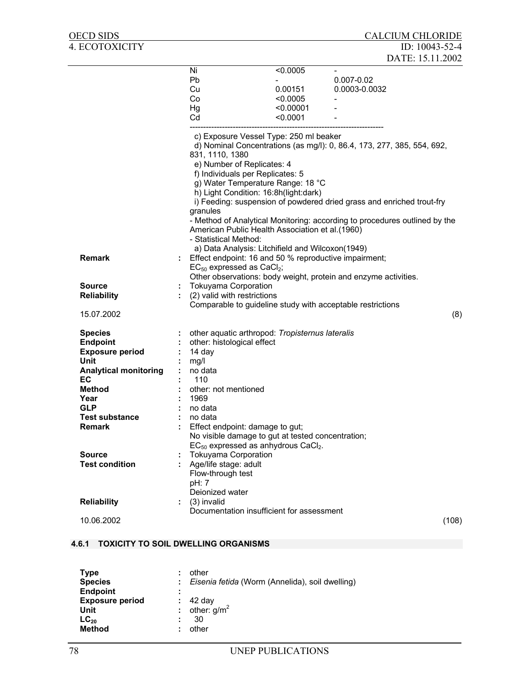| OECD SIDS                    |    |                                                                                                                                                                                                                                                                                                                                                                                                                                     |           |                                                                                                                                                 | <b>CALCIUM CHLORIDE</b> |
|------------------------------|----|-------------------------------------------------------------------------------------------------------------------------------------------------------------------------------------------------------------------------------------------------------------------------------------------------------------------------------------------------------------------------------------------------------------------------------------|-----------|-------------------------------------------------------------------------------------------------------------------------------------------------|-------------------------|
| 4. ECOTOXICITY               |    |                                                                                                                                                                                                                                                                                                                                                                                                                                     |           |                                                                                                                                                 | ID: $10043 - 52 - 4$    |
|                              |    |                                                                                                                                                                                                                                                                                                                                                                                                                                     |           |                                                                                                                                                 | DATE: 15.11.2002        |
|                              |    | Ni                                                                                                                                                                                                                                                                                                                                                                                                                                  | < 0.0005  | $\overline{\phantom{a}}$                                                                                                                        |                         |
|                              |    | Pb                                                                                                                                                                                                                                                                                                                                                                                                                                  |           | $0.007 - 0.02$                                                                                                                                  |                         |
|                              |    | Cu                                                                                                                                                                                                                                                                                                                                                                                                                                  | 0.00151   | 0.0003-0.0032                                                                                                                                   |                         |
|                              |    | Co                                                                                                                                                                                                                                                                                                                                                                                                                                  | < 0.0005  |                                                                                                                                                 |                         |
|                              |    | Hg                                                                                                                                                                                                                                                                                                                                                                                                                                  | < 0.00001 |                                                                                                                                                 |                         |
|                              |    | Cd                                                                                                                                                                                                                                                                                                                                                                                                                                  | < 0.0001  |                                                                                                                                                 |                         |
|                              |    |                                                                                                                                                                                                                                                                                                                                                                                                                                     |           |                                                                                                                                                 |                         |
|                              |    | c) Exposure Vessel Type: 250 ml beaker<br>831, 1110, 1380<br>e) Number of Replicates: 4<br>f) Individuals per Replicates: 5<br>g) Water Temperature Range: 18 °C<br>h) Light Condition: 16:8h(light:dark)<br>granules<br>- Method of Analytical Monitoring: according to procedures outlined by the<br>American Public Health Association et al.(1960)<br>- Statistical Method:<br>a) Data Analysis: Litchifield and Wilcoxon(1949) |           | d) Nominal Concentrations (as mg/l): 0, 86.4, 173, 277, 385, 554, 692,<br>i) Feeding: suspension of powdered dried grass and enriched trout-fry |                         |
| <b>Remark</b>                |    | Effect endpoint: 16 and 50 % reproductive impairment;<br>$EC_{50}$ expressed as $CaCl2$ ;                                                                                                                                                                                                                                                                                                                                           |           |                                                                                                                                                 |                         |
| <b>Source</b>                |    | Other observations: body weight, protein and enzyme activities.                                                                                                                                                                                                                                                                                                                                                                     |           |                                                                                                                                                 |                         |
| <b>Reliability</b>           |    | <b>Tokuyama Corporation</b><br>(2) valid with restrictions                                                                                                                                                                                                                                                                                                                                                                          |           |                                                                                                                                                 |                         |
|                              |    | Comparable to guideline study with acceptable restrictions                                                                                                                                                                                                                                                                                                                                                                          |           |                                                                                                                                                 |                         |
| 15.07.2002                   |    |                                                                                                                                                                                                                                                                                                                                                                                                                                     |           |                                                                                                                                                 | (8)                     |
|                              |    |                                                                                                                                                                                                                                                                                                                                                                                                                                     |           |                                                                                                                                                 |                         |
| <b>Species</b>               |    | other aquatic arthropod: Tropisternus lateralis                                                                                                                                                                                                                                                                                                                                                                                     |           |                                                                                                                                                 |                         |
| <b>Endpoint</b>              |    | other: histological effect                                                                                                                                                                                                                                                                                                                                                                                                          |           |                                                                                                                                                 |                         |
| <b>Exposure period</b>       |    | 14 day                                                                                                                                                                                                                                                                                                                                                                                                                              |           |                                                                                                                                                 |                         |
| Unit                         |    | mg/l                                                                                                                                                                                                                                                                                                                                                                                                                                |           |                                                                                                                                                 |                         |
| <b>Analytical monitoring</b> |    | no data                                                                                                                                                                                                                                                                                                                                                                                                                             |           |                                                                                                                                                 |                         |
| EC                           |    | 110                                                                                                                                                                                                                                                                                                                                                                                                                                 |           |                                                                                                                                                 |                         |
| <b>Method</b>                |    | other: not mentioned                                                                                                                                                                                                                                                                                                                                                                                                                |           |                                                                                                                                                 |                         |
| Year                         |    | 1969                                                                                                                                                                                                                                                                                                                                                                                                                                |           |                                                                                                                                                 |                         |
| <b>GLP</b>                   |    | no data                                                                                                                                                                                                                                                                                                                                                                                                                             |           |                                                                                                                                                 |                         |
| <b>Test substance</b>        |    | no data                                                                                                                                                                                                                                                                                                                                                                                                                             |           |                                                                                                                                                 |                         |
| <b>Remark</b>                |    | Effect endpoint: damage to gut;                                                                                                                                                                                                                                                                                                                                                                                                     |           |                                                                                                                                                 |                         |
|                              |    | No visible damage to gut at tested concentration;<br>$EC_{50}$ expressed as anhydrous CaCl <sub>2</sub> .                                                                                                                                                                                                                                                                                                                           |           |                                                                                                                                                 |                         |
| <b>Source</b>                |    | <b>Tokuyama Corporation</b>                                                                                                                                                                                                                                                                                                                                                                                                         |           |                                                                                                                                                 |                         |
| <b>Test condition</b>        |    | Age/life stage: adult                                                                                                                                                                                                                                                                                                                                                                                                               |           |                                                                                                                                                 |                         |
|                              |    | Flow-through test<br>pH: 7                                                                                                                                                                                                                                                                                                                                                                                                          |           |                                                                                                                                                 |                         |
|                              |    | Deionized water                                                                                                                                                                                                                                                                                                                                                                                                                     |           |                                                                                                                                                 |                         |
| <b>Reliability</b>           | t. | (3) invalid                                                                                                                                                                                                                                                                                                                                                                                                                         |           |                                                                                                                                                 |                         |
|                              |    | Documentation insufficient for assessment                                                                                                                                                                                                                                                                                                                                                                                           |           |                                                                                                                                                 |                         |
| 10.06.2002                   |    |                                                                                                                                                                                                                                                                                                                                                                                                                                     |           |                                                                                                                                                 | (108)                   |
|                              |    |                                                                                                                                                                                                                                                                                                                                                                                                                                     |           |                                                                                                                                                 |                         |

# **4.6.1 TOXICITY TO SOIL DWELLING ORGANISMS**

| <b>Type</b><br>۰<br><b>Species</b>                          | other<br>: Eisenia fetida (Worm (Annelida), soil dwelling) |
|-------------------------------------------------------------|------------------------------------------------------------|
| <b>Endpoint</b><br>٠<br>٠<br><b>Exposure period</b><br>Unit | $: 42$ day<br>: other: $g/m^2$                             |
| $LC_{20}$<br>٠<br><b>Method</b>                             | 30<br>other                                                |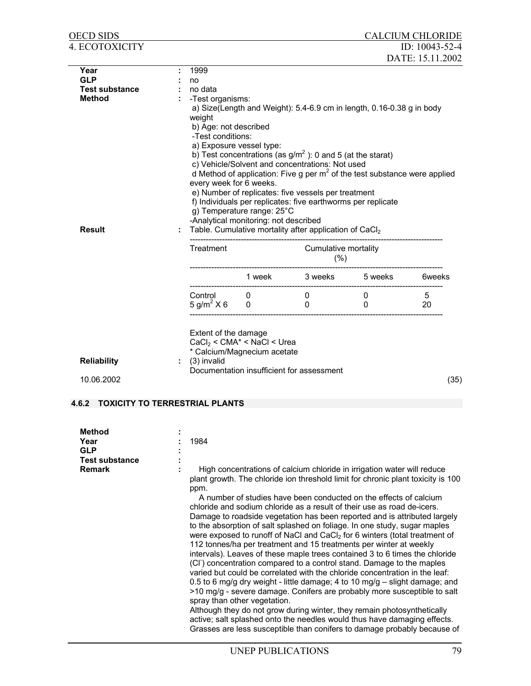| OECD SIDS                                      |                                                                                                                                                             |                                             |                                                 |                                                                                                                                                                     |                              | <b>CALCIUM CHLORIDE</b> |  |  |  |  |
|------------------------------------------------|-------------------------------------------------------------------------------------------------------------------------------------------------------------|---------------------------------------------|-------------------------------------------------|---------------------------------------------------------------------------------------------------------------------------------------------------------------------|------------------------------|-------------------------|--|--|--|--|
| 4. ECOTOXICITY                                 |                                                                                                                                                             |                                             |                                                 |                                                                                                                                                                     |                              | ID: $10043-52-4$        |  |  |  |  |
|                                                |                                                                                                                                                             |                                             |                                                 |                                                                                                                                                                     |                              | DATE: 15.11.2002        |  |  |  |  |
| Year<br><b>GLP</b>                             |                                                                                                                                                             | 1999                                        |                                                 |                                                                                                                                                                     |                              |                         |  |  |  |  |
| <b>Test substance</b>                          |                                                                                                                                                             | no<br>no data                               |                                                 |                                                                                                                                                                     |                              |                         |  |  |  |  |
| <b>Method</b>                                  |                                                                                                                                                             | -Test organisms:                            |                                                 |                                                                                                                                                                     |                              |                         |  |  |  |  |
|                                                |                                                                                                                                                             |                                             |                                                 | a) Size(Length and Weight): 5.4-6.9 cm in length, 0.16-0.38 g in body                                                                                               |                              |                         |  |  |  |  |
|                                                |                                                                                                                                                             | weight                                      |                                                 |                                                                                                                                                                     |                              |                         |  |  |  |  |
|                                                |                                                                                                                                                             | b) Age: not described                       |                                                 |                                                                                                                                                                     |                              |                         |  |  |  |  |
|                                                |                                                                                                                                                             | -Test conditions:                           |                                                 |                                                                                                                                                                     |                              |                         |  |  |  |  |
|                                                |                                                                                                                                                             |                                             | a) Exposure vessel type:                        |                                                                                                                                                                     |                              |                         |  |  |  |  |
|                                                |                                                                                                                                                             |                                             |                                                 | b) Test concentrations (as $g/m^2$ ): 0 and 5 (at the starat)                                                                                                       |                              |                         |  |  |  |  |
|                                                |                                                                                                                                                             |                                             | c) Vehicle/Solvent and concentrations: Not used |                                                                                                                                                                     |                              |                         |  |  |  |  |
|                                                |                                                                                                                                                             |                                             |                                                 | d Method of application: Five g per $m2$ of the test substance were applied                                                                                         |                              |                         |  |  |  |  |
|                                                |                                                                                                                                                             | every week for 6 weeks.                     |                                                 |                                                                                                                                                                     |                              |                         |  |  |  |  |
|                                                |                                                                                                                                                             |                                             |                                                 | e) Number of replicates: five vessels per treatment<br>f) Individuals per replicates: five earthworms per replicate                                                 |                              |                         |  |  |  |  |
|                                                |                                                                                                                                                             |                                             | g) Temperature range: 25°C                      |                                                                                                                                                                     |                              |                         |  |  |  |  |
|                                                |                                                                                                                                                             |                                             | -Analytical monitoring: not described           |                                                                                                                                                                     |                              |                         |  |  |  |  |
| <b>Result</b>                                  |                                                                                                                                                             |                                             |                                                 | Table. Cumulative mortality after application of CaCl2                                                                                                              |                              |                         |  |  |  |  |
|                                                |                                                                                                                                                             |                                             |                                                 |                                                                                                                                                                     |                              |                         |  |  |  |  |
|                                                |                                                                                                                                                             | Treatment                                   |                                                 | Cumulative mortality                                                                                                                                                |                              |                         |  |  |  |  |
|                                                |                                                                                                                                                             |                                             |                                                 | (%)                                                                                                                                                                 |                              |                         |  |  |  |  |
|                                                |                                                                                                                                                             |                                             |                                                 | 1 week 3 weeks 5 weeks 6 6 6 6 6 6 6 Veeks                                                                                                                          |                              |                         |  |  |  |  |
|                                                |                                                                                                                                                             |                                             |                                                 |                                                                                                                                                                     |                              |                         |  |  |  |  |
|                                                |                                                                                                                                                             | Control 0<br>$5 \text{ g/m}^2 \times 6 = 0$ |                                                 | $\mathbf{0}$<br>$\Omega$                                                                                                                                            | $\mathbf{0}$<br>$\mathbf{0}$ | 5<br>20                 |  |  |  |  |
|                                                |                                                                                                                                                             |                                             |                                                 |                                                                                                                                                                     |                              |                         |  |  |  |  |
|                                                |                                                                                                                                                             |                                             |                                                 |                                                                                                                                                                     |                              |                         |  |  |  |  |
|                                                |                                                                                                                                                             | Extent of the damage                        |                                                 |                                                                                                                                                                     |                              |                         |  |  |  |  |
|                                                |                                                                                                                                                             |                                             | $CaCl2 < CMA* < NaCl < Urea$                    |                                                                                                                                                                     |                              |                         |  |  |  |  |
|                                                |                                                                                                                                                             |                                             | * Calcium/Magnecium acetate                     |                                                                                                                                                                     |                              |                         |  |  |  |  |
| <b>Reliability</b>                             |                                                                                                                                                             | (3) invalid                                 |                                                 | Documentation insufficient for assessment                                                                                                                           |                              |                         |  |  |  |  |
| 10.06.2002                                     |                                                                                                                                                             |                                             |                                                 |                                                                                                                                                                     |                              | (35)                    |  |  |  |  |
|                                                |                                                                                                                                                             |                                             |                                                 |                                                                                                                                                                     |                              |                         |  |  |  |  |
| <b>TOXICITY TO TERRESTRIAL PLANTS</b><br>4.6.2 |                                                                                                                                                             |                                             |                                                 |                                                                                                                                                                     |                              |                         |  |  |  |  |
|                                                |                                                                                                                                                             |                                             |                                                 |                                                                                                                                                                     |                              |                         |  |  |  |  |
|                                                |                                                                                                                                                             |                                             |                                                 |                                                                                                                                                                     |                              |                         |  |  |  |  |
| Method                                         |                                                                                                                                                             |                                             |                                                 |                                                                                                                                                                     |                              |                         |  |  |  |  |
| Year<br><b>GLP</b>                             |                                                                                                                                                             | 1984                                        |                                                 |                                                                                                                                                                     |                              |                         |  |  |  |  |
| <b>Test substance</b>                          |                                                                                                                                                             |                                             |                                                 |                                                                                                                                                                     |                              |                         |  |  |  |  |
| <b>Remark</b>                                  |                                                                                                                                                             |                                             |                                                 |                                                                                                                                                                     |                              |                         |  |  |  |  |
|                                                | High concentrations of calcium chloride in irrigation water will reduce<br>plant growth. The chloride ion threshold limit for chronic plant toxicity is 100 |                                             |                                                 |                                                                                                                                                                     |                              |                         |  |  |  |  |
|                                                |                                                                                                                                                             | ppm.                                        |                                                 |                                                                                                                                                                     |                              |                         |  |  |  |  |
|                                                |                                                                                                                                                             |                                             |                                                 | A number of studies have been conducted on the effects of calcium                                                                                                   |                              |                         |  |  |  |  |
|                                                |                                                                                                                                                             |                                             |                                                 | chloride and sodium chloride as a result of their use as road de-icers.                                                                                             |                              |                         |  |  |  |  |
|                                                |                                                                                                                                                             |                                             |                                                 | Damage to roadside vegetation has been reported and is attributed largely                                                                                           |                              |                         |  |  |  |  |
|                                                |                                                                                                                                                             |                                             |                                                 | to the absorption of salt splashed on foliage. In one study, sugar maples<br>were exposed to runoff of NaCl and CaCl <sub>2</sub> for 6 winters (total treatment of |                              |                         |  |  |  |  |
|                                                |                                                                                                                                                             |                                             |                                                 | 112 tonnes/ha per treatment and 15 treatments per winter at weekly                                                                                                  |                              |                         |  |  |  |  |
|                                                |                                                                                                                                                             |                                             |                                                 | intervals). Leaves of these maple trees contained 3 to 6 times the chloride                                                                                         |                              |                         |  |  |  |  |
|                                                |                                                                                                                                                             |                                             |                                                 | (CI <sup>-</sup> ) concentration compared to a control stand. Damage to the maples                                                                                  |                              |                         |  |  |  |  |
|                                                |                                                                                                                                                             |                                             |                                                 | varied but could be correlated with the chloride concentration in the leaf:                                                                                         |                              |                         |  |  |  |  |
|                                                |                                                                                                                                                             |                                             |                                                 | 0.5 to 6 mg/g dry weight - little damage; 4 to 10 mg/g - slight damage; and                                                                                         |                              |                         |  |  |  |  |
|                                                |                                                                                                                                                             |                                             |                                                 | >10 mg/g - severe damage. Conifers are probably more susceptible to salt                                                                                            |                              |                         |  |  |  |  |
|                                                |                                                                                                                                                             |                                             | spray than other vegetation.                    |                                                                                                                                                                     |                              |                         |  |  |  |  |
|                                                |                                                                                                                                                             |                                             |                                                 | Although they do not grow during winter, they remain photosynthetically                                                                                             |                              |                         |  |  |  |  |
|                                                |                                                                                                                                                             |                                             |                                                 | active; salt splashed onto the needles would thus have damaging effects.<br>Grasses are less susceptible than conifers to damage probably because of                |                              |                         |  |  |  |  |
|                                                |                                                                                                                                                             |                                             |                                                 |                                                                                                                                                                     |                              |                         |  |  |  |  |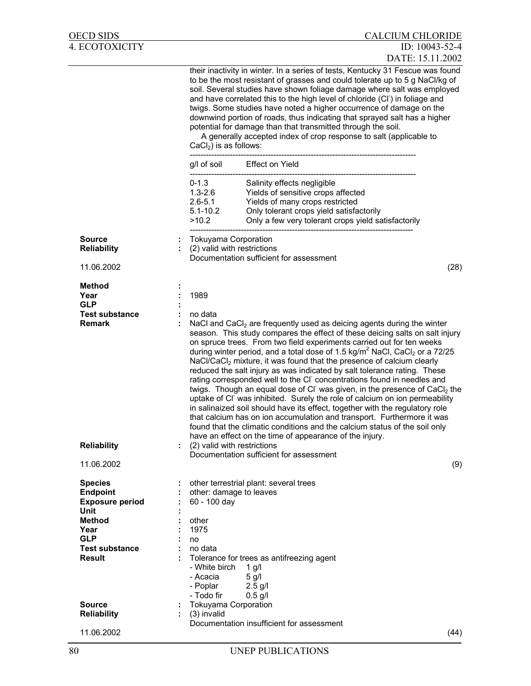| OECD SIDS                                                                                                                                                             |              | <b>CALCIUM CHLORIDE</b>                                                                                                                                                                                                                                                                                                                                                                                                                                                                                                                                                                                                                                                                                                                                                                                                                                                                                                                                                                                                                                                                                                                                          |
|-----------------------------------------------------------------------------------------------------------------------------------------------------------------------|--------------|------------------------------------------------------------------------------------------------------------------------------------------------------------------------------------------------------------------------------------------------------------------------------------------------------------------------------------------------------------------------------------------------------------------------------------------------------------------------------------------------------------------------------------------------------------------------------------------------------------------------------------------------------------------------------------------------------------------------------------------------------------------------------------------------------------------------------------------------------------------------------------------------------------------------------------------------------------------------------------------------------------------------------------------------------------------------------------------------------------------------------------------------------------------|
| 4. ECOTOXICITY                                                                                                                                                        |              | ID: 10043-52-4<br>DATE: 15.11.2002                                                                                                                                                                                                                                                                                                                                                                                                                                                                                                                                                                                                                                                                                                                                                                                                                                                                                                                                                                                                                                                                                                                               |
|                                                                                                                                                                       |              | their inactivity in winter. In a series of tests, Kentucky 31 Fescue was found<br>to be the most resistant of grasses and could tolerate up to 5 g NaCl/kg of<br>soil. Several studies have shown foliage damage where salt was employed<br>and have correlated this to the high level of chloride (CI) in foliage and<br>twigs. Some studies have noted a higher occurrence of damage on the<br>downwind portion of roads, thus indicating that sprayed salt has a higher<br>potential for damage than that transmitted through the soil.<br>A generally accepted index of crop response to salt (applicable to<br>$CaCl2$ ) is as follows:                                                                                                                                                                                                                                                                                                                                                                                                                                                                                                                     |
|                                                                                                                                                                       |              | g/l of soil Effect on Yield                                                                                                                                                                                                                                                                                                                                                                                                                                                                                                                                                                                                                                                                                                                                                                                                                                                                                                                                                                                                                                                                                                                                      |
|                                                                                                                                                                       |              | $0 - 1.3$<br>Salinity effects negligible<br>$1.3 - 2.6$<br>Yields of sensitive crops affected<br>$2.6 - 5.1$<br>Yields of many crops restricted<br>Only tolerant crops yield satisfactorily<br>$5.1 - 10.2$<br>>10.2<br>Only a few very tolerant crops yield satisfactorily                                                                                                                                                                                                                                                                                                                                                                                                                                                                                                                                                                                                                                                                                                                                                                                                                                                                                      |
| <b>Source</b><br><b>Reliability</b>                                                                                                                                   |              | <b>Tokuyama Corporation</b><br>(2) valid with restrictions                                                                                                                                                                                                                                                                                                                                                                                                                                                                                                                                                                                                                                                                                                                                                                                                                                                                                                                                                                                                                                                                                                       |
| 11.06.2002                                                                                                                                                            |              | Documentation sufficient for assessment<br>(28)                                                                                                                                                                                                                                                                                                                                                                                                                                                                                                                                                                                                                                                                                                                                                                                                                                                                                                                                                                                                                                                                                                                  |
| <b>Method</b><br>Year<br><b>GLP</b><br><b>Test substance</b><br><b>Remark</b><br><b>Reliability</b><br>11.06.2002                                                     |              | 1989<br>no data<br>NaCl and $CaCl2$ are frequently used as deicing agents during the winter<br>season. This study compares the effect of these deicing salts on salt injury<br>on spruce trees. From two field experiments carried out for ten weeks<br>during winter period, and a total dose of 1.5 kg/m <sup>2</sup> NaCl, CaCl <sub>2</sub> or a 72/25<br>NaCl/CaCl <sub>2</sub> mixture, it was found that the presence of calcium clearly<br>reduced the salt injury as was indicated by salt tolerance rating. These<br>rating corresponded well to the CI concentrations found in needles and<br>twigs. Though an equal dose of CI was given, in the presence of CaCl <sub>2</sub> the<br>uptake of CI was inhibited. Surely the role of calcium on ion permeability<br>in salinaized soil should have its effect, together with the regulatory role<br>that calcium has on ion accumulation and transport. Furthermore it was<br>found that the climatic conditions and the calcium status of the soil only<br>have an effect on the time of appearance of the injury.<br>(2) valid with restrictions<br>Documentation sufficient for assessment<br>(9) |
| <b>Species</b><br><b>Endpoint</b><br><b>Exposure period</b><br>Unit<br><b>Method</b><br>Year<br><b>GLP</b><br><b>Test substance</b><br><b>Result</b><br><b>Source</b> |              | other terrestrial plant: several trees<br>other: damage to leaves<br>60 - 100 day<br>other<br>1975<br>no<br>no data<br>Tolerance for trees as antifreezing agent<br>- White birch<br>$1$ g/l<br>$5$ g/l<br>- Acacia<br>- Poplar<br>$2.5$ g/l<br>- Todo fir<br>$0.5$ g/l<br><b>Tokuyama Corporation</b>                                                                                                                                                                                                                                                                                                                                                                                                                                                                                                                                                                                                                                                                                                                                                                                                                                                           |
| <b>Reliability</b><br>11.06.2002                                                                                                                                      | $\mathbf{L}$ | (3) invalid<br>Documentation insufficient for assessment<br>(44)                                                                                                                                                                                                                                                                                                                                                                                                                                                                                                                                                                                                                                                                                                                                                                                                                                                                                                                                                                                                                                                                                                 |
|                                                                                                                                                                       |              |                                                                                                                                                                                                                                                                                                                                                                                                                                                                                                                                                                                                                                                                                                                                                                                                                                                                                                                                                                                                                                                                                                                                                                  |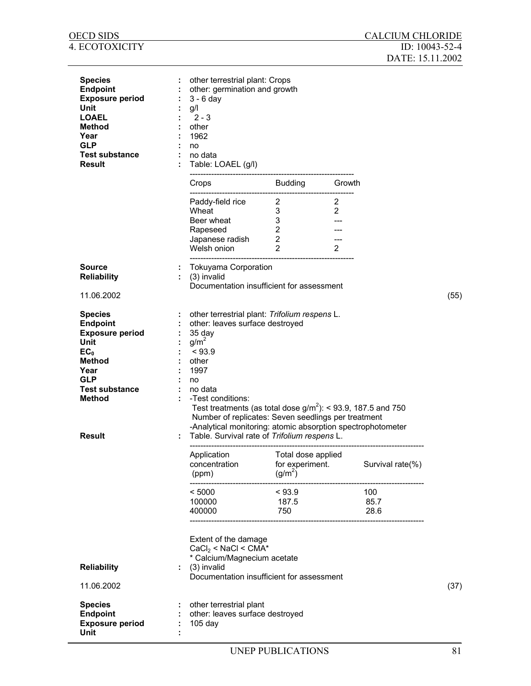| <b>OECD SIDS</b>                                                                                                                                                                  |    |                                                                                                                                                                                                                                                                                                                                                                                                                          |                                                                                |                                       | <b>CALCIUM CHLORIDE</b>                  |      |
|-----------------------------------------------------------------------------------------------------------------------------------------------------------------------------------|----|--------------------------------------------------------------------------------------------------------------------------------------------------------------------------------------------------------------------------------------------------------------------------------------------------------------------------------------------------------------------------------------------------------------------------|--------------------------------------------------------------------------------|---------------------------------------|------------------------------------------|------|
| 4. ECOTOXICITY                                                                                                                                                                    |    |                                                                                                                                                                                                                                                                                                                                                                                                                          |                                                                                |                                       | ID: $10043 - 52 - 4$<br>DATE: 15.11.2002 |      |
| <b>Species</b><br><b>Endpoint</b><br><b>Exposure period</b><br>Unit<br><b>LOAEL</b><br><b>Method</b><br>Year<br><b>GLP</b><br><b>Test substance</b><br><b>Result</b>              |    | other terrestrial plant: Crops<br>other: germination and growth<br>$3 - 6$ day<br>g/l<br>$2 - 3$<br>other<br>1962<br>no<br>no data<br>Table: LOAEL (g/l)                                                                                                                                                                                                                                                                 |                                                                                |                                       |                                          |      |
|                                                                                                                                                                                   |    | Crops and the control of the control of the control of the control of the control of the control of the control of the control of the control of the control of the control of the control of the control of the control of th                                                                                                                                                                                           | Budding                                                                        | Growth                                |                                          |      |
|                                                                                                                                                                                   |    | Paddy-field rice<br>Wheat<br>Beer wheat<br>Rapeseed<br>Japanese radish<br>Welsh onion                                                                                                                                                                                                                                                                                                                                    | $\overline{2}$<br>3<br>3<br>$\overline{2}$<br>$\overline{2}$<br>$\overline{2}$ | 2<br>$\overline{2}$<br>$\overline{2}$ |                                          |      |
| <b>Source</b><br><b>Reliability</b>                                                                                                                                               |    | <b>Tokuyama Corporation</b><br>(3) invalid<br>Documentation insufficient for assessment                                                                                                                                                                                                                                                                                                                                  |                                                                                |                                       |                                          |      |
| 11.06.2002                                                                                                                                                                        |    |                                                                                                                                                                                                                                                                                                                                                                                                                          |                                                                                |                                       |                                          | (55) |
| <b>Species</b><br><b>Endpoint</b><br><b>Exposure period</b><br>Unit<br>EC <sub>0</sub><br>Method<br>Year<br><b>GLP</b><br><b>Test substance</b><br><b>Method</b><br><b>Result</b> |    | other terrestrial plant: Trifolium respens L.<br>other: leaves surface destroyed<br>35 day<br>g/m <sup>2</sup><br>< 93.9<br>other<br>1997<br>no<br>no data<br>-Test conditions:<br>Test treatments (as total dose $g/m^2$ ): < 93.9, 187.5 and 750<br>Number of replicates: Seven seedlings per treatment<br>-Analytical monitoring: atomic absorption spectrophotometer<br>Table. Survival rate of Trifolium respens L. |                                                                                |                                       |                                          |      |
|                                                                                                                                                                                   |    | Application<br>concentration<br>(ppm)                                                                                                                                                                                                                                                                                                                                                                                    | Total dose applied<br>for experiment.<br>$(g/m^2)$                             |                                       | Survival rate(%)                         |      |
|                                                                                                                                                                                   |    | --------------------<br>< 5000<br>100000<br>400000                                                                                                                                                                                                                                                                                                                                                                       | < 93.9<br>187.5<br>750                                                         |                                       | 100<br>85.7<br>28.6                      |      |
|                                                                                                                                                                                   |    | Extent of the damage<br>$CaCl2 < NaCl < CMA*$<br>* Calcium/Magnecium acetate                                                                                                                                                                                                                                                                                                                                             |                                                                                |                                       |                                          |      |
| <b>Reliability</b><br>11.06.2002                                                                                                                                                  | ÷. | (3) invalid<br>Documentation insufficient for assessment                                                                                                                                                                                                                                                                                                                                                                 |                                                                                |                                       |                                          | (37) |
| <b>Species</b><br><b>Endpoint</b><br><b>Exposure period</b><br><b>Unit</b>                                                                                                        |    | other terrestrial plant<br>other: leaves surface destroyed<br>$105$ day                                                                                                                                                                                                                                                                                                                                                  |                                                                                |                                       |                                          |      |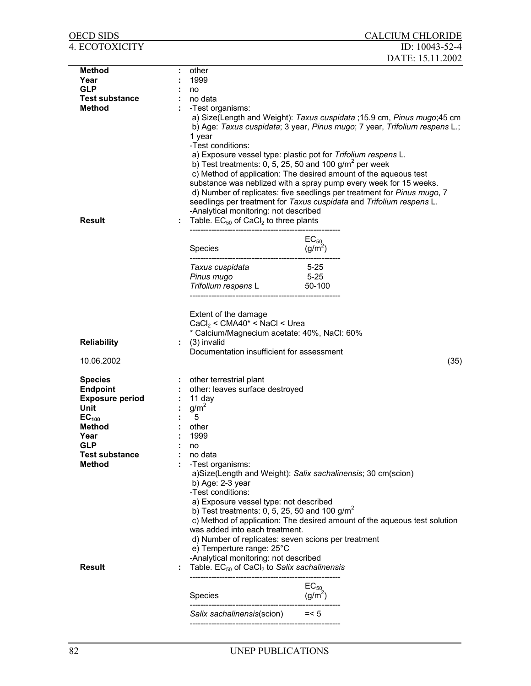| OECD SIDS                          |    |                                                                                                                                                                                                    |                                  | <b>CALCIUM CHLORIDE</b>                                                                                                                                                                                                                                                                                                                                                                                                                            |
|------------------------------------|----|----------------------------------------------------------------------------------------------------------------------------------------------------------------------------------------------------|----------------------------------|----------------------------------------------------------------------------------------------------------------------------------------------------------------------------------------------------------------------------------------------------------------------------------------------------------------------------------------------------------------------------------------------------------------------------------------------------|
| 4. ECOTOXICITY                     |    |                                                                                                                                                                                                    |                                  | ID: 10043-52-4<br>DATE: 15.11.2002                                                                                                                                                                                                                                                                                                                                                                                                                 |
|                                    |    |                                                                                                                                                                                                    |                                  |                                                                                                                                                                                                                                                                                                                                                                                                                                                    |
| <b>Method</b><br>Year              |    | other<br>1999                                                                                                                                                                                      |                                  |                                                                                                                                                                                                                                                                                                                                                                                                                                                    |
| <b>GLP</b>                         |    |                                                                                                                                                                                                    |                                  |                                                                                                                                                                                                                                                                                                                                                                                                                                                    |
| <b>Test substance</b>              |    | no<br>no data                                                                                                                                                                                      |                                  |                                                                                                                                                                                                                                                                                                                                                                                                                                                    |
| <b>Method</b>                      |    | -Test organisms:                                                                                                                                                                                   |                                  |                                                                                                                                                                                                                                                                                                                                                                                                                                                    |
|                                    |    | 1 year<br>-Test conditions:<br>a) Exposure vessel type: plastic pot for Trifolium respens L.<br>b) Test treatments: 0, 5, 25, 50 and 100 $g/m^2$ per week<br>-Analytical monitoring: not described |                                  | a) Size(Length and Weight): Taxus cuspidata ; 15.9 cm, Pinus mugo; 45 cm<br>b) Age: Taxus cuspidata; 3 year, Pinus mugo; 7 year, Trifolium respens L.;<br>c) Method of application: The desired amount of the aqueous test<br>substance was neblized with a spray pump every week for 15 weeks.<br>d) Number of replicates: five seedlings per treatment for Pinus mugo, 7<br>seedlings per treatment for Taxus cuspidata and Trifolium respens L. |
| <b>Result</b>                      | ÷  | Table. $EC_{50}$ of CaCl <sub>2</sub> to three plants                                                                                                                                              |                                  |                                                                                                                                                                                                                                                                                                                                                                                                                                                    |
|                                    |    | Species                                                                                                                                                                                            | $EC_{50}$<br>(g/m <sup>2</sup> ) |                                                                                                                                                                                                                                                                                                                                                                                                                                                    |
|                                    |    |                                                                                                                                                                                                    |                                  |                                                                                                                                                                                                                                                                                                                                                                                                                                                    |
|                                    |    | Taxus cuspidata                                                                                                                                                                                    | $5 - 25$                         |                                                                                                                                                                                                                                                                                                                                                                                                                                                    |
|                                    |    | Pinus mugo                                                                                                                                                                                         | $5 - 25$                         |                                                                                                                                                                                                                                                                                                                                                                                                                                                    |
|                                    |    | Trifolium respens L                                                                                                                                                                                | 50-100                           |                                                                                                                                                                                                                                                                                                                                                                                                                                                    |
| <b>Reliability</b><br>10.06.2002   | ÷. | Extent of the damage<br>$CaCl2 < CMA40* < NaCl < Urea$<br>* Calcium/Magnecium acetate: 40%, NaCl: 60%<br>(3) invalid<br>Documentation insufficient for assessment                                  |                                  | (35)                                                                                                                                                                                                                                                                                                                                                                                                                                               |
|                                    |    |                                                                                                                                                                                                    |                                  |                                                                                                                                                                                                                                                                                                                                                                                                                                                    |
| <b>Species</b>                     |    | : other terrestrial plant                                                                                                                                                                          |                                  |                                                                                                                                                                                                                                                                                                                                                                                                                                                    |
| <b>Endpoint</b>                    |    | other: leaves surface destroyed                                                                                                                                                                    |                                  |                                                                                                                                                                                                                                                                                                                                                                                                                                                    |
| <b>Exposure period</b>             |    | 11 day                                                                                                                                                                                             |                                  |                                                                                                                                                                                                                                                                                                                                                                                                                                                    |
| Unit                               |    | $g/m^2$                                                                                                                                                                                            |                                  |                                                                                                                                                                                                                                                                                                                                                                                                                                                    |
| EC <sub>100</sub><br><b>Method</b> |    | 5<br>other                                                                                                                                                                                         |                                  |                                                                                                                                                                                                                                                                                                                                                                                                                                                    |
| Year                               |    | 1999                                                                                                                                                                                               |                                  |                                                                                                                                                                                                                                                                                                                                                                                                                                                    |
| <b>GLP</b>                         |    | no                                                                                                                                                                                                 |                                  |                                                                                                                                                                                                                                                                                                                                                                                                                                                    |
| <b>Test substance</b>              |    | no data                                                                                                                                                                                            |                                  |                                                                                                                                                                                                                                                                                                                                                                                                                                                    |
| <b>Method</b>                      |    | -Test organisms:                                                                                                                                                                                   |                                  |                                                                                                                                                                                                                                                                                                                                                                                                                                                    |
|                                    |    | a)Size(Length and Weight): Salix sachalinensis; 30 cm(scion)<br>b) Age: $2-3$ year<br>-Test conditions:                                                                                            |                                  |                                                                                                                                                                                                                                                                                                                                                                                                                                                    |
|                                    |    | a) Exposure vessel type: not described<br>b) Test treatments: 0, 5, 25, 50 and 100 $g/m2$                                                                                                          |                                  |                                                                                                                                                                                                                                                                                                                                                                                                                                                    |
|                                    |    | was added into each treatment.<br>d) Number of replicates: seven scions per treatment<br>e) Temperture range: 25°C                                                                                 |                                  | c) Method of application: The desired amount of the aqueous test solution                                                                                                                                                                                                                                                                                                                                                                          |
| <b>Result</b>                      |    | -Analytical monitoring: not described<br>Table. $EC_{50}$ of CaCl <sub>2</sub> to Salix sachalinensis                                                                                              |                                  |                                                                                                                                                                                                                                                                                                                                                                                                                                                    |
|                                    |    |                                                                                                                                                                                                    | $EC_{50}$                        |                                                                                                                                                                                                                                                                                                                                                                                                                                                    |
|                                    |    | Species                                                                                                                                                                                            | $(g/m^2)$                        |                                                                                                                                                                                                                                                                                                                                                                                                                                                    |
|                                    |    | Salix sachalinensis(scion) $= < 5$                                                                                                                                                                 |                                  |                                                                                                                                                                                                                                                                                                                                                                                                                                                    |
|                                    |    |                                                                                                                                                                                                    |                                  |                                                                                                                                                                                                                                                                                                                                                                                                                                                    |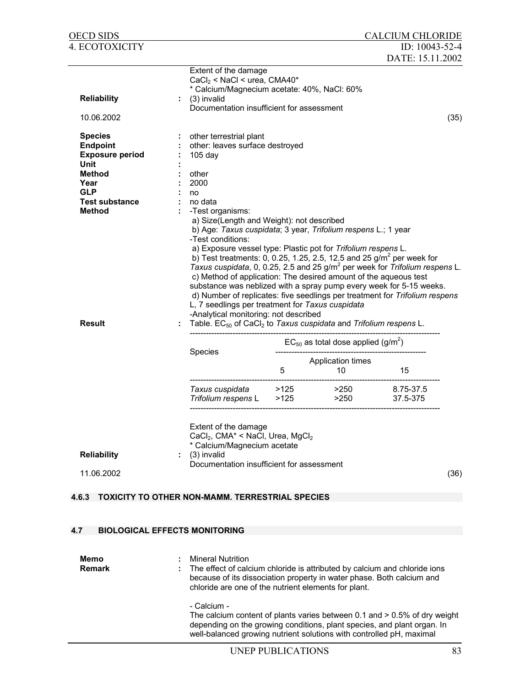| <b>OECD SIDS</b>                                                                                                                                     |                                                                                                                                                                                                                      |           |                                                                                                                                                                                                                                                                                                                                                                                                                                                                                                                                 | <b>CALCIUM CHLORIDE</b> |      |
|------------------------------------------------------------------------------------------------------------------------------------------------------|----------------------------------------------------------------------------------------------------------------------------------------------------------------------------------------------------------------------|-----------|---------------------------------------------------------------------------------------------------------------------------------------------------------------------------------------------------------------------------------------------------------------------------------------------------------------------------------------------------------------------------------------------------------------------------------------------------------------------------------------------------------------------------------|-------------------------|------|
| 4. ECOTOXICITY                                                                                                                                       |                                                                                                                                                                                                                      |           |                                                                                                                                                                                                                                                                                                                                                                                                                                                                                                                                 | ID: 10043-52-4          |      |
| <b>Reliability</b><br>10.06.2002                                                                                                                     | Extent of the damage<br>$CaCl2$ < NaCl < urea, CMA40*<br>* Calcium/Magnecium acetate: 40%, NaCl: 60%<br>(3) invalid<br>Documentation insufficient for assessment                                                     |           |                                                                                                                                                                                                                                                                                                                                                                                                                                                                                                                                 | DATE: 15.11.2002        | (35) |
| <b>Species</b><br><b>Endpoint</b><br><b>Exposure period</b><br><b>Unit</b><br>Method<br>Year<br><b>GLP</b><br><b>Test substance</b><br><b>Method</b> | other terrestrial plant<br>other: leaves surface destroyed<br>$105$ day<br>other<br>2000<br>no<br>no data<br>-Test organisms:<br>a) Size(Length and Weight): not described<br>-Test conditions:                      |           | b) Age: Taxus cuspidata; 3 year, Trifolium respens L.; 1 year<br>a) Exposure vessel type: Plastic pot for Trifolium respens L.<br>b) Test treatments: 0, 0.25, 1.25, 2.5, 12.5 and 25 $g/m^2$ per week for<br>Taxus cuspidata, 0, 0.25, 2.5 and 25 g/m <sup>2</sup> per week for Trifolium respens L.<br>c) Method of application: The desired amount of the aqueous test<br>substance was neblized with a spray pump every week for 5-15 weeks.<br>d) Number of replicates: five seedlings per treatment for Trifolium respens |                         |      |
| <b>Result</b>                                                                                                                                        | L, 7 seedlings per treatment for Taxus cuspidata<br>-Analytical monitoring: not described<br>Species<br>Taxus cuspidata                                                                                              | 5<br>>125 | Table. EC <sub>50</sub> of CaCl <sub>2</sub> to Taxus cuspidata and Trifolium respens L.<br>$EC_{50}$ as total dose applied (g/m <sup>2</sup> )<br>Application times<br>10<br>>250                                                                                                                                                                                                                                                                                                                                              | 15<br>8.75-37.5         |      |
| <b>Reliability</b><br>11.06.2002                                                                                                                     | Trifolium respens L<br>Extent of the damage<br>CaCl <sub>2</sub> , CMA <sup>*</sup> < NaCl, Urea, MgCl <sub>2</sub><br>* Calcium/Magnecium acetate<br>(3) invalid<br>t.<br>Documentation insufficient for assessment | >125      | >250                                                                                                                                                                                                                                                                                                                                                                                                                                                                                                                            | 37.5-375                | (36) |
| 4.6.3                                                                                                                                                | <b>TOXICITY TO OTHER NON-MAMM. TERRESTRIAL SPECIES</b>                                                                                                                                                               |           |                                                                                                                                                                                                                                                                                                                                                                                                                                                                                                                                 |                         |      |
|                                                                                                                                                      |                                                                                                                                                                                                                      |           |                                                                                                                                                                                                                                                                                                                                                                                                                                                                                                                                 |                         |      |
| 4.7                                                                                                                                                  | <b>BIOLOGICAL EFFECTS MONITORING</b>                                                                                                                                                                                 |           |                                                                                                                                                                                                                                                                                                                                                                                                                                                                                                                                 |                         |      |
|                                                                                                                                                      |                                                                                                                                                                                                                      |           |                                                                                                                                                                                                                                                                                                                                                                                                                                                                                                                                 |                         |      |
| Memo<br><b>Remark</b>                                                                                                                                | <b>Mineral Nutrition</b><br>chloride are one of the nutrient elements for plant.                                                                                                                                     |           | The effect of calcium chloride is attributed by calcium and chloride ions<br>because of its dissociation property in water phase. Both calcium and                                                                                                                                                                                                                                                                                                                                                                              |                         |      |
|                                                                                                                                                      | - Calcium -                                                                                                                                                                                                          |           | The calcium content of plants varies between 0.1 and $> 0.5\%$ of dry weight                                                                                                                                                                                                                                                                                                                                                                                                                                                    |                         |      |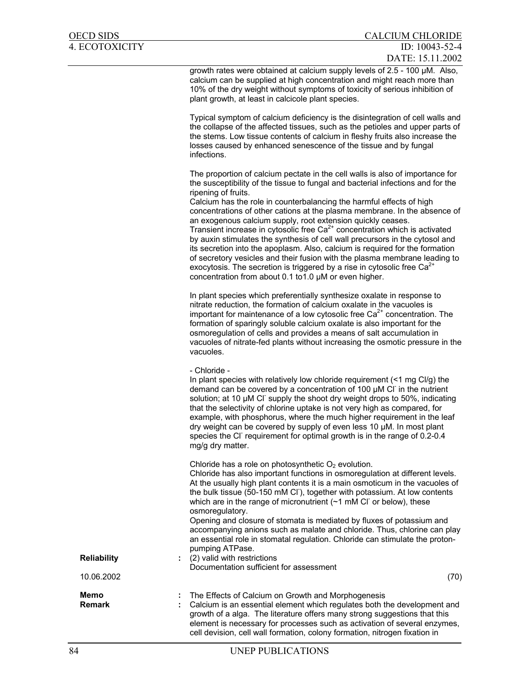growth rates were obtained at calcium supply levels of 2.5 - 100 µM. Also, calcium can be supplied at high concentration and might reach more than 10% of the dry weight without symptoms of toxicity of serious inhibition of plant growth, at least in calcicole plant species.

Typical symptom of calcium deficiency is the disintegration of cell walls and the collapse of the affected tissues, such as the petioles and upper parts of the stems. Low tissue contents of calcium in fleshy fruits also increase the losses caused by enhanced senescence of the tissue and by fungal infections.

The proportion of calcium pectate in the cell walls is also of importance for the susceptibility of the tissue to fungal and bacterial infections and for the ripening of fruits.

Calcium has the role in counterbalancing the harmful effects of high concentrations of other cations at the plasma membrane. In the absence of an exogenous calcium supply, root extension quickly ceases. Transient increase in cytosolic free  $Ca<sup>2+</sup>$  concentration which is activated by auxin stimulates the synthesis of cell wall precursors in the cytosol and its secretion into the apoplasm. Also, calcium is required for the formation of secretory vesicles and their fusion with the plasma membrane leading to exocytosis. The secretion is triggered by a rise in cytosolic free  $Ca<sup>2+</sup>$ concentration from about 0.1 to1.0 µM or even higher.

In plant species which preferentially synthesize oxalate in response to nitrate reduction, the formation of calcium oxalate in the vacuoles is important for maintenance of a low cytosolic free  $Ca<sup>2+</sup>$  concentration. The formation of sparingly soluble calcium oxalate is also important for the osmoregulation of cells and provides a means of salt accumulation in vacuoles of nitrate-fed plants without increasing the osmotic pressure in the vacuoles.

- Chloride -

In plant species with relatively low chloride requirement (<1 mg Cl/g) the demand can be covered by a concentration of 100 µM Cl in the nutrient solution; at 10 µM CI supply the shoot dry weight drops to 50%, indicating that the selectivity of chlorine uptake is not very high as compared, for example, with phosphorus, where the much higher requirement in the leaf dry weight can be covered by supply of even less 10 µM. In most plant species the CI<sup>-</sup> requirement for optimal growth is in the range of 0.2-0.4 mg/g dry matter.

Chloride has a role on photosynthetic  $O<sub>2</sub>$  evolution.

Chloride has also important functions in osmoregulation at different levels. At the usually high plant contents it is a main osmoticum in the vacuoles of the bulk tissue (50-150 mM CI ), together with potassium. At low contents which are in the range of micronutrient  $($   $1$  mM Cl<sup>-</sup> or below), these osmoregulatory.

Opening and closure of stomata is mediated by fluxes of potassium and accompanying anions such as malate and chloride. Thus, chlorine can play an essential role in stomatal regulation. Chloride can stimulate the protonpumping ATPase.

**Reliability** : (2) valid with restrictions Documentation sufficient for assessment 10.06.2002 (70)

| Memo   | The Effects of Calcium on Growth and Morphogenesis                         |
|--------|----------------------------------------------------------------------------|
| Remark | : Calcium is an essential element which regulates both the development and |
|        | growth of a alga. The literature offers many strong suggestions that this  |
|        | element is necessary for processes such as activation of several enzymes,  |
|        | cell devision, cell wall formation, colony formation, nitrogen fixation in |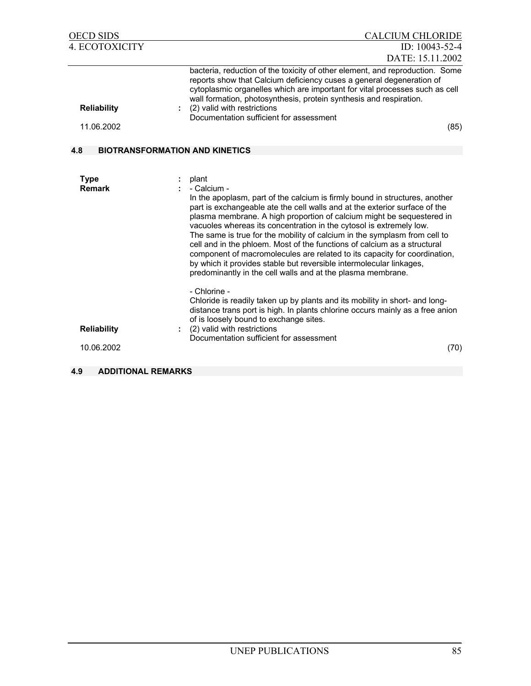| <b>OECD SIDS</b>                 | <b>CALCIUM CHLORIDE</b>                                                                                                                                                                                                                                                                                                                                                                                                                                                                                                                                                 |
|----------------------------------|-------------------------------------------------------------------------------------------------------------------------------------------------------------------------------------------------------------------------------------------------------------------------------------------------------------------------------------------------------------------------------------------------------------------------------------------------------------------------------------------------------------------------------------------------------------------------|
| <b>4. ECOTOXICITY</b>            | ID: 10043-52-4                                                                                                                                                                                                                                                                                                                                                                                                                                                                                                                                                          |
|                                  | DATE: 15.11.2002                                                                                                                                                                                                                                                                                                                                                                                                                                                                                                                                                        |
| <b>Reliability</b><br>11.06.2002 | bacteria, reduction of the toxicity of other element, and reproduction. Some<br>reports show that Calcium deficiency cuses a general degeneration of<br>cytoplasmic organelles which are important for vital processes such as cell<br>wall formation, photosynthesis, protein synthesis and respiration.<br>: (2) valid with restrictions<br>Documentation sufficient for assessment<br>(85)                                                                                                                                                                           |
| 4.8                              | <b>BIOTRANSFORMATION AND KINETICS</b>                                                                                                                                                                                                                                                                                                                                                                                                                                                                                                                                   |
| <b>Type</b><br><b>Remark</b>     | plant<br>- Calcium -<br>In the apoplasm, part of the calcium is firmly bound in structures, another<br>part is exchangeable ate the cell walls and at the exterior surface of the<br>plasma membrane. A high proportion of calcium might be sequestered in<br>vacuoles whereas its concentration in the cytosol is extremely low.<br>The same is true for the mobility of calcium in the symplasm from cell to<br>cell and in the phloem. Most of the functions of calcium as a structural<br>component of macromolecules are related to its capacity for coordination, |
| <b>Reliability</b><br>10.06.2002 | by which it provides stable but reversible intermolecular linkages,<br>predominantly in the cell walls and at the plasma membrane.<br>- Chlorine -<br>Chloride is readily taken up by plants and its mobility in short- and long-<br>distance trans port is high. In plants chlorine occurs mainly as a free anion<br>of is loosely bound to exchange sites.<br>(2) valid with restrictions<br>Documentation sufficient for assessment<br>(70)                                                                                                                          |
| 4.9<br><b>ADDITIONAL REMARKS</b> |                                                                                                                                                                                                                                                                                                                                                                                                                                                                                                                                                                         |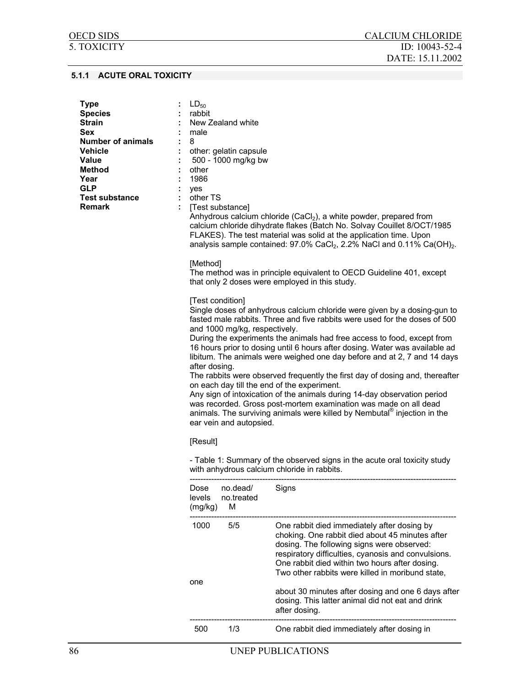## **5.1.1 ACUTE ORAL TOXICITY**

| <b>Type</b><br><b>Species</b><br><b>Strain</b><br><b>Sex</b><br><b>Number of animals</b><br><b>Vehicle</b><br><b>Value</b><br>Method<br>Year<br><b>GLP</b><br><b>Test substance</b><br><b>Remark</b> | $LD_{50}$<br>rabbit<br>male<br>8<br>other<br>÷<br>1986<br>yes<br>÷<br>other TS<br>÷.<br>[Method]<br>[Test condition]<br>after dosing. | New Zealand white<br>other: gelatin capsule<br>500 - 1000 mg/kg bw<br>[Test substance]<br>and 1000 mg/kg, respectively.<br>ear vein and autopsied. | Anhydrous calcium chloride (CaCl <sub>2</sub> ), a white powder, prepared from<br>calcium chloride dihydrate flakes (Batch No. Solvay Couillet 8/OCT/1985<br>FLAKES). The test material was solid at the application time. Upon<br>analysis sample contained: $97.0\%$ CaCl <sub>2</sub> , 2.2% NaCl and 0.11% Ca(OH) <sub>2</sub> .<br>The method was in principle equivalent to OECD Guideline 401, except<br>that only 2 doses were employed in this study.<br>Single doses of anhydrous calcium chloride were given by a dosing-gun to<br>fasted male rabbits. Three and five rabbits were used for the doses of 500<br>During the experiments the animals had free access to food, except from<br>16 hours prior to dosing until 6 hours after dosing. Water was available ad<br>libitum. The animals were weighed one day before and at 2, 7 and 14 days<br>The rabbits were observed frequently the first day of dosing and, thereafter<br>on each day till the end of the experiment.<br>Any sign of intoxication of the animals during 14-day observation period<br>was recorded. Gross post-mortem examination was made on all dead<br>animals. The surviving animals were killed by Nembutal® injection in the |
|------------------------------------------------------------------------------------------------------------------------------------------------------------------------------------------------------|---------------------------------------------------------------------------------------------------------------------------------------|----------------------------------------------------------------------------------------------------------------------------------------------------|---------------------------------------------------------------------------------------------------------------------------------------------------------------------------------------------------------------------------------------------------------------------------------------------------------------------------------------------------------------------------------------------------------------------------------------------------------------------------------------------------------------------------------------------------------------------------------------------------------------------------------------------------------------------------------------------------------------------------------------------------------------------------------------------------------------------------------------------------------------------------------------------------------------------------------------------------------------------------------------------------------------------------------------------------------------------------------------------------------------------------------------------------------------------------------------------------------------------------|
|                                                                                                                                                                                                      | [Result]                                                                                                                              |                                                                                                                                                    |                                                                                                                                                                                                                                                                                                                                                                                                                                                                                                                                                                                                                                                                                                                                                                                                                                                                                                                                                                                                                                                                                                                                                                                                                           |
|                                                                                                                                                                                                      |                                                                                                                                       |                                                                                                                                                    | - Table 1: Summary of the observed signs in the acute oral toxicity study<br>with anhydrous calcium chloride in rabbits.                                                                                                                                                                                                                                                                                                                                                                                                                                                                                                                                                                                                                                                                                                                                                                                                                                                                                                                                                                                                                                                                                                  |
|                                                                                                                                                                                                      | levels<br>(mg/kg)                                                                                                                     | Dose no.dead/<br>no.treated<br>M                                                                                                                   | Signs                                                                                                                                                                                                                                                                                                                                                                                                                                                                                                                                                                                                                                                                                                                                                                                                                                                                                                                                                                                                                                                                                                                                                                                                                     |
|                                                                                                                                                                                                      | 1000<br>one                                                                                                                           | 5/5                                                                                                                                                | One rabbit died immediately after dosing by<br>choking. One rabbit died about 45 minutes after<br>dosing. The following signs were observed:<br>respiratory difficulties, cyanosis and convulsions.<br>One rabbit died within two hours after dosing.<br>Two other rabbits were killed in moribund state,                                                                                                                                                                                                                                                                                                                                                                                                                                                                                                                                                                                                                                                                                                                                                                                                                                                                                                                 |
|                                                                                                                                                                                                      |                                                                                                                                       |                                                                                                                                                    | about 30 minutes after dosing and one 6 days after<br>dosing. This latter animal did not eat and drink<br>after dosing.                                                                                                                                                                                                                                                                                                                                                                                                                                                                                                                                                                                                                                                                                                                                                                                                                                                                                                                                                                                                                                                                                                   |
|                                                                                                                                                                                                      | 500                                                                                                                                   | 1/3                                                                                                                                                | One rabbit died immediately after dosing in                                                                                                                                                                                                                                                                                                                                                                                                                                                                                                                                                                                                                                                                                                                                                                                                                                                                                                                                                                                                                                                                                                                                                                               |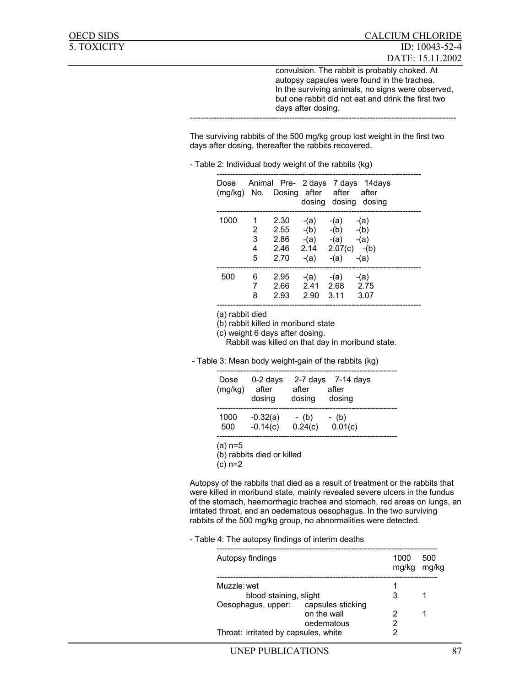convulsion. The rabbit is probably choked. At autopsy capsules were found in the trachea. In the surviving animals, no signs were observed, but one rabbit did not eat and drink the first two days after dosing. ---------------------------------------------------------------------------------------------------

The surviving rabbits of the 500 mg/kg group lost weight in the first two days after dosing, thereafter the rabbits recovered.

| Dose |   | (mg/kg) No. Dosing after after after |           |                      | Animal Pre- 2 days 7 days 14 days<br>dosing dosing dosing |
|------|---|--------------------------------------|-----------|----------------------|-----------------------------------------------------------|
| 1000 | 1 | 2.30                                 | $-(a)$    | -(a) -(a)            |                                                           |
|      |   | 2 2.55                               |           | $-(b)$ $-(b)$ $-(b)$ |                                                           |
|      | 3 | 2.86                                 |           | $-(a)$ $-(a)$ $-(a)$ |                                                           |
|      | 4 | 2.46 2.14 2.07(c) -(b)               |           |                      |                                                           |
|      | 5 | 2.70                                 | -(a) -(a) |                      | -(a)                                                      |
| 500  | 6 | 2.95                                 |           | $-(a)$ $-(a)$ $-(a)$ |                                                           |
|      | 7 | 2.66 2.41 2.68 2.75                  |           |                      |                                                           |
|      | 8 | 2.93                                 | 2.90 3.11 |                      | 3.07                                                      |

(a) rabbit died

(b) rabbit killed in moribund state

(c) weight 6 days after dosing.

Rabbit was killed on that day in moribund state.

- Table 3: Mean body weight-gain of the rabbits (kg)

| Dose<br>(mg/kg) | $0-2$ days<br>after<br>dosing | 2-7 days<br>after<br>dosing | 7-14 davs<br>after<br>dosing |
|-----------------|-------------------------------|-----------------------------|------------------------------|
| 1000            | $-0.32(a)$                    | - (b)                       | - (b)                        |
| 500             | $-0.14(c)$                    | 0.24(c)                     | 0.01(c)                      |

(a) n=5

(b) rabbits died or killed

(c) n=2

Autopsy of the rabbits that died as a result of treatment or the rabbits that were killed in moribund state, mainly revealed severe ulcers in the fundus of the stomach, haemorrhagic trachea and stomach, red areas on lungs, an irritated throat, and an oedematous oesophagus. In the two surviving rabbits of the 500 mg/kg group, no abnormalities were detected.

#### - Table 4: The autopsy findings of interim deaths

| Autopsy findings                     |                   | 1000<br>mg/kg | 500<br>mg/kg |
|--------------------------------------|-------------------|---------------|--------------|
| Muzzle: wet                          |                   |               |              |
| blood staining, slight               |                   | 3             |              |
| Oesophagus, upper:                   | capsules sticking |               |              |
|                                      | on the wall       | 2             |              |
|                                      | oedematous        | 2             |              |
| Throat: irritated by capsules, white |                   |               |              |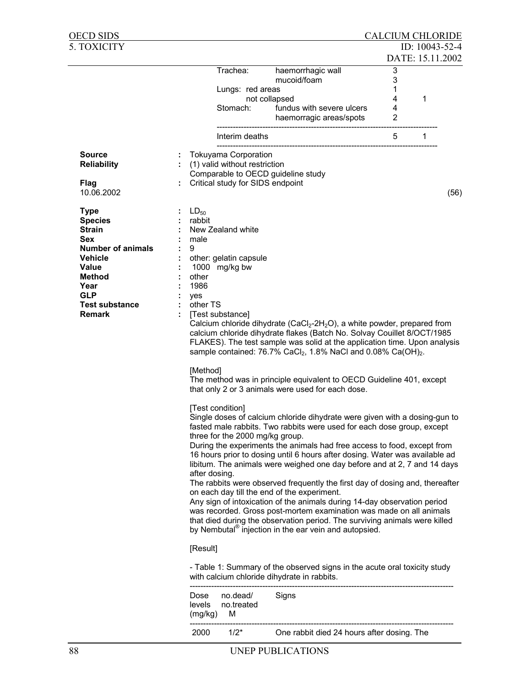| OECD SIDS                |           |                                  |                                                                                                                                                 | <b>CALCIUM CHLORIDE</b> |   |                  |
|--------------------------|-----------|----------------------------------|-------------------------------------------------------------------------------------------------------------------------------------------------|-------------------------|---|------------------|
| 5. TOXICITY              |           |                                  |                                                                                                                                                 |                         |   | ID: 10043-52-4   |
|                          |           |                                  |                                                                                                                                                 |                         |   | DATE: 15.11.2002 |
|                          |           | Trachea:                         | haemorrhagic wall                                                                                                                               | 3                       |   |                  |
|                          |           |                                  | mucoid/foam                                                                                                                                     | 3                       |   |                  |
|                          |           | Lungs: red areas                 |                                                                                                                                                 | 1                       |   |                  |
|                          |           |                                  | not collapsed                                                                                                                                   | 4                       | 1 |                  |
|                          |           | Stomach:                         | fundus with severe ulcers                                                                                                                       | 4                       |   |                  |
|                          |           |                                  | haemorragic areas/spots                                                                                                                         | 2                       |   |                  |
|                          |           |                                  |                                                                                                                                                 |                         |   |                  |
|                          |           | Interim deaths                   |                                                                                                                                                 | 5                       | 1 |                  |
|                          |           |                                  |                                                                                                                                                 |                         |   |                  |
| Source                   |           | <b>Tokuyama Corporation</b>      |                                                                                                                                                 |                         |   |                  |
| <b>Reliability</b>       |           | : (1) valid without restriction  |                                                                                                                                                 |                         |   |                  |
|                          |           |                                  | Comparable to OECD guideline study                                                                                                              |                         |   |                  |
| <b>Flag</b>              |           | Critical study for SIDS endpoint |                                                                                                                                                 |                         |   |                  |
| 10.06.2002               |           |                                  |                                                                                                                                                 |                         |   | (56)             |
|                          |           |                                  |                                                                                                                                                 |                         |   |                  |
| <b>Type</b>              | $LD_{50}$ |                                  |                                                                                                                                                 |                         |   |                  |
| <b>Species</b>           | rabbit    |                                  |                                                                                                                                                 |                         |   |                  |
| <b>Strain</b>            |           | New Zealand white                |                                                                                                                                                 |                         |   |                  |
| <b>Sex</b>               | male      |                                  |                                                                                                                                                 |                         |   |                  |
| <b>Number of animals</b> | 9         |                                  |                                                                                                                                                 |                         |   |                  |
| <b>Vehicle</b>           |           | other: gelatin capsule           |                                                                                                                                                 |                         |   |                  |
| Value                    |           | 1000 mg/kg bw                    |                                                                                                                                                 |                         |   |                  |
| Method                   | other     |                                  |                                                                                                                                                 |                         |   |                  |
| Year                     | 1986      |                                  |                                                                                                                                                 |                         |   |                  |
| <b>GLP</b>               | yes       |                                  |                                                                                                                                                 |                         |   |                  |
| <b>Test substance</b>    |           | other TS                         |                                                                                                                                                 |                         |   |                  |
| <b>Remark</b>            |           | [Test substance]                 |                                                                                                                                                 |                         |   |                  |
|                          |           |                                  | Calcium chloride dihydrate (CaCl <sub>2</sub> -2H <sub>2</sub> O), a white powder, prepared from                                                |                         |   |                  |
|                          |           |                                  | calcium chloride dihydrate flakes (Batch No. Solvay Couillet 8/OCT/1985                                                                         |                         |   |                  |
|                          |           |                                  | FLAKES). The test sample was solid at the application time. Upon analysis                                                                       |                         |   |                  |
|                          |           |                                  | sample contained: 76.7% CaCl <sub>2</sub> , 1.8% NaCl and 0.08% Ca(OH) <sub>2</sub> .                                                           |                         |   |                  |
|                          |           |                                  |                                                                                                                                                 |                         |   |                  |
|                          |           | [Method]                         |                                                                                                                                                 |                         |   |                  |
|                          |           |                                  | The method was in principle equivalent to OECD Guideline 401, except                                                                            |                         |   |                  |
|                          |           |                                  | that only 2 or 3 animals were used for each dose.                                                                                               |                         |   |                  |
|                          |           |                                  |                                                                                                                                                 |                         |   |                  |
|                          |           | [Test condition]                 |                                                                                                                                                 |                         |   |                  |
|                          |           |                                  | Single doses of calcium chloride dihydrate were given with a dosing-gun to                                                                      |                         |   |                  |
|                          |           |                                  | fasted male rabbits. Two rabbits were used for each dose group, except                                                                          |                         |   |                  |
|                          |           | three for the 2000 mg/kg group.  |                                                                                                                                                 |                         |   |                  |
|                          |           |                                  | During the experiments the animals had free access to food, except from                                                                         |                         |   |                  |
|                          |           |                                  | 16 hours prior to dosing until 6 hours after dosing. Water was available ad                                                                     |                         |   |                  |
|                          |           |                                  | libitum. The animals were weighed one day before and at 2, 7 and 14 days                                                                        |                         |   |                  |
|                          |           | after dosing.                    |                                                                                                                                                 |                         |   |                  |
|                          |           |                                  | The rabbits were observed frequently the first day of dosing and, thereafter                                                                    |                         |   |                  |
|                          |           |                                  | on each day till the end of the experiment.<br>Any sign of intoxication of the animals during 14-day observation period                         |                         |   |                  |
|                          |           |                                  |                                                                                                                                                 |                         |   |                  |
|                          |           |                                  | was recorded. Gross post-mortem examination was made on all animals                                                                             |                         |   |                  |
|                          |           |                                  | that died during the observation period. The surviving animals were killed<br>by Nembutal <sup>®</sup> injection in the ear vein and autopsied. |                         |   |                  |
|                          |           |                                  |                                                                                                                                                 |                         |   |                  |
|                          |           | [Result]                         |                                                                                                                                                 |                         |   |                  |
|                          |           |                                  |                                                                                                                                                 |                         |   |                  |
|                          |           |                                  | - Table 1: Summary of the observed signs in the acute oral toxicity study                                                                       |                         |   |                  |
|                          |           |                                  | with calcium chloride dihydrate in rabbits.                                                                                                     |                         |   |                  |
|                          |           |                                  |                                                                                                                                                 |                         |   |                  |
|                          | Dose      | no.dead/                         | Signs                                                                                                                                           |                         |   |                  |
|                          | levels    | no.treated                       |                                                                                                                                                 |                         |   |                  |
|                          |           | (mg/kg)<br>м                     |                                                                                                                                                 |                         |   |                  |
|                          |           |                                  |                                                                                                                                                 |                         |   |                  |
|                          | 2000      | $1/2*$                           | One rabbit died 24 hours after dosing. The                                                                                                      |                         |   |                  |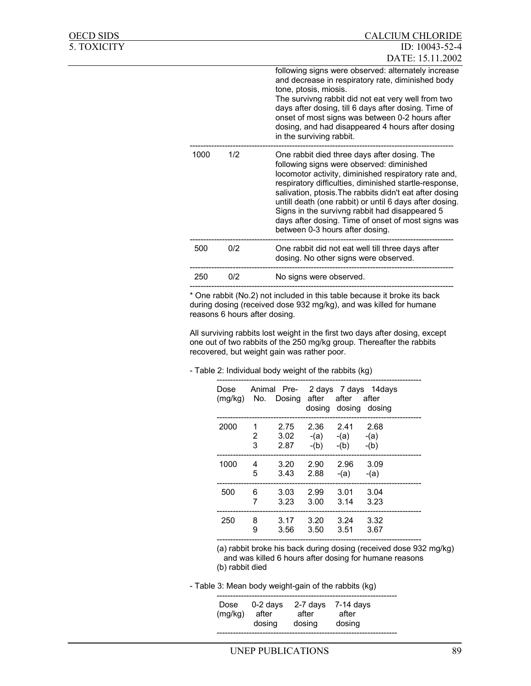| OECD SIDS   |      |     | <b>CALCIUM CHLORIDE</b>                                                                                                                                                                                                                                                                                                                                                                                                                                                      |
|-------------|------|-----|------------------------------------------------------------------------------------------------------------------------------------------------------------------------------------------------------------------------------------------------------------------------------------------------------------------------------------------------------------------------------------------------------------------------------------------------------------------------------|
| 5. TOXICITY |      |     | ID: 10043-52-4<br>DATE: 15.11.2002                                                                                                                                                                                                                                                                                                                                                                                                                                           |
|             |      |     | following signs were observed: alternately increase<br>and decrease in respiratory rate, diminished body<br>tone, ptosis, miosis.<br>The survivng rabbit did not eat very well from two<br>days after dosing, till 6 days after dosing. Time of<br>onset of most signs was between 0-2 hours after<br>dosing, and had disappeared 4 hours after dosing<br>in the surviving rabbit.                                                                                           |
|             | 1000 | 1/2 | One rabbit died three days after dosing. The<br>following signs were observed: diminished<br>locomotor activity, diminished respiratory rate and,<br>respiratory difficulties, diminished startle-response,<br>salivation, ptosis. The rabbits didn't eat after dosing<br>untill death (one rabbit) or until 6 days after dosing.<br>Signs in the survivng rabbit had disappeared 5<br>days after dosing. Time of onset of most signs was<br>between 0-3 hours after dosing. |
|             | 500  | 0/2 | One rabbit did not eat well till three days after<br>dosing. No other signs were observed.                                                                                                                                                                                                                                                                                                                                                                                   |
|             | 250  | 0/2 | No signs were observed.                                                                                                                                                                                                                                                                                                                                                                                                                                                      |
|             |      |     |                                                                                                                                                                                                                                                                                                                                                                                                                                                                              |

\* One rabbit (No.2) not included in this table because it broke its back during dosing (received dose 932 mg/kg), and was killed for humane reasons 6 hours after dosing.

All surviving rabbits lost weight in the first two days after dosing, except one out of two rabbits of the 250 mg/kg group. Thereafter the rabbits recovered, but weight gain was rather poor.

### - Table 2: Individual body weight of the rabbits (kg)

| Dose |             | (mg/kg) No. Dosing after after after |                | dosing dosing dosing                   | Animal Pre- 2 days 7 days 14 days |
|------|-------------|--------------------------------------|----------------|----------------------------------------|-----------------------------------|
| 2000 | 1<br>2<br>3 | 2.75<br>3.02<br>2.87                 | 2.36<br>$-(b)$ | 2.41<br>$-(a)$ $-(a)$ $-(a)$<br>$-(b)$ | 2.68<br>$-(b)$                    |
| 1000 | 4           | 3.20                                 | 2.90           | 2.96                                   | 3.09                              |
|      | 5           | 3.43                                 | 2.88           | $-(a)$                                 | $-(a)$                            |
| 500  | 6           | 3.03                                 | 2.99           | 3.01                                   | 3.04                              |
|      | 7           | 3.23                                 | 3.00           | 3.14                                   | 3.23                              |
| 250  | 8           | 3.17                                 | 3.20           | 3.24                                   | 3.32                              |
|      | 9           | 3.56                                 | 3.50           | 3.51                                   | 3.67                              |

 (a) rabbit broke his back during dosing (received dose 932 mg/kg) and was killed 6 hours after dosing for humane reasons (b) rabbit died

- Table 3: Mean body weight-gain of the rabbits (kg)

| Dose<br>after<br>(mg/kg) | 0-2 days<br>after<br>dosing<br>dosing | $2-7$ days 7-14 days<br>after<br>dosing |
|--------------------------|---------------------------------------|-----------------------------------------|
|--------------------------|---------------------------------------|-----------------------------------------|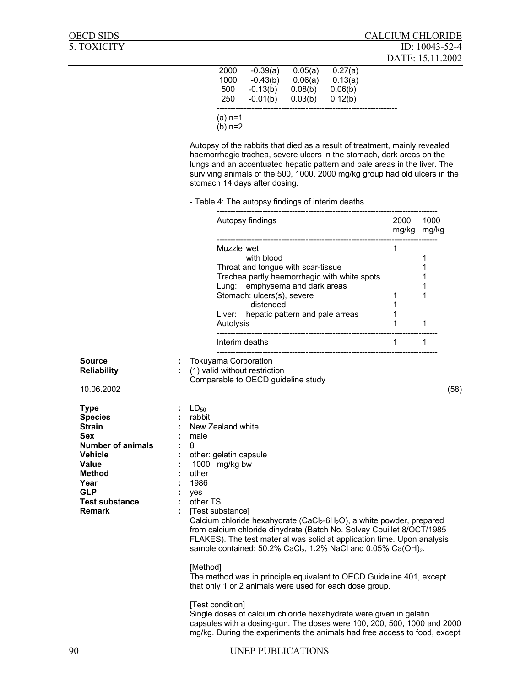| 2000      | $-0.39(a)$ | 0.05(a) | 0.27(a) |  |
|-----------|------------|---------|---------|--|
| 1000      | $-0.43(b)$ | 0.06(a) | 0.13(a) |  |
| 500       | $-0.13(b)$ | 0.08(b) | 0.06(b) |  |
| 250       | $-0.01(b)$ | 0.03(b) | 0.12(b) |  |
|           |            |         |         |  |
| $(a)$ n=1 |            |         |         |  |
| $(b)$ n=2 |            |         |         |  |
|           |            |         |         |  |

Autopsy of the rabbits that died as a result of treatment, mainly revealed haemorrhagic trachea, severe ulcers in the stomach, dark areas on the lungs and an accentuated hepatic pattern and pale areas in the liver. The surviving animals of the 500, 1000, 2000 mg/kg group had old ulcers in the stomach 14 days after dosing.

- Table 4: The autopsy findings of interim deaths

|                                                                                                                                                                                        |                                                                                                                         | Autopsy findings                                                                                                                                                                                                                                                                                                                                                                                                                   | 2000<br>mg/kg mg/kg                         | 1000                       |      |
|----------------------------------------------------------------------------------------------------------------------------------------------------------------------------------------|-------------------------------------------------------------------------------------------------------------------------|------------------------------------------------------------------------------------------------------------------------------------------------------------------------------------------------------------------------------------------------------------------------------------------------------------------------------------------------------------------------------------------------------------------------------------|---------------------------------------------|----------------------------|------|
|                                                                                                                                                                                        |                                                                                                                         | Muzzle wet<br>with blood<br>Throat and tongue with scar-tissue<br>Trachea partly haemorrhagic with white spots<br>Lung: emphysema and dark areas<br>Stomach: ulcers(s), severe<br>distended<br>Liver: hepatic pattern and pale arreas<br>Autolysis                                                                                                                                                                                 | 1<br>$\mathbf{1}$<br>$\mathbf{1}$<br>1<br>1 | 1<br>1<br>1<br>1<br>1<br>1 |      |
|                                                                                                                                                                                        |                                                                                                                         | Interim deaths                                                                                                                                                                                                                                                                                                                                                                                                                     | $\mathbf 1$                                 | 1                          |      |
| Source<br><b>Reliability</b><br>10.06.2002                                                                                                                                             |                                                                                                                         | : Tokuyama Corporation<br>: (1) valid without restriction<br>Comparable to OECD guideline study                                                                                                                                                                                                                                                                                                                                    |                                             |                            | (58) |
| <b>Type</b><br><b>Species</b><br><b>Strain</b><br>Sex<br><b>Number of animals</b><br><b>Vehicle</b><br>Value<br>Method<br>Year<br><b>GLP</b><br><b>Test substance</b><br><b>Remark</b> | $\therefore$ LD <sub>50</sub><br>rabbit<br>male<br>8<br>other<br>1986<br>yes<br>$\mathcal{L}^{\mathcal{L}}$<br>other TS | : New Zealand white<br>: other: gelatin capsule<br>1000 mg/kg bw<br>[Test substance]<br>Calcium chloride hexahydrate (CaCl <sub>2</sub> -6H <sub>2</sub> O), a white powder, prepared<br>from calcium chloride dihydrate (Batch No. Solvay Couillet 8/OCT/1985<br>FLAKES). The test material was solid at application time. Upon analysis<br>sample contained: 50.2% CaCl <sub>2</sub> , 1.2% NaCl and 0.05% Ca(OH) <sub>2</sub> . |                                             |                            |      |
|                                                                                                                                                                                        | [Method]                                                                                                                | The method was in principle equivalent to OECD Guideline 401, except<br>that only 1 or 2 animals were used for each dose group.                                                                                                                                                                                                                                                                                                    |                                             |                            |      |
|                                                                                                                                                                                        |                                                                                                                         | [Test condition]<br>Single doses of calcium chloride hexahydrate were given in gelatin<br>capsules with a dosing-gun. The doses were 100, 200, 500, 1000 and 2000<br>mg/kg. During the experiments the animals had free access to food, except                                                                                                                                                                                     |                                             |                            |      |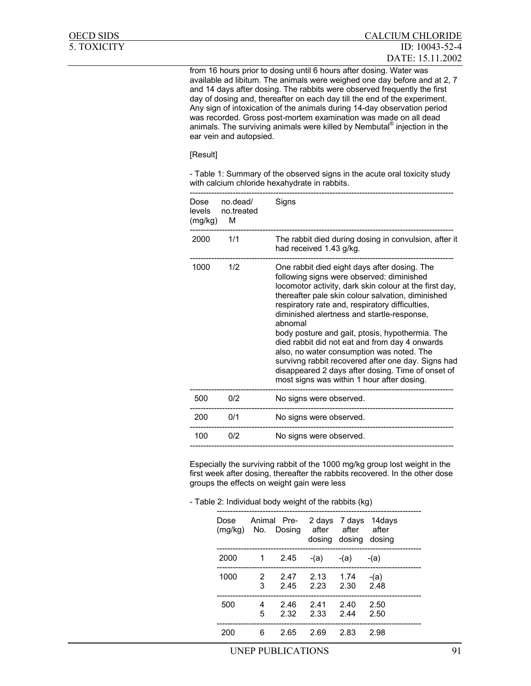from 16 hours prior to dosing until 6 hours after dosing. Water was available ad libitum. The animals were weighed one day before and at 2, 7 and 14 days after dosing. The rabbits were observed frequently the first day of dosing and, thereafter on each day till the end of the experiment. Any sign of intoxication of the animals during 14-day observation period was recorded. Gross post-mortem examination was made on all dead animals. The surviving animals were killed by Nembutal® injection in the ear vein and autopsied.

[Result]

- Table 1: Summary of the observed signs in the acute oral toxicity study with calcium chloride hexahydrate in rabbits.

| Dose<br>levels<br>(mg/kg) | no.dead/<br>no.treated<br>м | Signs                                                                                                                                                                                                                                                                                                                                                                                                                                                                                                                                                                                                                           |
|---------------------------|-----------------------------|---------------------------------------------------------------------------------------------------------------------------------------------------------------------------------------------------------------------------------------------------------------------------------------------------------------------------------------------------------------------------------------------------------------------------------------------------------------------------------------------------------------------------------------------------------------------------------------------------------------------------------|
| 2000                      | 1/1                         | The rabbit died during dosing in convulsion, after it<br>had received 1.43 g/kg.                                                                                                                                                                                                                                                                                                                                                                                                                                                                                                                                                |
| 1000                      | 1/2                         | One rabbit died eight days after dosing. The<br>following signs were observed: diminished<br>locomotor activity, dark skin colour at the first day,<br>thereafter pale skin colour salvation, diminished<br>respiratory rate and, respiratory difficulties,<br>diminished alertness and startle-response,<br>abnomal<br>body posture and gait, ptosis, hypothermia. The<br>died rabbit did not eat and from day 4 onwards<br>also, no water consumption was noted. The<br>survivng rabbit recovered after one day. Signs had<br>disappeared 2 days after dosing. Time of onset of<br>most signs was within 1 hour after dosing. |
| 500                       | 0/2                         | No signs were observed.                                                                                                                                                                                                                                                                                                                                                                                                                                                                                                                                                                                                         |
| 200                       | 0/1                         | No signs were observed.                                                                                                                                                                                                                                                                                                                                                                                                                                                                                                                                                                                                         |
| 100                       | 0/2                         | No signs were observed.                                                                                                                                                                                                                                                                                                                                                                                                                                                                                                                                                                                                         |
|                           |                             |                                                                                                                                                                                                                                                                                                                                                                                                                                                                                                                                                                                                                                 |

Especially the surviving rabbit of the 1000 mg/kg group lost weight in the first week after dosing, thereafter the rabbits recovered. In the other dose groups the effects on weight gain were less

|  | - Table 2: Individual body weight of the rabbits (kg) |
|--|-------------------------------------------------------|
|--|-------------------------------------------------------|

| Dose |    | Animal Pre- 2 days 7 days 14 days<br>(mg/kg) No. Dosing after after after |                           | dosing dosing dosing |      |
|------|----|---------------------------------------------------------------------------|---------------------------|----------------------|------|
| 2000 | 1  |                                                                           | 2.45 $-(a)$ $-(a)$ $-(a)$ |                      |      |
| 1000 | 3  | 2 2.47 2.13 1.74 -(a)                                                     | 2.45 2.23 2.30 2.48       |                      |      |
| 500  | 5. | 4 2.46 2.41                                                               | 2.32 2.33 2.44 2.50       | 2.40 2.50            |      |
| 200  | 6  | 2.65                                                                      | - 2.69                    | -2.83                | 2.98 |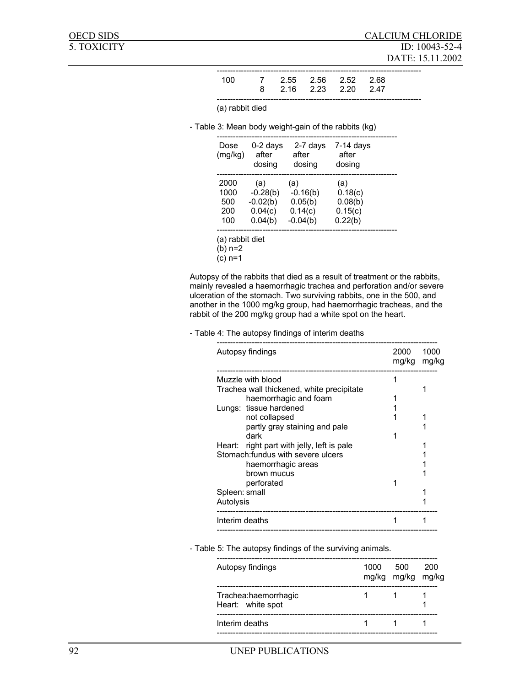| 100. | 7 2.55 2.56 2.52 2.68 |  |  |
|------|-----------------------|--|--|
|      | 8 2.16 2.23 2.20 2.47 |  |  |
|      |                       |  |  |

(a) rabbit died

- Table 3: Mean body weight-gain of the rabbits (kg)

| Dose<br>(mg/kg) | $0-2$ days<br>after<br>dosing | 2-7 days<br>after<br>dosing | $7-14$ days<br>after<br>dosing |
|-----------------|-------------------------------|-----------------------------|--------------------------------|
| 2000            | (a)                           | (a)                         | (a)                            |
| 1000            | $-0.28(b)$                    | $-0.16(b)$                  | 0.18(c)                        |
| 500             | $-0.02(b)$                    | 0.05(b)                     | 0.08(b)                        |
| 200             | 0.04(c)                       | 0.14(c)                     | 0.15(c)                        |
| 100             | 0.04(b)                       | $-0.04(b)$                  | 0.22(b)                        |

(a) rabbit diet

(b) n=2

(c) n=1

Autopsy of the rabbits that died as a result of treatment or the rabbits, mainly revealed a haemorrhagic trachea and perforation and/or severe ulceration of the stomach. Two surviving rabbits, one in the 500, and another in the 1000 mg/kg group, had haemorrhagic tracheas, and the rabbit of the 200 mg/kg group had a white spot on the heart.

#### - Table 4: The autopsy findings of interim deaths

|               | Autopsy findings                           | 2000<br>mg/kg | 1000<br>mg/kg |
|---------------|--------------------------------------------|---------------|---------------|
|               | Muzzle with blood                          |               |               |
|               | Trachea wall thickened, white precipitate  |               |               |
|               | haemorrhagic and foam                      |               |               |
|               | Lungs: tissue hardened                     |               |               |
|               | not collapsed                              |               |               |
|               | partly gray staining and pale              |               |               |
|               | dark                                       |               |               |
|               | Heart: right part with jelly, left is pale |               |               |
|               | Stomach: fundus with severe ulcers         |               |               |
|               | haemorrhagic areas                         |               |               |
|               | brown mucus                                |               |               |
|               | perforated                                 |               |               |
| Spleen: small |                                            |               |               |
| Autolysis     |                                            |               |               |
|               | Interim deaths                             |               |               |

### - Table 5: The autopsy findings of the surviving animals.

| Autopsy findings                          | 1000 500 | mg/kg mg/kg mg/kg | 200 |
|-------------------------------------------|----------|-------------------|-----|
| Trachea:haemorrhagic<br>Heart: white spot |          |                   |     |
| Interim deaths                            |          |                   |     |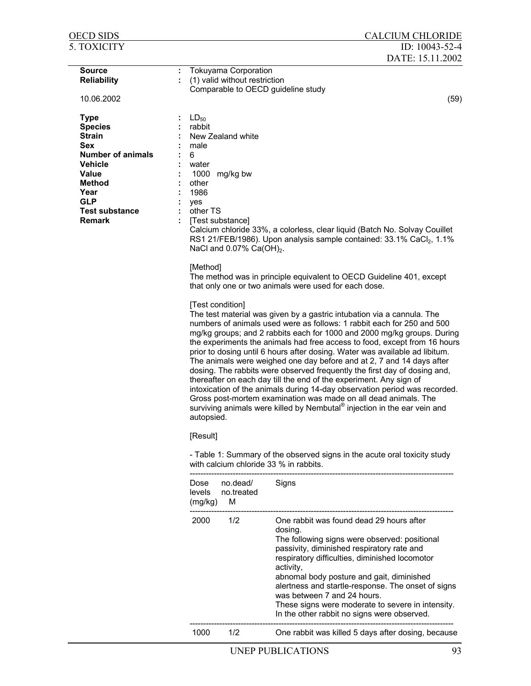| <b>OECD SIDS</b>                                                                                                                                                                                            |                                                                                                                 |                                                                                                                  | <b>CALCIUM CHLORIDE</b>                                                                                                                                                                                                                                                                                                                                                                                                                                                                                                                                                                                                                                                                                                                                                                                                                                                                                                                                                                                                                                                                                                                             |
|-------------------------------------------------------------------------------------------------------------------------------------------------------------------------------------------------------------|-----------------------------------------------------------------------------------------------------------------|------------------------------------------------------------------------------------------------------------------|-----------------------------------------------------------------------------------------------------------------------------------------------------------------------------------------------------------------------------------------------------------------------------------------------------------------------------------------------------------------------------------------------------------------------------------------------------------------------------------------------------------------------------------------------------------------------------------------------------------------------------------------------------------------------------------------------------------------------------------------------------------------------------------------------------------------------------------------------------------------------------------------------------------------------------------------------------------------------------------------------------------------------------------------------------------------------------------------------------------------------------------------------------|
| 5. TOXICITY                                                                                                                                                                                                 |                                                                                                                 |                                                                                                                  | ID: 10043-52-4                                                                                                                                                                                                                                                                                                                                                                                                                                                                                                                                                                                                                                                                                                                                                                                                                                                                                                                                                                                                                                                                                                                                      |
|                                                                                                                                                                                                             |                                                                                                                 |                                                                                                                  | DATE: 15.11.2002                                                                                                                                                                                                                                                                                                                                                                                                                                                                                                                                                                                                                                                                                                                                                                                                                                                                                                                                                                                                                                                                                                                                    |
| <b>Source</b><br><b>Reliability</b><br>10.06.2002                                                                                                                                                           | ÷                                                                                                               | <b>Tokuyama Corporation</b><br>(1) valid without restriction                                                     | Comparable to OECD guideline study<br>(59)                                                                                                                                                                                                                                                                                                                                                                                                                                                                                                                                                                                                                                                                                                                                                                                                                                                                                                                                                                                                                                                                                                          |
|                                                                                                                                                                                                             |                                                                                                                 |                                                                                                                  |                                                                                                                                                                                                                                                                                                                                                                                                                                                                                                                                                                                                                                                                                                                                                                                                                                                                                                                                                                                                                                                                                                                                                     |
| <b>Type</b><br><b>Species</b><br><b>Strain</b><br><b>Sex</b><br><b>Number of animals</b><br><b>Vehicle</b><br><b>Value</b><br><b>Method</b><br>Year<br><b>GLP</b><br><b>Test substance</b><br><b>Remark</b> | $LD_{50}$<br>rabbit<br>male<br>6<br>water<br>1000<br>other<br>1986<br>yes<br>other TS<br>[Method]<br>autopsied. | New Zealand white<br>mg/kg bw<br>[Test substance]<br>NaCl and $0.07\%$ Ca(OH) <sub>2</sub> .<br>[Test condition] | Calcium chloride 33%, a colorless, clear liquid (Batch No. Solvay Couillet<br>RS1 21/FEB/1986). Upon analysis sample contained: 33.1% CaCl <sub>2</sub> , 1.1%<br>The method was in principle equivalent to OECD Guideline 401, except<br>that only one or two animals were used for each dose.<br>The test material was given by a gastric intubation via a cannula. The<br>numbers of animals used were as follows: 1 rabbit each for 250 and 500<br>mg/kg groups; and 2 rabbits each for 1000 and 2000 mg/kg groups. During<br>the experiments the animals had free access to food, except from 16 hours<br>prior to dosing until 6 hours after dosing. Water was available ad libitum.<br>The animals were weighed one day before and at 2, 7 and 14 days after<br>dosing. The rabbits were observed frequently the first day of dosing and,<br>thereafter on each day till the end of the experiment. Any sign of<br>intoxication of the animals during 14-day observation period was recorded.<br>Gross post-mortem examination was made on all dead animals. The<br>surviving animals were killed by Nembutal® injection in the ear vein and |
|                                                                                                                                                                                                             | [Result]                                                                                                        |                                                                                                                  | - Table 1: Summary of the observed signs in the acute oral toxicity study                                                                                                                                                                                                                                                                                                                                                                                                                                                                                                                                                                                                                                                                                                                                                                                                                                                                                                                                                                                                                                                                           |
|                                                                                                                                                                                                             |                                                                                                                 |                                                                                                                  | with calcium chloride 33 % in rabbits.                                                                                                                                                                                                                                                                                                                                                                                                                                                                                                                                                                                                                                                                                                                                                                                                                                                                                                                                                                                                                                                                                                              |
|                                                                                                                                                                                                             | Dose<br>levels<br>(mg/kg)                                                                                       | no.dead/<br>no.treated<br>M                                                                                      | Signs                                                                                                                                                                                                                                                                                                                                                                                                                                                                                                                                                                                                                                                                                                                                                                                                                                                                                                                                                                                                                                                                                                                                               |
|                                                                                                                                                                                                             | 2000                                                                                                            | 1/2                                                                                                              | One rabbit was found dead 29 hours after<br>dosing.<br>The following signs were observed: positional<br>passivity, diminished respiratory rate and<br>respiratory difficulties, diminished locomotor<br>activity,<br>abnomal body posture and gait, diminished<br>alertness and startle-response. The onset of signs<br>was between 7 and 24 hours.<br>These signs were moderate to severe in intensity.<br>In the other rabbit no signs were observed.                                                                                                                                                                                                                                                                                                                                                                                                                                                                                                                                                                                                                                                                                             |
|                                                                                                                                                                                                             | 1000                                                                                                            | 1/2                                                                                                              | One rabbit was killed 5 days after dosing, because                                                                                                                                                                                                                                                                                                                                                                                                                                                                                                                                                                                                                                                                                                                                                                                                                                                                                                                                                                                                                                                                                                  |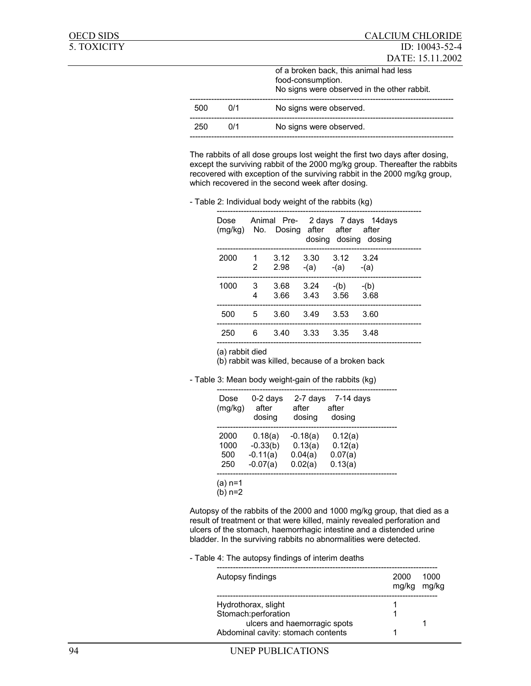|     |     | of a broken back, this animal had less<br>food-consumption.<br>No signs were observed in the other rabbit. |
|-----|-----|------------------------------------------------------------------------------------------------------------|
| 500 | 0/1 | No signs were observed.                                                                                    |
| 250 | 0/1 | No signs were observed.                                                                                    |
|     |     |                                                                                                            |

The rabbits of all dose groups lost weight the first two days after dosing, except the surviving rabbit of the 2000 mg/kg group. Thereafter the rabbits recovered with exception of the surviving rabbit in the 2000 mg/kg group, which recovered in the second week after dosing.

- Table 2: Individual body weight of the rabbits (kg)

| Dose<br>(mg/kg) No. Dosing after after after |                  |                             |                     |                      | Animal Pre- 2 days 7 days 14 days<br>dosing dosing dosing |
|----------------------------------------------|------------------|-----------------------------|---------------------|----------------------|-----------------------------------------------------------|
| 2000                                         | $\mathbf 1$<br>2 | 3.12<br>2.98                | 3.30 3.12 3.24      | $-(a)$ $-(a)$ $-(a)$ |                                                           |
| 1000                                         | 3<br>4           | $3.68$ $3.24$ $-(b)$ $-(b)$ | 3.66 3.43 3.56 3.68 |                      |                                                           |
| 500                                          | 5                | 3.60                        | 3.49                | - 3.53               | 3.60                                                      |
| 250                                          | 6                | 3.40                        | 3.33                | 3.35                 | 3.48                                                      |

(a) rabbit died

(b) rabbit was killed, because of a broken back

- Table 3: Mean body weight-gain of the rabbits (kg)

| Dose<br>(mg/kg) | 0-2 days<br>after<br>dosing | 2-7 days<br>after<br>dosing | 7-14 days<br>after<br>dosing |
|-----------------|-----------------------------|-----------------------------|------------------------------|
| 2000            | 0.18(a)                     | $-0.18(a)$                  | 0.12(a)                      |
| 1000            | $-0.33(b)$                  | 0.13(a)                     | 0.12(a)                      |
| 500             | $-0.11(a)$                  | 0.04(a)                     | 0.07(a)                      |
| 250             | $-0.07(a)$                  | 0.02(a)                     | 0.13(a)                      |
| (a) n=1         |                             |                             |                              |
| (b) n=2         |                             |                             |                              |

Autopsy of the rabbits of the 2000 and 1000 mg/kg group, that died as a result of treatment or that were killed, mainly revealed perforation and ulcers of the stomach, haemorrhagic intestine and a distended urine bladder. In the surviving rabbits no abnormalities were detected.

#### - Table 4: The autopsy findings of interim deaths

| Autopsy findings                   | 2000<br>mg/kg | 1000<br>mg/kg |
|------------------------------------|---------------|---------------|
| Hydrothorax, slight                |               |               |
| Stomach:perforation                |               |               |
| ulcers and haemorragic spots       |               |               |
| Abdominal cavity: stomach contents |               |               |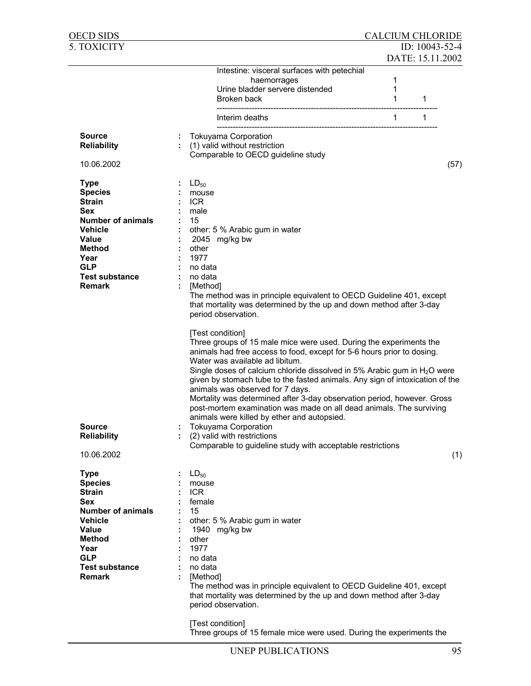| OECD SIDS                     |               |                                                                                                                                                                                                                                                                                                                                                                                                                                                                                                                                                                                                        | <b>CALCIUM CHLORIDE</b> |                  |      |
|-------------------------------|---------------|--------------------------------------------------------------------------------------------------------------------------------------------------------------------------------------------------------------------------------------------------------------------------------------------------------------------------------------------------------------------------------------------------------------------------------------------------------------------------------------------------------------------------------------------------------------------------------------------------------|-------------------------|------------------|------|
| 5. TOXICITY                   |               |                                                                                                                                                                                                                                                                                                                                                                                                                                                                                                                                                                                                        |                         | ID: 10043-52-4   |      |
|                               |               |                                                                                                                                                                                                                                                                                                                                                                                                                                                                                                                                                                                                        |                         | DATE: 15.11.2002 |      |
|                               |               | Intestine: visceral surfaces with petechial                                                                                                                                                                                                                                                                                                                                                                                                                                                                                                                                                            |                         |                  |      |
|                               |               | haemorrages                                                                                                                                                                                                                                                                                                                                                                                                                                                                                                                                                                                            | 1                       |                  |      |
|                               |               | Urine bladder servere distended                                                                                                                                                                                                                                                                                                                                                                                                                                                                                                                                                                        | 1                       |                  |      |
|                               |               | Broken back                                                                                                                                                                                                                                                                                                                                                                                                                                                                                                                                                                                            | 1                       | 1                |      |
|                               |               |                                                                                                                                                                                                                                                                                                                                                                                                                                                                                                                                                                                                        |                         |                  |      |
|                               |               | Interim deaths                                                                                                                                                                                                                                                                                                                                                                                                                                                                                                                                                                                         | $\mathbf{1}$            | $\mathbf{1}$     |      |
| <b>Source</b>                 | ÷             | <b>Tokuyama Corporation</b>                                                                                                                                                                                                                                                                                                                                                                                                                                                                                                                                                                            |                         |                  |      |
| <b>Reliability</b>            |               | (1) valid without restriction                                                                                                                                                                                                                                                                                                                                                                                                                                                                                                                                                                          |                         |                  |      |
|                               |               | Comparable to OECD guideline study                                                                                                                                                                                                                                                                                                                                                                                                                                                                                                                                                                     |                         |                  |      |
| 10.06.2002                    |               |                                                                                                                                                                                                                                                                                                                                                                                                                                                                                                                                                                                                        |                         |                  | (57) |
| <b>Type</b>                   | $LD_{50}$     |                                                                                                                                                                                                                                                                                                                                                                                                                                                                                                                                                                                                        |                         |                  |      |
| <b>Species</b>                |               | mouse                                                                                                                                                                                                                                                                                                                                                                                                                                                                                                                                                                                                  |                         |                  |      |
| <b>Strain</b>                 | <b>ICR</b>    |                                                                                                                                                                                                                                                                                                                                                                                                                                                                                                                                                                                                        |                         |                  |      |
| <b>Sex</b>                    | male          |                                                                                                                                                                                                                                                                                                                                                                                                                                                                                                                                                                                                        |                         |                  |      |
| <b>Number of animals</b>      | 15            |                                                                                                                                                                                                                                                                                                                                                                                                                                                                                                                                                                                                        |                         |                  |      |
| Vehicle                       |               | other: 5 % Arabic gum in water                                                                                                                                                                                                                                                                                                                                                                                                                                                                                                                                                                         |                         |                  |      |
| <b>Value</b>                  |               | 2045 mg/kg bw                                                                                                                                                                                                                                                                                                                                                                                                                                                                                                                                                                                          |                         |                  |      |
| Method                        | other         |                                                                                                                                                                                                                                                                                                                                                                                                                                                                                                                                                                                                        |                         |                  |      |
| Year                          | 1977          |                                                                                                                                                                                                                                                                                                                                                                                                                                                                                                                                                                                                        |                         |                  |      |
| <b>GLP</b>                    |               | no data                                                                                                                                                                                                                                                                                                                                                                                                                                                                                                                                                                                                |                         |                  |      |
| <b>Test substance</b>         |               | no data                                                                                                                                                                                                                                                                                                                                                                                                                                                                                                                                                                                                |                         |                  |      |
| <b>Remark</b>                 |               | [Method]                                                                                                                                                                                                                                                                                                                                                                                                                                                                                                                                                                                               |                         |                  |      |
|                               |               | The method was in principle equivalent to OECD Guideline 401, except                                                                                                                                                                                                                                                                                                                                                                                                                                                                                                                                   |                         |                  |      |
|                               |               | that mortality was determined by the up and down method after 3-day                                                                                                                                                                                                                                                                                                                                                                                                                                                                                                                                    |                         |                  |      |
|                               |               | period observation.                                                                                                                                                                                                                                                                                                                                                                                                                                                                                                                                                                                    |                         |                  |      |
|                               |               | [Test condition]<br>Three groups of 15 male mice were used. During the experiments the<br>animals had free access to food, except for 5-6 hours prior to dosing.<br>Water was available ad libitum.<br>Single doses of calcium chloride dissolved in 5% Arabic gum in $H_2O$ were<br>given by stomach tube to the fasted animals. Any sign of intoxication of the<br>animals was observed for 7 days.<br>Mortality was determined after 3-day observation period, however. Gross<br>post-mortem examination was made on all dead animals. The surviving<br>animals were killed by ether and autopsied. |                         |                  |      |
| <b>Source</b>                 |               | <b>Tokuyama Corporation</b>                                                                                                                                                                                                                                                                                                                                                                                                                                                                                                                                                                            |                         |                  |      |
| <b>Reliability</b>            |               | (2) valid with restrictions                                                                                                                                                                                                                                                                                                                                                                                                                                                                                                                                                                            |                         |                  |      |
|                               |               | Comparable to guideline study with acceptable restrictions                                                                                                                                                                                                                                                                                                                                                                                                                                                                                                                                             |                         |                  |      |
| 10.06.2002                    |               |                                                                                                                                                                                                                                                                                                                                                                                                                                                                                                                                                                                                        |                         |                  | (1)  |
|                               |               |                                                                                                                                                                                                                                                                                                                                                                                                                                                                                                                                                                                                        |                         |                  |      |
| <b>Type</b>                   | $LD_{50}$     |                                                                                                                                                                                                                                                                                                                                                                                                                                                                                                                                                                                                        |                         |                  |      |
| <b>Species</b>                |               | mouse                                                                                                                                                                                                                                                                                                                                                                                                                                                                                                                                                                                                  |                         |                  |      |
| <b>Strain</b>                 | <b>ICR</b>    |                                                                                                                                                                                                                                                                                                                                                                                                                                                                                                                                                                                                        |                         |                  |      |
| <b>Sex</b>                    |               | female                                                                                                                                                                                                                                                                                                                                                                                                                                                                                                                                                                                                 |                         |                  |      |
| <b>Number of animals</b>      | 15            |                                                                                                                                                                                                                                                                                                                                                                                                                                                                                                                                                                                                        |                         |                  |      |
| Vehicle                       |               | other: 5 % Arabic gum in water                                                                                                                                                                                                                                                                                                                                                                                                                                                                                                                                                                         |                         |                  |      |
| <b>Value</b><br><b>Method</b> |               | 1940 mg/kg bw                                                                                                                                                                                                                                                                                                                                                                                                                                                                                                                                                                                          |                         |                  |      |
| Year                          | other<br>1977 |                                                                                                                                                                                                                                                                                                                                                                                                                                                                                                                                                                                                        |                         |                  |      |
| <b>GLP</b>                    |               | no data                                                                                                                                                                                                                                                                                                                                                                                                                                                                                                                                                                                                |                         |                  |      |
| <b>Test substance</b>         |               | no data                                                                                                                                                                                                                                                                                                                                                                                                                                                                                                                                                                                                |                         |                  |      |
| <b>Remark</b>                 |               | [Method]                                                                                                                                                                                                                                                                                                                                                                                                                                                                                                                                                                                               |                         |                  |      |
|                               |               | The method was in principle equivalent to OECD Guideline 401, except                                                                                                                                                                                                                                                                                                                                                                                                                                                                                                                                   |                         |                  |      |
|                               |               | that mortality was determined by the up and down method after 3-day                                                                                                                                                                                                                                                                                                                                                                                                                                                                                                                                    |                         |                  |      |
|                               |               | period observation.                                                                                                                                                                                                                                                                                                                                                                                                                                                                                                                                                                                    |                         |                  |      |
|                               |               |                                                                                                                                                                                                                                                                                                                                                                                                                                                                                                                                                                                                        |                         |                  |      |
|                               |               | [Test condition]                                                                                                                                                                                                                                                                                                                                                                                                                                                                                                                                                                                       |                         |                  |      |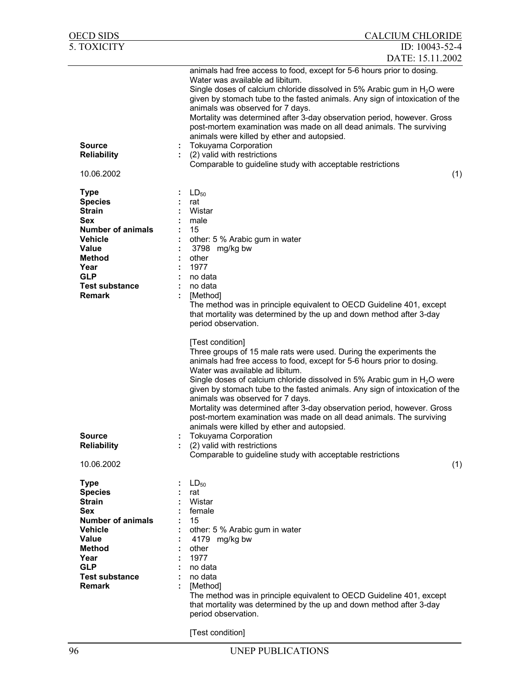| OECD SIDS                                                                                                                                                                                            | <b>CALCIUM CHLORIDE</b>                                                                                                                                                                                                                                                                                                                                                                                                                                                                                                                                                                                                                                                                                                                   |
|------------------------------------------------------------------------------------------------------------------------------------------------------------------------------------------------------|-------------------------------------------------------------------------------------------------------------------------------------------------------------------------------------------------------------------------------------------------------------------------------------------------------------------------------------------------------------------------------------------------------------------------------------------------------------------------------------------------------------------------------------------------------------------------------------------------------------------------------------------------------------------------------------------------------------------------------------------|
| 5. TOXICITY                                                                                                                                                                                          | ID: 10043-52-4<br>DATE: 15.11.2002                                                                                                                                                                                                                                                                                                                                                                                                                                                                                                                                                                                                                                                                                                        |
| <b>Source</b><br><b>Reliability</b><br>10.06.2002                                                                                                                                                    | animals had free access to food, except for 5-6 hours prior to dosing.<br>Water was available ad libitum.<br>Single doses of calcium chloride dissolved in 5% Arabic gum in $H_2O$ were<br>given by stomach tube to the fasted animals. Any sign of intoxication of the<br>animals was observed for 7 days.<br>Mortality was determined after 3-day observation period, however. Gross<br>post-mortem examination was made on all dead animals. The surviving<br>animals were killed by ether and autopsied.<br><b>Tokuyama Corporation</b><br>÷<br>(2) valid with restrictions<br>Comparable to guideline study with acceptable restrictions<br>(1)                                                                                      |
|                                                                                                                                                                                                      |                                                                                                                                                                                                                                                                                                                                                                                                                                                                                                                                                                                                                                                                                                                                           |
| <b>Type</b><br><b>Species</b><br><b>Strain</b><br><b>Sex</b><br><b>Number of animals</b><br><b>Vehicle</b><br><b>Value</b><br>Method<br>Year<br><b>GLP</b><br><b>Test substance</b><br><b>Remark</b> | $LD_{50}$<br>rat<br>Wistar<br>male<br>15<br>other: 5 % Arabic gum in water<br>3798 mg/kg bw<br>other<br>1977<br>no data<br>no data<br>[Method]<br>The method was in principle equivalent to OECD Guideline 401, except<br>that mortality was determined by the up and down method after 3-day<br>period observation.                                                                                                                                                                                                                                                                                                                                                                                                                      |
| <b>Source</b><br><b>Reliability</b><br>10.06.2002                                                                                                                                                    | [Test condition]<br>Three groups of 15 male rats were used. During the experiments the<br>animals had free access to food, except for 5-6 hours prior to dosing.<br>Water was available ad libitum.<br>Single doses of calcium chloride dissolved in 5% Arabic gum in $H_2O$ were<br>given by stomach tube to the fasted animals. Any sign of intoxication of the<br>animals was observed for 7 days.<br>Mortality was determined after 3-day observation period, however. Gross<br>post-mortem examination was made on all dead animals. The surviving<br>animals were killed by ether and autopsied.<br><b>Tokuyama Corporation</b><br>(2) valid with restrictions<br>Comparable to guideline study with acceptable restrictions<br>(1) |
| <b>Type</b><br><b>Species</b><br><b>Strain</b><br>Sex<br><b>Number of animals</b><br><b>Vehicle</b><br><b>Value</b><br><b>Method</b><br>Year<br><b>GLP</b><br><b>Test substance</b><br><b>Remark</b> | $LD_{50}$<br>rat<br>Wistar<br>female<br>15<br>other: 5 % Arabic gum in water<br>4179 mg/kg bw<br>other<br>1977<br>no data<br>no data<br>[Method]<br>The method was in principle equivalent to OECD Guideline 401, except<br>that mortality was determined by the up and down method after 3-day<br>period observation.                                                                                                                                                                                                                                                                                                                                                                                                                    |

[Test condition]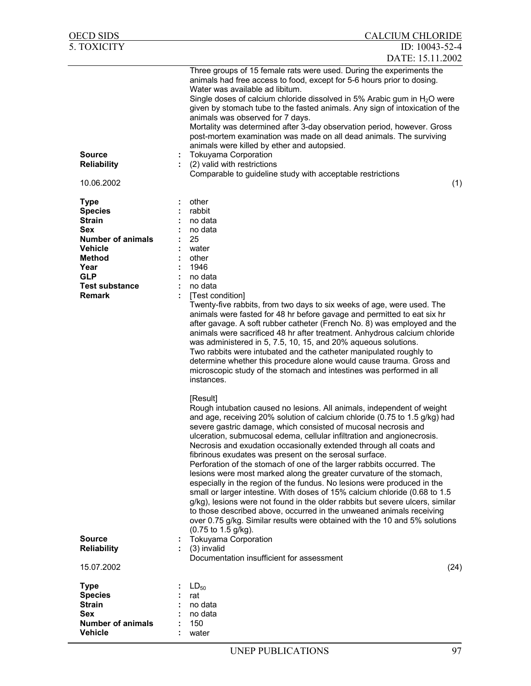| OECD SIDS                                                                                                                                                              | <b>CALCIUM CHLORIDE</b>                                                                                                                                                                                                                                                                                                                                                                                                                                                                                                                                                                                                                                                                                                                                                                                                                                                                                                                                                                                              |
|------------------------------------------------------------------------------------------------------------------------------------------------------------------------|----------------------------------------------------------------------------------------------------------------------------------------------------------------------------------------------------------------------------------------------------------------------------------------------------------------------------------------------------------------------------------------------------------------------------------------------------------------------------------------------------------------------------------------------------------------------------------------------------------------------------------------------------------------------------------------------------------------------------------------------------------------------------------------------------------------------------------------------------------------------------------------------------------------------------------------------------------------------------------------------------------------------|
| 5. TOXICITY                                                                                                                                                            | ID: 10043-52-4                                                                                                                                                                                                                                                                                                                                                                                                                                                                                                                                                                                                                                                                                                                                                                                                                                                                                                                                                                                                       |
|                                                                                                                                                                        | DATE: 15.11.2002                                                                                                                                                                                                                                                                                                                                                                                                                                                                                                                                                                                                                                                                                                                                                                                                                                                                                                                                                                                                     |
| <b>Source</b><br><b>Reliability</b><br>10.06.2002                                                                                                                      | Three groups of 15 female rats were used. During the experiments the<br>animals had free access to food, except for 5-6 hours prior to dosing.<br>Water was available ad libitum.<br>Single doses of calcium chloride dissolved in 5% Arabic gum in H <sub>2</sub> O were<br>given by stomach tube to the fasted animals. Any sign of intoxication of the<br>animals was observed for 7 days.<br>Mortality was determined after 3-day observation period, however. Gross<br>post-mortem examination was made on all dead animals. The surviving<br>animals were killed by ether and autopsied.<br><b>Tokuyama Corporation</b><br>(2) valid with restrictions<br>Comparable to guideline study with acceptable restrictions<br>(1)                                                                                                                                                                                                                                                                                    |
|                                                                                                                                                                        |                                                                                                                                                                                                                                                                                                                                                                                                                                                                                                                                                                                                                                                                                                                                                                                                                                                                                                                                                                                                                      |
| <b>Type</b><br><b>Species</b><br><b>Strain</b><br>Sex<br><b>Number of animals</b><br>Vehicle<br>Method<br>Year<br><b>GLP</b><br><b>Test substance</b><br><b>Remark</b> | other<br>rabbit<br>no data<br>no data<br>25<br>water<br>other<br>1946<br>no data<br>no data<br>[Test condition]                                                                                                                                                                                                                                                                                                                                                                                                                                                                                                                                                                                                                                                                                                                                                                                                                                                                                                      |
|                                                                                                                                                                        | Twenty-five rabbits, from two days to six weeks of age, were used. The<br>animals were fasted for 48 hr before gavage and permitted to eat six hr<br>after gavage. A soft rubber catheter (French No. 8) was employed and the<br>animals were sacrificed 48 hr after treatment. Anhydrous calcium chloride<br>was administered in 5, 7.5, 10, 15, and 20% aqueous solutions.<br>Two rabbits were intubated and the catheter manipulated roughly to<br>determine whether this procedure alone would cause trauma. Gross and<br>microscopic study of the stomach and intestines was performed in all<br>instances.                                                                                                                                                                                                                                                                                                                                                                                                     |
|                                                                                                                                                                        | [Result]<br>Rough intubation caused no lesions. All animals, independent of weight<br>and age, receiving 20% solution of calcium chloride (0.75 to 1.5 g/kg) had<br>severe gastric damage, which consisted of mucosal necrosis and<br>ulceration, submucosal edema, cellular infiltration and angionecrosis.<br>Necrosis and exudation occasionally extended through all coats and<br>fibrinous exudates was present on the serosal surface.<br>Perforation of the stomach of one of the larger rabbits occurred. The<br>lesions were most marked along the greater curvature of the stomach,<br>especially in the region of the fundus. No lesions were produced in the<br>small or larger intestine. With doses of 15% calcium chloride (0.68 to 1.5<br>g/kg), lesions were not found in the older rabbits but severe ulcers, similar<br>to those described above, occurred in the unweaned animals receiving<br>over 0.75 g/kg. Similar results were obtained with the 10 and 5% solutions<br>(0.75 to 1.5 g/kg). |
| <b>Source</b><br><b>Reliability</b>                                                                                                                                    | <b>Tokuyama Corporation</b><br>(3) invalid<br>Documentation insufficient for assessment                                                                                                                                                                                                                                                                                                                                                                                                                                                                                                                                                                                                                                                                                                                                                                                                                                                                                                                              |
| 15.07.2002                                                                                                                                                             | (24)                                                                                                                                                                                                                                                                                                                                                                                                                                                                                                                                                                                                                                                                                                                                                                                                                                                                                                                                                                                                                 |
| <b>Type</b><br><b>Species</b><br><b>Strain</b><br><b>Sex</b><br><b>Number of animals</b><br><b>Vehicle</b>                                                             | $LD_{50}$<br>rat<br>no data<br>no data<br>150<br>water                                                                                                                                                                                                                                                                                                                                                                                                                                                                                                                                                                                                                                                                                                                                                                                                                                                                                                                                                               |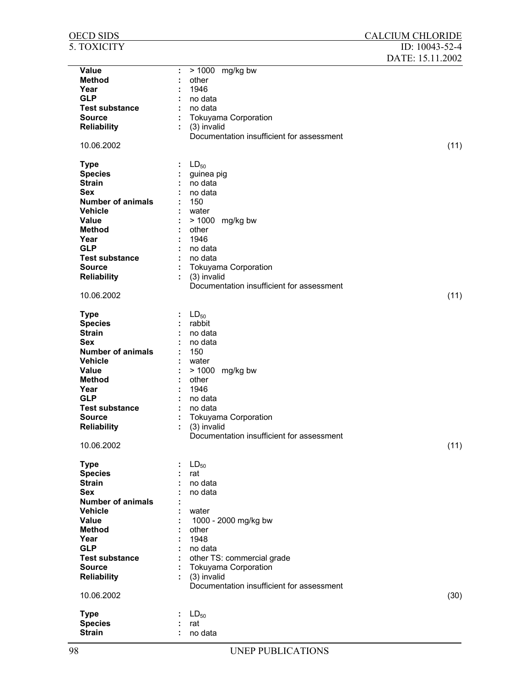| <u>OECD SIDS</u>         |   |                                           | <b>CALCIUM CHLORIDE</b> |
|--------------------------|---|-------------------------------------------|-------------------------|
| 5. TOXICITY              |   |                                           | ID: 10043-52-4          |
|                          |   |                                           | DATE: 15.11.2002        |
| <b>Value</b>             | ÷ | > 1000 mg/kg bw                           |                         |
| <b>Method</b>            |   | other                                     |                         |
| Year                     |   | 1946                                      |                         |
| <b>GLP</b>               |   | no data                                   |                         |
| <b>Test substance</b>    |   | no data                                   |                         |
| <b>Source</b>            |   | <b>Tokuyama Corporation</b>               |                         |
| <b>Reliability</b>       |   | (3) invalid                               |                         |
|                          |   | Documentation insufficient for assessment |                         |
|                          |   |                                           |                         |
| 10.06.2002               |   |                                           | (11)                    |
| <b>Type</b>              |   | $LD_{50}$                                 |                         |
| <b>Species</b>           |   | guinea pig                                |                         |
| <b>Strain</b>            |   | no data                                   |                         |
| <b>Sex</b>               |   | no data                                   |                         |
| <b>Number of animals</b> |   | 150                                       |                         |
| <b>Vehicle</b>           |   | water                                     |                         |
| <b>Value</b>             |   | > 1000 mg/kg bw                           |                         |
| <b>Method</b>            |   | other                                     |                         |
| Year                     |   | 1946                                      |                         |
| <b>GLP</b>               |   |                                           |                         |
|                          |   | no data                                   |                         |
| <b>Test substance</b>    |   | no data                                   |                         |
| <b>Source</b>            |   | Tokuyama Corporation                      |                         |
| <b>Reliability</b>       |   | (3) invalid                               |                         |
|                          |   | Documentation insufficient for assessment |                         |
| 10.06.2002               |   |                                           | (11)                    |
|                          |   |                                           |                         |
| <b>Type</b>              |   | $LD_{50}$                                 |                         |
| <b>Species</b>           |   | rabbit                                    |                         |
| <b>Strain</b>            |   | no data                                   |                         |
| <b>Sex</b>               |   | no data                                   |                         |
| <b>Number of animals</b> |   | 150                                       |                         |
| <b>Vehicle</b>           |   | water                                     |                         |
| <b>Value</b>             |   | >1000<br>mg/kg bw                         |                         |
| <b>Method</b>            |   | other                                     |                         |
| Year                     |   | 1946                                      |                         |
| <b>GLP</b>               |   | no data                                   |                         |
| <b>Test substance</b>    |   | no data                                   |                         |
| <b>Source</b>            |   | <b>Tokuyama Corporation</b>               |                         |
| <b>Reliability</b>       |   | (3) invalid                               |                         |
|                          |   | Documentation insufficient for assessment |                         |
| 10.06.2002               |   |                                           | (11)                    |
|                          |   |                                           |                         |
| <b>Type</b>              |   | $LD_{50}$                                 |                         |
| <b>Species</b>           |   | rat                                       |                         |
| <b>Strain</b>            |   | no data                                   |                         |
| <b>Sex</b>               |   | no data                                   |                         |
| <b>Number of animals</b> |   |                                           |                         |
| <b>Vehicle</b>           |   | water                                     |                         |
| Value                    |   | 1000 - 2000 mg/kg bw                      |                         |
| <b>Method</b>            |   | other                                     |                         |
| Year                     |   | 1948                                      |                         |
| <b>GLP</b>               |   | no data                                   |                         |
| <b>Test substance</b>    |   | other TS: commercial grade                |                         |
| <b>Source</b>            |   | Tokuyama Corporation                      |                         |
| <b>Reliability</b>       |   | (3) invalid                               |                         |
|                          |   | Documentation insufficient for assessment |                         |
| 10.06.2002               |   |                                           | (30)                    |
|                          |   |                                           |                         |
| <b>Type</b>              |   | $LD_{50}$                                 |                         |
| <b>Species</b>           |   | rat                                       |                         |
| <b>Strain</b>            |   | no data                                   |                         |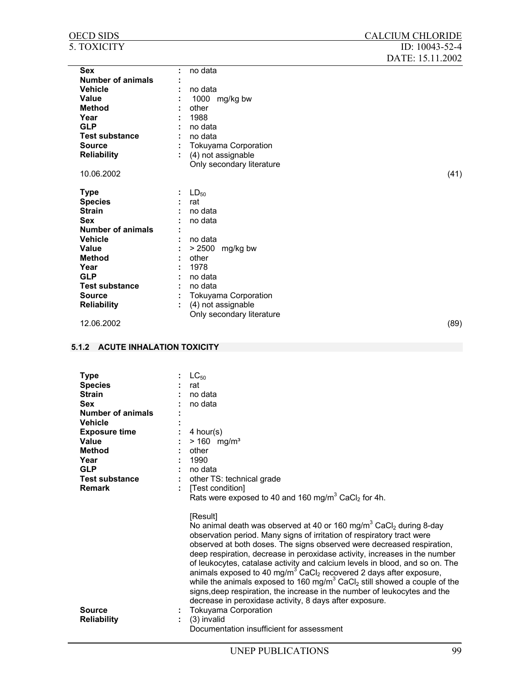| <b>OECD SIDS</b>         |   |                             | <b>CALCIUM CHLORIDE</b> |
|--------------------------|---|-----------------------------|-------------------------|
| 5. TOXICITY              |   |                             | ID: 10043-52-4          |
|                          |   |                             | DATE: 15.11.2002        |
| <b>Sex</b>               | ÷ | no data                     |                         |
| <b>Number of animals</b> |   |                             |                         |
| <b>Vehicle</b>           |   | no data                     |                         |
| Value                    |   | 1000 mg/kg bw               |                         |
| <b>Method</b>            |   | other                       |                         |
| Year                     |   | 1988                        |                         |
| <b>GLP</b>               |   | no data                     |                         |
| <b>Test substance</b>    |   | no data                     |                         |
| <b>Source</b>            |   | <b>Tokuyama Corporation</b> |                         |
| <b>Reliability</b>       |   | (4) not assignable          |                         |
|                          |   | Only secondary literature   |                         |
| 10.06.2002               |   |                             | (41)                    |
| <b>Type</b>              |   | $LD_{50}$                   |                         |
| <b>Species</b>           |   | rat                         |                         |
| <b>Strain</b>            |   | no data                     |                         |
| <b>Sex</b>               |   | no data                     |                         |
| Number of animals        |   |                             |                         |
| <b>Vehicle</b>           |   | no data                     |                         |
| Value                    |   | > 2500 mg/kg bw             |                         |
| <b>Method</b>            |   | other                       |                         |
| Year                     |   | 1978                        |                         |
| <b>GLP</b>               |   | no data                     |                         |
| <b>Test substance</b>    |   | no data                     |                         |
| <b>Source</b>            |   | <b>Tokuyama Corporation</b> |                         |
| <b>Reliability</b>       |   | (4) not assignable          |                         |
|                          |   | Only secondary literature   |                         |

12.06.2002 (89)

## **5.1.2 ACUTE INHALATION TOXICITY**

| <b>Type</b>              | $LC_{50}$                                                                                         |
|--------------------------|---------------------------------------------------------------------------------------------------|
| <b>Species</b>           | rat                                                                                               |
| <b>Strain</b>            | no data                                                                                           |
| <b>Sex</b>               | no data                                                                                           |
| <b>Number of animals</b> |                                                                                                   |
| <b>Vehicle</b>           |                                                                                                   |
| <b>Exposure time</b>     | 4 hour(s)                                                                                         |
| Value                    | $> 160$ mg/m <sup>3</sup>                                                                         |
| Method                   | other                                                                                             |
| Year                     | 1990                                                                                              |
| <b>GLP</b>               | no data                                                                                           |
| <b>Test substance</b>    | : other TS: technical grade                                                                       |
| <b>Remark</b>            | [Test condition]                                                                                  |
|                          | Rats were exposed to 40 and 160 mg/m <sup>3</sup> CaCl <sub>2</sub> for 4h.                       |
|                          |                                                                                                   |
|                          | [Result]                                                                                          |
|                          | No animal death was observed at 40 or 160 mg/m <sup>3</sup> CaCl <sub>2</sub> during 8-day        |
|                          | observation period. Many signs of irritation of respiratory tract were                            |
|                          | observed at both doses. The signs observed were decreased respiration,                            |
|                          | deep respiration, decrease in peroxidase activity, increases in the number                        |
|                          | of leukocytes, catalase activity and calcium levels in blood, and so on. The                      |
|                          | animals exposed to 40 mg/m <sup>3</sup> CaCl <sub>2</sub> recovered 2 days after exposure,        |
|                          | while the animals exposed to 160 mg/m <sup>3</sup> CaCl <sub>2</sub> still showed a couple of the |
|                          | signs, deep respiration, the increase in the number of leukocytes and the                         |
|                          | decrease in peroxidase activity, 8 days after exposure.                                           |
| <b>Source</b>            | Tokuyama Corporation                                                                              |
| <b>Reliability</b>       | (3) invalid                                                                                       |
|                          | Documentation insufficient for assessment                                                         |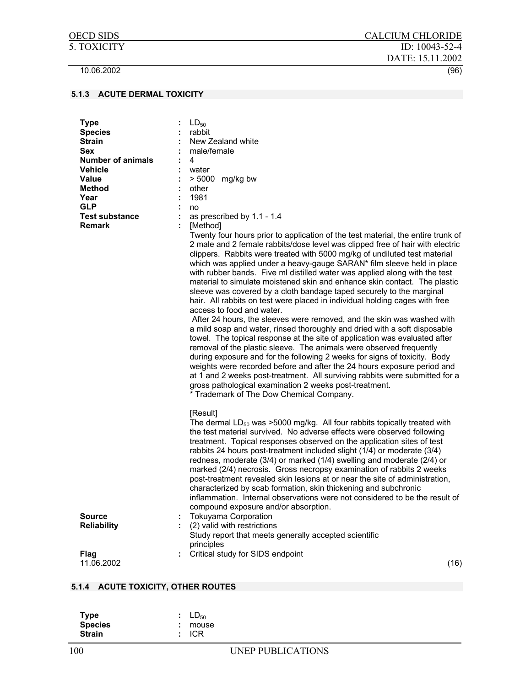## **5.1.3 ACUTE DERMAL TOXICITY**

| <b>Type</b><br><b>Species</b><br><b>Strain</b><br><b>Sex</b><br><b>Number of animals</b><br><b>Vehicle</b><br><b>Value</b><br><b>Method</b><br>Year<br><b>GLP</b><br><b>Test substance</b><br><b>Remark</b> | $LD_{50}$<br>rabbit<br>New Zealand white<br>male/female<br>4<br>water<br>$> 5000$ mg/kg bw<br>other<br>1981<br>no<br>as prescribed by 1.1 - 1.4<br>[Method]<br>Twenty four hours prior to application of the test material, the entire trunk of<br>2 male and 2 female rabbits/dose level was clipped free of hair with electric<br>clippers. Rabbits were treated with 5000 mg/kg of undiluted test material<br>which was applied under a heavy-gauge SARAN* film sleeve held in place<br>with rubber bands. Five ml distilled water was applied along with the test<br>material to simulate moistened skin and enhance skin contact. The plastic<br>sleeve was covered by a cloth bandage taped securely to the marginal                                        |
|-------------------------------------------------------------------------------------------------------------------------------------------------------------------------------------------------------------|-------------------------------------------------------------------------------------------------------------------------------------------------------------------------------------------------------------------------------------------------------------------------------------------------------------------------------------------------------------------------------------------------------------------------------------------------------------------------------------------------------------------------------------------------------------------------------------------------------------------------------------------------------------------------------------------------------------------------------------------------------------------|
|                                                                                                                                                                                                             | hair. All rabbits on test were placed in individual holding cages with free<br>access to food and water.<br>After 24 hours, the sleeves were removed, and the skin was washed with<br>a mild soap and water, rinsed thoroughly and dried with a soft disposable<br>towel. The topical response at the site of application was evaluated after<br>removal of the plastic sleeve. The animals were observed frequently<br>during exposure and for the following 2 weeks for signs of toxicity. Body<br>weights were recorded before and after the 24 hours exposure period and<br>at 1 and 2 weeks post-treatment. All surviving rabbits were submitted for a<br>gross pathological examination 2 weeks post-treatment.<br>* Trademark of The Dow Chemical Company. |
|                                                                                                                                                                                                             | [Result]<br>The dermal $LD_{50}$ was >5000 mg/kg. All four rabbits topically treated with<br>the test material survived. No adverse effects were observed following<br>treatment. Topical responses observed on the application sites of test<br>rabbits 24 hours post-treatment included slight (1/4) or moderate (3/4)<br>redness, moderate (3/4) or marked (1/4) swelling and moderate (2/4) or<br>marked (2/4) necrosis. Gross necropsy examination of rabbits 2 weeks<br>post-treatment revealed skin lesions at or near the site of administration,<br>characterized by scab formation, skin thickening and subchronic<br>inflammation. Internal observations were not considered to be the result of<br>compound exposure and/or absorption.               |
| <b>Source</b><br><b>Reliability</b>                                                                                                                                                                         | <b>Tokuyama Corporation</b><br>(2) valid with restrictions<br>Study report that meets generally accepted scientific<br>principles                                                                                                                                                                                                                                                                                                                                                                                                                                                                                                                                                                                                                                 |
| <b>Flag</b><br>11.06.2002                                                                                                                                                                                   | Critical study for SIDS endpoint<br>(16)                                                                                                                                                                                                                                                                                                                                                                                                                                                                                                                                                                                                                                                                                                                          |

# **5.1.4 ACUTE TOXICITY, OTHER ROUTES**

| <b>Type</b>    | $LD_{50}$        |
|----------------|------------------|
| <b>Species</b> | $:$ mouse        |
| <b>Strain</b>  | $\mathsf{C}$ ICR |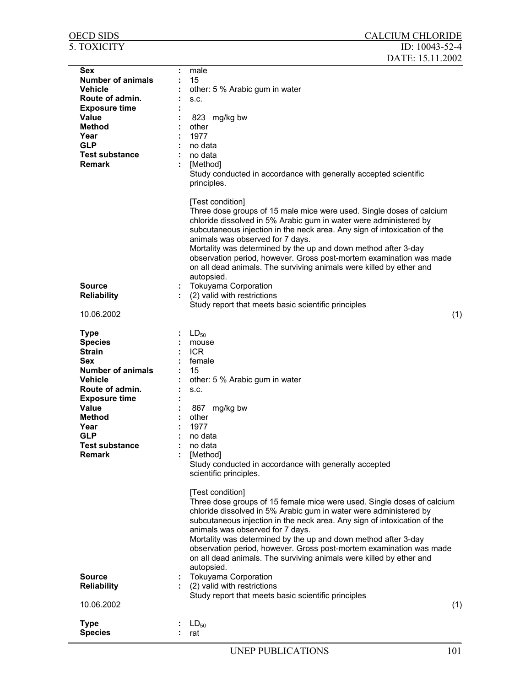| 5. TOXICITY                                                                                                                                                                                                                              | ID: $10043 - 52 - 4$<br>DATE: 15.11.2002                                                                                                                                                                                                                                                                                                                                                                                                                                                                                                                                                                                                  |
|------------------------------------------------------------------------------------------------------------------------------------------------------------------------------------------------------------------------------------------|-------------------------------------------------------------------------------------------------------------------------------------------------------------------------------------------------------------------------------------------------------------------------------------------------------------------------------------------------------------------------------------------------------------------------------------------------------------------------------------------------------------------------------------------------------------------------------------------------------------------------------------------|
| Sex<br><b>Number of animals</b><br><b>Vehicle</b><br>Route of admin.<br><b>Exposure time</b><br>Value<br><b>Method</b><br>Year<br><b>GLP</b><br><b>Test substance</b><br><b>Remark</b>                                                   | male<br>15<br>other: 5 % Arabic gum in water<br>S.C.<br>823 mg/kg bw<br>other<br>1977<br>no data<br>no data<br>[Method]<br>Study conducted in accordance with generally accepted scientific<br>principles.                                                                                                                                                                                                                                                                                                                                                                                                                                |
| <b>Source</b><br><b>Reliability</b><br>10.06.2002                                                                                                                                                                                        | [Test condition]<br>Three dose groups of 15 male mice were used. Single doses of calcium<br>chloride dissolved in 5% Arabic gum in water were administered by<br>subcutaneous injection in the neck area. Any sign of intoxication of the<br>animals was observed for 7 days.<br>Mortality was determined by the up and down method after 3-day<br>observation period, however. Gross post-mortem examination was made<br>on all dead animals. The surviving animals were killed by ether and<br>autopsied.<br><b>Tokuyama Corporation</b><br>(2) valid with restrictions<br>Study report that meets basic scientific principles<br>(1)   |
| <b>Type</b><br><b>Species</b><br><b>Strain</b><br>Sex<br><b>Number of animals</b><br><b>Vehicle</b><br>Route of admin.<br><b>Exposure time</b><br>Value<br><b>Method</b><br>Year<br><b>GLP</b><br><b>Test substance</b><br><b>Remark</b> | $LD_{50}$<br>mouse<br><b>ICR</b><br>female<br>15<br>other: 5 % Arabic gum in water<br>S.C.<br>mg/kg bw<br>867<br>other<br>1977<br>no data<br>no data<br>[Method]<br>Study conducted in accordance with generally accepted<br>scientific principles.                                                                                                                                                                                                                                                                                                                                                                                       |
| <b>Source</b><br><b>Reliability</b><br>10.06.2002                                                                                                                                                                                        | [Test condition]<br>Three dose groups of 15 female mice were used. Single doses of calcium<br>chloride dissolved in 5% Arabic gum in water were administered by<br>subcutaneous injection in the neck area. Any sign of intoxication of the<br>animals was observed for 7 days.<br>Mortality was determined by the up and down method after 3-day<br>observation period, however. Gross post-mortem examination was made<br>on all dead animals. The surviving animals were killed by ether and<br>autopsied.<br><b>Tokuyama Corporation</b><br>(2) valid with restrictions<br>Study report that meets basic scientific principles<br>(1) |
| <b>Type</b><br><b>Species</b>                                                                                                                                                                                                            | $LD_{50}$<br>rat                                                                                                                                                                                                                                                                                                                                                                                                                                                                                                                                                                                                                          |

OECD SIDS CALCIUM CHLORIDE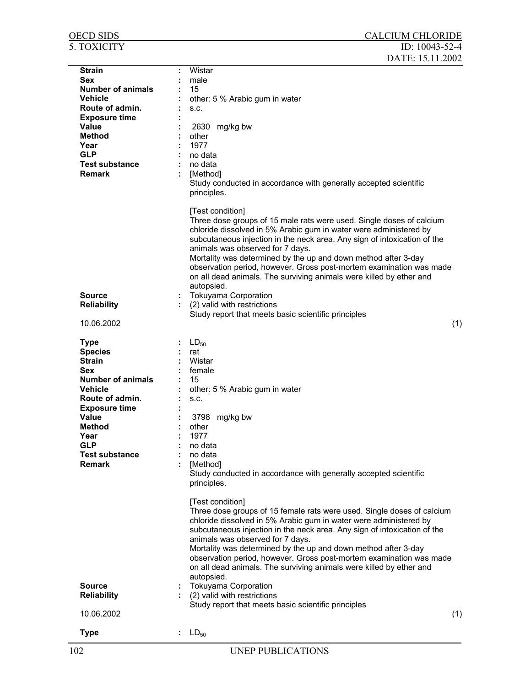| <b>OECD SIDS</b>            | <b>CALCIUM CHLORIDE</b>                                                                                                                                                                                                                                                                                                                                                                                                                                                                                       |     |
|-----------------------------|---------------------------------------------------------------------------------------------------------------------------------------------------------------------------------------------------------------------------------------------------------------------------------------------------------------------------------------------------------------------------------------------------------------------------------------------------------------------------------------------------------------|-----|
| 5. TOXICITY                 | ID: $10043 - 52 - 4$<br>DATE: 15.11.2002                                                                                                                                                                                                                                                                                                                                                                                                                                                                      |     |
|                             | Wistar                                                                                                                                                                                                                                                                                                                                                                                                                                                                                                        |     |
| <b>Strain</b><br><b>Sex</b> | male                                                                                                                                                                                                                                                                                                                                                                                                                                                                                                          |     |
| <b>Number of animals</b>    | 15                                                                                                                                                                                                                                                                                                                                                                                                                                                                                                            |     |
| <b>Vehicle</b>              |                                                                                                                                                                                                                                                                                                                                                                                                                                                                                                               |     |
| Route of admin.             | other: 5 % Arabic gum in water                                                                                                                                                                                                                                                                                                                                                                                                                                                                                |     |
| <b>Exposure time</b>        | S.C.                                                                                                                                                                                                                                                                                                                                                                                                                                                                                                          |     |
| <b>Value</b>                |                                                                                                                                                                                                                                                                                                                                                                                                                                                                                                               |     |
| <b>Method</b>               | 2630 mg/kg bw<br>other                                                                                                                                                                                                                                                                                                                                                                                                                                                                                        |     |
| Year                        | 1977                                                                                                                                                                                                                                                                                                                                                                                                                                                                                                          |     |
| <b>GLP</b>                  | no data                                                                                                                                                                                                                                                                                                                                                                                                                                                                                                       |     |
| <b>Test substance</b>       | no data                                                                                                                                                                                                                                                                                                                                                                                                                                                                                                       |     |
| <b>Remark</b>               |                                                                                                                                                                                                                                                                                                                                                                                                                                                                                                               |     |
|                             | [Method]<br>Study conducted in accordance with generally accepted scientific<br>principles.                                                                                                                                                                                                                                                                                                                                                                                                                   |     |
|                             | [Test condition]<br>Three dose groups of 15 male rats were used. Single doses of calcium<br>chloride dissolved in 5% Arabic gum in water were administered by<br>subcutaneous injection in the neck area. Any sign of intoxication of the<br>animals was observed for 7 days.<br>Mortality was determined by the up and down method after 3-day<br>observation period, however. Gross post-mortem examination was made<br>on all dead animals. The surviving animals were killed by ether and<br>autopsied.   |     |
| <b>Source</b>               | <b>Tokuyama Corporation</b>                                                                                                                                                                                                                                                                                                                                                                                                                                                                                   |     |
| <b>Reliability</b>          | (2) valid with restrictions                                                                                                                                                                                                                                                                                                                                                                                                                                                                                   |     |
|                             | Study report that meets basic scientific principles                                                                                                                                                                                                                                                                                                                                                                                                                                                           |     |
| 10.06.2002                  |                                                                                                                                                                                                                                                                                                                                                                                                                                                                                                               | (1) |
|                             |                                                                                                                                                                                                                                                                                                                                                                                                                                                                                                               |     |
| <b>Type</b>                 | $LD_{50}$                                                                                                                                                                                                                                                                                                                                                                                                                                                                                                     |     |
| <b>Species</b>              | rat                                                                                                                                                                                                                                                                                                                                                                                                                                                                                                           |     |
| <b>Strain</b>               | Wistar                                                                                                                                                                                                                                                                                                                                                                                                                                                                                                        |     |
| <b>Sex</b>                  | female                                                                                                                                                                                                                                                                                                                                                                                                                                                                                                        |     |
| <b>Number of animals</b>    | 15                                                                                                                                                                                                                                                                                                                                                                                                                                                                                                            |     |
| <b>Vehicle</b>              | other: 5 % Arabic gum in water                                                                                                                                                                                                                                                                                                                                                                                                                                                                                |     |
| Route of admin.             | S.C.                                                                                                                                                                                                                                                                                                                                                                                                                                                                                                          |     |
| <b>Exposure time</b>        |                                                                                                                                                                                                                                                                                                                                                                                                                                                                                                               |     |
| Value                       | 3798 mg/kg bw                                                                                                                                                                                                                                                                                                                                                                                                                                                                                                 |     |
| <b>Method</b>               | other                                                                                                                                                                                                                                                                                                                                                                                                                                                                                                         |     |
| Year                        | 1977                                                                                                                                                                                                                                                                                                                                                                                                                                                                                                          |     |
| <b>GLP</b>                  | no data                                                                                                                                                                                                                                                                                                                                                                                                                                                                                                       |     |
| <b>Test substance</b>       | no data                                                                                                                                                                                                                                                                                                                                                                                                                                                                                                       |     |
| <b>Remark</b>               | [Method]                                                                                                                                                                                                                                                                                                                                                                                                                                                                                                      |     |
|                             | Study conducted in accordance with generally accepted scientific<br>principles.                                                                                                                                                                                                                                                                                                                                                                                                                               |     |
|                             | [Test condition]<br>Three dose groups of 15 female rats were used. Single doses of calcium<br>chloride dissolved in 5% Arabic gum in water were administered by<br>subcutaneous injection in the neck area. Any sign of intoxication of the<br>animals was observed for 7 days.<br>Mortality was determined by the up and down method after 3-day<br>observation period, however. Gross post-mortem examination was made<br>on all dead animals. The surviving animals were killed by ether and<br>autopsied. |     |
| <b>Source</b>               |                                                                                                                                                                                                                                                                                                                                                                                                                                                                                                               |     |
|                             | <b>Tokuyama Corporation</b>                                                                                                                                                                                                                                                                                                                                                                                                                                                                                   |     |
| <b>Reliability</b>          | (2) valid with restrictions                                                                                                                                                                                                                                                                                                                                                                                                                                                                                   |     |
| 10.06.2002                  | Study report that meets basic scientific principles                                                                                                                                                                                                                                                                                                                                                                                                                                                           | (1) |
|                             |                                                                                                                                                                                                                                                                                                                                                                                                                                                                                                               |     |
| <b>Type</b>                 | $LD_{50}$                                                                                                                                                                                                                                                                                                                                                                                                                                                                                                     |     |
|                             |                                                                                                                                                                                                                                                                                                                                                                                                                                                                                                               |     |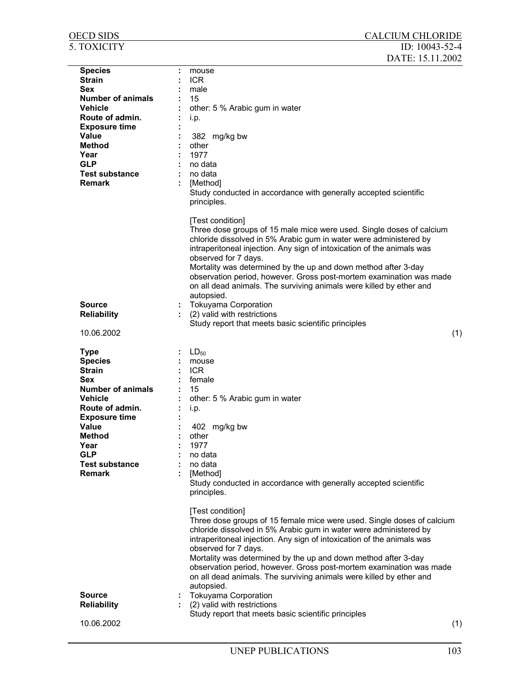| <b>OECD SIDS</b>         | <b>CALCIUM CHLORIDE</b>                                                                                                                                                                                                                                                                                                                                                                                                                                                                         |
|--------------------------|-------------------------------------------------------------------------------------------------------------------------------------------------------------------------------------------------------------------------------------------------------------------------------------------------------------------------------------------------------------------------------------------------------------------------------------------------------------------------------------------------|
| 5. TOXICITY              | ID: $10043 - 52 - 4$<br>DATE: 15.11.2002                                                                                                                                                                                                                                                                                                                                                                                                                                                        |
| <b>Species</b>           | mouse                                                                                                                                                                                                                                                                                                                                                                                                                                                                                           |
| <b>Strain</b>            | <b>ICR</b>                                                                                                                                                                                                                                                                                                                                                                                                                                                                                      |
| <b>Sex</b>               | male                                                                                                                                                                                                                                                                                                                                                                                                                                                                                            |
| <b>Number of animals</b> | 15                                                                                                                                                                                                                                                                                                                                                                                                                                                                                              |
| <b>Vehicle</b>           | other: 5 % Arabic gum in water                                                                                                                                                                                                                                                                                                                                                                                                                                                                  |
| Route of admin.          | i.p.                                                                                                                                                                                                                                                                                                                                                                                                                                                                                            |
| <b>Exposure time</b>     |                                                                                                                                                                                                                                                                                                                                                                                                                                                                                                 |
| Value                    | 382 mg/kg bw                                                                                                                                                                                                                                                                                                                                                                                                                                                                                    |
| Method                   | other<br>1977                                                                                                                                                                                                                                                                                                                                                                                                                                                                                   |
| Year<br><b>GLP</b>       | no data                                                                                                                                                                                                                                                                                                                                                                                                                                                                                         |
| <b>Test substance</b>    | no data                                                                                                                                                                                                                                                                                                                                                                                                                                                                                         |
| <b>Remark</b>            | [Method]                                                                                                                                                                                                                                                                                                                                                                                                                                                                                        |
|                          | Study conducted in accordance with generally accepted scientific<br>principles.                                                                                                                                                                                                                                                                                                                                                                                                                 |
|                          | [Test condition]<br>Three dose groups of 15 male mice were used. Single doses of calcium<br>chloride dissolved in 5% Arabic gum in water were administered by<br>intraperitoneal injection. Any sign of intoxication of the animals was<br>observed for 7 days.<br>Mortality was determined by the up and down method after 3-day<br>observation period, however. Gross post-mortem examination was made<br>on all dead animals. The surviving animals were killed by ether and<br>autopsied.   |
| <b>Source</b>            | <b>Tokuyama Corporation</b>                                                                                                                                                                                                                                                                                                                                                                                                                                                                     |
| <b>Reliability</b>       | (2) valid with restrictions                                                                                                                                                                                                                                                                                                                                                                                                                                                                     |
|                          | Study report that meets basic scientific principles                                                                                                                                                                                                                                                                                                                                                                                                                                             |
| 10.06.2002               | (1)                                                                                                                                                                                                                                                                                                                                                                                                                                                                                             |
| <b>Type</b>              | $LD_{50}$                                                                                                                                                                                                                                                                                                                                                                                                                                                                                       |
| <b>Species</b>           | mouse                                                                                                                                                                                                                                                                                                                                                                                                                                                                                           |
| <b>Strain</b>            | <b>ICR</b>                                                                                                                                                                                                                                                                                                                                                                                                                                                                                      |
| Sex                      | female                                                                                                                                                                                                                                                                                                                                                                                                                                                                                          |
| <b>Number of animals</b> | 15                                                                                                                                                                                                                                                                                                                                                                                                                                                                                              |
| <b>Vehicle</b>           | other: 5 % Arabic gum in water                                                                                                                                                                                                                                                                                                                                                                                                                                                                  |
| Route of admin.          | i.p.                                                                                                                                                                                                                                                                                                                                                                                                                                                                                            |
| <b>Exposure time</b>     |                                                                                                                                                                                                                                                                                                                                                                                                                                                                                                 |
| Value<br><b>Method</b>   | 402 mg/kg bw<br>other                                                                                                                                                                                                                                                                                                                                                                                                                                                                           |
| Year                     | 1977                                                                                                                                                                                                                                                                                                                                                                                                                                                                                            |
| <b>GLP</b>               | no data                                                                                                                                                                                                                                                                                                                                                                                                                                                                                         |
| <b>Test substance</b>    | no data                                                                                                                                                                                                                                                                                                                                                                                                                                                                                         |
| <b>Remark</b>            | [Method]                                                                                                                                                                                                                                                                                                                                                                                                                                                                                        |
|                          | Study conducted in accordance with generally accepted scientific<br>principles.                                                                                                                                                                                                                                                                                                                                                                                                                 |
|                          | [Test condition]<br>Three dose groups of 15 female mice were used. Single doses of calcium<br>chloride dissolved in 5% Arabic gum in water were administered by<br>intraperitoneal injection. Any sign of intoxication of the animals was<br>observed for 7 days.<br>Mortality was determined by the up and down method after 3-day<br>observation period, however. Gross post-mortem examination was made<br>on all dead animals. The surviving animals were killed by ether and<br>autopsied. |
| <b>Source</b>            | <b>Tokuyama Corporation</b>                                                                                                                                                                                                                                                                                                                                                                                                                                                                     |
| <b>Reliability</b>       | (2) valid with restrictions<br>t.                                                                                                                                                                                                                                                                                                                                                                                                                                                               |
|                          | Study report that meets basic scientific principles                                                                                                                                                                                                                                                                                                                                                                                                                                             |
| 10.06.2002               | (1)                                                                                                                                                                                                                                                                                                                                                                                                                                                                                             |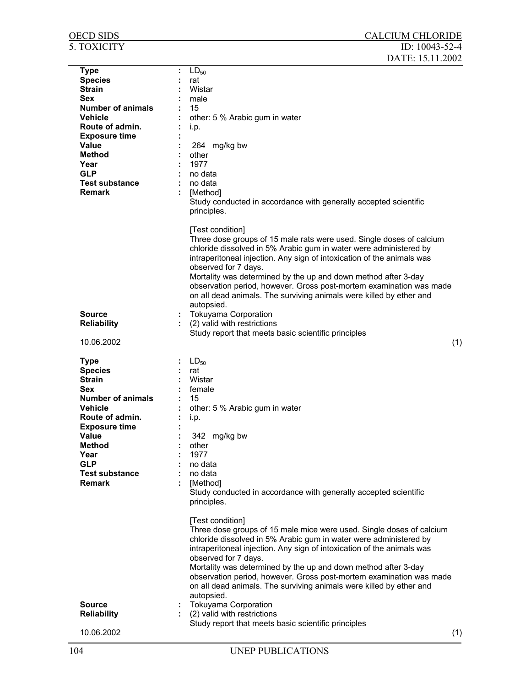| 5. TOXICITY                                                                                                                                                                                                                              | ID: 10043-52-4<br>DATE: 15.11.2002                                                                                                                                                                                                                                                                                                                                                                                                                                                                                                                                                                                 |     |
|------------------------------------------------------------------------------------------------------------------------------------------------------------------------------------------------------------------------------------------|--------------------------------------------------------------------------------------------------------------------------------------------------------------------------------------------------------------------------------------------------------------------------------------------------------------------------------------------------------------------------------------------------------------------------------------------------------------------------------------------------------------------------------------------------------------------------------------------------------------------|-----|
| <b>Type</b><br><b>Species</b><br><b>Strain</b><br><b>Sex</b><br><b>Number of animals</b><br>Vehicle<br>Route of admin.<br><b>Exposure time</b><br><b>Value</b><br>Method<br>Year<br><b>GLP</b><br><b>Test substance</b><br><b>Remark</b> | $LD_{50}$<br>rat<br>Wistar<br>male<br>15<br>other: 5 % Arabic gum in water<br>i.p.<br>264 mg/kg bw<br>other<br>1977<br>no data<br>no data<br>[Method]<br>Study conducted in accordance with generally accepted scientific<br>principles.                                                                                                                                                                                                                                                                                                                                                                           |     |
| <b>Source</b><br><b>Reliability</b><br>10.06.2002                                                                                                                                                                                        | [Test condition]<br>Three dose groups of 15 male rats were used. Single doses of calcium<br>chloride dissolved in 5% Arabic gum in water were administered by<br>intraperitoneal injection. Any sign of intoxication of the animals was<br>observed for 7 days.<br>Mortality was determined by the up and down method after 3-day<br>observation period, however. Gross post-mortem examination was made<br>on all dead animals. The surviving animals were killed by ether and<br>autopsied.<br><b>Tokuyama Corporation</b><br>(2) valid with restrictions<br>Study report that meets basic scientific principles | (1) |
| <b>Type</b><br><b>Species</b><br><b>Strain</b><br><b>Sex</b><br><b>Number of animals</b><br>Vehicle<br>Route of admin.<br><b>Exposure time</b><br>Value<br><b>Method</b><br>Year<br><b>GLP</b><br><b>Test substance</b><br><b>Remark</b> | $LD_{50}$<br>rat<br>Wistar<br>female<br>15<br>other: 5 % Arabic gum in water<br>i.p.<br>342 mg/kg bw<br>other<br>1977<br>no data<br>no data<br>[Method]<br>Study conducted in accordance with generally accepted scientific<br>principles.<br>[Test condition]<br>Three dose groups of 15 male mice were used. Single doses of calcium<br>chloride dissolved in 5% Arabic gum in water were administered by<br>intraperitoneal injection. Any sign of intoxication of the animals was                                                                                                                              |     |
| <b>Source</b><br><b>Reliability</b><br>10.06.2002                                                                                                                                                                                        | observed for 7 days.<br>Mortality was determined by the up and down method after 3-day<br>observation period, however. Gross post-mortem examination was made<br>on all dead animals. The surviving animals were killed by ether and<br>autopsied.<br>Tokuyama Corporation<br>(2) valid with restrictions<br>Study report that meets basic scientific principles                                                                                                                                                                                                                                                   | (1) |

OECD SIDS CALCIUM CHLORIDE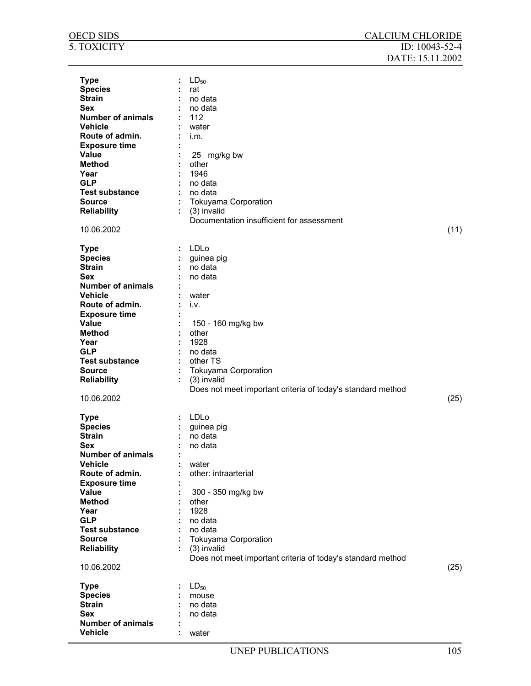| OECD SIDS                | <b>CALCIUM CHLORIDE</b>                                     |                |
|--------------------------|-------------------------------------------------------------|----------------|
| 5. TOXICITY              |                                                             | ID: 10043-52-4 |
|                          | DATE: 15.11.2002                                            |                |
| <b>Type</b>              | $LD_{50}$                                                   |                |
| <b>Species</b>           | rat                                                         |                |
| <b>Strain</b>            | no data                                                     |                |
| Sex                      | no data                                                     |                |
| <b>Number of animals</b> | 112                                                         |                |
| <b>Vehicle</b>           | water                                                       |                |
| Route of admin.          | i.m.                                                        |                |
| <b>Exposure time</b>     |                                                             |                |
| Value                    | 25 mg/kg bw                                                 |                |
| <b>Method</b>            | other                                                       |                |
| Year                     | 1946                                                        |                |
| <b>GLP</b>               | no data                                                     |                |
|                          | no data                                                     |                |
| <b>Test substance</b>    |                                                             |                |
| <b>Source</b>            | <b>Tokuyama Corporation</b>                                 |                |
| <b>Reliability</b>       | (3) invalid                                                 |                |
|                          | Documentation insufficient for assessment                   |                |
| 10.06.2002               |                                                             | (11)           |
|                          |                                                             |                |
| <b>Type</b>              | LDLo                                                        |                |
| <b>Species</b>           | guinea pig                                                  |                |
| <b>Strain</b>            | no data                                                     |                |
| <b>Sex</b>               | no data                                                     |                |
| <b>Number of animals</b> |                                                             |                |
| <b>Vehicle</b>           | water                                                       |                |
| Route of admin.          | i.v.                                                        |                |
| <b>Exposure time</b>     |                                                             |                |
| Value                    | 150 - 160 mg/kg bw                                          |                |
| <b>Method</b>            | other                                                       |                |
| Year                     | 1928                                                        |                |
| <b>GLP</b>               | no data                                                     |                |
| <b>Test substance</b>    | other TS                                                    |                |
| <b>Source</b>            | Tokuyama Corporation                                        |                |
| <b>Reliability</b>       | (3) invalid                                                 |                |
|                          | Does not meet important criteria of today's standard method |                |
| 10.06.2002               |                                                             | (25)           |
|                          |                                                             |                |
| <b>Type</b>              | : LDLo                                                      |                |
| <b>Species</b>           | guinea pig                                                  |                |
| <b>Strain</b>            | no data                                                     |                |
| <b>Sex</b>               |                                                             |                |
| <b>Number of animals</b> | no data                                                     |                |
|                          |                                                             |                |
| <b>Vehicle</b>           | water                                                       |                |
| Route of admin.          | other: intraarterial                                        |                |
| <b>Exposure time</b>     |                                                             |                |
| Value                    | 300 - 350 mg/kg bw                                          |                |
| <b>Method</b>            | other                                                       |                |
| Year                     | 1928                                                        |                |
| <b>GLP</b>               | no data                                                     |                |
| <b>Test substance</b>    | no data                                                     |                |
| <b>Source</b>            | <b>Tokuyama Corporation</b>                                 |                |
| <b>Reliability</b>       | (3) invalid                                                 |                |
|                          | Does not meet important criteria of today's standard method |                |
| 10.06.2002               |                                                             | (25)           |
|                          |                                                             |                |
| <b>Type</b>              | $LD_{50}$                                                   |                |
| <b>Species</b>           | mouse                                                       |                |
| <b>Strain</b>            | no data                                                     |                |
| <b>Sex</b>               | no data                                                     |                |
| <b>Number of animals</b> |                                                             |                |
| <b>Vehicle</b>           | water                                                       |                |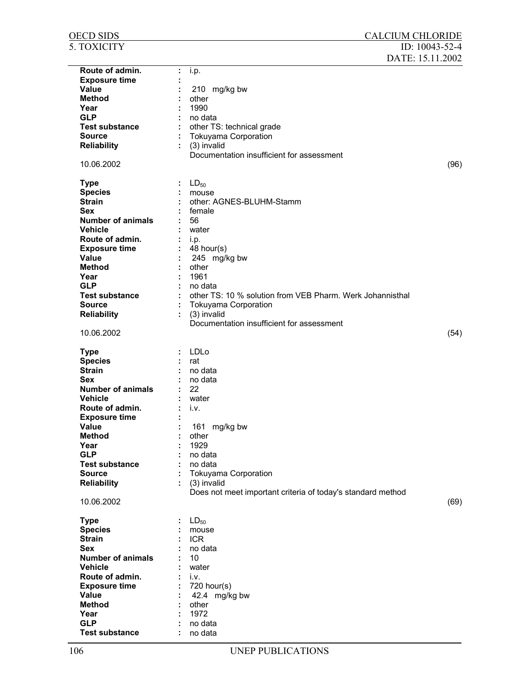| <u>OECD SIDS</u>         |    | <b>CALCIUM CHLORIDE</b>                                     |      |
|--------------------------|----|-------------------------------------------------------------|------|
| 5. TOXICITY              |    | ID: 10043-52-4                                              |      |
|                          |    | DATE: 15.11.2002                                            |      |
| Route of admin.          | ÷  | i.p.                                                        |      |
| <b>Exposure time</b>     |    |                                                             |      |
| Value                    |    | 210 mg/kg bw                                                |      |
| <b>Method</b>            |    | other                                                       |      |
| Year                     |    | 1990                                                        |      |
| <b>GLP</b>               |    | no data                                                     |      |
| <b>Test substance</b>    |    | other TS: technical grade                                   |      |
| <b>Source</b>            |    | <b>Tokuyama Corporation</b>                                 |      |
| <b>Reliability</b>       |    | (3) invalid                                                 |      |
|                          |    | Documentation insufficient for assessment                   |      |
| 10.06.2002               |    |                                                             | (96) |
|                          |    |                                                             |      |
| <b>Type</b>              |    | $LD_{50}$                                                   |      |
| <b>Species</b>           |    | mouse                                                       |      |
| <b>Strain</b>            |    | other: AGNES-BLUHM-Stamm                                    |      |
| <b>Sex</b>               |    | female                                                      |      |
| <b>Number of animals</b> |    | 56                                                          |      |
| <b>Vehicle</b>           |    | water                                                       |      |
| Route of admin.          |    | i.p.                                                        |      |
| <b>Exposure time</b>     |    | 48 hour(s)                                                  |      |
| Value                    |    | 245 mg/kg bw                                                |      |
| <b>Method</b>            |    | other                                                       |      |
| Year                     |    | 1961                                                        |      |
| <b>GLP</b>               |    | no data                                                     |      |
| <b>Test substance</b>    |    | other TS: 10 % solution from VEB Pharm. Werk Johannisthal   |      |
| <b>Source</b>            |    | <b>Tokuyama Corporation</b>                                 |      |
| <b>Reliability</b>       | ÷. | (3) invalid                                                 |      |
|                          |    | Documentation insufficient for assessment                   |      |
| 10.06.2002               |    |                                                             | (54) |
|                          |    |                                                             |      |
| <b>Type</b>              |    | LDLo                                                        |      |
| <b>Species</b>           |    | rat                                                         |      |
| <b>Strain</b>            |    | no data                                                     |      |
| Sex                      |    | no data                                                     |      |
| <b>Number of animals</b> |    | 22                                                          |      |
| <b>Vehicle</b>           |    | water                                                       |      |
| Route of admin.          |    | İ.V.                                                        |      |
| <b>Exposure time</b>     |    |                                                             |      |
| <b>Value</b>             |    | 161 mg/kg bw                                                |      |
| <b>Method</b>            |    | other                                                       |      |
| Year                     |    | 1929                                                        |      |
| <b>GLP</b>               |    | no data                                                     |      |
| <b>Test substance</b>    |    | no data                                                     |      |
| <b>Source</b>            |    | <b>Tokuyama Corporation</b>                                 |      |
| <b>Reliability</b>       |    | (3) invalid                                                 |      |
|                          |    | Does not meet important criteria of today's standard method |      |
| 10.06.2002               |    |                                                             | (69) |
|                          |    |                                                             |      |
| <b>Type</b>              |    | $LD_{50}$                                                   |      |
| <b>Species</b>           |    | mouse                                                       |      |
| <b>Strain</b>            |    | <b>ICR</b>                                                  |      |
| <b>Sex</b>               |    | no data                                                     |      |
| <b>Number of animals</b> |    | 10                                                          |      |
| <b>Vehicle</b>           |    | water                                                       |      |
| Route of admin.          |    | i.v.                                                        |      |
| <b>Exposure time</b>     |    | $720$ hour(s)                                               |      |
| Value                    |    | 42.4 mg/kg bw                                               |      |
| <b>Method</b>            |    | other                                                       |      |
| Year                     |    | 1972                                                        |      |
| <b>GLP</b>               |    | no data                                                     |      |
| <b>Test substance</b>    |    | no data                                                     |      |
|                          |    |                                                             |      |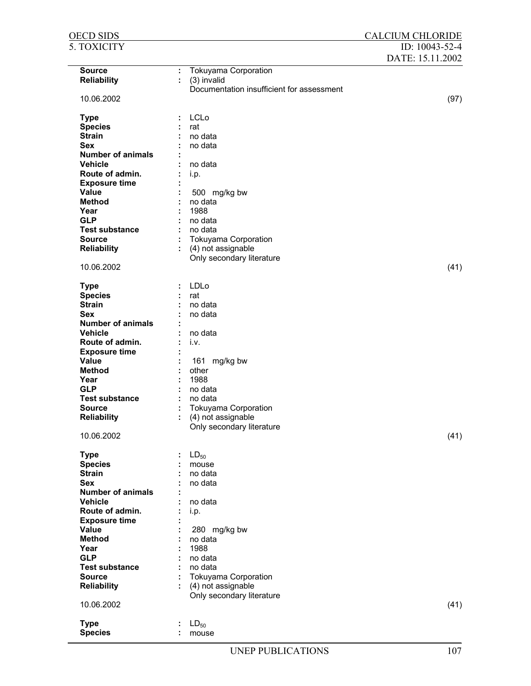| <b>OECD SIDS</b>         |                                            | <b>CALCIUM CHLORIDE</b> |
|--------------------------|--------------------------------------------|-------------------------|
| 5. TOXICITY              |                                            | ID: 10043-52-4          |
|                          |                                            | DATE: 15.11.2002        |
|                          |                                            |                         |
| <b>Source</b>            | <b>Tokuyama Corporation</b><br>÷           |                         |
| <b>Reliability</b>       | (3) invalid                                |                         |
|                          | Documentation insufficient for assessment  |                         |
| 10.06.2002               |                                            | (97)                    |
|                          | <b>LCLo</b>                                |                         |
| <b>Type</b>              |                                            |                         |
| <b>Species</b>           | rat                                        |                         |
| <b>Strain</b>            | no data                                    |                         |
| <b>Sex</b>               | no data                                    |                         |
| <b>Number of animals</b> |                                            |                         |
| <b>Vehicle</b>           | no data                                    |                         |
| Route of admin.          | i.p.                                       |                         |
| <b>Exposure time</b>     |                                            |                         |
| Value                    | 500 mg/kg bw                               |                         |
| <b>Method</b>            | no data<br>1988                            |                         |
| Year<br><b>GLP</b>       |                                            |                         |
| <b>Test substance</b>    | no data<br>no data                         |                         |
| <b>Source</b>            |                                            |                         |
|                          | Tokuyama Corporation<br>(4) not assignable |                         |
| <b>Reliability</b>       | Only secondary literature                  |                         |
| 10.06.2002               |                                            | (41)                    |
|                          |                                            |                         |
| <b>Type</b>              | LDLo                                       |                         |
| <b>Species</b>           | rat                                        |                         |
| <b>Strain</b>            | no data                                    |                         |
| <b>Sex</b>               | no data                                    |                         |
| <b>Number of animals</b> |                                            |                         |
| <b>Vehicle</b>           | no data                                    |                         |
| Route of admin.          | i.v.                                       |                         |
| <b>Exposure time</b>     |                                            |                         |
| Value                    | 161 mg/kg bw                               |                         |
| <b>Method</b>            | other                                      |                         |
| Year                     | 1988                                       |                         |
| <b>GLP</b>               | no data                                    |                         |
| <b>Test substance</b>    | no data                                    |                         |
| <b>Source</b>            | <b>Tokuyama Corporation</b>                |                         |
| <b>Reliability</b>       | (4) not assignable                         |                         |
|                          | Only secondary literature                  |                         |
| 10.06.2002               |                                            | (41)                    |
|                          |                                            |                         |
| <b>Type</b>              | $LD_{50}$                                  |                         |
| <b>Species</b>           | mouse                                      |                         |
| <b>Strain</b>            | no data                                    |                         |
| <b>Sex</b>               | no data                                    |                         |
| Number of animals        |                                            |                         |
| <b>Vehicle</b>           | no data                                    |                         |
| Route of admin.          | i.p.                                       |                         |
| <b>Exposure time</b>     |                                            |                         |
| Value                    | 280 mg/kg bw                               |                         |
| <b>Method</b>            | no data                                    |                         |
| Year                     | 1988                                       |                         |
| <b>GLP</b>               | no data                                    |                         |
| <b>Test substance</b>    | no data                                    |                         |
| <b>Source</b>            | Tokuyama Corporation                       |                         |
| <b>Reliability</b>       | (4) not assignable<br>÷                    |                         |
|                          | Only secondary literature                  |                         |
| 10.06.2002               |                                            | (41)                    |
|                          |                                            |                         |
| <b>Type</b>              | $LD_{50}$                                  |                         |
| <b>Species</b>           | mouse                                      |                         |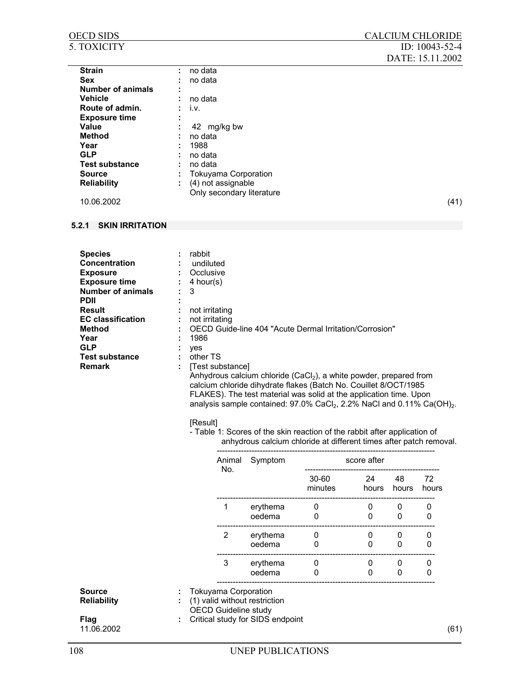### OECD SIDS CALCIUM CHLORIDE 5. TOXICITY ID: 10043-52-4 DATE: 15.11.2002 Strain : no data Sex : no data **Number of animals : Vehicle :** no data **Route of admin.** : i.v. **Exposure time : Value :** 42 mg/kg bw **Method** : no data **Year :** 1988 **GLP** : no data<br> **Test substance** : no data **Test substance** Source : Tokuyama Corporation **Reliability** : (4) not assignable **10.06.2002 CONF** Only secondary literature 10.06.2002 (41)

## **5.2.1 SKIN IRRITATION**

**Species** : rabbit<br> **Concentration** : undiluted **Concentration Exposure : Constanting Constanting Constanting Constanting Constanting Constanting Constanting Constanting Constanting Constanting Constanting Constanting Constanting Constanting Constanting Constanting Constanting Consta Exposure time :** 4 hour(s) **Number of animals :** 3 **PDII : Result** : not irritating **EC classification :** not irritating **Method :** OECD Guide-line 404 "Acute Dermal Irritation/Corrosion" **Year :** 1986 **GLP** : yes<br> **Test substance** : other TS **Test substance**<br>Remark **Remark :** [Test substance]

Anhydrous calcium chloride (CaCl<sub>2</sub>), a white powder, prepared from calcium chloride dihydrate flakes (Batch No. Couillet 8/OCT/1985 FLAKES). The test material was solid at the application time. Upon analysis sample contained:  $97.0\%$  CaCl<sub>2</sub>, 2.2% NaCl and 0.11% Ca(OH)<sub>2</sub>.

#### [Result]

- Table 1: Scores of the skin reaction of the rabbit after application of anhydrous calcium chloride at different times after patch removal.

|                       |   | Animal<br>No.                                                                               | Symptom                          | score after      |               |               |                  |
|-----------------------|---|---------------------------------------------------------------------------------------------|----------------------------------|------------------|---------------|---------------|------------------|
|                       |   |                                                                                             |                                  | 30-60<br>minutes | 24<br>hours   | 48<br>hours   | 72<br>hours      |
|                       |   |                                                                                             | erythema<br>oedema               | 0<br>0           | 0<br>0        | 0<br>0        | 0<br>0           |
|                       |   | 2                                                                                           | erythema<br>oedema               | 0<br>0           | 0<br>$\Omega$ | 0<br>$\Omega$ | 0<br>$\mathbf 0$ |
|                       |   | 3                                                                                           | erythema<br>oedema               | 0<br>0           | 0<br>$\Omega$ | 0<br>0        | 0<br>0           |
| Source<br>Reliability | ÷ | <b>Tokuyama Corporation</b><br>(1) valid without restriction<br><b>OECD Guideline study</b> |                                  |                  |               |               |                  |
| Flag<br>11.06.2002    | ÷ |                                                                                             | Critical study for SIDS endpoint |                  |               |               |                  |
|                       |   |                                                                                             |                                  |                  |               |               |                  |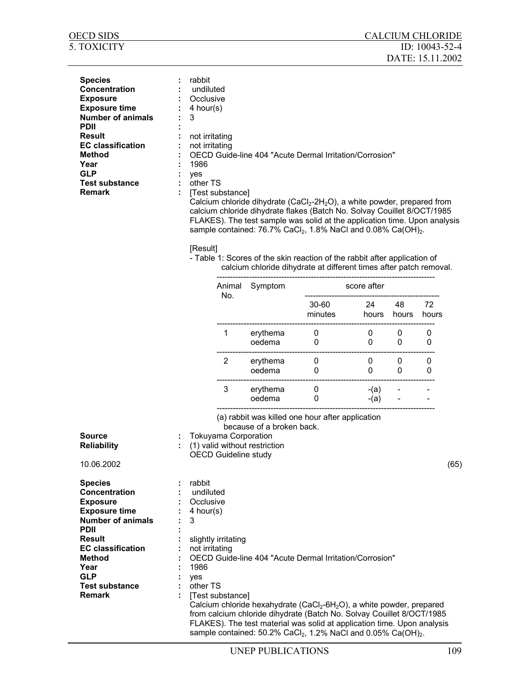| <b>OECD SIDS</b>                                                                                                                                                                                                                                           |                                                                                                                               |                                                            |                                                              |                                                                                                                                                                                                                                                                                                                                                                                                                                                                                                                                                                 |                | <b>CALCIUM CHLORIDE</b> |                      |      |
|------------------------------------------------------------------------------------------------------------------------------------------------------------------------------------------------------------------------------------------------------------|-------------------------------------------------------------------------------------------------------------------------------|------------------------------------------------------------|--------------------------------------------------------------|-----------------------------------------------------------------------------------------------------------------------------------------------------------------------------------------------------------------------------------------------------------------------------------------------------------------------------------------------------------------------------------------------------------------------------------------------------------------------------------------------------------------------------------------------------------------|----------------|-------------------------|----------------------|------|
| <b>5. TOXICITY</b>                                                                                                                                                                                                                                         |                                                                                                                               |                                                            |                                                              |                                                                                                                                                                                                                                                                                                                                                                                                                                                                                                                                                                 |                | DATE: 15.11.2002        | ID: $10043 - 52 - 4$ |      |
| <b>Species</b><br>Concentration<br><b>Exposure</b><br><b>Exposure time</b><br><b>Number of animals</b><br><b>PDII</b><br><b>Result</b><br><b>EC</b> classification<br><b>Method</b><br>Year<br><b>GLP</b><br><b>Test substance</b><br><b>Remark</b>        | rabbit<br>undiluted<br>Occlusive<br>4 hour(s)<br>3<br>not irritating<br>not irritating<br>1986<br>yes<br>other TS<br>[Result] | [Test substance]                                           |                                                              | OECD Guide-line 404 "Acute Dermal Irritation/Corrosion"<br>Calcium chloride dihydrate (CaCl <sub>2</sub> -2H <sub>2</sub> O), a white powder, prepared from<br>calcium chloride dihydrate flakes (Batch No. Solvay Couillet 8/OCT/1985<br>FLAKES). The test sample was solid at the application time. Upon analysis<br>sample contained: 76.7% CaCl <sub>2</sub> , 1.8% NaCl and 0.08% Ca(OH) <sub>2</sub> .<br>- Table 1: Scores of the skin reaction of the rabbit after application of<br>calcium chloride dihydrate at different times after patch removal. |                |                         |                      |      |
|                                                                                                                                                                                                                                                            |                                                                                                                               | Symptom<br>score after<br>Animal<br>No.                    |                                                              |                                                                                                                                                                                                                                                                                                                                                                                                                                                                                                                                                                 |                |                         |                      |      |
|                                                                                                                                                                                                                                                            |                                                                                                                               |                                                            |                                                              | 30-60<br>minutes                                                                                                                                                                                                                                                                                                                                                                                                                                                                                                                                                | 24<br>hours    | 48<br>hours             | 72<br>hours          |      |
|                                                                                                                                                                                                                                                            |                                                                                                                               | 1                                                          | erythema<br>oedema                                           | 0<br>0                                                                                                                                                                                                                                                                                                                                                                                                                                                                                                                                                          | $\pmb{0}$<br>0 | 0<br>0                  | 0<br>0               |      |
|                                                                                                                                                                                                                                                            |                                                                                                                               | $\overline{2}$                                             | erythema<br>oedema                                           | 0<br>0                                                                                                                                                                                                                                                                                                                                                                                                                                                                                                                                                          | 0<br>0         | 0<br>0                  | 0<br>0               |      |
|                                                                                                                                                                                                                                                            |                                                                                                                               | 3                                                          | erythema<br>oedema                                           | 0<br>0                                                                                                                                                                                                                                                                                                                                                                                                                                                                                                                                                          | -(a)<br>$-(a)$ |                         |                      |      |
| <b>Source</b><br><b>Reliability</b><br>10.06.2002                                                                                                                                                                                                          |                                                                                                                               | <b>Tokuyama Corporation</b><br><b>OECD Guideline study</b> | because of a broken back.<br>: (1) valid without restriction | (a) rabbit was killed one hour after application                                                                                                                                                                                                                                                                                                                                                                                                                                                                                                                |                |                         |                      | (65) |
| <b>Species</b><br><b>Concentration</b><br><b>Exposure</b><br><b>Exposure time</b><br><b>Number of animals</b><br><b>PDII</b><br><b>Result</b><br><b>EC classification</b><br><b>Method</b><br>Year<br><b>GLP</b><br><b>Test substance</b><br><b>Remark</b> | rabbit<br>undiluted<br>Occlusive<br>4 hour(s)<br>3<br>not irritating<br>1986<br>yes<br>other TS                               | slightly irritating<br>[Test substance]                    |                                                              | OECD Guide-line 404 "Acute Dermal Irritation/Corrosion"<br>Calcium chloride hexahydrate (CaCl <sub>2</sub> -6H <sub>2</sub> O), a white powder, prepared<br>from calcium chloride dihydrate (Batch No. Solvay Couillet 8/OCT/1985<br>FLAKES). The test material was solid at application time. Upon analysis<br>sample contained: 50.2% CaCl <sub>2</sub> , 1.2% NaCl and 0.05% Ca(OH) <sub>2</sub> .                                                                                                                                                           |                |                         |                      |      |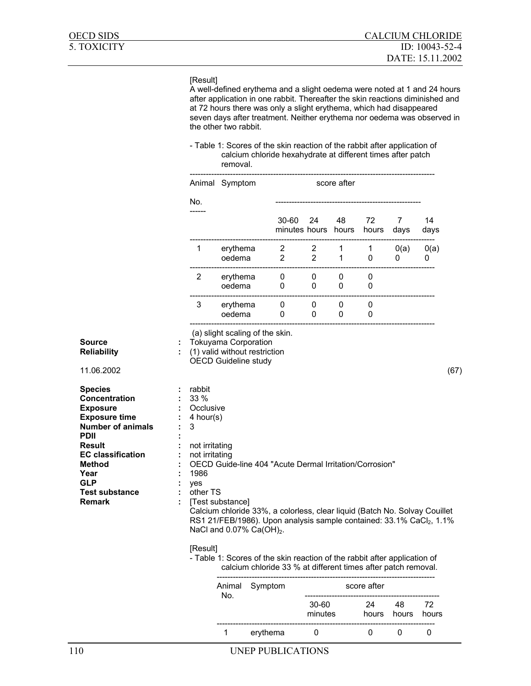### [Result]

A well-defined erythema and a slight oedema were noted at 1 and 24 hours after application in one rabbit. Thereafter the skin reactions diminished and at 72 hours there was only a slight erythema, which had disappeared seven days after treatment. Neither erythema nor oedema was observed in the other two rabbit.

- Table 1: Scores of the skin reaction of the rabbit after application of calcium chloride hexahydrate at different times after patch removal.

|                                                                                                                                                                                                                  |                                                                                                                | Animal Symptom                                             |                                                                                                                                                                                                                                                                   |                                  |                   | score after       |             |             |             |      |
|------------------------------------------------------------------------------------------------------------------------------------------------------------------------------------------------------------------|----------------------------------------------------------------------------------------------------------------|------------------------------------------------------------|-------------------------------------------------------------------------------------------------------------------------------------------------------------------------------------------------------------------------------------------------------------------|----------------------------------|-------------------|-------------------|-------------|-------------|-------------|------|
|                                                                                                                                                                                                                  | No.                                                                                                            |                                                            |                                                                                                                                                                                                                                                                   | 30-60<br>minutes hours           | 24                | 48<br>hours       | 72<br>hours | 7<br>days   | 14<br>days  |      |
|                                                                                                                                                                                                                  | 1                                                                                                              | erythema<br>oedema                                         |                                                                                                                                                                                                                                                                   | $\overline{2}$<br>$\overline{2}$ | 2<br>$\mathbf{2}$ | 1<br>$\mathbf{1}$ | 1<br>0      | 0(a)<br>0   | O(a)<br>0   |      |
|                                                                                                                                                                                                                  | $\overline{2}$                                                                                                 | erythema<br>oedema                                         |                                                                                                                                                                                                                                                                   | 0<br>0                           | 0<br>0            | 0<br>0            | 0<br>0      |             |             |      |
|                                                                                                                                                                                                                  | 3                                                                                                              | erythema<br>oedema                                         |                                                                                                                                                                                                                                                                   | 0<br>0                           | 0<br>0            | 0<br>0            | 0<br>0      |             |             |      |
| Source<br>Reliability<br>11.06.2002                                                                                                                                                                              |                                                                                                                | <b>Tokuyama Corporation</b><br><b>OECD Guideline study</b> | (a) slight scaling of the skin.<br>(1) valid without restriction                                                                                                                                                                                                  |                                  |                   |                   |             |             |             | (67) |
| <b>Species</b><br>Concentration<br><b>Exposure</b><br><b>Exposure time</b><br><b>Number of animals</b><br>PDII<br>Result<br><b>EC classification</b><br>Method<br>Year<br>GLP<br><b>Test substance</b><br>Remark | rabbit<br>33 %<br>Occlusive<br>$4$ hour(s)<br>3<br>not irritating<br>not irritating<br>1986<br>yes<br>other TS | [Test substance]                                           | OECD Guide-line 404 "Acute Dermal Irritation/Corrosion"<br>Calcium chloride 33%, a colorless, clear liquid (Batch No. Solvay Couillet<br>RS1 21/FEB/1986). Upon analysis sample contained: 33.1% CaCl <sub>2</sub> , 1.1%<br>NaCl and 0.07% Ca(OH) <sub>2</sub> . |                                  |                   |                   |             |             |             |      |
|                                                                                                                                                                                                                  | [Result]                                                                                                       |                                                            | - Table 1: Scores of the skin reaction of the rabbit after application of<br>calcium chloride 33 % at different times after patch removal.                                                                                                                        |                                  |                   |                   |             |             |             |      |
|                                                                                                                                                                                                                  |                                                                                                                | Animal<br>No.                                              | Symptom                                                                                                                                                                                                                                                           |                                  |                   |                   | score after |             |             |      |
|                                                                                                                                                                                                                  |                                                                                                                |                                                            |                                                                                                                                                                                                                                                                   |                                  | 30-60<br>minutes  |                   | 24<br>hours | 48<br>hours | 72<br>hours |      |
|                                                                                                                                                                                                                  |                                                                                                                | 1                                                          | erythema                                                                                                                                                                                                                                                          |                                  | 0                 |                   | 0           | 0           | 0           |      |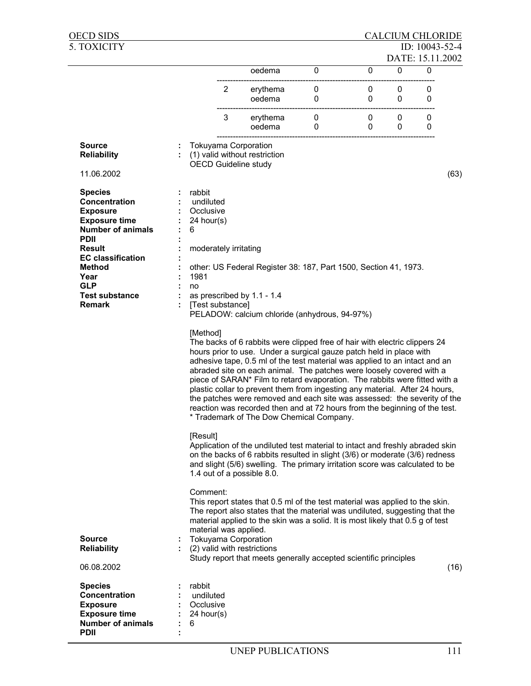| <b>OECD SIDS</b>                                                                                                                                                                                                                                                                                                                                                                                                                                                                                                                                                                                                                                                                       |  |                                                                                                                                                                                                                                                                                         |                |                                                                                                                                                                                                                                               |        |        | <b>CALCIUM CHLORIDE</b> |                |      |  |
|----------------------------------------------------------------------------------------------------------------------------------------------------------------------------------------------------------------------------------------------------------------------------------------------------------------------------------------------------------------------------------------------------------------------------------------------------------------------------------------------------------------------------------------------------------------------------------------------------------------------------------------------------------------------------------------|--|-----------------------------------------------------------------------------------------------------------------------------------------------------------------------------------------------------------------------------------------------------------------------------------------|----------------|-----------------------------------------------------------------------------------------------------------------------------------------------------------------------------------------------------------------------------------------------|--------|--------|-------------------------|----------------|------|--|
| 5. TOXICITY                                                                                                                                                                                                                                                                                                                                                                                                                                                                                                                                                                                                                                                                            |  |                                                                                                                                                                                                                                                                                         |                |                                                                                                                                                                                                                                               |        |        |                         | ID: 10043-52-4 |      |  |
|                                                                                                                                                                                                                                                                                                                                                                                                                                                                                                                                                                                                                                                                                        |  |                                                                                                                                                                                                                                                                                         |                |                                                                                                                                                                                                                                               |        |        | DATE: 15.11.2002        |                |      |  |
|                                                                                                                                                                                                                                                                                                                                                                                                                                                                                                                                                                                                                                                                                        |  |                                                                                                                                                                                                                                                                                         |                | oedema                                                                                                                                                                                                                                        | 0      | 0      | 0                       | $\mathbf{0}$   |      |  |
|                                                                                                                                                                                                                                                                                                                                                                                                                                                                                                                                                                                                                                                                                        |  |                                                                                                                                                                                                                                                                                         | $\overline{2}$ | erythema<br>oedema                                                                                                                                                                                                                            | 0<br>0 | 0<br>0 | 0<br>0                  | 0<br>0         |      |  |
|                                                                                                                                                                                                                                                                                                                                                                                                                                                                                                                                                                                                                                                                                        |  |                                                                                                                                                                                                                                                                                         | 3              | erythema<br>oedema                                                                                                                                                                                                                            | 0<br>0 | 0<br>0 | 0<br>0                  | 0<br>0         |      |  |
| <b>Source</b><br><b>Reliability</b>                                                                                                                                                                                                                                                                                                                                                                                                                                                                                                                                                                                                                                                    |  | <b>Tokuyama Corporation</b><br><b>OECD Guideline study</b>                                                                                                                                                                                                                              |                | (1) valid without restriction                                                                                                                                                                                                                 |        |        |                         |                |      |  |
| 11.06.2002                                                                                                                                                                                                                                                                                                                                                                                                                                                                                                                                                                                                                                                                             |  |                                                                                                                                                                                                                                                                                         |                |                                                                                                                                                                                                                                               |        |        |                         |                | (63) |  |
| <b>Species</b><br>Concentration<br><b>Exposure</b><br><b>Exposure time</b><br><b>Number of animals</b><br><b>PDII</b><br><b>Result</b><br><b>EC classification</b>                                                                                                                                                                                                                                                                                                                                                                                                                                                                                                                     |  | rabbit<br>undiluted<br>Occlusive<br>24 hour(s)<br>6<br>moderately irritating                                                                                                                                                                                                            |                |                                                                                                                                                                                                                                               |        |        |                         |                |      |  |
| <b>Method</b><br>Year<br><b>GLP</b><br><b>Test substance</b><br><b>Remark</b>                                                                                                                                                                                                                                                                                                                                                                                                                                                                                                                                                                                                          |  | other: US Federal Register 38: 187, Part 1500, Section 41, 1973.<br>1981<br>no<br>as prescribed by 1.1 - 1.4<br>[Test substance]<br>PELADOW: calcium chloride (anhydrous, 94-97%)                                                                                                       |                |                                                                                                                                                                                                                                               |        |        |                         |                |      |  |
| [Method]<br>The backs of 6 rabbits were clipped free of hair with electric clippers 24<br>hours prior to use. Under a surgical gauze patch held in place with<br>adhesive tape, 0.5 ml of the test material was applied to an intact and an<br>abraded site on each animal. The patches were loosely covered with a<br>piece of SARAN* Film to retard evaporation. The rabbits were fitted with a<br>plastic collar to prevent them from ingesting any material. After 24 hours,<br>the patches were removed and each site was assessed: the severity of the<br>reaction was recorded then and at 72 hours from the beginning of the test.<br>* Trademark of The Dow Chemical Company. |  |                                                                                                                                                                                                                                                                                         |                |                                                                                                                                                                                                                                               |        |        |                         |                |      |  |
|                                                                                                                                                                                                                                                                                                                                                                                                                                                                                                                                                                                                                                                                                        |  | [Result]<br>Application of the undiluted test material to intact and freshly abraded skin<br>on the backs of 6 rabbits resulted in slight (3/6) or moderate (3/6) redness<br>and slight (5/6) swelling. The primary irritation score was calculated to be<br>1.4 out of a possible 8.0. |                |                                                                                                                                                                                                                                               |        |        |                         |                |      |  |
| <b>Source</b><br><b>Reliability</b>                                                                                                                                                                                                                                                                                                                                                                                                                                                                                                                                                                                                                                                    |  | Comment:<br>material was applied.<br><b>Tokuyama Corporation</b><br>: (2) valid with restrictions                                                                                                                                                                                       |                | This report states that 0.5 ml of the test material was applied to the skin.<br>The report also states that the material was undiluted, suggesting that the<br>material applied to the skin was a solid. It is most likely that 0.5 g of test |        |        |                         |                |      |  |
| 06.08.2002                                                                                                                                                                                                                                                                                                                                                                                                                                                                                                                                                                                                                                                                             |  |                                                                                                                                                                                                                                                                                         |                | Study report that meets generally accepted scientific principles                                                                                                                                                                              |        |        |                         |                | (16) |  |
| <b>Species</b><br><b>Concentration</b><br><b>Exposure</b><br><b>Exposure time</b><br><b>Number of animals</b><br><b>PDII</b>                                                                                                                                                                                                                                                                                                                                                                                                                                                                                                                                                           |  | rabbit<br>undiluted<br>Occlusive<br>24 hour(s)<br>6                                                                                                                                                                                                                                     |                |                                                                                                                                                                                                                                               |        |        |                         |                |      |  |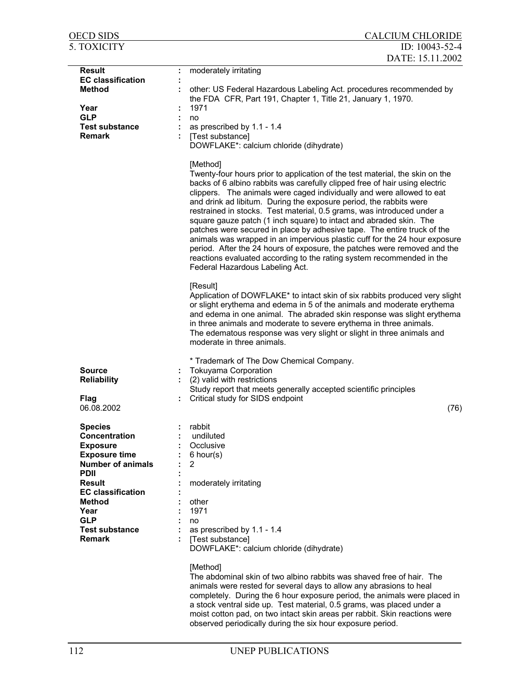| <b>OECD SIDS</b>                            | <b>CALCIUM CHLORIDE</b>                                                                                                                                                                                                                                                                                                                                                                                                                                                                                                                                                                                                                                                                                                                                                                                                                                                                                                                                                                                                                                                                                                                                                                                               |
|---------------------------------------------|-----------------------------------------------------------------------------------------------------------------------------------------------------------------------------------------------------------------------------------------------------------------------------------------------------------------------------------------------------------------------------------------------------------------------------------------------------------------------------------------------------------------------------------------------------------------------------------------------------------------------------------------------------------------------------------------------------------------------------------------------------------------------------------------------------------------------------------------------------------------------------------------------------------------------------------------------------------------------------------------------------------------------------------------------------------------------------------------------------------------------------------------------------------------------------------------------------------------------|
| 5. TOXICITY                                 | ID: 10043-52-4                                                                                                                                                                                                                                                                                                                                                                                                                                                                                                                                                                                                                                                                                                                                                                                                                                                                                                                                                                                                                                                                                                                                                                                                        |
|                                             | DATE: 15.11.2002                                                                                                                                                                                                                                                                                                                                                                                                                                                                                                                                                                                                                                                                                                                                                                                                                                                                                                                                                                                                                                                                                                                                                                                                      |
| <b>Result</b>                               | moderately irritating<br>÷                                                                                                                                                                                                                                                                                                                                                                                                                                                                                                                                                                                                                                                                                                                                                                                                                                                                                                                                                                                                                                                                                                                                                                                            |
| <b>EC</b> classification                    |                                                                                                                                                                                                                                                                                                                                                                                                                                                                                                                                                                                                                                                                                                                                                                                                                                                                                                                                                                                                                                                                                                                                                                                                                       |
| <b>Method</b>                               | other: US Federal Hazardous Labeling Act. procedures recommended by<br>the FDA CFR, Part 191, Chapter 1, Title 21, January 1, 1970.                                                                                                                                                                                                                                                                                                                                                                                                                                                                                                                                                                                                                                                                                                                                                                                                                                                                                                                                                                                                                                                                                   |
| Year                                        | 1971                                                                                                                                                                                                                                                                                                                                                                                                                                                                                                                                                                                                                                                                                                                                                                                                                                                                                                                                                                                                                                                                                                                                                                                                                  |
| <b>GLP</b><br><b>Test substance</b>         | no<br>as prescribed by 1.1 - 1.4                                                                                                                                                                                                                                                                                                                                                                                                                                                                                                                                                                                                                                                                                                                                                                                                                                                                                                                                                                                                                                                                                                                                                                                      |
| <b>Remark</b>                               | [Test substance]<br>DOWFLAKE*: calcium chloride (dihydrate)                                                                                                                                                                                                                                                                                                                                                                                                                                                                                                                                                                                                                                                                                                                                                                                                                                                                                                                                                                                                                                                                                                                                                           |
|                                             | [Method]<br>Twenty-four hours prior to application of the test material, the skin on the<br>backs of 6 albino rabbits was carefully clipped free of hair using electric<br>clippers. The animals were caged individually and were allowed to eat<br>and drink ad libitum. During the exposure period, the rabbits were<br>restrained in stocks. Test material, 0.5 grams, was introduced under a<br>square gauze patch (1 inch square) to intact and abraded skin. The<br>patches were secured in place by adhesive tape. The entire truck of the<br>animals was wrapped in an impervious plastic cuff for the 24 hour exposure<br>period. After the 24 hours of exposure, the patches were removed and the<br>reactions evaluated according to the rating system recommended in the<br>Federal Hazardous Labeling Act.<br>[Result]<br>Application of DOWFLAKE* to intact skin of six rabbits produced very slight<br>or slight erythema and edema in 5 of the animals and moderate erythema<br>and edema in one animal. The abraded skin response was slight erythema<br>in three animals and moderate to severe erythema in three animals.<br>The edematous response was very slight or slight in three animals and |
|                                             | moderate in three animals.                                                                                                                                                                                                                                                                                                                                                                                                                                                                                                                                                                                                                                                                                                                                                                                                                                                                                                                                                                                                                                                                                                                                                                                            |
| <b>Source</b><br><b>Reliability</b><br>Flag | * Trademark of The Dow Chemical Company.<br><b>Tokuyama Corporation</b><br>(2) valid with restrictions<br>Study report that meets generally accepted scientific principles<br>Critical study for SIDS endpoint                                                                                                                                                                                                                                                                                                                                                                                                                                                                                                                                                                                                                                                                                                                                                                                                                                                                                                                                                                                                        |
| 06.08.2002                                  | (76)                                                                                                                                                                                                                                                                                                                                                                                                                                                                                                                                                                                                                                                                                                                                                                                                                                                                                                                                                                                                                                                                                                                                                                                                                  |
| <b>Species</b>                              | rabbit                                                                                                                                                                                                                                                                                                                                                                                                                                                                                                                                                                                                                                                                                                                                                                                                                                                                                                                                                                                                                                                                                                                                                                                                                |
| Concentration                               | undiluted<br>Occlusive                                                                                                                                                                                                                                                                                                                                                                                                                                                                                                                                                                                                                                                                                                                                                                                                                                                                                                                                                                                                                                                                                                                                                                                                |
| <b>Exposure</b><br><b>Exposure time</b>     | $6$ hour(s)                                                                                                                                                                                                                                                                                                                                                                                                                                                                                                                                                                                                                                                                                                                                                                                                                                                                                                                                                                                                                                                                                                                                                                                                           |
| <b>Number of animals</b>                    | $\overline{2}$                                                                                                                                                                                                                                                                                                                                                                                                                                                                                                                                                                                                                                                                                                                                                                                                                                                                                                                                                                                                                                                                                                                                                                                                        |
| <b>PDII</b>                                 |                                                                                                                                                                                                                                                                                                                                                                                                                                                                                                                                                                                                                                                                                                                                                                                                                                                                                                                                                                                                                                                                                                                                                                                                                       |
| <b>Result</b><br><b>EC classification</b>   | moderately irritating                                                                                                                                                                                                                                                                                                                                                                                                                                                                                                                                                                                                                                                                                                                                                                                                                                                                                                                                                                                                                                                                                                                                                                                                 |
| <b>Method</b>                               | other                                                                                                                                                                                                                                                                                                                                                                                                                                                                                                                                                                                                                                                                                                                                                                                                                                                                                                                                                                                                                                                                                                                                                                                                                 |
| Year                                        | 1971                                                                                                                                                                                                                                                                                                                                                                                                                                                                                                                                                                                                                                                                                                                                                                                                                                                                                                                                                                                                                                                                                                                                                                                                                  |
| <b>GLP</b>                                  | no                                                                                                                                                                                                                                                                                                                                                                                                                                                                                                                                                                                                                                                                                                                                                                                                                                                                                                                                                                                                                                                                                                                                                                                                                    |
| <b>Test substance</b><br><b>Remark</b>      | as prescribed by 1.1 - 1.4<br>[Test substance]<br>DOWFLAKE*: calcium chloride (dihydrate)                                                                                                                                                                                                                                                                                                                                                                                                                                                                                                                                                                                                                                                                                                                                                                                                                                                                                                                                                                                                                                                                                                                             |
|                                             | [Method]<br>The abdominal skin of two albino rabbits was shaved free of hair. The<br>animals were rested for several days to allow any abrasions to heal<br>completely. During the 6 hour exposure period, the animals were placed in<br>a stock ventral side up. Test material, 0.5 grams, was placed under a<br>moist cotton pad, on two intact skin areas per rabbit. Skin reactions were<br>observed periodically during the six hour exposure period.                                                                                                                                                                                                                                                                                                                                                                                                                                                                                                                                                                                                                                                                                                                                                            |

l,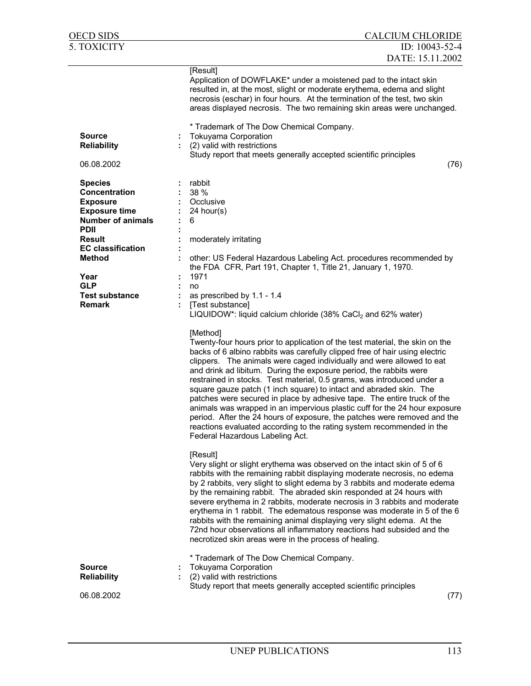| OECD SIDS                                                                                                                                                                                                                                           | <b>CALCIUM CHLORIDE</b>                                                                                                                                                                                                                                                                                                                                                                                                                                                                                                                                                                                                                                                                                                                                                                                                                                                                                                                                                                                                                                                                                                                                                                                                                                                                                                                                                                                                                                                                                                                                                                     |
|-----------------------------------------------------------------------------------------------------------------------------------------------------------------------------------------------------------------------------------------------------|---------------------------------------------------------------------------------------------------------------------------------------------------------------------------------------------------------------------------------------------------------------------------------------------------------------------------------------------------------------------------------------------------------------------------------------------------------------------------------------------------------------------------------------------------------------------------------------------------------------------------------------------------------------------------------------------------------------------------------------------------------------------------------------------------------------------------------------------------------------------------------------------------------------------------------------------------------------------------------------------------------------------------------------------------------------------------------------------------------------------------------------------------------------------------------------------------------------------------------------------------------------------------------------------------------------------------------------------------------------------------------------------------------------------------------------------------------------------------------------------------------------------------------------------------------------------------------------------|
| 5. TOXICITY                                                                                                                                                                                                                                         | ID: 10043-52-4                                                                                                                                                                                                                                                                                                                                                                                                                                                                                                                                                                                                                                                                                                                                                                                                                                                                                                                                                                                                                                                                                                                                                                                                                                                                                                                                                                                                                                                                                                                                                                              |
|                                                                                                                                                                                                                                                     | DATE: 15.11.2002                                                                                                                                                                                                                                                                                                                                                                                                                                                                                                                                                                                                                                                                                                                                                                                                                                                                                                                                                                                                                                                                                                                                                                                                                                                                                                                                                                                                                                                                                                                                                                            |
|                                                                                                                                                                                                                                                     | [Result]<br>Application of DOWFLAKE* under a moistened pad to the intact skin<br>resulted in, at the most, slight or moderate erythema, edema and slight<br>necrosis (eschar) in four hours. At the termination of the test, two skin<br>areas displayed necrosis. The two remaining skin areas were unchanged.                                                                                                                                                                                                                                                                                                                                                                                                                                                                                                                                                                                                                                                                                                                                                                                                                                                                                                                                                                                                                                                                                                                                                                                                                                                                             |
| <b>Source</b><br><b>Reliability</b><br>06.08.2002                                                                                                                                                                                                   | * Trademark of The Dow Chemical Company.<br><b>Tokuyama Corporation</b><br>Ĩ,<br>(2) valid with restrictions<br>Study report that meets generally accepted scientific principles<br>(76)                                                                                                                                                                                                                                                                                                                                                                                                                                                                                                                                                                                                                                                                                                                                                                                                                                                                                                                                                                                                                                                                                                                                                                                                                                                                                                                                                                                                    |
| <b>Species</b><br>Concentration<br><b>Exposure</b><br><b>Exposure time</b><br><b>Number of animals</b><br><b>PDII</b><br><b>Result</b><br><b>EC</b> classification<br><b>Method</b><br>Year<br><b>GLP</b><br><b>Test substance</b><br><b>Remark</b> | rabbit<br>38 %<br>Occlusive<br>24 hour(s)<br>6<br>moderately irritating<br>other: US Federal Hazardous Labeling Act. procedures recommended by<br>the FDA CFR, Part 191, Chapter 1, Title 21, January 1, 1970.<br>1971<br>no<br>as prescribed by 1.1 - 1.4<br>[Test substance]<br>LIQUIDOW*: liquid calcium chloride (38% CaCl <sub>2</sub> and 62% water)<br>[Method]<br>Twenty-four hours prior to application of the test material, the skin on the<br>backs of 6 albino rabbits was carefully clipped free of hair using electric<br>clippers. The animals were caged individually and were allowed to eat<br>and drink ad libitum. During the exposure period, the rabbits were<br>restrained in stocks. Test material, 0.5 grams, was introduced under a<br>square gauze patch (1 inch square) to intact and abraded skin. The<br>patches were secured in place by adhesive tape. The entire truck of the<br>animals was wrapped in an impervious plastic cuff for the 24 hour exposure<br>period. After the 24 hours of exposure, the patches were removed and the<br>reactions evaluated according to the rating system recommended in the<br>Federal Hazardous Labeling Act.<br>[Result]<br>Very slight or slight erythema was observed on the intact skin of 5 of 6<br>rabbits with the remaining rabbit displaying moderate necrosis, no edema<br>by 2 rabbits, very slight to slight edema by 3 rabbits and moderate edema<br>by the remaining rabbit. The abraded skin responded at 24 hours with<br>severe erythema in 2 rabbits, moderate necrosis in 3 rabbits and moderate |
| <b>Source</b><br><b>Reliability</b><br>06.08.2002                                                                                                                                                                                                   | erythema in 1 rabbit. The edematous response was moderate in 5 of the 6<br>rabbits with the remaining animal displaying very slight edema. At the<br>72nd hour observations all inflammatory reactions had subsided and the<br>necrotized skin areas were in the process of healing.<br>* Trademark of The Dow Chemical Company.<br><b>Tokuyama Corporation</b><br>í,<br>(2) valid with restrictions<br>Study report that meets generally accepted scientific principles<br>(77)                                                                                                                                                                                                                                                                                                                                                                                                                                                                                                                                                                                                                                                                                                                                                                                                                                                                                                                                                                                                                                                                                                            |
|                                                                                                                                                                                                                                                     |                                                                                                                                                                                                                                                                                                                                                                                                                                                                                                                                                                                                                                                                                                                                                                                                                                                                                                                                                                                                                                                                                                                                                                                                                                                                                                                                                                                                                                                                                                                                                                                             |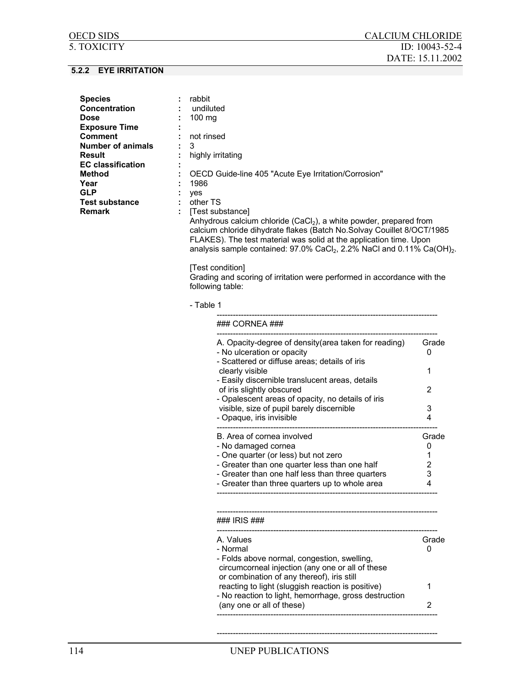| <b>Species</b>           | rabbit                                                                  |
|--------------------------|-------------------------------------------------------------------------|
| <b>Concentration</b>     | undiluted                                                               |
| Dose                     | 100 $mg$                                                                |
| <b>Exposure Time</b>     |                                                                         |
| Comment                  | not rinsed                                                              |
| <b>Number of animals</b> | З                                                                       |
| Result                   | highly irritating                                                       |
| <b>EC classification</b> |                                                                         |
| Method                   | OECD Guide-line 405 "Acute Eye Irritation/Corrosion"                    |
| Year                     | 1986                                                                    |
| GLP                      | ves                                                                     |
| Test substance           | other TS                                                                |
| Remark                   | [Test substance]                                                        |
|                          | Anhydrous calcium chloride $(CaCl2)$ , a white powder, prepared from    |
|                          | calcium chloride dihydrate flakes (Batch No. Solvay Couillet 8/OCT/1985 |

calcium chloride dihydrate flakes (Batch No.Solvay Couillet 8/OCT/1985 FLAKES). The test material was solid at the application time. Upon analysis sample contained:  $97.0\%$  CaCl<sub>2</sub>, 2.2% NaCl and 0.11% Ca(OH)<sub>2</sub>.

[Test condition]

Grading and scoring of irritation were performed in accordance with the following table:

### - Table 1

| A. Opacity-degree of density (area taken for reading)            | Grade |
|------------------------------------------------------------------|-------|
| - No ulceration or opacity                                       | O     |
| - Scattered or diffuse areas; details of iris<br>clearly visible |       |
| - Easily discernible translucent areas, details                  |       |
| of iris slightly obscured                                        | 2     |
| - Opalescent areas of opacity, no details of iris                |       |
| visible, size of pupil barely discernible                        | 3     |
| - Opaque, iris invisible                                         | 4     |
| B. Area of cornea involved                                       | Grade |
| - No damaged cornea                                              |       |
| - One quarter (or less) but not zero                             |       |
| - Greater than one quarter less than one half                    | 2     |
| - Greater than one half less than three quarters                 | 3     |
| - Greater than three quarters up to whole area                   | 4     |

| A. Values                                             | Grade |
|-------------------------------------------------------|-------|
| - Normal                                              |       |
| - Folds above normal, congestion, swelling,           |       |
| circumcorneal injection (any one or all of these      |       |
| or combination of any thereof), iris still            |       |
| reacting to light (sluggish reaction is positive)     |       |
| - No reaction to light, hemorrhage, gross destruction |       |
| (any one or all of these)                             |       |

----------------------------------------------------------------------------------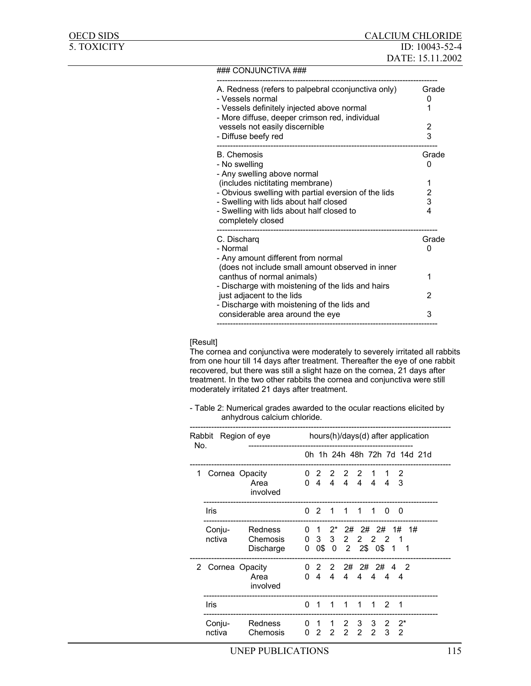#### ### CONJUNCTIVA ###

| A. Redness (refers to palpebral cconjunctiva only)<br>- Vessels normal                       | Grade<br>O |
|----------------------------------------------------------------------------------------------|------------|
| - Vessels definitely injected above normal<br>- More diffuse, deeper crimson red, individual |            |
| vessels not easily discernible                                                               | 2          |
| - Diffuse beefy red                                                                          | 3          |
| <b>B.</b> Chemosis                                                                           | Grade      |
| - No swelling<br>- Any swelling above normal                                                 | O          |
| (includes nictitating membrane)                                                              | 1          |
| - Obvious swelling with partial eversion of the lids                                         | 2          |
| - Swelling with lids about half closed<br>- Swelling with lids about half closed to          | 3<br>4     |
| completely closed                                                                            |            |
| C. Discharg                                                                                  | Grade      |
| - Normal                                                                                     | O          |
| - Any amount different from normal                                                           |            |
| (does not include small amount observed in inner<br>canthus of normal animals)               | 1          |
| - Discharge with moistening of the lids and hairs                                            |            |
| just adjacent to the lids                                                                    | 2          |
| - Discharge with moistening of the lids and                                                  |            |
| considerable area around the eye                                                             | 3          |

[Result]

The cornea and conjunctiva were moderately to severely irritated all rabbits from one hour till 14 days after treatment. Thereafter the eye of one rabbit recovered, but there was still a slight haze on the cornea, 21 days after treatment. In the two other rabbits the cornea and conjunctiva were still moderately irritated 21 days after treatment.

- Table 2: Numerical grades awarded to the ocular reactions elicited by anhydrous calcium chloride.

| No. | Rabbit Region of eye |                                  | hours(h)/days(d) after application |                |                                      |                     |                                                           |                     |          |            |    |                              |  |
|-----|----------------------|----------------------------------|------------------------------------|----------------|--------------------------------------|---------------------|-----------------------------------------------------------|---------------------|----------|------------|----|------------------------------|--|
|     |                      |                                  |                                    |                |                                      |                     |                                                           |                     |          |            |    | 0h 1h 24h 48h 72h 7d 14d 21d |  |
| 1.  | Cornea Opacity       | Area<br>involved                 |                                    |                |                                      |                     | 0 2 2 2 2 1<br>$0$ 4 4 4 4 4 4                            |                     |          | -3         |    |                              |  |
|     | Iris                 |                                  |                                    | $0 \t2 \t1$    |                                      |                     | 1 1 1                                                     |                     | $\Omega$ | 0          |    |                              |  |
|     | Conju-<br>nctiva     | Redness<br>Chemosis<br>Discharge | 0                                  |                | $0 \t1 \t2^*$<br>$0 \quad 3 \quad 3$ | 2#<br>$2^{\circ}$   | 0\$ 0 2 2\$ 0\$ 1<br>------------------------------------ | 2# 2#<br>2 2 2      |          | 1#<br>1    | 1# |                              |  |
| 2   | Cornea Opacity       | Area<br>involved                 |                                    |                | $0 \t4 \t4$                          |                     | $0$ 2 2 2# 2# 2# 4 2<br>4 4 4 4 4                         |                     |          |            |    |                              |  |
|     | Iris                 |                                  | 0 <sub>1</sub>                     |                | $\blacksquare$ 1                     | 1                   | 1                                                         | 1                   | - 2      | 1          |    |                              |  |
|     | Conju-<br>nctiva     | Redness<br>Chemosis              |                                    | 0 <sub>2</sub> | 0 1 1<br>2                           | 2<br>$\overline{2}$ | 3<br>$2^{\circ}$                                          | 3<br>$\overline{2}$ | 2<br>3   | $2^*$<br>2 |    |                              |  |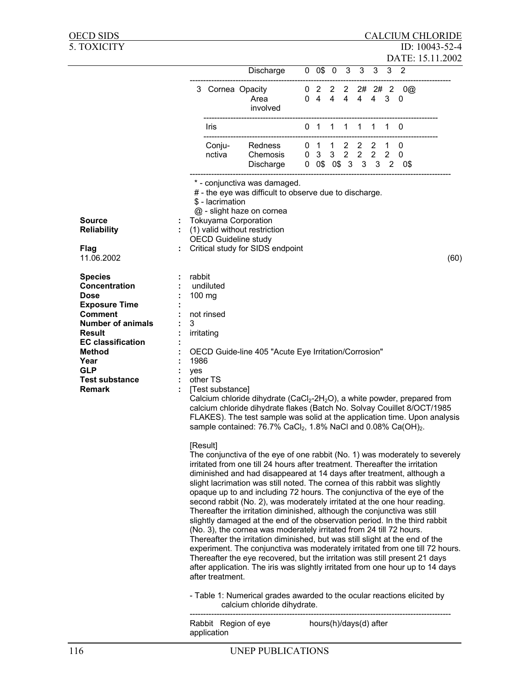| <b>OECD SIDS</b>                                                                                                                                                                                                                            |                                                                                                                                                                                                                                                                                                                                                                                                                                                                                                                                                                                                                                                                                                                                                                                                      |                                                                                           |                                                                                                                                                                                                                                                                                                                                                                                                           |  |                                  |  |  |  |              |     |                            |  | <b>CALCIUM CHLORIDE</b>            |
|---------------------------------------------------------------------------------------------------------------------------------------------------------------------------------------------------------------------------------------------|------------------------------------------------------------------------------------------------------------------------------------------------------------------------------------------------------------------------------------------------------------------------------------------------------------------------------------------------------------------------------------------------------------------------------------------------------------------------------------------------------------------------------------------------------------------------------------------------------------------------------------------------------------------------------------------------------------------------------------------------------------------------------------------------------|-------------------------------------------------------------------------------------------|-----------------------------------------------------------------------------------------------------------------------------------------------------------------------------------------------------------------------------------------------------------------------------------------------------------------------------------------------------------------------------------------------------------|--|----------------------------------|--|--|--|--------------|-----|----------------------------|--|------------------------------------|
| 5. TOXICITY                                                                                                                                                                                                                                 |                                                                                                                                                                                                                                                                                                                                                                                                                                                                                                                                                                                                                                                                                                                                                                                                      |                                                                                           |                                                                                                                                                                                                                                                                                                                                                                                                           |  |                                  |  |  |  |              |     |                            |  | ID: 10043-52-4<br>DATE: 15.11.2002 |
|                                                                                                                                                                                                                                             |                                                                                                                                                                                                                                                                                                                                                                                                                                                                                                                                                                                                                                                                                                                                                                                                      |                                                                                           | Discharge                                                                                                                                                                                                                                                                                                                                                                                                 |  | 0 0\$ 0 3 3                      |  |  |  | $\mathbf{3}$ |     | 3 <sub>2</sub>             |  |                                    |
|                                                                                                                                                                                                                                             |                                                                                                                                                                                                                                                                                                                                                                                                                                                                                                                                                                                                                                                                                                                                                                                                      |                                                                                           | 3 Cornea Opacity<br>Area<br>involved                                                                                                                                                                                                                                                                                                                                                                      |  | 0 4 4 4 4 4 3 0                  |  |  |  |              |     | $0$ 2 2 2 2# 2# 2 0@       |  |                                    |
|                                                                                                                                                                                                                                             |                                                                                                                                                                                                                                                                                                                                                                                                                                                                                                                                                                                                                                                                                                                                                                                                      | Iris                                                                                      |                                                                                                                                                                                                                                                                                                                                                                                                           |  | 0 1 1 1 1                        |  |  |  |              | 1 1 | 0                          |  |                                    |
|                                                                                                                                                                                                                                             |                                                                                                                                                                                                                                                                                                                                                                                                                                                                                                                                                                                                                                                                                                                                                                                                      | Conju-<br>nctiva                                                                          | Redness<br>Chemosis<br>Discharge                                                                                                                                                                                                                                                                                                                                                                          |  | 0 1 1 2 2 2 1<br>0 3 3 2 2 2 2 0 |  |  |  |              |     | 0<br>0 0\$ 0\$ 3 3 3 2 0\$ |  |                                    |
| <b>Source</b><br><b>Reliability</b><br><b>Flag</b><br>11.06.2002                                                                                                                                                                            |                                                                                                                                                                                                                                                                                                                                                                                                                                                                                                                                                                                                                                                                                                                                                                                                      | \$ - lacrimation                                                                          | * - conjunctiva was damaged.<br># - the eye was difficult to observe due to discharge.<br>@ - slight haze on cornea<br><b>Tokuyama Corporation</b><br>(1) valid without restriction<br><b>OECD Guideline study</b><br>Critical study for SIDS endpoint                                                                                                                                                    |  |                                  |  |  |  |              |     |                            |  | (60)                               |
| <b>Species</b><br>Concentration<br><b>Dose</b><br><b>Exposure Time</b><br><b>Comment</b><br><b>Number of animals</b><br><b>Result</b><br><b>EC classification</b><br>Method<br>Year<br><b>GLP</b><br><b>Test substance</b><br><b>Remark</b> | rabbit<br>3<br>1986<br>yes                                                                                                                                                                                                                                                                                                                                                                                                                                                                                                                                                                                                                                                                                                                                                                           | undiluted<br>$100 \text{ mg}$<br>not rinsed<br>irritating<br>other TS<br>[Test substance] | OECD Guide-line 405 "Acute Eye Irritation/Corrosion"<br>Calcium chloride dihydrate (CaCl <sub>2</sub> -2H <sub>2</sub> O), a white powder, prepared from<br>calcium chloride dihydrate flakes (Batch No. Solvay Couillet 8/OCT/1985<br>FLAKES). The test sample was solid at the application time. Upon analysis<br>sample contained: 76.7% CaCl <sub>2</sub> , 1.8% NaCl and 0.08% Ca(OH) <sub>2</sub> . |  |                                  |  |  |  |              |     |                            |  |                                    |
|                                                                                                                                                                                                                                             | [Result]<br>The conjunctiva of the eye of one rabbit (No. 1) was moderately to severely<br>irritated from one till 24 hours after treatment. Thereafter the irritation<br>diminished and had disappeared at 14 days after treatment, although a<br>slight lacrimation was still noted. The cornea of this rabbit was slightly<br>opaque up to and including 72 hours. The conjunctiva of the eye of the<br>second rabbit (No. 2), was moderately irritated at the one hour reading.<br>Thereafter the irritation diminished, although the conjunctiva was still<br>slightly damaged at the end of the observation period. In the third rabbit<br>(No. 3), the cornea was moderately irritated from 24 till 72 hours.<br>Thereafter the irritation diminished, but was still slight at the end of the |                                                                                           |                                                                                                                                                                                                                                                                                                                                                                                                           |  |                                  |  |  |  |              |     |                            |  |                                    |

The conjunctiva of the eye of one rabbit (No. 1) was moderately to severely experiment. The conjunctiva was moderately irritated from one till 72 hours. Thereafter the eye recovered, but the irritation was still present 21 days after application. The iris was slightly irritated from one hour up to 14 days after treatment.

- Table 1: Numerical grades awarded to the ocular reactions elicited by calcium chloride dihydrate.

------------------------------------------------------------------------------------------------- Rabbit Region of eye hours(h)/days(d) after application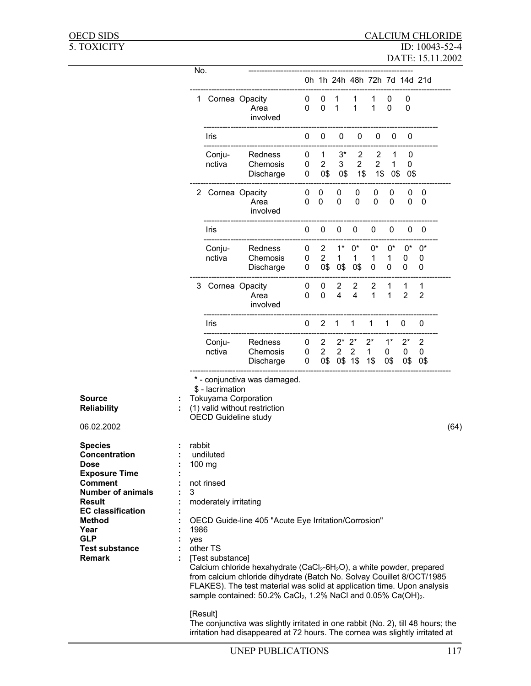|                                                                                                                                                                                                                                             | No.                                                |                                                                                  |                                                                                                                                                                                                                                                                                                                                                                                                    |             |                                         |                                    |                            | 0h 1h 24h 48h 72h 7d 14d 21d |                            |                     |                            |      |
|---------------------------------------------------------------------------------------------------------------------------------------------------------------------------------------------------------------------------------------------|----------------------------------------------------|----------------------------------------------------------------------------------|----------------------------------------------------------------------------------------------------------------------------------------------------------------------------------------------------------------------------------------------------------------------------------------------------------------------------------------------------------------------------------------------------|-------------|-----------------------------------------|------------------------------------|----------------------------|------------------------------|----------------------------|---------------------|----------------------------|------|
|                                                                                                                                                                                                                                             |                                                    | 1 Cornea Opacity                                                                 | Area<br>involved                                                                                                                                                                                                                                                                                                                                                                                   | 0<br>0      | 0<br>0                                  | 1<br>1                             | 1                          | 1<br>1                       | 0<br>$\mathbf 0$           | 0<br>0              |                            |      |
|                                                                                                                                                                                                                                             |                                                    | Iris                                                                             |                                                                                                                                                                                                                                                                                                                                                                                                    | 0           | 0                                       | 0                                  | 0                          | 0                            | 0                          | 0                   |                            |      |
|                                                                                                                                                                                                                                             |                                                    | Conju-<br>nctiva                                                                 | Redness<br>Chemosis<br>Discharge                                                                                                                                                                                                                                                                                                                                                                   | 0<br>0<br>0 | $\mathbf{1}$<br>$\overline{2}$<br>0\$   | $3^*$<br>3<br>0\$                  | 2<br>$\overline{2}$<br>1\$ | 2<br>$\overline{2}$<br>1\$   | 1<br>1<br>0\$              | 0<br>0<br>0\$       |                            |      |
|                                                                                                                                                                                                                                             |                                                    | 2 Cornea Opacity                                                                 | Area<br>involved                                                                                                                                                                                                                                                                                                                                                                                   | 0<br>0      | 0<br>$\Omega$                           | 0<br>0                             | 0<br>$\mathbf 0$           | 0<br>0                       | 0<br>$\Omega$              | 0<br>0              | 0<br>0                     |      |
|                                                                                                                                                                                                                                             |                                                    | Iris                                                                             |                                                                                                                                                                                                                                                                                                                                                                                                    | 0           | 0                                       | 0                                  | 0                          | 0                            | 0                          | 0                   | 0                          |      |
|                                                                                                                                                                                                                                             |                                                    | Conju-<br>nctiva                                                                 | Redness<br>Chemosis<br>Discharge                                                                                                                                                                                                                                                                                                                                                                   | 0<br>0<br>0 | $\overline{2}$<br>$\overline{2}$<br>0\$ | $1^*$<br>$\mathbf{1}$<br>0\$       | $0^*$<br>1<br>0\$          | 0*<br>1<br>0                 | $0^*$<br>$\mathbf{1}$<br>0 | $0^*$<br>0<br>0     | $0^*$<br>0<br>0            |      |
|                                                                                                                                                                                                                                             |                                                    | 3 Cornea Opacity                                                                 | Area<br>involved                                                                                                                                                                                                                                                                                                                                                                                   | 0<br>0      | 0<br>0                                  | 2<br>$\overline{\mathbf{4}}$       | 2<br>$\overline{4}$        | 2<br>1                       | 1<br>$\mathbf{1}$          | 1<br>$\overline{2}$ | 1<br>$\overline{2}$        |      |
|                                                                                                                                                                                                                                             |                                                    | Iris                                                                             |                                                                                                                                                                                                                                                                                                                                                                                                    | 0           | $\overline{2}$                          | 1                                  | 1                          | 1                            | 1                          | 0                   | 0                          |      |
|                                                                                                                                                                                                                                             |                                                    | Conju-<br>nctiva                                                                 | Redness<br>Chemosis<br>Discharge                                                                                                                                                                                                                                                                                                                                                                   | 0<br>0<br>0 | $\overline{2}$<br>$\overline{2}$<br>0\$ | $2^*$<br>$\overline{2}$<br>0\$ 1\$ | $2^*$<br>$\overline{2}$    | $2^*$<br>1<br>1\$            | $1^*$<br>0<br>0\$          | $2^*$<br>0<br>0\$   | $\overline{2}$<br>0<br>0\$ |      |
| <b>Source</b><br><b>Reliability</b><br>06.02.2002                                                                                                                                                                                           |                                                    | \$ - lacrimation                                                                 | * - conjunctiva was damaged.<br><b>Tokuyama Corporation</b><br>(1) valid without restriction<br><b>OECD Guideline study</b>                                                                                                                                                                                                                                                                        |             |                                         |                                    |                            |                              |                            |                     |                            | (64) |
| <b>Species</b><br>Concentration<br><b>Dose</b><br><b>Exposure Time</b><br><b>Comment</b><br><b>Number of animals</b><br>Result<br><b>EC classification</b><br><b>Method</b><br>Year<br><b>GLP</b><br><b>Test substance</b><br><b>Remark</b> | rabbit<br>$100$ mg<br>3<br>1986<br>yes<br>[Result] | undiluted<br>not rinsed<br>moderately irritating<br>other TS<br>[Test substance] | OECD Guide-line 405 "Acute Eye Irritation/Corrosion"<br>Calcium chloride hexahydrate (CaCl <sub>2</sub> -6H <sub>2</sub> O), a white powder, prepared<br>from calcium chloride dihydrate (Batch No. Solvay Couillet 8/OCT/1985<br>FLAKES). The test material was solid at application time. Upon analysis<br>sample contained: 50.2% CaCl <sub>2</sub> , 1.2% NaCl and 0.05% Ca(OH) <sub>2</sub> . |             |                                         |                                    |                            |                              |                            |                     |                            |      |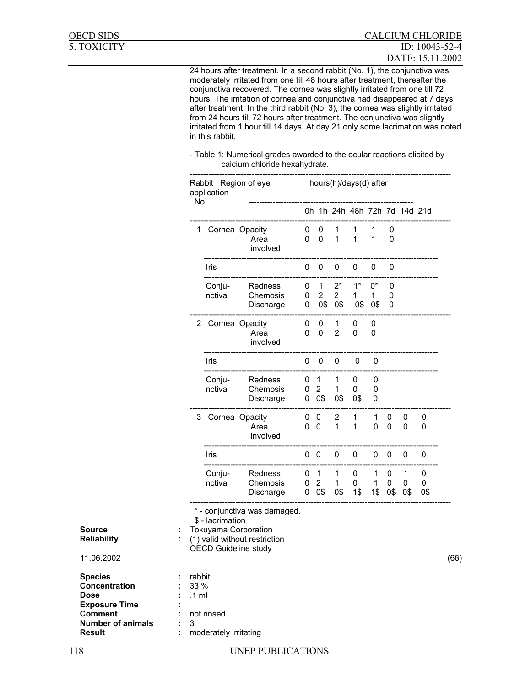24 hours after treatment. In a second rabbit (No. 1), the conjunctiva was moderately irritated from one till 48 hours after treatment, thereafter the conjunctiva recovered. The cornea was slightly irritated from one till 72 hours. The irritation of cornea and conjunctiva had disappeared at 7 days after treatment. In the third rabbit (No. 3), the cornea was slightly irritated from 24 hours till 72 hours after treatment. The conjunctiva was slightly irritated from 1 hour till 14 days. At day 21 only some lacrimation was noted in this rabbit.

- Table 1: Numerical grades awarded to the ocular reactions elicited by calcium chloride hexahydrate.

|                                                                                                                                       |                                        | hours(h)/days(d) after<br>Rabbit Region of eye<br>application<br>No.                                                                     |                                  |                              |                                                |                                     |                              |                          |                              |                |               |      |
|---------------------------------------------------------------------------------------------------------------------------------------|----------------------------------------|------------------------------------------------------------------------------------------------------------------------------------------|----------------------------------|------------------------------|------------------------------------------------|-------------------------------------|------------------------------|--------------------------|------------------------------|----------------|---------------|------|
|                                                                                                                                       |                                        |                                                                                                                                          |                                  |                              |                                                |                                     | 0h 1h 24h 48h 72h 7d 14d 21d |                          |                              |                |               |      |
|                                                                                                                                       |                                        | 1 Cornea Opacity                                                                                                                         | Area<br>involved                 | $0\quad 0$<br>0              | $\mathbf 0$                                    | 1<br>$\mathbf{1}$                   | 1<br>$\mathbf{1}$            | 1<br>$\mathbf{1}$        | 0<br>0                       |                |               |      |
|                                                                                                                                       |                                        | Iris                                                                                                                                     |                                  | 0                            | $\mathbf 0$                                    | 0                                   | 0                            | $\pmb{0}$                | 0                            |                |               |      |
|                                                                                                                                       |                                        | Conju-<br>nctiva                                                                                                                         | Redness<br>Chemosis<br>Discharge | 0<br>0<br>0                  | $\mathbf{1}$<br>$\overline{2}$<br>0\$          | $2^*$<br>$\overline{2}$<br>0\$      | $1^*$<br>$\mathbf{1}$<br>0\$ | $0^\star$<br>1<br>0\$    | 0<br>0<br>0                  |                |               |      |
|                                                                                                                                       |                                        | 2 Cornea Opacity                                                                                                                         | Area<br>involved                 | 0<br>0                       | 0<br>0                                         | 1<br>$\overline{2}$                 | 0<br>0                       | 0<br>0                   |                              |                |               |      |
|                                                                                                                                       |                                        | Iris                                                                                                                                     |                                  | 0                            | $\mathbf 0$                                    | $\pmb{0}$                           | 0                            | 0                        |                              |                |               |      |
|                                                                                                                                       |                                        | Conju-<br>nctiva                                                                                                                         | Redness<br>Chemosis<br>Discharge | 0<br>0                       | $\overline{1}$<br>$\overline{2}$<br>$0\quad0\$ | 1<br>$\mathbf{1}$<br>0\$            | 0<br>0<br>0\$                | 0<br>0<br>0              |                              |                |               |      |
|                                                                                                                                       |                                        | 3 Cornea Opacity                                                                                                                         | Area<br>involved                 | 0 <sub>0</sub><br>$0\quad 0$ |                                                | $\overline{2}$<br>$\mathbf{1}$      | 1<br>$\mathbf{1}$            | 1<br>0                   | 0<br>$\overline{\mathbf{0}}$ | 0<br>0         | 0<br>0        |      |
|                                                                                                                                       |                                        | Iris                                                                                                                                     |                                  | $0\quad 0$                   |                                                | $\pmb{0}$                           | 0                            | 0                        | $\overline{\mathbf{0}}$      | 0              | 0             |      |
|                                                                                                                                       |                                        | Conju-<br>nctiva                                                                                                                         | Redness<br>Chemosis<br>Discharge | 0 <sub>1</sub><br>0          | $\overline{2}$<br>$0\quad0\$                   | $\mathbf{1}$<br>$\mathbf{1}$<br>0\$ | 0<br>0<br>1\$                | 1<br>$\mathbf{1}$<br>1\$ | 0<br>0<br>0\$                | 1<br>0<br>-0\$ | 0<br>0<br>0\$ |      |
| <b>Source</b><br><b>Reliability</b><br>11.06.2002                                                                                     |                                        | * - conjunctiva was damaged.<br>\$ - lacrimation<br>Tokuyama Corporation<br>(1) valid without restriction<br><b>OECD Guideline study</b> |                                  |                              |                                                |                                     |                              |                          |                              |                |               | (66) |
| <b>Species</b><br>Concentration<br><b>Dose</b><br><b>Exposure Time</b><br><b>Comment</b><br><b>Number of animals</b><br><b>Result</b> | rabbit<br>33 %<br>$.1 \text{ ml}$<br>3 | not rinsed<br>moderately irritating                                                                                                      |                                  |                              |                                                |                                     |                              |                          |                              |                |               |      |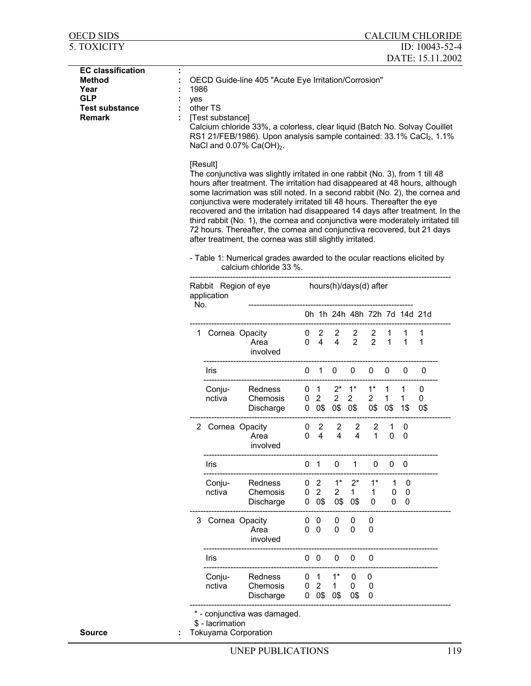| 5. TOXICITY                                                                                               |             |                                                                   |                                                                                                                                                                                                                                                                                                                                                                                                                                                                                                                                                                                                                                                                                                                                        |             |                                         |                                       |                               |                      |                                         |                          | ID: 10043-52-4<br>DATE: 15.11.2002 |
|-----------------------------------------------------------------------------------------------------------|-------------|-------------------------------------------------------------------|----------------------------------------------------------------------------------------------------------------------------------------------------------------------------------------------------------------------------------------------------------------------------------------------------------------------------------------------------------------------------------------------------------------------------------------------------------------------------------------------------------------------------------------------------------------------------------------------------------------------------------------------------------------------------------------------------------------------------------------|-------------|-----------------------------------------|---------------------------------------|-------------------------------|----------------------|-----------------------------------------|--------------------------|------------------------------------|
| <b>EC classification</b><br><b>Method</b><br>Year<br><b>GLP</b><br><b>Test substance</b><br><b>Remark</b> | 1986<br>yes | other TS<br>[Test substance]<br>[Result]                          | OECD Guide-line 405 "Acute Eye Irritation/Corrosion"<br>Calcium chloride 33%, a colorless, clear liquid (Batch No. Solvay Couillet<br>RS1 21/FEB/1986). Upon analysis sample contained: 33.1% CaCl <sub>2</sub> , 1.1%<br>NaCl and $0.07\%$ Ca(OH) <sub>2</sub> .                                                                                                                                                                                                                                                                                                                                                                                                                                                                      |             |                                         |                                       |                               |                      |                                         |                          |                                    |
|                                                                                                           |             |                                                                   | The conjunctiva was slightly irritated in one rabbit (No. 3), from 1 till 48<br>hours after treatment. The irritation had disappeared at 48 hours, although<br>some lacrimation was still noted. In a second rabbit (No. 2), the cornea and<br>conjunctiva were moderately irritated till 48 hours. Thereafter the eye<br>recovered and the irritation had disappeared 14 days after treatment. In the<br>third rabbit (No. 1), the cornea and conjunctiva were moderately irritated till<br>72 hours. Thereafter, the cornea and conjunctiva recovered, but 21 days<br>after treatment, the cornea was still slightly irritated.<br>- Table 1: Numerical grades awarded to the ocular reactions elicited by<br>calcium chloride 33 %. |             |                                         |                                       |                               |                      |                                         |                          |                                    |
|                                                                                                           |             | Rabbit Region of eye hours(h)/days(d) after<br>application<br>No. |                                                                                                                                                                                                                                                                                                                                                                                                                                                                                                                                                                                                                                                                                                                                        |             |                                         |                                       |                               |                      |                                         |                          |                                    |
|                                                                                                           |             |                                                                   |                                                                                                                                                                                                                                                                                                                                                                                                                                                                                                                                                                                                                                                                                                                                        |             |                                         |                                       | 0h 1h 24h 48h 72h 7d 14d 21d  |                      |                                         |                          |                                    |
|                                                                                                           |             |                                                                   | 1 Cornea Opacity<br>Area<br>involved                                                                                                                                                                                                                                                                                                                                                                                                                                                                                                                                                                                                                                                                                                   | $\mathbf 0$ |                                         | 2 2<br>$0\quad 4\quad 4$              | $\overline{2}$<br>$2^{\circ}$ | $\mathbf{2}$         | $\mathbf{1}$<br>$2 \quad 1$             | 1<br>1                   | 1<br>1                             |
|                                                                                                           |             | Iris                                                              |                                                                                                                                                                                                                                                                                                                                                                                                                                                                                                                                                                                                                                                                                                                                        | 0           | 1 0                                     |                                       | 0                             | 0                    | 0                                       | 0                        | 0                                  |
|                                                                                                           |             | Conju-<br>nctiva                                                  | Redness<br>Chemosis<br>Discharge                                                                                                                                                                                                                                                                                                                                                                                                                                                                                                                                                                                                                                                                                                       | 0<br>0      | $\overline{1}$<br>$2^{\circ}$           | $2^*$<br>$2^{\circ}$<br>0 0\$ 0\$ 0\$ | $1^*$<br>$2^{\circ}$          | $1^*$<br>$2^{\circ}$ | $\mathbf{1}$<br>$\mathbf{1}$<br>0\$ 0\$ | 1<br>$\mathbf{1}$<br>1\$ | 0<br>0<br>0\$                      |
|                                                                                                           |             | 2 Cornea Opacity                                                  | Area<br>involved                                                                                                                                                                                                                                                                                                                                                                                                                                                                                                                                                                                                                                                                                                                       | 0<br>0      | $\overline{2}$<br>4                     | $\overline{2}$<br>4                   | $\overline{2}$<br>4           | 2<br>1               | 1<br>0                                  | 0<br>0                   |                                    |
|                                                                                                           |             | Iris                                                              |                                                                                                                                                                                                                                                                                                                                                                                                                                                                                                                                                                                                                                                                                                                                        | 0           | -1                                      | 0                                     | 1                             | 0                    | 0                                       | 0                        |                                    |
|                                                                                                           |             | Conju-<br>nctiva                                                  | Redness<br>Chemosis<br>Discharge                                                                                                                                                                                                                                                                                                                                                                                                                                                                                                                                                                                                                                                                                                       | 0<br>0<br>0 | $\overline{2}$<br>$\overline{2}$<br>0\$ | $1^*$<br>$\overline{2}$<br>0\$        | $2^*$<br>$\mathbf 1$<br>0\$   | $1^*$<br>1<br>0      | 1<br>0<br>0                             | 0<br>0<br>0              |                                    |
|                                                                                                           |             | 3 Cornea Opacity                                                  | Area<br>involved                                                                                                                                                                                                                                                                                                                                                                                                                                                                                                                                                                                                                                                                                                                       | 0<br>0      | 0<br>$\mathbf 0$                        | 0<br>0                                | 0<br>0                        | 0<br>0               |                                         |                          |                                    |
|                                                                                                           |             | Iris                                                              |                                                                                                                                                                                                                                                                                                                                                                                                                                                                                                                                                                                                                                                                                                                                        | $0\quad 0$  |                                         | 0                                     | 0                             | 0                    |                                         |                          |                                    |
|                                                                                                           |             | Conju-<br>nctiva                                                  | Redness<br>Chemosis<br>Discharge                                                                                                                                                                                                                                                                                                                                                                                                                                                                                                                                                                                                                                                                                                       | 0<br>0<br>0 | 1<br>$\overline{2}$<br>0\$              | $1*$<br>$\mathbf 1$<br>0\$            | 0<br>0<br>0\$                 | 0<br>0<br>0          |                                         |                          |                                    |

OECD SIDS CALCIUM CHLORIDE

**Source** : **Tokuyama Corporation**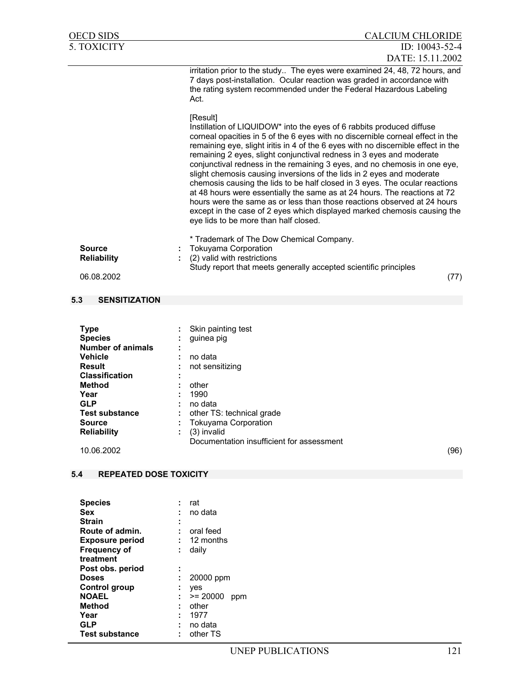| OECD SIDS                                                                                                                               | <b>CALCIUM CHLORIDE</b>                                                                                                                                                                                                                                                                                                                                                                                                                                                                                                                                                                                                                                                                                                                                                                                                                             |
|-----------------------------------------------------------------------------------------------------------------------------------------|-----------------------------------------------------------------------------------------------------------------------------------------------------------------------------------------------------------------------------------------------------------------------------------------------------------------------------------------------------------------------------------------------------------------------------------------------------------------------------------------------------------------------------------------------------------------------------------------------------------------------------------------------------------------------------------------------------------------------------------------------------------------------------------------------------------------------------------------------------|
| <b>5. TOXICITY</b>                                                                                                                      | ID: 10043-52-4                                                                                                                                                                                                                                                                                                                                                                                                                                                                                                                                                                                                                                                                                                                                                                                                                                      |
|                                                                                                                                         | DATE: 15.11.2002                                                                                                                                                                                                                                                                                                                                                                                                                                                                                                                                                                                                                                                                                                                                                                                                                                    |
|                                                                                                                                         | irritation prior to the study The eyes were examined 24, 48, 72 hours, and<br>7 days post-installation. Ocular reaction was graded in accordance with<br>the rating system recommended under the Federal Hazardous Labeling<br>Act.                                                                                                                                                                                                                                                                                                                                                                                                                                                                                                                                                                                                                 |
|                                                                                                                                         | [Result]<br>Instillation of LIQUIDOW* into the eyes of 6 rabbits produced diffuse<br>corneal opacities in 5 of the 6 eyes with no discernible corneal effect in the<br>remaining eye, slight iritis in 4 of the 6 eyes with no discernible effect in the<br>remaining 2 eyes, slight conjunctival redness in 3 eyes and moderate<br>conjunctival redness in the remaining 3 eyes, and no chemosis in one eye,<br>slight chemosis causing inversions of the lids in 2 eyes and moderate<br>chemosis causing the lids to be half closed in 3 eyes. The ocular reactions<br>at 48 hours were essentially the same as at 24 hours. The reactions at 72<br>hours were the same as or less than those reactions observed at 24 hours<br>except in the case of 2 eyes which displayed marked chemosis causing the<br>eye lids to be more than half closed. |
| <b>Source</b><br><b>Reliability</b>                                                                                                     | * Trademark of The Dow Chemical Company.<br><b>Tokuyama Corporation</b><br>(2) valid with restrictions                                                                                                                                                                                                                                                                                                                                                                                                                                                                                                                                                                                                                                                                                                                                              |
| 06.08.2002                                                                                                                              | Study report that meets generally accepted scientific principles<br>(77)                                                                                                                                                                                                                                                                                                                                                                                                                                                                                                                                                                                                                                                                                                                                                                            |
|                                                                                                                                         |                                                                                                                                                                                                                                                                                                                                                                                                                                                                                                                                                                                                                                                                                                                                                                                                                                                     |
| 5.3<br><b>SENSITIZATION</b>                                                                                                             |                                                                                                                                                                                                                                                                                                                                                                                                                                                                                                                                                                                                                                                                                                                                                                                                                                                     |
|                                                                                                                                         |                                                                                                                                                                                                                                                                                                                                                                                                                                                                                                                                                                                                                                                                                                                                                                                                                                                     |
| <b>Type</b><br><b>Species</b><br><b>Number of animals</b><br><b>Vehicle</b><br>Result<br><b>Classification</b><br><b>Method</b><br>Year | Skin painting test<br>guinea pig<br>no data<br>not sensitizing<br>other<br>1990                                                                                                                                                                                                                                                                                                                                                                                                                                                                                                                                                                                                                                                                                                                                                                     |
| <b>GLP</b>                                                                                                                              | no data                                                                                                                                                                                                                                                                                                                                                                                                                                                                                                                                                                                                                                                                                                                                                                                                                                             |
| <b>Test substance</b><br><b>Source</b>                                                                                                  | other TS: technical grade<br><b>Tokuyama Corporation</b>                                                                                                                                                                                                                                                                                                                                                                                                                                                                                                                                                                                                                                                                                                                                                                                            |
| <b>Reliability</b>                                                                                                                      | (3) invalid                                                                                                                                                                                                                                                                                                                                                                                                                                                                                                                                                                                                                                                                                                                                                                                                                                         |
| 10.06.2002                                                                                                                              | Documentation insufficient for assessment<br>(96)                                                                                                                                                                                                                                                                                                                                                                                                                                                                                                                                                                                                                                                                                                                                                                                                   |
| 5.4<br><b>REPEATED DOSE TOXICITY</b>                                                                                                    |                                                                                                                                                                                                                                                                                                                                                                                                                                                                                                                                                                                                                                                                                                                                                                                                                                                     |
|                                                                                                                                         |                                                                                                                                                                                                                                                                                                                                                                                                                                                                                                                                                                                                                                                                                                                                                                                                                                                     |
| <b>Species</b><br><b>Sex</b>                                                                                                            | rat<br>no data                                                                                                                                                                                                                                                                                                                                                                                                                                                                                                                                                                                                                                                                                                                                                                                                                                      |
| <b>Strain</b>                                                                                                                           |                                                                                                                                                                                                                                                                                                                                                                                                                                                                                                                                                                                                                                                                                                                                                                                                                                                     |
| Route of admin.<br><b>Exposure period</b>                                                                                               | oral feed<br>12 months                                                                                                                                                                                                                                                                                                                                                                                                                                                                                                                                                                                                                                                                                                                                                                                                                              |
| <b>Frequency of</b><br>treatment                                                                                                        | daily                                                                                                                                                                                                                                                                                                                                                                                                                                                                                                                                                                                                                                                                                                                                                                                                                                               |
| Post obs. period                                                                                                                        |                                                                                                                                                                                                                                                                                                                                                                                                                                                                                                                                                                                                                                                                                                                                                                                                                                                     |

|    | rat        |     |
|----|------------|-----|
|    | no data    |     |
|    |            |     |
|    | oral feed  |     |
|    | 12 months  |     |
| ÷  | daily      |     |
|    |            |     |
| ä, |            |     |
| ÷  | 20000 ppm  |     |
| ÷  | ves        |     |
| ÷  | $>= 20000$ | ppm |
|    | other      |     |
|    | 1977       |     |
|    | no data    |     |
|    | other TS   |     |
|    |            |     |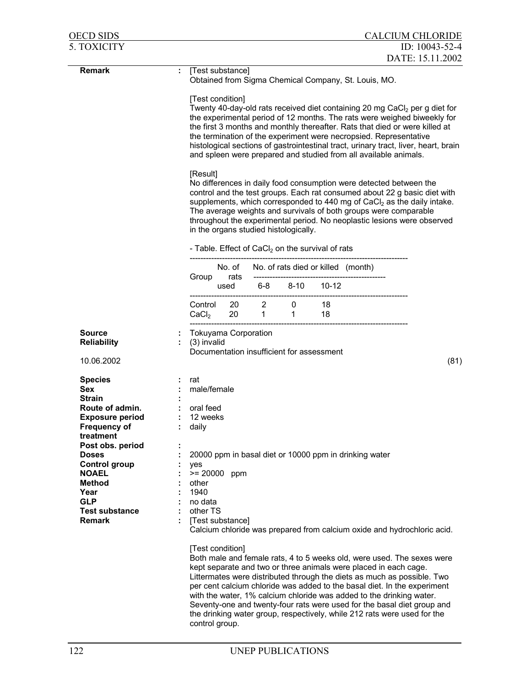| <b>OECD SIDS</b>                                                                                                  |                                       |                                                                                                                                                                                                                                                                                                                                                                                                                                                                                                                                                                                                                                                                                                                                                                                                                                                                                                                                                                                                         |                                |                             |                                    |                                                                                                                                                                                                                                                                                                                                                                                                                                                                                                                                  | <b>CALCIUM CHLORIDE</b> |  |  |  |
|-------------------------------------------------------------------------------------------------------------------|---------------------------------------|---------------------------------------------------------------------------------------------------------------------------------------------------------------------------------------------------------------------------------------------------------------------------------------------------------------------------------------------------------------------------------------------------------------------------------------------------------------------------------------------------------------------------------------------------------------------------------------------------------------------------------------------------------------------------------------------------------------------------------------------------------------------------------------------------------------------------------------------------------------------------------------------------------------------------------------------------------------------------------------------------------|--------------------------------|-----------------------------|------------------------------------|----------------------------------------------------------------------------------------------------------------------------------------------------------------------------------------------------------------------------------------------------------------------------------------------------------------------------------------------------------------------------------------------------------------------------------------------------------------------------------------------------------------------------------|-------------------------|--|--|--|
| <b>5. TOXICITY</b>                                                                                                |                                       |                                                                                                                                                                                                                                                                                                                                                                                                                                                                                                                                                                                                                                                                                                                                                                                                                                                                                                                                                                                                         |                                |                             |                                    |                                                                                                                                                                                                                                                                                                                                                                                                                                                                                                                                  | ID: $10043 - 52 - 4$    |  |  |  |
|                                                                                                                   |                                       |                                                                                                                                                                                                                                                                                                                                                                                                                                                                                                                                                                                                                                                                                                                                                                                                                                                                                                                                                                                                         |                                |                             |                                    |                                                                                                                                                                                                                                                                                                                                                                                                                                                                                                                                  | DATE: 15.11.2002        |  |  |  |
| Remark                                                                                                            | ÷.                                    | [Test substance]<br>Obtained from Sigma Chemical Company, St. Louis, MO.                                                                                                                                                                                                                                                                                                                                                                                                                                                                                                                                                                                                                                                                                                                                                                                                                                                                                                                                |                                |                             |                                    |                                                                                                                                                                                                                                                                                                                                                                                                                                                                                                                                  |                         |  |  |  |
|                                                                                                                   |                                       | [Test condition]<br>Twenty 40-day-old rats received diet containing 20 mg CaCl2 per g diet for<br>the experimental period of 12 months. The rats were weighed biweekly for<br>the first 3 months and monthly thereafter. Rats that died or were killed at<br>the termination of the experiment were necropsied. Representative<br>histological sections of gastrointestinal tract, urinary tract, liver, heart, brain<br>and spleen were prepared and studied from all available animals.<br>[Result]<br>No differences in daily food consumption were detected between the<br>control and the test groups. Each rat consumed about 22 g basic diet with<br>supplements, which corresponded to 440 mg of CaCl <sub>2</sub> as the daily intake.<br>The average weights and survivals of both groups were comparable<br>throughout the experimental period. No neoplastic lesions were observed<br>in the organs studied histologically.<br>- Table. Effect of CaCl <sub>2</sub> on the survival of rats |                                |                             |                                    |                                                                                                                                                                                                                                                                                                                                                                                                                                                                                                                                  |                         |  |  |  |
|                                                                                                                   |                                       |                                                                                                                                                                                                                                                                                                                                                                                                                                                                                                                                                                                                                                                                                                                                                                                                                                                                                                                                                                                                         |                                |                             |                                    |                                                                                                                                                                                                                                                                                                                                                                                                                                                                                                                                  |                         |  |  |  |
|                                                                                                                   |                                       | No. of                                                                                                                                                                                                                                                                                                                                                                                                                                                                                                                                                                                                                                                                                                                                                                                                                                                                                                                                                                                                  |                                |                             |                                    |                                                                                                                                                                                                                                                                                                                                                                                                                                                                                                                                  |                         |  |  |  |
|                                                                                                                   | Group                                 | rats                                                                                                                                                                                                                                                                                                                                                                                                                                                                                                                                                                                                                                                                                                                                                                                                                                                                                                                                                                                                    |                                |                             | No. of rats died or killed (month) |                                                                                                                                                                                                                                                                                                                                                                                                                                                                                                                                  |                         |  |  |  |
|                                                                                                                   |                                       |                                                                                                                                                                                                                                                                                                                                                                                                                                                                                                                                                                                                                                                                                                                                                                                                                                                                                                                                                                                                         |                                |                             | used 6-8 8-10 10-12                |                                                                                                                                                                                                                                                                                                                                                                                                                                                                                                                                  |                         |  |  |  |
|                                                                                                                   | Control<br>$\mathsf{CaCl}_2$          | 20                                                                                                                                                                                                                                                                                                                                                                                                                                                                                                                                                                                                                                                                                                                                                                                                                                                                                                                                                                                                      | 20 2<br>$1 \quad \blacksquare$ | $\overline{0}$<br>$1 \quad$ | 18<br>18                           |                                                                                                                                                                                                                                                                                                                                                                                                                                                                                                                                  |                         |  |  |  |
| <b>Source</b><br><b>Reliability</b>                                                                               | (3) invalid                           | Tokuyama Corporation<br>Documentation insufficient for assessment                                                                                                                                                                                                                                                                                                                                                                                                                                                                                                                                                                                                                                                                                                                                                                                                                                                                                                                                       |                                |                             |                                    |                                                                                                                                                                                                                                                                                                                                                                                                                                                                                                                                  |                         |  |  |  |
| 10.06.2002                                                                                                        |                                       |                                                                                                                                                                                                                                                                                                                                                                                                                                                                                                                                                                                                                                                                                                                                                                                                                                                                                                                                                                                                         |                                |                             |                                    |                                                                                                                                                                                                                                                                                                                                                                                                                                                                                                                                  | (81)                    |  |  |  |
| <b>Species</b><br><b>Sex</b><br><b>Strain</b><br>Route of admin.<br><b>Exposure period</b><br><b>Frequency of</b> | rat<br>oral feed<br>12 weeks<br>daily | male/female                                                                                                                                                                                                                                                                                                                                                                                                                                                                                                                                                                                                                                                                                                                                                                                                                                                                                                                                                                                             |                                |                             |                                    |                                                                                                                                                                                                                                                                                                                                                                                                                                                                                                                                  |                         |  |  |  |
| treatment<br>Post obs. period<br><b>Doses</b><br><b>Control group</b><br><b>NOAEL</b><br><b>Method</b>            | yes<br>other                          | $>= 20000$ ppm                                                                                                                                                                                                                                                                                                                                                                                                                                                                                                                                                                                                                                                                                                                                                                                                                                                                                                                                                                                          |                                |                             |                                    | 20000 ppm in basal diet or 10000 ppm in drinking water                                                                                                                                                                                                                                                                                                                                                                                                                                                                           |                         |  |  |  |
| Year<br><b>GLP</b><br><b>Test substance</b><br><b>Remark</b>                                                      | 1940                                  | no data<br>other TS<br>[Test substance]<br>Calcium chloride was prepared from calcium oxide and hydrochloric acid.                                                                                                                                                                                                                                                                                                                                                                                                                                                                                                                                                                                                                                                                                                                                                                                                                                                                                      |                                |                             |                                    |                                                                                                                                                                                                                                                                                                                                                                                                                                                                                                                                  |                         |  |  |  |
|                                                                                                                   |                                       | [Test condition]<br>control group.                                                                                                                                                                                                                                                                                                                                                                                                                                                                                                                                                                                                                                                                                                                                                                                                                                                                                                                                                                      |                                |                             |                                    | Both male and female rats, 4 to 5 weeks old, were used. The sexes were<br>kept separate and two or three animals were placed in each cage.<br>Littermates were distributed through the diets as much as possible. Two<br>per cent calcium chloride was added to the basal diet. In the experiment<br>with the water, 1% calcium chloride was added to the drinking water.<br>Seventy-one and twenty-four rats were used for the basal diet group and<br>the drinking water group, respectively, while 212 rats were used for the |                         |  |  |  |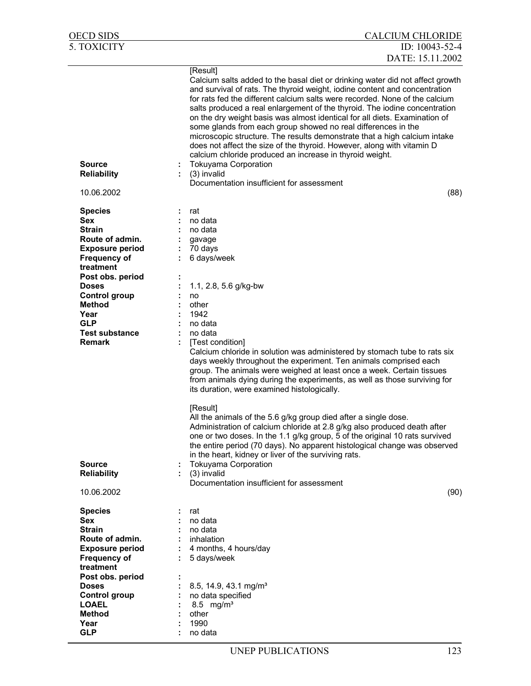| OECD SIDS                                                                                                                                                                                                                                                                   | <b>CALCIUM CHLORIDE</b>                                                                                                                                                                                                                                                                                                                                                                                                                                                                                                                                                                                                                                                                                                               |
|-----------------------------------------------------------------------------------------------------------------------------------------------------------------------------------------------------------------------------------------------------------------------------|---------------------------------------------------------------------------------------------------------------------------------------------------------------------------------------------------------------------------------------------------------------------------------------------------------------------------------------------------------------------------------------------------------------------------------------------------------------------------------------------------------------------------------------------------------------------------------------------------------------------------------------------------------------------------------------------------------------------------------------|
| 5. TOXICITY                                                                                                                                                                                                                                                                 | ID: 10043-52-4                                                                                                                                                                                                                                                                                                                                                                                                                                                                                                                                                                                                                                                                                                                        |
|                                                                                                                                                                                                                                                                             | DATE: 15.11.2002                                                                                                                                                                                                                                                                                                                                                                                                                                                                                                                                                                                                                                                                                                                      |
| <b>Source</b>                                                                                                                                                                                                                                                               | [Result]<br>Calcium salts added to the basal diet or drinking water did not affect growth<br>and survival of rats. The thyroid weight, iodine content and concentration<br>for rats fed the different calcium salts were recorded. None of the calcium<br>salts produced a real enlargement of the thyroid. The iodine concentration<br>on the dry weight basis was almost identical for all diets. Examination of<br>some glands from each group showed no real differences in the<br>microscopic structure. The results demonstrate that a high calcium intake<br>does not affect the size of the thyroid. However, along with vitamin D<br>calcium chloride produced an increase in thyroid weight.<br><b>Tokuyama Corporation</b> |
| <b>Reliability</b>                                                                                                                                                                                                                                                          | (3) invalid                                                                                                                                                                                                                                                                                                                                                                                                                                                                                                                                                                                                                                                                                                                           |
|                                                                                                                                                                                                                                                                             | Documentation insufficient for assessment                                                                                                                                                                                                                                                                                                                                                                                                                                                                                                                                                                                                                                                                                             |
| 10.06.2002                                                                                                                                                                                                                                                                  | (88)                                                                                                                                                                                                                                                                                                                                                                                                                                                                                                                                                                                                                                                                                                                                  |
| <b>Species</b><br><b>Sex</b><br><b>Strain</b><br>Route of admin.<br><b>Exposure period</b><br><b>Frequency of</b><br>treatment<br>Post obs. period<br><b>Doses</b><br><b>Control group</b><br><b>Method</b><br>Year<br><b>GLP</b><br><b>Test substance</b><br><b>Remark</b> | rat<br>no data<br>no data<br>gavage<br>70 days<br>6 days/week<br>1.1, 2.8, 5.6 g/kg-bw<br>no<br>other<br>1942<br>no data<br>no data<br>[Test condition]<br>Calcium chloride in solution was administered by stomach tube to rats six<br>days weekly throughout the experiment. Ten animals comprised each<br>group. The animals were weighed at least once a week. Certain tissues<br>from animals dying during the experiments, as well as those surviving for<br>its duration, were examined histologically.<br>[Result]                                                                                                                                                                                                            |
| <b>Source</b><br><b>Reliability</b><br>10.06.2002                                                                                                                                                                                                                           | All the animals of the 5.6 g/kg group died after a single dose<br>Administration of calcium chloride at 2.8 g/kg also produced death after<br>one or two doses. In the 1.1 g/kg group, 5 of the original 10 rats survived<br>the entire period (70 days). No apparent histological change was observed<br>in the heart, kidney or liver of the surviving rats.<br><b>Tokuyama Corporation</b><br>(3) invalid<br>Documentation insufficient for assessment<br>(90)                                                                                                                                                                                                                                                                     |
| <b>Species</b><br>Sex                                                                                                                                                                                                                                                       | rat<br>no data                                                                                                                                                                                                                                                                                                                                                                                                                                                                                                                                                                                                                                                                                                                        |
| <b>Strain</b>                                                                                                                                                                                                                                                               | no data                                                                                                                                                                                                                                                                                                                                                                                                                                                                                                                                                                                                                                                                                                                               |
| Route of admin.                                                                                                                                                                                                                                                             | inhalation                                                                                                                                                                                                                                                                                                                                                                                                                                                                                                                                                                                                                                                                                                                            |
| <b>Exposure period</b>                                                                                                                                                                                                                                                      | 4 months, 4 hours/day                                                                                                                                                                                                                                                                                                                                                                                                                                                                                                                                                                                                                                                                                                                 |
| <b>Frequency of</b><br>treatment                                                                                                                                                                                                                                            | 5 days/week                                                                                                                                                                                                                                                                                                                                                                                                                                                                                                                                                                                                                                                                                                                           |
| Post obs. period                                                                                                                                                                                                                                                            |                                                                                                                                                                                                                                                                                                                                                                                                                                                                                                                                                                                                                                                                                                                                       |
| <b>Doses</b>                                                                                                                                                                                                                                                                | 8.5, 14.9, 43.1 mg/m <sup>3</sup>                                                                                                                                                                                                                                                                                                                                                                                                                                                                                                                                                                                                                                                                                                     |
| <b>Control group</b>                                                                                                                                                                                                                                                        | no data specified                                                                                                                                                                                                                                                                                                                                                                                                                                                                                                                                                                                                                                                                                                                     |
| <b>LOAEL</b><br><b>Method</b>                                                                                                                                                                                                                                               | 8.5 $mg/m3$<br>other                                                                                                                                                                                                                                                                                                                                                                                                                                                                                                                                                                                                                                                                                                                  |
| Year                                                                                                                                                                                                                                                                        | 1990                                                                                                                                                                                                                                                                                                                                                                                                                                                                                                                                                                                                                                                                                                                                  |
| <b>GLP</b>                                                                                                                                                                                                                                                                  | no data                                                                                                                                                                                                                                                                                                                                                                                                                                                                                                                                                                                                                                                                                                                               |
|                                                                                                                                                                                                                                                                             |                                                                                                                                                                                                                                                                                                                                                                                                                                                                                                                                                                                                                                                                                                                                       |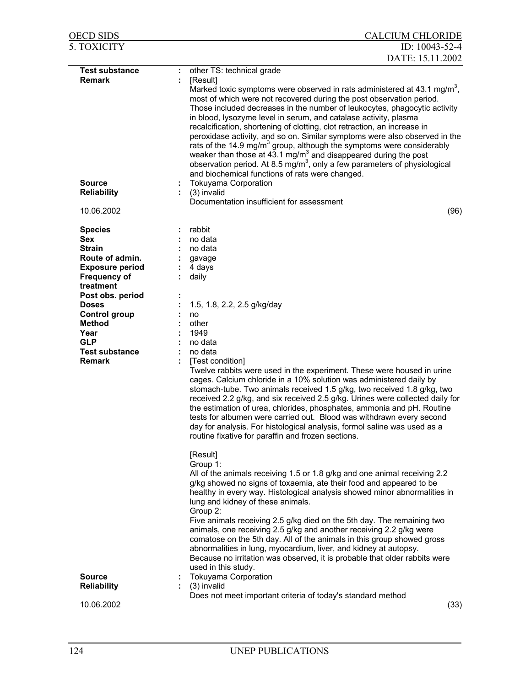| <b>OECD SIDS</b>                 | <b>CALCIUM CHLORIDE</b>                                                                                                                                                                                                                                                                                                                                                                                                                                                                                                                                                                                                                                                                                                                                                                   |
|----------------------------------|-------------------------------------------------------------------------------------------------------------------------------------------------------------------------------------------------------------------------------------------------------------------------------------------------------------------------------------------------------------------------------------------------------------------------------------------------------------------------------------------------------------------------------------------------------------------------------------------------------------------------------------------------------------------------------------------------------------------------------------------------------------------------------------------|
| <b>5. TOXICITY</b>               | ID: 10043-52-4                                                                                                                                                                                                                                                                                                                                                                                                                                                                                                                                                                                                                                                                                                                                                                            |
|                                  | DATE: 15.11.2002                                                                                                                                                                                                                                                                                                                                                                                                                                                                                                                                                                                                                                                                                                                                                                          |
| <b>Test substance</b>            | other TS: technical grade<br>÷                                                                                                                                                                                                                                                                                                                                                                                                                                                                                                                                                                                                                                                                                                                                                            |
| <b>Remark</b>                    | [Result]<br>Marked toxic symptoms were observed in rats administered at 43.1 mg/m <sup>3</sup> ,<br>most of which were not recovered during the post observation period.<br>Those included decreases in the number of leukocytes, phagocytic activity<br>in blood, lysozyme level in serum, and catalase activity, plasma<br>recalcification, shortening of clotting, clot retraction, an increase in<br>peroxidase activity, and so on. Similar symptoms were also observed in the<br>rats of the 14.9 mg/m <sup>3</sup> group, although the symptoms were considerably<br>weaker than those at 43.1 $mg/m3$ and disappeared during the post<br>observation period. At 8.5 mg/m <sup>3</sup> , only a few parameters of physiological<br>and biochemical functions of rats were changed. |
| <b>Source</b>                    | <b>Tokuyama Corporation</b>                                                                                                                                                                                                                                                                                                                                                                                                                                                                                                                                                                                                                                                                                                                                                               |
| <b>Reliability</b>               | (3) invalid<br>Documentation insufficient for assessment                                                                                                                                                                                                                                                                                                                                                                                                                                                                                                                                                                                                                                                                                                                                  |
| 10.06.2002                       | (96)                                                                                                                                                                                                                                                                                                                                                                                                                                                                                                                                                                                                                                                                                                                                                                                      |
| <b>Species</b>                   | rabbit                                                                                                                                                                                                                                                                                                                                                                                                                                                                                                                                                                                                                                                                                                                                                                                    |
| <b>Sex</b>                       | no data                                                                                                                                                                                                                                                                                                                                                                                                                                                                                                                                                                                                                                                                                                                                                                                   |
| <b>Strain</b>                    | no data                                                                                                                                                                                                                                                                                                                                                                                                                                                                                                                                                                                                                                                                                                                                                                                   |
| Route of admin.                  | gavage                                                                                                                                                                                                                                                                                                                                                                                                                                                                                                                                                                                                                                                                                                                                                                                    |
| <b>Exposure period</b>           | 4 days                                                                                                                                                                                                                                                                                                                                                                                                                                                                                                                                                                                                                                                                                                                                                                                    |
| <b>Frequency of</b>              | daily                                                                                                                                                                                                                                                                                                                                                                                                                                                                                                                                                                                                                                                                                                                                                                                     |
| treatment                        |                                                                                                                                                                                                                                                                                                                                                                                                                                                                                                                                                                                                                                                                                                                                                                                           |
| Post obs. period<br><b>Doses</b> | 1.5, 1.8, 2.2, 2.5 g/kg/day                                                                                                                                                                                                                                                                                                                                                                                                                                                                                                                                                                                                                                                                                                                                                               |
| <b>Control group</b>             | no                                                                                                                                                                                                                                                                                                                                                                                                                                                                                                                                                                                                                                                                                                                                                                                        |
| <b>Method</b>                    | other                                                                                                                                                                                                                                                                                                                                                                                                                                                                                                                                                                                                                                                                                                                                                                                     |
| Year                             | 1949                                                                                                                                                                                                                                                                                                                                                                                                                                                                                                                                                                                                                                                                                                                                                                                      |
| <b>GLP</b>                       | no data                                                                                                                                                                                                                                                                                                                                                                                                                                                                                                                                                                                                                                                                                                                                                                                   |
| <b>Test substance</b>            | no data                                                                                                                                                                                                                                                                                                                                                                                                                                                                                                                                                                                                                                                                                                                                                                                   |
| <b>Remark</b>                    | [Test condition]                                                                                                                                                                                                                                                                                                                                                                                                                                                                                                                                                                                                                                                                                                                                                                          |
|                                  | Twelve rabbits were used in the experiment. These were housed in urine<br>cages. Calcium chloride in a 10% solution was administered daily by<br>stomach-tube. Two animals received 1.5 g/kg, two received 1.8 g/kg, two<br>received 2.2 g/kg, and six received 2.5 g/kg. Urines were collected daily for<br>the estimation of urea, chlorides, phosphates, ammonia and pH. Routine<br>tests for albumen were carried out. Blood was withdrawn every second<br>day for analysis. For histological analysis, formol saline was used as a<br>routine fixative for paraffin and frozen sections.                                                                                                                                                                                             |
|                                  | [Result]                                                                                                                                                                                                                                                                                                                                                                                                                                                                                                                                                                                                                                                                                                                                                                                  |
|                                  | Group 1:<br>All of the animals receiving 1.5 or 1.8 g/kg and one animal receiving 2.2<br>g/kg showed no signs of toxaemia, ate their food and appeared to be<br>healthy in every way. Histological analysis showed minor abnormalities in<br>lung and kidney of these animals.<br>Group 2:<br>Five animals receiving 2.5 g/kg died on the 5th day. The remaining two<br>animals, one receiving 2.5 g/kg and another receiving 2.2 g/kg were                                                                                                                                                                                                                                                                                                                                               |
|                                  | comatose on the 5th day. All of the animals in this group showed gross<br>abnormalities in lung, myocardium, liver, and kidney at autopsy.<br>Because no irritation was observed, it is probable that older rabbits were<br>used in this study.                                                                                                                                                                                                                                                                                                                                                                                                                                                                                                                                           |
| <b>Source</b>                    | <b>Tokuyama Corporation</b>                                                                                                                                                                                                                                                                                                                                                                                                                                                                                                                                                                                                                                                                                                                                                               |
| <b>Reliability</b>               | $\colon$ (3) invalid                                                                                                                                                                                                                                                                                                                                                                                                                                                                                                                                                                                                                                                                                                                                                                      |
| 10.06.2002                       | Does not meet important criteria of today's standard method<br>(33)                                                                                                                                                                                                                                                                                                                                                                                                                                                                                                                                                                                                                                                                                                                       |
|                                  |                                                                                                                                                                                                                                                                                                                                                                                                                                                                                                                                                                                                                                                                                                                                                                                           |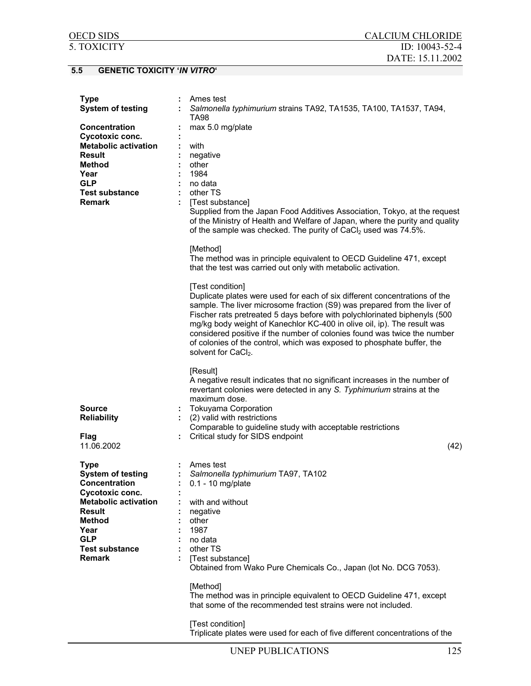# **5.5 GENETIC TOXICITY '***IN VITRO***'**

| <b>Type</b>                         | Ames test                                                                                                                                                                                                                                                                                                                                                                                                                                                                                                                   |
|-------------------------------------|-----------------------------------------------------------------------------------------------------------------------------------------------------------------------------------------------------------------------------------------------------------------------------------------------------------------------------------------------------------------------------------------------------------------------------------------------------------------------------------------------------------------------------|
| <b>System of testing</b>            | Salmonella typhimurium strains TA92, TA1535, TA100, TA1537, TA94,<br><b>TA98</b>                                                                                                                                                                                                                                                                                                                                                                                                                                            |
| <b>Concentration</b>                | max 5.0 mg/plate                                                                                                                                                                                                                                                                                                                                                                                                                                                                                                            |
| Cycotoxic conc.                     |                                                                                                                                                                                                                                                                                                                                                                                                                                                                                                                             |
| <b>Metabolic activation</b>         | with                                                                                                                                                                                                                                                                                                                                                                                                                                                                                                                        |
| Result                              | negative                                                                                                                                                                                                                                                                                                                                                                                                                                                                                                                    |
| <b>Method</b>                       | other                                                                                                                                                                                                                                                                                                                                                                                                                                                                                                                       |
| Year                                | 1984                                                                                                                                                                                                                                                                                                                                                                                                                                                                                                                        |
| <b>GLP</b>                          | no data                                                                                                                                                                                                                                                                                                                                                                                                                                                                                                                     |
| <b>Test substance</b>               | other TS                                                                                                                                                                                                                                                                                                                                                                                                                                                                                                                    |
| <b>Remark</b>                       | [Test substance]                                                                                                                                                                                                                                                                                                                                                                                                                                                                                                            |
|                                     | Supplied from the Japan Food Additives Association, Tokyo, at the request<br>of the Ministry of Health and Welfare of Japan, where the purity and quality<br>of the sample was checked. The purity of CaCl <sub>2</sub> used was 74.5%.                                                                                                                                                                                                                                                                                     |
|                                     | [Method]                                                                                                                                                                                                                                                                                                                                                                                                                                                                                                                    |
|                                     | The method was in principle equivalent to OECD Guideline 471, except<br>that the test was carried out only with metabolic activation.                                                                                                                                                                                                                                                                                                                                                                                       |
|                                     | [Test condition]<br>Duplicate plates were used for each of six different concentrations of the<br>sample. The liver microsome fraction (S9) was prepared from the liver of<br>Fischer rats pretreated 5 days before with polychlorinated biphenyls (500<br>mg/kg body weight of Kanechlor KC-400 in olive oil, ip). The result was<br>considered positive if the number of colonies found was twice the number<br>of colonies of the control, which was exposed to phosphate buffer, the<br>solvent for CaCl <sub>2</sub> . |
| <b>Source</b><br><b>Reliability</b> | [Result]<br>A negative result indicates that no significant increases in the number of<br>revertant colonies were detected in any S. Typhimurium strains at the<br>maximum dose.<br><b>Tokuyama Corporation</b><br>(2) valid with restrictions                                                                                                                                                                                                                                                                              |
|                                     | Comparable to guideline study with acceptable restrictions                                                                                                                                                                                                                                                                                                                                                                                                                                                                  |
| Flag                                | Critical study for SIDS endpoint                                                                                                                                                                                                                                                                                                                                                                                                                                                                                            |
| 11.06.2002                          | (42)                                                                                                                                                                                                                                                                                                                                                                                                                                                                                                                        |
|                                     |                                                                                                                                                                                                                                                                                                                                                                                                                                                                                                                             |
| <b>Type</b>                         | Ames test                                                                                                                                                                                                                                                                                                                                                                                                                                                                                                                   |
| <b>System of testing</b>            | Salmonella typhimurium TA97, TA102                                                                                                                                                                                                                                                                                                                                                                                                                                                                                          |
| Concentration                       | $: 0.1 - 10$ mg/plate                                                                                                                                                                                                                                                                                                                                                                                                                                                                                                       |
| Cycotoxic conc.                     |                                                                                                                                                                                                                                                                                                                                                                                                                                                                                                                             |
| <b>Metabolic activation</b>         | with and without                                                                                                                                                                                                                                                                                                                                                                                                                                                                                                            |
| Result                              | negative                                                                                                                                                                                                                                                                                                                                                                                                                                                                                                                    |
| <b>Method</b>                       | other                                                                                                                                                                                                                                                                                                                                                                                                                                                                                                                       |
| Year<br><b>GLP</b>                  | 1987<br>no data                                                                                                                                                                                                                                                                                                                                                                                                                                                                                                             |
| <b>Test substance</b>               | other TS                                                                                                                                                                                                                                                                                                                                                                                                                                                                                                                    |
| <b>Remark</b>                       | [Test substance]                                                                                                                                                                                                                                                                                                                                                                                                                                                                                                            |
|                                     | Obtained from Wako Pure Chemicals Co., Japan (lot No. DCG 7053).                                                                                                                                                                                                                                                                                                                                                                                                                                                            |
|                                     | [Method]<br>The method was in principle equivalent to OECD Guideline 471, except<br>that some of the recommended test strains were not included.                                                                                                                                                                                                                                                                                                                                                                            |
|                                     | [Test condition]<br>Triplicate plates were used for each of five different concentrations of the                                                                                                                                                                                                                                                                                                                                                                                                                            |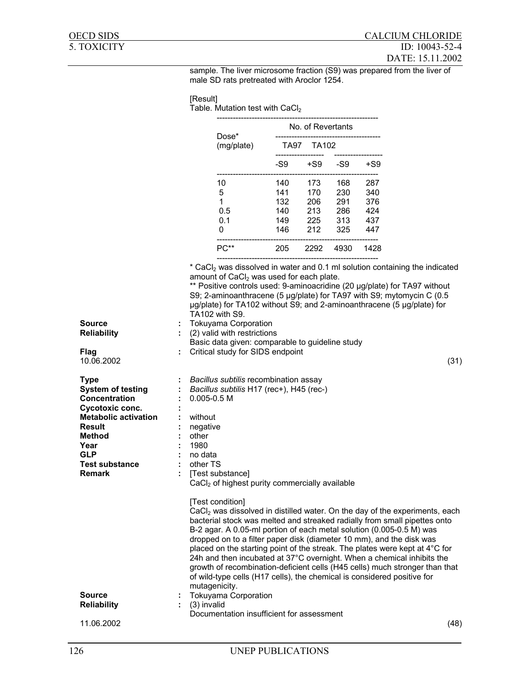sample. The liver microsome fraction (S9) was prepared from the liver of male SD rats pretreated with Aroclor 1254.

# [Result]

Table. Mutation test with CaCl<sub>2</sub>

|                                                                                                                                                                                                       |                                                   |                                                                                |                                                                                                                                                                                                                                                                                                                                                                                                                                                                                                                                                                                                                                                                                                             |       | No. of Revertants |                               |         |      |
|-------------------------------------------------------------------------------------------------------------------------------------------------------------------------------------------------------|---------------------------------------------------|--------------------------------------------------------------------------------|-------------------------------------------------------------------------------------------------------------------------------------------------------------------------------------------------------------------------------------------------------------------------------------------------------------------------------------------------------------------------------------------------------------------------------------------------------------------------------------------------------------------------------------------------------------------------------------------------------------------------------------------------------------------------------------------------------------|-------|-------------------|-------------------------------|---------|------|
|                                                                                                                                                                                                       |                                                   |                                                                                | Dose*<br>(mg/plate)                                                                                                                                                                                                                                                                                                                                                                                                                                                                                                                                                                                                                                                                                         |       | TA97 TA102        |                               |         |      |
|                                                                                                                                                                                                       |                                                   |                                                                                |                                                                                                                                                                                                                                                                                                                                                                                                                                                                                                                                                                                                                                                                                                             | $-S9$ |                   | +S9 -S9 +S9                   |         |      |
|                                                                                                                                                                                                       |                                                   |                                                                                | 10                                                                                                                                                                                                                                                                                                                                                                                                                                                                                                                                                                                                                                                                                                          | 140   | 173               | 168                           | 287     |      |
|                                                                                                                                                                                                       |                                                   |                                                                                | 5                                                                                                                                                                                                                                                                                                                                                                                                                                                                                                                                                                                                                                                                                                           | 141   | 170               | 230                           | 340     |      |
|                                                                                                                                                                                                       |                                                   |                                                                                | 1                                                                                                                                                                                                                                                                                                                                                                                                                                                                                                                                                                                                                                                                                                           | 132   | 206               | 291                           | 376     |      |
|                                                                                                                                                                                                       |                                                   |                                                                                | 0.5                                                                                                                                                                                                                                                                                                                                                                                                                                                                                                                                                                                                                                                                                                         | 140   | 213               | 286                           | 424     |      |
|                                                                                                                                                                                                       |                                                   |                                                                                | 0.1                                                                                                                                                                                                                                                                                                                                                                                                                                                                                                                                                                                                                                                                                                         | 149   | 225               |                               | 313 437 |      |
|                                                                                                                                                                                                       |                                                   |                                                                                | 0                                                                                                                                                                                                                                                                                                                                                                                                                                                                                                                                                                                                                                                                                                           | 146   | 212               | 325<br>---------------------- | 447     |      |
|                                                                                                                                                                                                       |                                                   |                                                                                | PC** 205                                                                                                                                                                                                                                                                                                                                                                                                                                                                                                                                                                                                                                                                                                    |       |                   | 2292 4930 1428                |         |      |
|                                                                                                                                                                                                       |                                                   |                                                                                | * CaCl <sub>2</sub> was dissolved in water and 0.1 ml solution containing the indicated<br>amount of CaCl <sub>2</sub> was used for each plate.<br>** Positive controls used: 9-aminoacridine (20 µg/plate) for TA97 without<br>S9; 2-aminoanthracene (5 µg/plate) for TA97 with S9; mytomycin C (0.5<br>µg/plate) for TA102 without S9; and 2-aminoanthracene (5 µg/plate) for<br>TA102 with S9.                                                                                                                                                                                                                                                                                                           |       |                   |                               |         |      |
| <b>Source</b><br><b>Reliability</b>                                                                                                                                                                   |                                                   |                                                                                | <b>Tokuyama Corporation</b><br>(2) valid with restrictions                                                                                                                                                                                                                                                                                                                                                                                                                                                                                                                                                                                                                                                  |       |                   |                               |         |      |
|                                                                                                                                                                                                       |                                                   |                                                                                | Basic data given: comparable to guideline study                                                                                                                                                                                                                                                                                                                                                                                                                                                                                                                                                                                                                                                             |       |                   |                               |         |      |
| Flag<br>10.06.2002                                                                                                                                                                                    |                                                   |                                                                                | Critical study for SIDS endpoint                                                                                                                                                                                                                                                                                                                                                                                                                                                                                                                                                                                                                                                                            |       |                   |                               |         | (31) |
| <b>Type</b><br><b>System of testing</b><br>Concentration<br>Cycotoxic conc.<br><b>Metabolic activation</b><br>Result<br><b>Method</b><br>Year<br><b>GLP</b><br><b>Test substance</b><br><b>Remark</b> | $\mathbb{Z}^n$<br>÷.<br>÷<br>$\ddot{\phantom{a}}$ | $0.005 - 0.5 M$<br>without<br>negative<br>other<br>1980<br>no data<br>other TS | Bacillus subtilis recombination assay<br>Bacillus subtilis H17 (rec+), H45 (rec-)<br>[Test substance]<br>CaCl <sub>2</sub> of highest purity commercially available                                                                                                                                                                                                                                                                                                                                                                                                                                                                                                                                         |       |                   |                               |         |      |
| <b>Source</b><br><b>Reliability</b>                                                                                                                                                                   |                                                   | (3) invalid                                                                    | [Test condition]<br>CaCl <sub>2</sub> was dissolved in distilled water. On the day of the experiments, each<br>bacterial stock was melted and streaked radially from small pipettes onto<br>B-2 agar. A 0.05-ml portion of each metal solution (0.005-0.5 M) was<br>dropped on to a filter paper disk (diameter 10 mm), and the disk was<br>placed on the starting point of the streak. The plates were kept at 4°C for<br>24h and then incubated at 37°C overnight. When a chemical inhibits the<br>growth of recombination-deficient cells (H45 cells) much stronger than that<br>of wild-type cells (H17 cells), the chemical is considered positive for<br>mutagenicity.<br><b>Tokuyama Corporation</b> |       |                   |                               |         |      |
|                                                                                                                                                                                                       |                                                   |                                                                                | Documentation insufficient for assessment                                                                                                                                                                                                                                                                                                                                                                                                                                                                                                                                                                                                                                                                   |       |                   |                               |         |      |
| 11.06.2002                                                                                                                                                                                            |                                                   |                                                                                |                                                                                                                                                                                                                                                                                                                                                                                                                                                                                                                                                                                                                                                                                                             |       |                   |                               |         | (48) |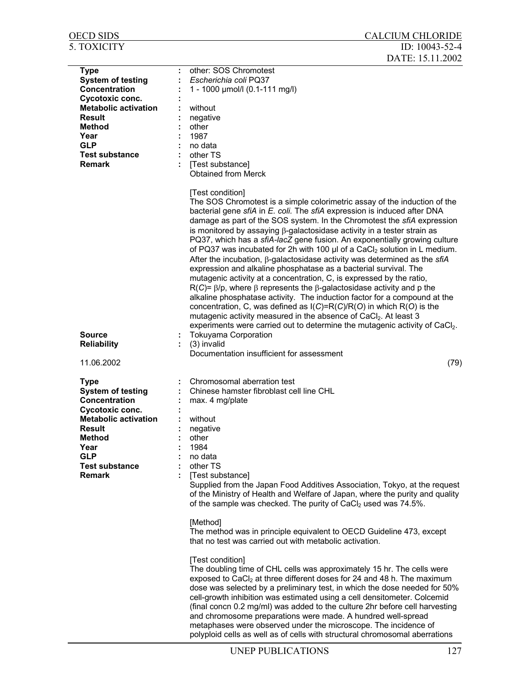| <b>OECD SIDS</b>                        | <b>CALCIUM CHLORIDE</b>                                                                                                                                                                                                                                                                                                                                                                                                                                                                                                                                                                                                                                                                                                                                                                                                                                                                                                                                                                                                                                                                                                                                                                                                                                   |
|-----------------------------------------|-----------------------------------------------------------------------------------------------------------------------------------------------------------------------------------------------------------------------------------------------------------------------------------------------------------------------------------------------------------------------------------------------------------------------------------------------------------------------------------------------------------------------------------------------------------------------------------------------------------------------------------------------------------------------------------------------------------------------------------------------------------------------------------------------------------------------------------------------------------------------------------------------------------------------------------------------------------------------------------------------------------------------------------------------------------------------------------------------------------------------------------------------------------------------------------------------------------------------------------------------------------|
| <b>5. TOXICITY</b>                      | ID: 10043-52-4                                                                                                                                                                                                                                                                                                                                                                                                                                                                                                                                                                                                                                                                                                                                                                                                                                                                                                                                                                                                                                                                                                                                                                                                                                            |
|                                         | DATE: 15.11.2002                                                                                                                                                                                                                                                                                                                                                                                                                                                                                                                                                                                                                                                                                                                                                                                                                                                                                                                                                                                                                                                                                                                                                                                                                                          |
| <b>Type</b><br><b>System of testing</b> | other: SOS Chromotest<br>Escherichia coli PQ37                                                                                                                                                                                                                                                                                                                                                                                                                                                                                                                                                                                                                                                                                                                                                                                                                                                                                                                                                                                                                                                                                                                                                                                                            |
| Concentration                           | 1 - 1000 µmol/l (0.1-111 mg/l)                                                                                                                                                                                                                                                                                                                                                                                                                                                                                                                                                                                                                                                                                                                                                                                                                                                                                                                                                                                                                                                                                                                                                                                                                            |
| Cycotoxic conc.                         |                                                                                                                                                                                                                                                                                                                                                                                                                                                                                                                                                                                                                                                                                                                                                                                                                                                                                                                                                                                                                                                                                                                                                                                                                                                           |
| <b>Metabolic activation</b>             | without                                                                                                                                                                                                                                                                                                                                                                                                                                                                                                                                                                                                                                                                                                                                                                                                                                                                                                                                                                                                                                                                                                                                                                                                                                                   |
| Result                                  | negative                                                                                                                                                                                                                                                                                                                                                                                                                                                                                                                                                                                                                                                                                                                                                                                                                                                                                                                                                                                                                                                                                                                                                                                                                                                  |
| Method                                  | other                                                                                                                                                                                                                                                                                                                                                                                                                                                                                                                                                                                                                                                                                                                                                                                                                                                                                                                                                                                                                                                                                                                                                                                                                                                     |
| Year                                    | 1987                                                                                                                                                                                                                                                                                                                                                                                                                                                                                                                                                                                                                                                                                                                                                                                                                                                                                                                                                                                                                                                                                                                                                                                                                                                      |
| <b>GLP</b>                              | no data                                                                                                                                                                                                                                                                                                                                                                                                                                                                                                                                                                                                                                                                                                                                                                                                                                                                                                                                                                                                                                                                                                                                                                                                                                                   |
| <b>Test substance</b>                   | other TS                                                                                                                                                                                                                                                                                                                                                                                                                                                                                                                                                                                                                                                                                                                                                                                                                                                                                                                                                                                                                                                                                                                                                                                                                                                  |
| <b>Remark</b>                           | [Test substance]<br><b>Obtained from Merck</b>                                                                                                                                                                                                                                                                                                                                                                                                                                                                                                                                                                                                                                                                                                                                                                                                                                                                                                                                                                                                                                                                                                                                                                                                            |
| <b>Source</b><br><b>Reliability</b>     | [Test condition]<br>The SOS Chromotest is a simple colorimetric assay of the induction of the<br>bacterial gene sfiA in E. coli. The sfiA expression is induced after DNA<br>damage as part of the SOS system. In the Chromotest the sfiA expression<br>is monitored by assaying $\beta$ -galactosidase activity in a tester strain as<br>PQ37, which has a sfiA-lacZ gene fusion. An exponentially growing culture<br>of PQ37 was incubated for 2h with 100 µl of a CaCl <sub>2</sub> solution in L medium.<br>After the incubation, $\beta$ -galactosidase activity was determined as the sfiA<br>expression and alkaline phosphatase as a bacterial survival. The<br>mutagenic activity at a concentration, C, is expressed by the ratio,<br>$R(C)$ = $\beta$ /p, where $\beta$ represents the $\beta$ -galactosidase activity and p the<br>alkaline phosphatase activity. The induction factor for a compound at the<br>concentration, C, was defined as I(C)=R(C)/R(O) in which R(O) is the<br>mutagenic activity measured in the absence of CaCl <sub>2</sub> . At least 3<br>experiments were carried out to determine the mutagenic activity of CaCl2.<br><b>Tokuyama Corporation</b><br>(3) invalid<br>Documentation insufficient for assessment |
| 11.06.2002                              | (79)                                                                                                                                                                                                                                                                                                                                                                                                                                                                                                                                                                                                                                                                                                                                                                                                                                                                                                                                                                                                                                                                                                                                                                                                                                                      |
| <b>Type</b>                             | Chromosomal aberration test                                                                                                                                                                                                                                                                                                                                                                                                                                                                                                                                                                                                                                                                                                                                                                                                                                                                                                                                                                                                                                                                                                                                                                                                                               |
| <b>System of testing</b>                | Chinese hamster fibroblast cell line CHL                                                                                                                                                                                                                                                                                                                                                                                                                                                                                                                                                                                                                                                                                                                                                                                                                                                                                                                                                                                                                                                                                                                                                                                                                  |
| Concentration                           | max. 4 mg/plate                                                                                                                                                                                                                                                                                                                                                                                                                                                                                                                                                                                                                                                                                                                                                                                                                                                                                                                                                                                                                                                                                                                                                                                                                                           |
| Cycotoxic conc.                         |                                                                                                                                                                                                                                                                                                                                                                                                                                                                                                                                                                                                                                                                                                                                                                                                                                                                                                                                                                                                                                                                                                                                                                                                                                                           |
| <b>Metabolic activation</b>             | without                                                                                                                                                                                                                                                                                                                                                                                                                                                                                                                                                                                                                                                                                                                                                                                                                                                                                                                                                                                                                                                                                                                                                                                                                                                   |
| <b>Result</b>                           | negative                                                                                                                                                                                                                                                                                                                                                                                                                                                                                                                                                                                                                                                                                                                                                                                                                                                                                                                                                                                                                                                                                                                                                                                                                                                  |
| <b>Method</b><br>Year                   | other<br>1984                                                                                                                                                                                                                                                                                                                                                                                                                                                                                                                                                                                                                                                                                                                                                                                                                                                                                                                                                                                                                                                                                                                                                                                                                                             |
| <b>GLP</b>                              | no data                                                                                                                                                                                                                                                                                                                                                                                                                                                                                                                                                                                                                                                                                                                                                                                                                                                                                                                                                                                                                                                                                                                                                                                                                                                   |
| <b>Test substance</b>                   | other TS                                                                                                                                                                                                                                                                                                                                                                                                                                                                                                                                                                                                                                                                                                                                                                                                                                                                                                                                                                                                                                                                                                                                                                                                                                                  |
| <b>Remark</b>                           | [Test substance]                                                                                                                                                                                                                                                                                                                                                                                                                                                                                                                                                                                                                                                                                                                                                                                                                                                                                                                                                                                                                                                                                                                                                                                                                                          |
|                                         | Supplied from the Japan Food Additives Association, Tokyo, at the request<br>of the Ministry of Health and Welfare of Japan, where the purity and quality<br>of the sample was checked. The purity of CaCl <sub>2</sub> used was 74.5%.                                                                                                                                                                                                                                                                                                                                                                                                                                                                                                                                                                                                                                                                                                                                                                                                                                                                                                                                                                                                                   |
|                                         | [Method]<br>The method was in principle equivalent to OECD Guideline 473, except<br>that no test was carried out with metabolic activation.                                                                                                                                                                                                                                                                                                                                                                                                                                                                                                                                                                                                                                                                                                                                                                                                                                                                                                                                                                                                                                                                                                               |
|                                         | [Test condition]<br>The doubling time of CHL cells was approximately 15 hr. The cells were<br>exposed to CaCl <sub>2</sub> at three different doses for 24 and 48 h. The maximum<br>dose was selected by a preliminary test, in which the dose needed for 50%<br>cell-growth inhibition was estimated using a cell densitometer. Colcemid<br>(final concn 0.2 mg/ml) was added to the culture 2hr before cell harvesting<br>and chromosome preparations were made. A hundred well-spread<br>metaphases were observed under the microscope. The incidence of<br>polyploid cells as well as of cells with structural chromosomal aberrations                                                                                                                                                                                                                                                                                                                                                                                                                                                                                                                                                                                                                |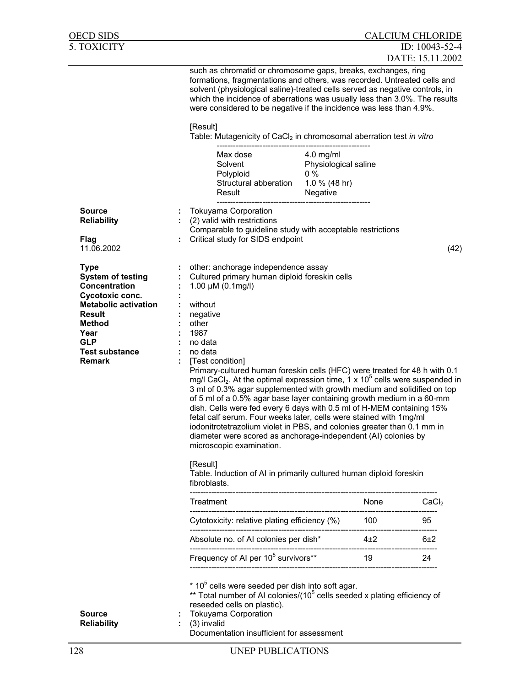| OECD SIDS                                                                                                                                                                                                    |                                                                                                                                                                                                                                                                                                                                                                                                                                                                                                                                                                                                                                                                                                                                                                                                                                                                                                                                                                       |                                                                           |          | <b>CALCIUM CHLORIDE</b> |      |
|--------------------------------------------------------------------------------------------------------------------------------------------------------------------------------------------------------------|-----------------------------------------------------------------------------------------------------------------------------------------------------------------------------------------------------------------------------------------------------------------------------------------------------------------------------------------------------------------------------------------------------------------------------------------------------------------------------------------------------------------------------------------------------------------------------------------------------------------------------------------------------------------------------------------------------------------------------------------------------------------------------------------------------------------------------------------------------------------------------------------------------------------------------------------------------------------------|---------------------------------------------------------------------------|----------|-------------------------|------|
| 5. TOXICITY                                                                                                                                                                                                  |                                                                                                                                                                                                                                                                                                                                                                                                                                                                                                                                                                                                                                                                                                                                                                                                                                                                                                                                                                       |                                                                           |          | ID: 10043-52-4          |      |
|                                                                                                                                                                                                              | such as chromatid or chromosome gaps, breaks, exchanges, ring<br>formations, fragmentations and others, was recorded. Untreated cells and<br>solvent (physiological saline)-treated cells served as negative controls, in<br>which the incidence of aberrations was usually less than 3.0%. The results<br>were considered to be negative if the incidence was less than 4.9%.                                                                                                                                                                                                                                                                                                                                                                                                                                                                                                                                                                                        |                                                                           |          | DATE: 15.11.2002        |      |
| <b>Source</b><br><b>Reliability</b>                                                                                                                                                                          | [Result]<br>Table: Mutagenicity of CaCl <sub>2</sub> in chromosomal aberration test in vitro<br>Max dose<br>Solvent<br>Polyploid<br>Structural abberation<br>Result<br><b>Tokuyama Corporation</b><br>(2) valid with restrictions<br>Comparable to guideline study with acceptable restrictions                                                                                                                                                                                                                                                                                                                                                                                                                                                                                                                                                                                                                                                                       | $4.0$ mg/ml<br>Physiological saline<br>$0\%$<br>1.0 % (48 hr)<br>Negative |          |                         |      |
| Flag                                                                                                                                                                                                         | Critical study for SIDS endpoint                                                                                                                                                                                                                                                                                                                                                                                                                                                                                                                                                                                                                                                                                                                                                                                                                                                                                                                                      |                                                                           |          |                         |      |
| 11.06.2002                                                                                                                                                                                                   |                                                                                                                                                                                                                                                                                                                                                                                                                                                                                                                                                                                                                                                                                                                                                                                                                                                                                                                                                                       |                                                                           |          |                         | (42) |
| <b>Type</b><br><b>System of testing</b><br>Concentration<br>Cycotoxic conc.<br><b>Metabolic activation</b><br><b>Result</b><br><b>Method</b><br>Year<br><b>GLP</b><br><b>Test substance</b><br><b>Remark</b> | other: anchorage independence assay<br>Cultured primary human diploid foreskin cells<br>1.00 $\mu$ M (0.1mg/l)<br>without<br>negative<br>other<br>1987<br>no data<br>no data<br>[Test condition]<br>Primary-cultured human foreskin cells (HFC) were treated for 48 h with 0.1<br>mg/l CaCl <sub>2</sub> . At the optimal expression time, 1 x 10 <sup>5</sup> cells were suspended in<br>3 ml of 0.3% agar supplemented with growth medium and solidified on top<br>of 5 ml of a 0.5% agar base layer containing growth medium in a 60-mm<br>dish. Cells were fed every 6 days with 0.5 ml of H-MEM containing 15%<br>fetal calf serum. Four weeks later, cells were stained with 1mg/ml<br>iodonitrotetrazolium violet in PBS, and colonies greater than 0.1 mm in<br>diameter were scored as anchorage-independent (AI) colonies by<br>microscopic examination.<br>[Result]<br>Table. Induction of AI in primarily cultured human diploid foreskin<br>fibroblasts. |                                                                           |          |                         |      |
|                                                                                                                                                                                                              | Treatment                                                                                                                                                                                                                                                                                                                                                                                                                                                                                                                                                                                                                                                                                                                                                                                                                                                                                                                                                             |                                                                           | None     | CaCl <sub>2</sub>       |      |
|                                                                                                                                                                                                              | Cytotoxicity: relative plating efficiency (%)                                                                                                                                                                                                                                                                                                                                                                                                                                                                                                                                                                                                                                                                                                                                                                                                                                                                                                                         |                                                                           | 100      | 95                      |      |
|                                                                                                                                                                                                              | Absolute no. of AI colonies per dish*                                                                                                                                                                                                                                                                                                                                                                                                                                                                                                                                                                                                                                                                                                                                                                                                                                                                                                                                 |                                                                           | $4\pm 2$ | 6±2                     |      |
|                                                                                                                                                                                                              | Frequency of AI per 10 <sup>5</sup> survivors**                                                                                                                                                                                                                                                                                                                                                                                                                                                                                                                                                                                                                                                                                                                                                                                                                                                                                                                       |                                                                           | 19       | 24                      |      |
| <b>Source</b><br><b>Reliability</b>                                                                                                                                                                          | $*$ 10 <sup>5</sup> cells were seeded per dish into soft agar.<br>** Total number of AI colonies/(10 <sup>5</sup> cells seeded x plating efficiency of<br>reseeded cells on plastic).<br><b>Tokuyama Corporation</b><br>(3) invalid<br>Documentation insufficient for assessment                                                                                                                                                                                                                                                                                                                                                                                                                                                                                                                                                                                                                                                                                      |                                                                           |          |                         |      |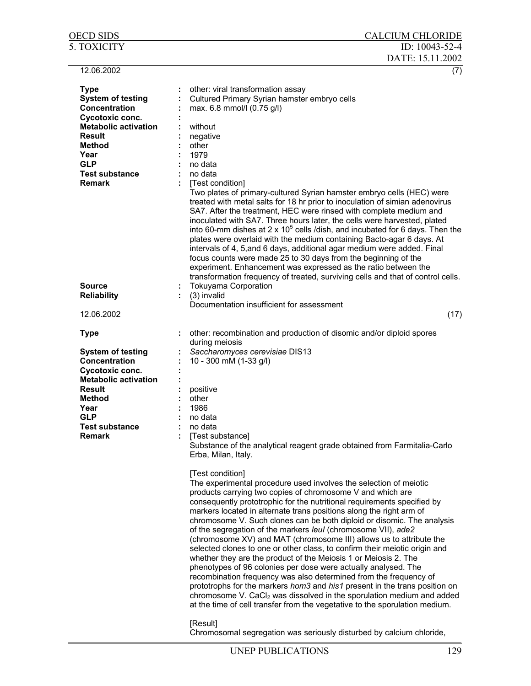| OECD SIDS                                                           | <b>CALCIUM CHLORIDE</b>                                                                                                                                                                                                                                                                                                                                                                                                                                                                                                                                                                                                                                                                                                                                                                                                                                                                                                                                                                                                                                           |
|---------------------------------------------------------------------|-------------------------------------------------------------------------------------------------------------------------------------------------------------------------------------------------------------------------------------------------------------------------------------------------------------------------------------------------------------------------------------------------------------------------------------------------------------------------------------------------------------------------------------------------------------------------------------------------------------------------------------------------------------------------------------------------------------------------------------------------------------------------------------------------------------------------------------------------------------------------------------------------------------------------------------------------------------------------------------------------------------------------------------------------------------------|
| <b>5. TOXICITY</b>                                                  | ID: $10043 - 52 - 4$<br>DATE: 15.11.2002                                                                                                                                                                                                                                                                                                                                                                                                                                                                                                                                                                                                                                                                                                                                                                                                                                                                                                                                                                                                                          |
| 12.06.2002                                                          | (7)                                                                                                                                                                                                                                                                                                                                                                                                                                                                                                                                                                                                                                                                                                                                                                                                                                                                                                                                                                                                                                                               |
| <b>Type</b><br><b>System of testing</b><br>Concentration            | other: viral transformation assay<br>Cultured Primary Syrian hamster embryo cells<br>max. 6.8 mmol/l (0.75 g/l)                                                                                                                                                                                                                                                                                                                                                                                                                                                                                                                                                                                                                                                                                                                                                                                                                                                                                                                                                   |
| Cycotoxic conc.<br><b>Metabolic activation</b><br><b>Result</b>     | without<br>negative                                                                                                                                                                                                                                                                                                                                                                                                                                                                                                                                                                                                                                                                                                                                                                                                                                                                                                                                                                                                                                               |
| <b>Method</b><br>Year                                               | other<br>1979                                                                                                                                                                                                                                                                                                                                                                                                                                                                                                                                                                                                                                                                                                                                                                                                                                                                                                                                                                                                                                                     |
| <b>GLP</b><br><b>Test substance</b><br><b>Remark</b>                | no data<br>no data                                                                                                                                                                                                                                                                                                                                                                                                                                                                                                                                                                                                                                                                                                                                                                                                                                                                                                                                                                                                                                                |
|                                                                     | [Test condition]<br>Two plates of primary-cultured Syrian hamster embryo cells (HEC) were<br>treated with metal salts for 18 hr prior to inoculation of simian adenovirus<br>SA7. After the treatment, HEC were rinsed with complete medium and<br>inoculated with SA7. Three hours later, the cells were harvested, plated<br>into 60-mm dishes at 2 x $10^5$ cells /dish, and incubated for 6 days. Then the<br>plates were overlaid with the medium containing Bacto-agar 6 days. At<br>intervals of 4, 5, and 6 days, additional agar medium were added. Final<br>focus counts were made 25 to 30 days from the beginning of the<br>experiment. Enhancement was expressed as the ratio between the<br>transformation frequency of treated, surviving cells and that of control cells.                                                                                                                                                                                                                                                                         |
| <b>Source</b><br><b>Reliability</b>                                 | <b>Tokuyama Corporation</b><br>(3) invalid                                                                                                                                                                                                                                                                                                                                                                                                                                                                                                                                                                                                                                                                                                                                                                                                                                                                                                                                                                                                                        |
| 12.06.2002                                                          | Documentation insufficient for assessment<br>(17)                                                                                                                                                                                                                                                                                                                                                                                                                                                                                                                                                                                                                                                                                                                                                                                                                                                                                                                                                                                                                 |
| <b>Type</b>                                                         | other: recombination and production of disomic and/or diploid spores<br>during meiosis                                                                                                                                                                                                                                                                                                                                                                                                                                                                                                                                                                                                                                                                                                                                                                                                                                                                                                                                                                            |
| <b>System of testing</b><br><b>Concentration</b><br>Cycotoxic conc. | Saccharomyces cerevisiae DIS13<br>10 - 300 mM (1-33 g/l)                                                                                                                                                                                                                                                                                                                                                                                                                                                                                                                                                                                                                                                                                                                                                                                                                                                                                                                                                                                                          |
| <b>Metabolic activation</b><br>Result                               | positive                                                                                                                                                                                                                                                                                                                                                                                                                                                                                                                                                                                                                                                                                                                                                                                                                                                                                                                                                                                                                                                          |
| <b>Method</b><br>Year                                               | other<br>1986                                                                                                                                                                                                                                                                                                                                                                                                                                                                                                                                                                                                                                                                                                                                                                                                                                                                                                                                                                                                                                                     |
| GLP<br><b>Test substance</b><br><b>Remark</b>                       | no data<br>no data<br>[Test substance]                                                                                                                                                                                                                                                                                                                                                                                                                                                                                                                                                                                                                                                                                                                                                                                                                                                                                                                                                                                                                            |
|                                                                     | Substance of the analytical reagent grade obtained from Farmitalia-Carlo<br>Erba, Milan, Italy.                                                                                                                                                                                                                                                                                                                                                                                                                                                                                                                                                                                                                                                                                                                                                                                                                                                                                                                                                                   |
|                                                                     | [Test condition]<br>The experimental procedure used involves the selection of meiotic<br>products carrying two copies of chromosome V and which are<br>consequently prototrophic for the nutritional requirements specified by<br>markers located in alternate trans positions along the right arm of<br>chromosome V. Such clones can be both diploid or disomic. The analysis<br>of the segregation of the markers leul (chromosome VII), ade2<br>(chromosome XV) and MAT (chromosome III) allows us to attribute the<br>selected clones to one or other class, to confirm their meiotic origin and<br>whether they are the product of the Meiosis 1 or Meiosis 2. The<br>phenotypes of 96 colonies per dose were actually analysed. The<br>recombination frequency was also determined from the frequency of<br>prototrophs for the markers hom3 and his1 present in the trans position on<br>chromosome V. CaCl <sub>2</sub> was dissolved in the sporulation medium and added<br>at the time of cell transfer from the vegetative to the sporulation medium. |
|                                                                     | [Result]<br>Chromosomal segregation was seriously disturbed by calcium chloride,                                                                                                                                                                                                                                                                                                                                                                                                                                                                                                                                                                                                                                                                                                                                                                                                                                                                                                                                                                                  |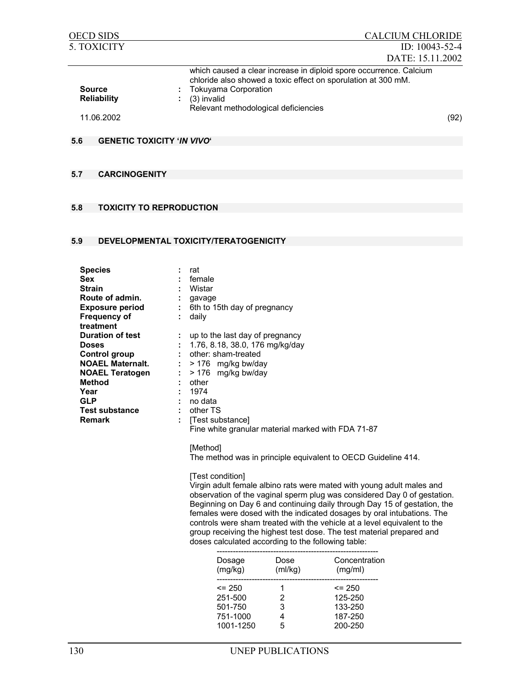| <b>OECD SIDS</b>                    | <b>CALCIUM CHLORIDE</b>                                                                                                                                                                                                   |
|-------------------------------------|---------------------------------------------------------------------------------------------------------------------------------------------------------------------------------------------------------------------------|
| 5. TOXICITY                         | ID: $10043 - 52 - 4$                                                                                                                                                                                                      |
|                                     | DATE: 15.11.2002                                                                                                                                                                                                          |
| <b>Source</b><br><b>Reliability</b> | which caused a clear increase in diploid spore occurrence. Calcium<br>chloride also showed a toxic effect on sporulation at 300 mM.<br><b>Tokuyama Corporation</b><br>(3) invalid<br>Relevant methodological deficiencies |
| 11.06.2002                          | (92)                                                                                                                                                                                                                      |

## **5.6 GENETIC TOXICITY '***IN VIVO***'**

## **5.7 CARCINOGENITY**

# **5.8 TOXICITY TO REPRODUCTION**

# **5.9 DEVELOPMENTAL TOXICITY/TERATOGENICITY**

| <b>Species</b><br><b>Sex</b><br><b>Strain</b><br>٠                                                                                                                                           | rat<br>female<br>Wistar                                                                                                                                                                                                                                 |
|----------------------------------------------------------------------------------------------------------------------------------------------------------------------------------------------|---------------------------------------------------------------------------------------------------------------------------------------------------------------------------------------------------------------------------------------------------------|
| Route of admin.<br>٠.<br><b>Exposure period</b><br><b>Frequency of</b><br>÷<br>treatment                                                                                                     | gavage<br>6th to 15th day of pregnancy<br>÷.,<br>daily                                                                                                                                                                                                  |
| <b>Duration of test</b><br><b>Doses</b><br>Control group<br><b>NOAEL Maternalt.</b><br><b>NOAEL Teratogen</b><br>÷<br><b>Method</b><br>Year<br><b>GLP</b><br><b>Test substance</b><br>Remark | up to the last day of pregnancy<br>1.76, 8.18, 38.0, 176 mg/kg/day<br>other: sham-treated<br>> 176 mg/kg bw/day<br>> 176 mg/kg bw/day<br>other<br>1974<br>no data<br>other TS<br>[Test substance]<br>Fine white granular material marked with FDA 71-87 |

[Method] The method was in principle equivalent to OECD Guideline 414.

[Test condition]

Virgin adult female albino rats were mated with young adult males and observation of the vaginal sperm plug was considered Day 0 of gestation. Beginning on Day 6 and continuing daily through Day 15 of gestation, the females were dosed with the indicated dosages by oral intubations. The controls were sham treated with the vehicle at a level equivalent to the group receiving the highest test dose. The test material prepared and doses calculated according to the following table:

| Dosage<br>(mg/kg) | Dose<br>(mI/kg) | Concentration<br>(mg/ml) |
|-------------------|-----------------|--------------------------|
| $\leq$ 250        |                 | $\leq$ 250               |
| 251-500           | 2               | 125-250                  |
| 501-750           | з               | 133-250                  |
| 751-1000          |                 | 187-250                  |
| 1001-1250         | ҕ               | 200-250                  |
|                   |                 |                          |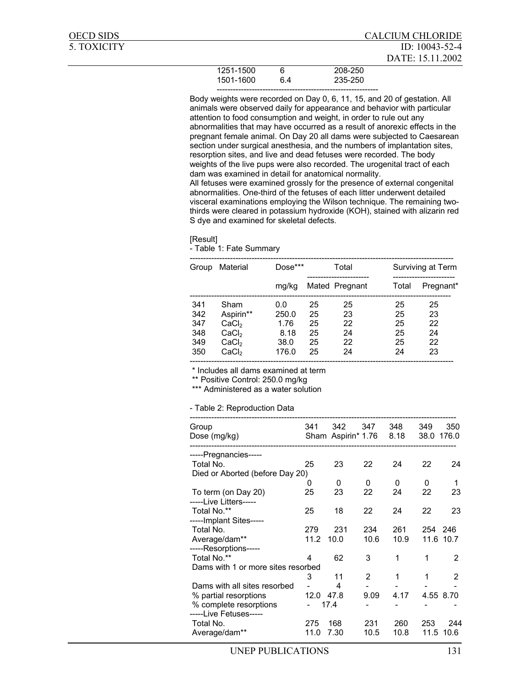| <b>OECD SIDS</b> |           |   |         | <b>CALCIUM CHLORIDE</b> |
|------------------|-----------|---|---------|-------------------------|
| 5. TOXICITY      |           |   |         | ID: $10043 - 52 - 4$    |
|                  |           |   |         | DATE: 15.11.2002        |
|                  | 1251-1500 | 6 | 208-250 |                         |
|                  |           |   |         |                         |

| 1501-1600 | 235-250 |
|-----------|---------|
|           | --      |

Body weights were recorded on Day 0, 6, 11, 15, and 20 of gestation. All animals were observed daily for appearance and behavior with particular attention to food consumption and weight, in order to rule out any abnormalities that may have occurred as a result of anorexic effects in the pregnant female animal. On Day 20 all dams were subjected to Caesarean section under surgical anesthesia, and the numbers of implantation sites, resorption sites, and live and dead fetuses were recorded. The body weights of the live pups were also recorded. The urogenital tract of each dam was examined in detail for anatomical normality.

All fetuses were examined grossly for the presence of external congenital abnormalities. One-third of the fetuses of each litter underwent detailed visceral examinations employing the Wilson technique. The remaining twothirds were cleared in potassium hydroxide (KOH), stained with alizarin red S dye and examined for skeletal defects.

#### [Result]

- Table 1: Fate Summary

| Group                    | Material                                                    | Dose***                      |                      | Total                |                      | Surviving at Term    |
|--------------------------|-------------------------------------------------------------|------------------------------|----------------------|----------------------|----------------------|----------------------|
|                          |                                                             | mg/kg                        |                      | Mated Pregnant       | Total                | Pregnant*            |
| 341<br>342<br>347<br>348 | Sham<br>Aspirin**<br>CaCl <sub>2</sub><br>CaCl <sub>2</sub> | 0.0<br>250.0<br>1.76<br>8.18 | 25<br>25<br>25<br>25 | 25<br>23<br>22<br>24 | 25<br>25<br>25<br>25 | 25<br>23<br>22<br>24 |
| 349<br>350               | CaCl <sub>2</sub><br>CaCl <sub>2</sub>                      | 38.0<br>176.0                | 25<br>25             | 22<br>24             | 25<br>24             | 22<br>23             |
|                          |                                                             |                              |                      |                      |                      |                      |

\* Includes all dams examined at term

\*\* Positive Control: 250.0 mg/kg

\*\*\* Administered as a water solution

#### - Table 2: Reproduction Data

| Group<br>Dose (mg/kg)              | 341  | 342<br>Sham Aspirin* 1.76 | 347            | 348<br>8.18 | 349<br>38.0 | 350<br>176.0 |
|------------------------------------|------|---------------------------|----------------|-------------|-------------|--------------|
|                                    |      |                           |                |             |             |              |
| -----Pregnancies-----              |      |                           |                |             |             |              |
| Total No.                          | 25   | 23                        | 22             | 24          | 22          | 24           |
| Died or Aborted (before Day 20)    |      |                           |                |             |             |              |
|                                    | 0    | 0                         | 0              | $\Omega$    | 0           | 1            |
| To term (on Day 20)                | 25   | 23                        | 22             | 24          | 22          | 23           |
| -----Live Litters-----             |      |                           |                |             |             |              |
| Total No.**                        | 25   | 18                        | 22             | 24          | 22          | 23           |
| -----Implant Sites-----            |      |                           |                |             |             |              |
| Total No.                          | 279  | 231                       | 234            | 261         | 254         | 246          |
| Average/dam**                      | 11.2 | 10.0                      | 10.6           | 10.9        |             | 11.6 10.7    |
| -----Resorptions-----              |      |                           |                |             |             |              |
| Total No.**                        | 4    | 62                        | 3              | 1           | 1           | 2            |
| Dams with 1 or more sites resorbed |      |                           |                |             |             |              |
|                                    | 3    | 11                        | $\overline{2}$ | 1           | 1           | 2            |
| Dams with all sites resorbed       |      | 4                         |                |             |             |              |
| % partial resorptions              | 12.0 | 47.8                      | 9.09           | 4.17        |             | 4.55 8.70    |
| % complete resorptions             |      | 17.4                      |                |             |             |              |
| -----Live Fetuses-----             |      |                           |                |             |             |              |
| Total No.                          | 275  | 168                       | 231            | 260         | 253         | 244          |
| Average/dam**                      | 11.0 | 7.30                      | 10.5           | 10.8        | 11.5        | 10.6         |
|                                    |      |                           |                |             |             |              |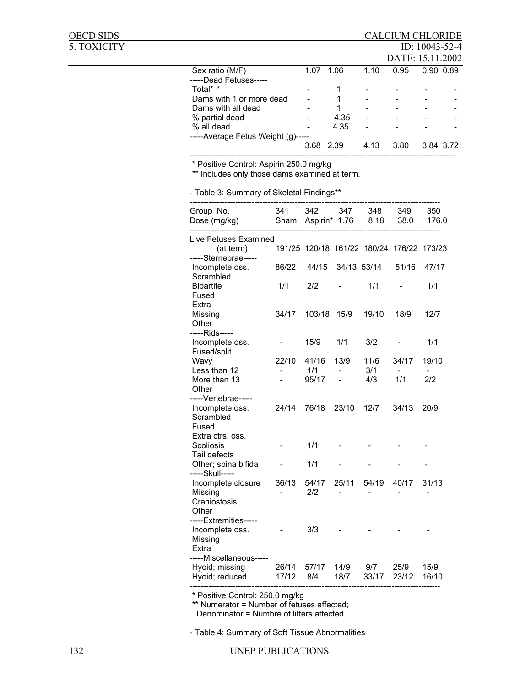# OECD SIDS CALCIUM CHLORIDE

5. TOXICITY ID: 10043-52-4

|                                    |           |      |                          | DATE: 15.11.2002 |               |  |
|------------------------------------|-----------|------|--------------------------|------------------|---------------|--|
| Sex ratio (M/F)                    | 1.07      | 1.06 | 1.10                     | 0.95             | $0.90$ $0.89$ |  |
| -----Dead Fetuses-----             |           |      |                          |                  |               |  |
| Total* *                           |           |      | $\overline{\phantom{a}}$ |                  |               |  |
| Dams with 1 or more dead           |           |      | $\overline{\phantom{0}}$ |                  |               |  |
| Dams with all dead                 |           |      | $\overline{\phantom{a}}$ |                  |               |  |
| % partial dead                     | -         | 4.35 | $\overline{\phantom{a}}$ |                  | -             |  |
| % all dead                         |           | 4.35 | $\blacksquare$           |                  |               |  |
| -----Average Fetus Weight (g)----- |           |      |                          |                  |               |  |
|                                    | 3.68 2.39 |      | 4.13                     | 3.80             | 3.84 3.72     |  |
|                                    |           |      |                          |                  |               |  |

\* Positive Control: Aspirin 250.0 mg/kg

\*\* Includes only those dams examined at term.

- Table 3: Summary of Skeletal Findings\*\*

| Group No.<br>Dose (mg/kg)                                                               | 341<br>Sham    | 342<br>Aspirin* 1.76                      | 347                                        | 348<br>8.18  | 349<br>38.0   | 350<br>176.0  |
|-----------------------------------------------------------------------------------------|----------------|-------------------------------------------|--------------------------------------------|--------------|---------------|---------------|
| Live Fetuses Examined<br>(at term)<br>-----Sternebrae-----                              |                | 191/25 120/18 161/22 180/24 176/22 173/23 |                                            |              |               |               |
| Incomplete oss.                                                                         | 86/22          | 44/15                                     | 34/13 53/14                                |              | 51/16         | 47/17         |
| Scrambled<br><b>Bipartite</b><br>Fused<br>Extra                                         | 1/1            | 2/2                                       |                                            | 1/1          |               | 1/1           |
| Missing<br>Other<br>-----Rids-----                                                      | 34/17          | 103/18                                    | 15/9                                       | 19/10        | 18/9          | 12/7          |
| Incomplete oss.<br>Fused/split                                                          |                | 15/9                                      | 1/1                                        | 3/2          |               | 1/1           |
| Wavy<br>Less than 12                                                                    | 22/10          | 41/16<br>1/1                              | 13/9                                       | 11/6<br>3/1  | 34/17         | 19/10         |
| More than 13<br>Other                                                                   |                | 95/17                                     | $\overline{\phantom{0}}$<br>$\overline{a}$ | 4/3          | 1/1           | 2/2           |
| -----Vertebrae-----<br>Incomplete oss.<br>Scrambled<br>Fused                            | 24/14          | 76/18                                     | 23/10                                      | 12/7         | 34/13         | 20/9          |
| Extra ctrs. oss.<br>Scoliosis<br>Tail defects                                           |                | 1/1                                       |                                            |              |               |               |
| Other; spina bifida<br>-----Skull-----                                                  |                | 1/1                                       |                                            |              |               |               |
| Incomplete closure<br>Missing<br>Craniostosis<br>Other                                  | 36/13          | 54/17<br>2/2                              | 25/11                                      | 54/19        | 40/17         | 31/13         |
| -----Extremities-----<br>Incomplete oss.<br>Missing<br>Extra<br>-----Miscellaneous----- |                | 3/3                                       |                                            |              |               |               |
| Hyoid; missing<br>Hyoid; reduced                                                        | 26/14<br>17/12 | 57/17<br>8/4                              | 14/9<br>18/7                               | 9/7<br>33/17 | 25/9<br>23/12 | 15/9<br>16/10 |

--------------------------------------------------------------------------------------------- \* Positive Control: 250.0 mg/kg

\*\* Numerator = Number of fetuses affected;

Denominator = Numbre of litters affected.

- Table 4: Summary of Soft Tissue Abnormalities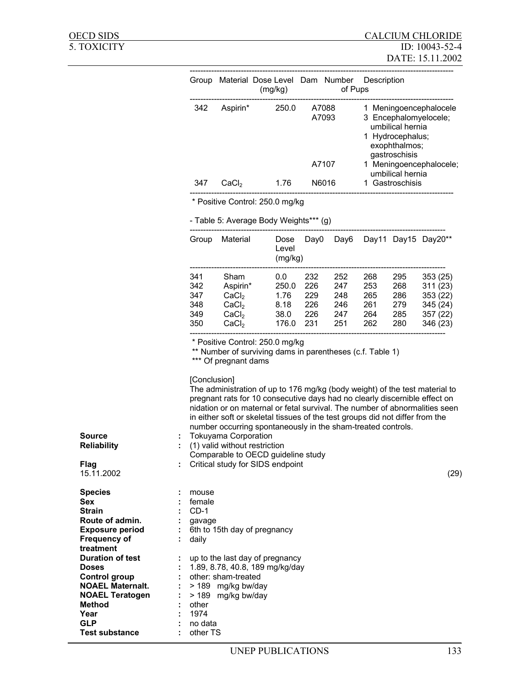| Group |                   | Material Dose Level Dam Number<br>(mg/kg) |                | Description<br>of Pups                                                                                                    |
|-------|-------------------|-------------------------------------------|----------------|---------------------------------------------------------------------------------------------------------------------------|
| 342   | Aspirin*          | 250.0                                     | A7088<br>A7093 | 1 Meningoencephalocele<br>3 Encephalomyelocele;<br>umbilical hernia<br>1 Hydrocephalus;<br>exophthalmos;<br>gastroschisis |
|       |                   |                                           | A7107          | 1 Meningoencephalocele;<br>umbilical hernia                                                                               |
| 347   | CaCl <sub>2</sub> | 1.76                                      | N6016          | 1 Gastroschisis                                                                                                           |
|       |                   | * Positive Control: 250.0 mg/kg           |                |                                                                                                                           |
|       |                   | - Table 5: Average Body Weights*** (g)    |                |                                                                                                                           |

| Group | Material          | Dose<br>Level<br>(mg/kg) | Day0 | Dav6 |     |     | Day11 Day15 Day20** |
|-------|-------------------|--------------------------|------|------|-----|-----|---------------------|
| 341   | Sham              | 0.0                      | 232  | 252  | 268 | 295 | 353(25)             |
| 342   | Aspirin*          | 250.0                    | 226  | 247  | 253 | 268 | 311(23)             |
| 347   | CaCl <sub>2</sub> | 1.76                     | 229  | 248  | 265 | 286 | 353(22)             |
| 348   | CaCl <sub>2</sub> | 8.18                     | 226  | 246  | 261 | 279 | 345 (24)            |
| 349   | CaCl <sub>2</sub> | 38.0                     | 226  | 247  | 264 | 285 | 357(22)             |
| 350   | CaCl <sub>2</sub> | 176.0                    | 231  | 251  | 262 | 280 | 346 (23)            |

\* Positive Control: 250.0 mg/kg

\*\* Number of surviving dams in parentheses (c.f. Table 1)

\*\*\* Of pregnant dams

[Conclusion]

The administration of up to 176 mg/kg (body weight) of the test material to pregnant rats for 10 consecutive days had no clearly discernible effect on nidation or on maternal or fetal survival. The number of abnormalities seen in either soft or skeletal tissues of the test groups did not differ from the number occurring spontaneously in the sham-treated controls.

| <b>Source</b>      | : Tokuyama Corporation                 |      |
|--------------------|----------------------------------------|------|
| <b>Reliability</b> | $\colon$ (1) valid without restriction |      |
|                    | Comparable to OECD quideline study     |      |
| Flag               | : Critical study for SIDS endpoint     |      |
| 15.11.2002         |                                        | (29) |

| <b>Species</b>          |   | mouse                           |
|-------------------------|---|---------------------------------|
| Sex                     |   | female                          |
| <b>Strain</b>           |   | $CD-1$                          |
| Route of admin.         |   | gavage                          |
| <b>Exposure period</b>  |   | 6th to 15th day of pregnancy    |
| <b>Frequency of</b>     | ÷ | daily                           |
| treatment               |   |                                 |
| <b>Duration of test</b> | ÷ | up to the last day of pregnancy |
| <b>Doses</b>            |   | 1.89, 8.78, 40.8, 189 mg/kg/day |
| Control group           | ÷ | other: sham-treated             |
| <b>NOAEL Maternalt.</b> |   | > 189 mg/kg bw/day              |
| <b>NOAEL Teratogen</b>  | ÷ | > 189 mg/kg bw/day              |
| <b>Method</b>           | ٠ | other                           |
| Year                    |   | 1974                            |
| <b>GLP</b>              |   | no data                         |
| <b>Test substance</b>   |   | other TS                        |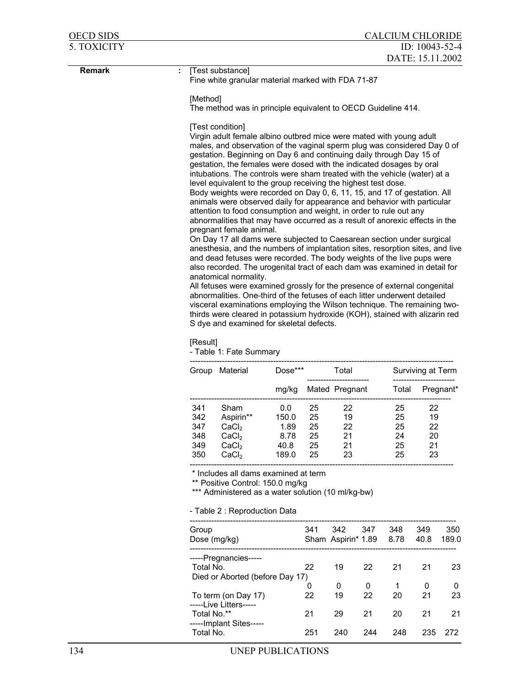| <b>OECD SIDS</b> | <b>CALCIUM CHLORIDE</b>                                                     |                                                                                                                                                                                                                                                                                                                                                                                                                                                                                                                                                                                                                                                                                                                                                                                                                                                                                                                                                                                                                                                                                                                                                                                                                                                                                                                                                                                                                                                                                                   |                                                                                                                                |              |          |                           |         |             |                   |                   |
|------------------|-----------------------------------------------------------------------------|---------------------------------------------------------------------------------------------------------------------------------------------------------------------------------------------------------------------------------------------------------------------------------------------------------------------------------------------------------------------------------------------------------------------------------------------------------------------------------------------------------------------------------------------------------------------------------------------------------------------------------------------------------------------------------------------------------------------------------------------------------------------------------------------------------------------------------------------------------------------------------------------------------------------------------------------------------------------------------------------------------------------------------------------------------------------------------------------------------------------------------------------------------------------------------------------------------------------------------------------------------------------------------------------------------------------------------------------------------------------------------------------------------------------------------------------------------------------------------------------------|--------------------------------------------------------------------------------------------------------------------------------|--------------|----------|---------------------------|---------|-------------|-------------------|-------------------|
| 5. TOXICITY      | ID: $10043 - 52 - 4$<br>DATE: 15.11.2002                                    |                                                                                                                                                                                                                                                                                                                                                                                                                                                                                                                                                                                                                                                                                                                                                                                                                                                                                                                                                                                                                                                                                                                                                                                                                                                                                                                                                                                                                                                                                                   |                                                                                                                                |              |          |                           |         |             |                   |                   |
| <b>Remark</b>    | [Test substance]<br>÷<br>Fine white granular material marked with FDA 71-87 |                                                                                                                                                                                                                                                                                                                                                                                                                                                                                                                                                                                                                                                                                                                                                                                                                                                                                                                                                                                                                                                                                                                                                                                                                                                                                                                                                                                                                                                                                                   |                                                                                                                                |              |          |                           |         |             |                   |                   |
|                  |                                                                             | [Method]<br>The method was in principle equivalent to OECD Guideline 414.                                                                                                                                                                                                                                                                                                                                                                                                                                                                                                                                                                                                                                                                                                                                                                                                                                                                                                                                                                                                                                                                                                                                                                                                                                                                                                                                                                                                                         |                                                                                                                                |              |          |                           |         |             |                   |                   |
|                  |                                                                             |                                                                                                                                                                                                                                                                                                                                                                                                                                                                                                                                                                                                                                                                                                                                                                                                                                                                                                                                                                                                                                                                                                                                                                                                                                                                                                                                                                                                                                                                                                   | [Test condition]                                                                                                               |              |          |                           |         |             |                   |                   |
|                  |                                                                             | Virgin adult female albino outbred mice were mated with young adult<br>males, and observation of the vaginal sperm plug was considered Day 0 of<br>gestation. Beginning on Day 6 and continuing daily through Day 15 of<br>gestation, the females were dosed with the indicated dosages by oral<br>intubations. The controls were sham treated with the vehicle (water) at a<br>level equivalent to the group receiving the highest test dose.<br>Body weights were recorded on Day 0, 6, 11, 15, and 17 of gestation. All<br>animals were observed daily for appearance and behavior with particular<br>attention to food consumption and weight, in order to rule out any<br>abnormalities that may have occurred as a result of anorexic effects in the<br>pregnant female animal.<br>On Day 17 all dams were subjected to Caesarean section under surgical<br>anesthesia, and the numbers of implantation sites, resorption sites, and live<br>and dead fetuses were recorded. The body weights of the live pups were<br>also recorded. The urogenital tract of each dam was examined in detail for<br>anatomical normality.<br>All fetuses were examined grossly for the presence of external congenital<br>abnormalities. One-third of the fetuses of each litter underwent detailed<br>visceral examinations employing the Wilson technique. The remaining two-<br>thirds were cleared in potassium hydroxide (KOH), stained with alizarin red<br>S dye and examined for skeletal defects. |                                                                                                                                |              |          |                           |         |             |                   |                   |
|                  |                                                                             | [Result]                                                                                                                                                                                                                                                                                                                                                                                                                                                                                                                                                                                                                                                                                                                                                                                                                                                                                                                                                                                                                                                                                                                                                                                                                                                                                                                                                                                                                                                                                          | - Table 1: Fate Summary                                                                                                        |              |          |                           |         |             |                   |                   |
|                  |                                                                             |                                                                                                                                                                                                                                                                                                                                                                                                                                                                                                                                                                                                                                                                                                                                                                                                                                                                                                                                                                                                                                                                                                                                                                                                                                                                                                                                                                                                                                                                                                   | Group Material                                                                                                                 | Dose***      |          | Total                     |         |             | Surviving at Term |                   |
|                  |                                                                             |                                                                                                                                                                                                                                                                                                                                                                                                                                                                                                                                                                                                                                                                                                                                                                                                                                                                                                                                                                                                                                                                                                                                                                                                                                                                                                                                                                                                                                                                                                   |                                                                                                                                | mg/kg        |          | Mated Pregnant            |         | Total       |                   | Pregnant*         |
|                  |                                                                             | 341<br>342                                                                                                                                                                                                                                                                                                                                                                                                                                                                                                                                                                                                                                                                                                                                                                                                                                                                                                                                                                                                                                                                                                                                                                                                                                                                                                                                                                                                                                                                                        | Sham<br>Aspirin**                                                                                                              | 0.0<br>150.0 | 25<br>25 | 22<br>19                  |         | 25<br>25    | 22<br>19          |                   |
|                  |                                                                             | 347<br>348                                                                                                                                                                                                                                                                                                                                                                                                                                                                                                                                                                                                                                                                                                                                                                                                                                                                                                                                                                                                                                                                                                                                                                                                                                                                                                                                                                                                                                                                                        | CaCl <sub>2</sub><br>CaCl <sub>2</sub>                                                                                         | 1.89<br>8.78 | 25<br>25 | 22<br>21                  |         | 25<br>24    | 22<br>20          |                   |
|                  |                                                                             | 349                                                                                                                                                                                                                                                                                                                                                                                                                                                                                                                                                                                                                                                                                                                                                                                                                                                                                                                                                                                                                                                                                                                                                                                                                                                                                                                                                                                                                                                                                               | CaCl <sub>2</sub>                                                                                                              | 40.8         | 25       | 21                        |         | 25          | 21                |                   |
|                  |                                                                             | 350                                                                                                                                                                                                                                                                                                                                                                                                                                                                                                                                                                                                                                                                                                                                                                                                                                                                                                                                                                                                                                                                                                                                                                                                                                                                                                                                                                                                                                                                                               | CaCl <sub>2</sub>                                                                                                              | 189.0        | 25       | 23                        |         | 25          | 23                |                   |
|                  |                                                                             |                                                                                                                                                                                                                                                                                                                                                                                                                                                                                                                                                                                                                                                                                                                                                                                                                                                                                                                                                                                                                                                                                                                                                                                                                                                                                                                                                                                                                                                                                                   | * Includes all dams examined at term<br>** Positive Control: 150.0 mg/kg<br>*** Administered as a water solution (10 ml/kg-bw) |              |          |                           |         |             |                   |                   |
|                  |                                                                             |                                                                                                                                                                                                                                                                                                                                                                                                                                                                                                                                                                                                                                                                                                                                                                                                                                                                                                                                                                                                                                                                                                                                                                                                                                                                                                                                                                                                                                                                                                   | - Table 2: Reproduction Data                                                                                                   |              |          |                           |         |             |                   |                   |
|                  |                                                                             | Group                                                                                                                                                                                                                                                                                                                                                                                                                                                                                                                                                                                                                                                                                                                                                                                                                                                                                                                                                                                                                                                                                                                                                                                                                                                                                                                                                                                                                                                                                             | Dose (mg/kg)                                                                                                                   |              | 341      | 342<br>Sham Aspirin* 1.89 | 347     | 348<br>8.78 | 349<br>40.8       | 350<br>189.0      |
|                  |                                                                             | Total No.                                                                                                                                                                                                                                                                                                                                                                                                                                                                                                                                                                                                                                                                                                                                                                                                                                                                                                                                                                                                                                                                                                                                                                                                                                                                                                                                                                                                                                                                                         | -----Pregnancies-----<br>Died or Aborted (before Day 17)                                                                       |              | 22       | 19                        | 22      | 21          | 21                | 23                |
|                  |                                                                             |                                                                                                                                                                                                                                                                                                                                                                                                                                                                                                                                                                                                                                                                                                                                                                                                                                                                                                                                                                                                                                                                                                                                                                                                                                                                                                                                                                                                                                                                                                   | To term (on Day 17)                                                                                                            |              | 0<br>22  | 0<br>19                   | 0<br>22 | 1<br>20     | 0<br>21           | $\mathbf 0$<br>23 |
|                  |                                                                             | Total No.**                                                                                                                                                                                                                                                                                                                                                                                                                                                                                                                                                                                                                                                                                                                                                                                                                                                                                                                                                                                                                                                                                                                                                                                                                                                                                                                                                                                                                                                                                       | -----Live Litters-----<br>-----Implant Sites-----                                                                              |              | 21       | 29                        | 21      | 20          | 21                | 21                |
|                  |                                                                             | Total No.                                                                                                                                                                                                                                                                                                                                                                                                                                                                                                                                                                                                                                                                                                                                                                                                                                                                                                                                                                                                                                                                                                                                                                                                                                                                                                                                                                                                                                                                                         |                                                                                                                                |              | 251      | 240                       | 244     | 248         | 235               | 272               |
| 134              |                                                                             |                                                                                                                                                                                                                                                                                                                                                                                                                                                                                                                                                                                                                                                                                                                                                                                                                                                                                                                                                                                                                                                                                                                                                                                                                                                                                                                                                                                                                                                                                                   | UNEP PUBLICATIONS                                                                                                              |              |          |                           |         |             |                   |                   |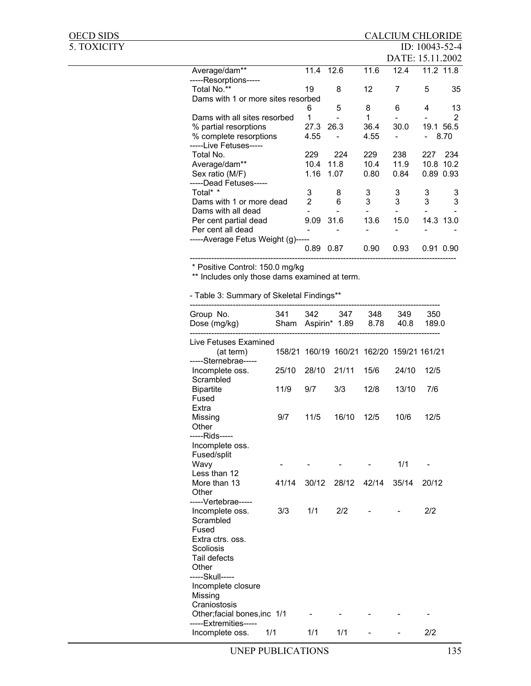# OECD SIDS<br>5. TOXICITY

| 5. TOXICITY |                                    |                |           |      |                  | ID: $10043-52-4$         |           |
|-------------|------------------------------------|----------------|-----------|------|------------------|--------------------------|-----------|
|             |                                    |                |           |      | DATE: 15.11.2002 |                          |           |
|             | Average/dam**                      | 11.4           | 12.6      | 11.6 | 12.4             |                          | 11.2 11.8 |
|             | -----Resorptions-----              |                |           |      |                  |                          |           |
|             | Total No.**                        | 19             | 8         | 12   | 7                | 5                        | 35        |
|             | Dams with 1 or more sites resorbed |                |           |      |                  |                          |           |
|             |                                    | 6              | 5         | 8    | 6                | 4                        | 13        |
|             | Dams with all sites resorbed       |                |           | 1    |                  |                          |           |
|             | % partial resorptions              | 27.3           | 26.3      | 36.4 | 30.0             |                          | 19.1 56.5 |
|             | % complete resorptions             | 4.55           |           | 4.55 |                  | $\overline{\phantom{0}}$ | 8.70      |
|             | -----Live Fetuses-----             |                |           |      |                  |                          |           |
|             | Total No.                          | 229            | 224       | 229  | 238              | 227                      | 234       |
|             | Average/dam**                      | 10.4           | 11.8      | 10.4 | 11.9             |                          | 10.8 10.2 |
|             | Sex ratio (M/F)                    | 1.16           | 1.07      | 0.80 | 0.84             |                          | 0.89 0.93 |
|             | -----Dead Fetuses-----             |                |           |      |                  |                          |           |
|             | Total* *                           | 3              | 8         | 3    | 3                | 3                        | 3         |
|             | Dams with 1 or more dead           | $\overline{2}$ | 6         | 3    | 3                | 3                        | 3         |
|             | Dams with all dead                 |                |           |      |                  |                          |           |
|             | Per cent partial dead              |                | 9.09 31.6 | 13.6 | 15.0             |                          | 14.3 13.0 |
|             | Per cent all dead                  |                |           |      |                  |                          |           |
|             | -----Average Fetus Weight (g)----- |                |           |      |                  |                          |           |
|             |                                    | 0.89           | 0.87      | 0.90 | 0.93             |                          | 0.91 0.90 |
|             |                                    |                |           |      |                  |                          |           |

\* Positive Control: 150.0 mg/kg

\*\* Includes only those dams examined at term.

- Table 3: Summary of Skeletal Findings\*\*

| Group No.<br>Dose (mg/kg)                                             | 341<br>Sham | 342<br>Aspirin* 1.89 | 347           | 348<br>8.78 | 349<br>40.8          | 350<br>189.0 |
|-----------------------------------------------------------------------|-------------|----------------------|---------------|-------------|----------------------|--------------|
| Live Fetuses Examined                                                 |             |                      |               |             |                      |              |
| (at term)<br>-----Sternebrae-----                                     | 158/21      |                      | 160/19 160/21 |             | 162/20 159/21 161/21 |              |
| Incomplete oss.<br>Scrambled                                          | 25/10       | 28/10                | 21/11         | 15/6        | 24/10                | 12/5         |
| <b>Bipartite</b><br>Fused<br>Extra                                    | 11/9        | 9/7                  | 3/3           | 12/8        | 13/10                | 7/6          |
| Missing<br>Other<br>-----Rids-----                                    | 9/7         | 11/5                 | 16/10         | 12/5        | 10/6                 | 12/5         |
| Incomplete oss.<br>Fused/split                                        |             |                      |               |             |                      |              |
| Wavy                                                                  |             |                      |               |             | 1/1                  |              |
| Less than 12<br>More than 13<br>Other                                 | 41/14       | 30/12                | 28/12         | 42/14       | 35/14                | 20/12        |
| -----Vertebrae-----<br>Incomplete oss.<br>Scrambled<br>Fused          | 3/3         | 1/1                  | 2/2           |             |                      | 2/2          |
| Extra ctrs. oss.<br>Scoliosis<br>Tail defects<br>Other                |             |                      |               |             |                      |              |
| -----Skull-----<br>Incomplete closure<br>Missing                      |             |                      |               |             |                      |              |
| Craniostosis<br>Other; facial bones, inc 1/1<br>-----Extremities----- |             |                      |               |             |                      |              |
| Incomplete oss.                                                       | 1/1         | 1/1                  | 1/1           |             |                      | 2/2          |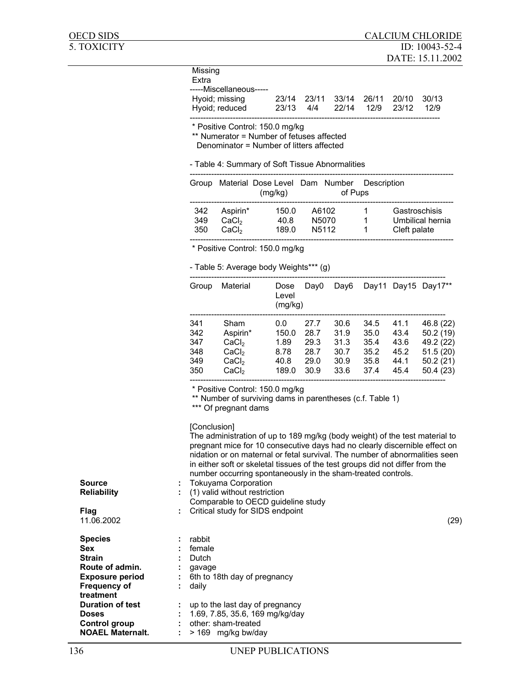Missing Extra

-----Miscellaneous-----

| Hyoid; missing<br>Hyoid; reduced |  | 23/14 23/11 33/14 26/11 20/10 30/13<br>23/13 4/4 22/14 12/9 23/12 12/9 |  |
|----------------------------------|--|------------------------------------------------------------------------|--|
|                                  |  |                                                                        |  |

\* Positive Control: 150.0 mg/kg

\*\* Numerator = Number of fetuses affected

Denominator = Number of litters affected

- Table 4: Summary of Soft Tissue Abnormalities

| Group |                   | Material Dose Level Dam Number<br>(mg/kg) |                    | of Pups | Description |                  |
|-------|-------------------|-------------------------------------------|--------------------|---------|-------------|------------------|
| 342   | Aspirin*          | 150.0                                     | A6102              |         | 1           | Gastroschisis    |
| 349   | CaCl <sub>2</sub> | 40.8                                      | N5070              |         |             | Umbilical hernia |
| 350   | CaCl <sub>2</sub> | 189.0                                     | N <sub>5</sub> 112 |         |             | Cleft palate     |
|       |                   |                                           |                    |         |             |                  |

\* Positive Control: 150.0 mg/kg

- Table 5: Average body Weights\*\*\* (g)

| Group                                  | Material                                                                                 | Dose<br>Level<br>(mg/kg)                      | Day0                                         | Day6                                         | Day11                                        |                                              | Day15 Day17**                                                          |
|----------------------------------------|------------------------------------------------------------------------------------------|-----------------------------------------------|----------------------------------------------|----------------------------------------------|----------------------------------------------|----------------------------------------------|------------------------------------------------------------------------|
| 341<br>342<br>347<br>348<br>349<br>350 | Sham<br>Aspirin*<br>CaCl <sub>2</sub><br>CaCl <sub>2</sub><br>CaCl <sub>2</sub><br>CaCl, | 0.0<br>150.0<br>1.89<br>8.78<br>40.8<br>189.0 | 27.7<br>28.7<br>29.3<br>28.7<br>29.0<br>30.9 | 30.6<br>31.9<br>31.3<br>30.7<br>30.9<br>33.6 | 34.5<br>35.0<br>35.4<br>35.2<br>35.8<br>37.4 | 41.1<br>43.4<br>43.6<br>45.2<br>44.1<br>45.4 | 46.8 (22)<br>50.2(19)<br>49.2 (22)<br>51.5(20)<br>50.2(21)<br>50.4(23) |
|                                        |                                                                                          |                                               |                                              |                                              |                                              |                                              |                                                                        |

\* Positive Control: 150.0 mg/kg

\*\* Number of surviving dams in parentheses (c.f. Table 1)

\*\*\* Of pregnant dams

[Conclusion] The administration of up to 189 mg/kg (body weight) of the test material to pregnant mice for 10 consecutive days had no clearly discernible effect on nidation or on maternal or fetal survival. The number of abnormalities seen in either soft or skeletal tissues of the test groups did not differ from the number occurring spontaneously in the sham-treated controls.

| <b>Source</b>           | <b>Tokuyama Corporation</b>        |      |
|-------------------------|------------------------------------|------|
| <b>Reliability</b>      | (1) valid without restriction      |      |
|                         | Comparable to OECD quideline study |      |
| Flag                    | : Critical study for SIDS endpoint |      |
| 11.06.2002              |                                    | (29) |
| <b>Species</b>          | rabbit                             |      |
| <b>Sex</b>              | female                             |      |
| <b>Strain</b>           | Dutch                              |      |
| Route of admin.         | gavage<br>٠.                       |      |
| <b>Exposure period</b>  | 6th to 18th day of pregnancy       |      |
| <b>Frequency of</b>     | daily<br>÷                         |      |
| treatment               |                                    |      |
| <b>Duration of test</b> | up to the last day of pregnancy    |      |
| <b>Doses</b>            | 1.69, 7.85, 35.6, 169 mg/kg/day    |      |
| Control group           | other: sham-treated                |      |

**NOAEL Maternalt.** : > 169 mg/kg bw/day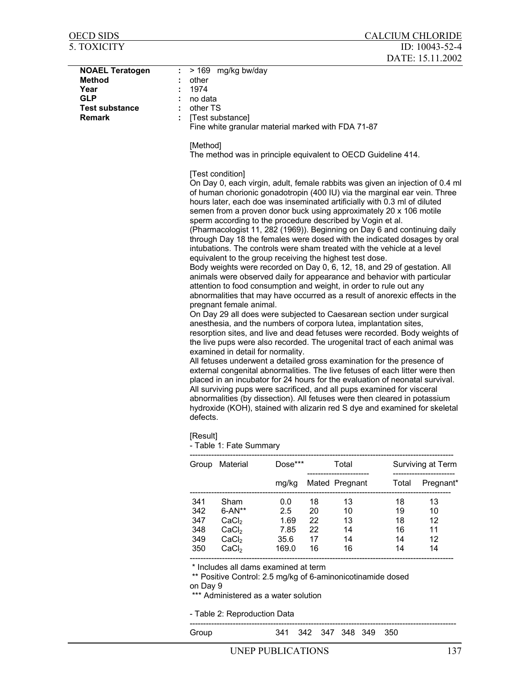| OECD SIDS                                                                                               | <b>CALCIUM CHLORIDE</b>                                                                                                                                                                                                                                                                                                                                                                                                                                                                                                                                                                                                                                                                                                                                                                                                                                                                                                                                                                                                               |
|---------------------------------------------------------------------------------------------------------|---------------------------------------------------------------------------------------------------------------------------------------------------------------------------------------------------------------------------------------------------------------------------------------------------------------------------------------------------------------------------------------------------------------------------------------------------------------------------------------------------------------------------------------------------------------------------------------------------------------------------------------------------------------------------------------------------------------------------------------------------------------------------------------------------------------------------------------------------------------------------------------------------------------------------------------------------------------------------------------------------------------------------------------|
| <b>5. TOXICITY</b>                                                                                      | ID: $10043 - 52 - 4$                                                                                                                                                                                                                                                                                                                                                                                                                                                                                                                                                                                                                                                                                                                                                                                                                                                                                                                                                                                                                  |
|                                                                                                         | DATE: 15.11.2002                                                                                                                                                                                                                                                                                                                                                                                                                                                                                                                                                                                                                                                                                                                                                                                                                                                                                                                                                                                                                      |
| <b>NOAEL Teratogen</b><br><b>Method</b><br>Year<br><b>GLP</b><br><b>Test substance</b><br><b>Remark</b> | > 169 mg/kg bw/day<br>other<br>1974<br>no data<br>other TS<br>[Test substance]<br>Fine white granular material marked with FDA 71-87                                                                                                                                                                                                                                                                                                                                                                                                                                                                                                                                                                                                                                                                                                                                                                                                                                                                                                  |
|                                                                                                         | [Method]<br>The method was in principle equivalent to OECD Guideline 414.                                                                                                                                                                                                                                                                                                                                                                                                                                                                                                                                                                                                                                                                                                                                                                                                                                                                                                                                                             |
|                                                                                                         | [Test condition]<br>On Day 0, each virgin, adult, female rabbits was given an injection of 0.4 ml<br>of human chorionic gonadotropin (400 IU) via the marginal ear vein. Three<br>hours later, each doe was inseminated artificially with 0.3 ml of diluted<br>semen from a proven donor buck using approximately 20 x 106 motile<br>sperm according to the procedure described by Vogin et al.<br>(Pharmacologist 11, 282 (1969)). Beginning on Day 6 and continuing daily<br>through Day 18 the females were dosed with the indicated dosages by oral<br>intubations. The controls were sham treated with the vehicle at a level<br>equivalent to the group receiving the highest test dose.<br>Body weights were recorded on Day 0, 6, 12, 18, and 29 of gestation. All<br>animals were observed daily for appearance and behavior with particular<br>attention to food consumption and weight, in order to rule out any<br>abnormalities that may have occurred as a result of anorexic effects in the<br>pregnant female animal. |
|                                                                                                         | On Day 29 all does were subjected to Caesarean section under surgical<br>anesthesia, and the numbers of corpora lutea, implantation sites,<br>constitute that the studies of the seal feature account of a product Dealer stability of                                                                                                                                                                                                                                                                                                                                                                                                                                                                                                                                                                                                                                                                                                                                                                                                |

resorption sites, and live and dead fetuses were recorded. Body weights of the live pups were also recorded. The urogenital tract of each animal was examined in detail for normality. All fetuses underwent a detailed gross examination for the presence of

external congenital abnormalities. The live fetuses of each litter were then placed in an incubator for 24 hours for the evaluation of neonatal survival. All surviving pups were sacrificed, and all pups examined for visceral abnormalities (by dissection). All fetuses were then cleared in potassium hydroxide (KOH), stained with alizarin red S dye and examined for skeletal defects.

[Result]

- Table 1: Fate Summary

| Group | Material          |       | Total<br>$Dose***$ |                |       | Surviving at Term |
|-------|-------------------|-------|--------------------|----------------|-------|-------------------|
|       |                   | mg/kg |                    | Mated Pregnant | Total | Pregnant*         |
| 341   | Sham              | 0.0   | 18                 | 13             | 18    | 13                |
| 342   | $6 - AN**$        | 2.5   | 20                 | 10             | 19    | 10                |
| 347   | CaCl <sub>2</sub> | 1.69  | 22                 | 13             | 18    | 12                |
| 348   | CaC <sub>l</sub>  | 7.85  | 22                 | 14             | 16    | 11                |
| 349   | CaCl <sub>2</sub> | 35.6  | 17                 | 14             | 14    | 12                |
| 350   | CaCl <sub>2</sub> | 169.0 | 16                 | 16             | 14    | 14                |
|       |                   |       |                    |                |       |                   |

\* Includes all dams examined at term

\*\* Positive Control: 2.5 mg/kg of 6-aminonicotinamide dosed

on Day 9

\*\*\* Administered as a water solution

- Table 2: Reproduction Data

--------------------------------------------------------------------------------------------------- Group 341 342 347 348 349 350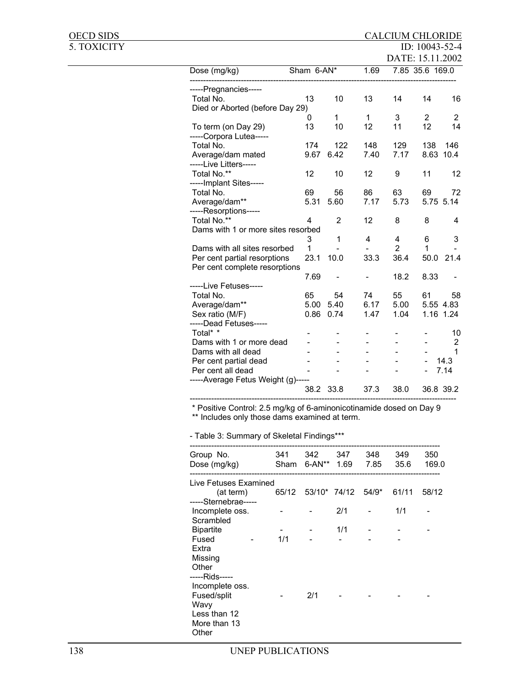| OECD SIDS   |                                                                     |            |                |                          | <b>CALCIUM CHLORIDE</b> |                 |                |
|-------------|---------------------------------------------------------------------|------------|----------------|--------------------------|-------------------------|-----------------|----------------|
| 5. TOXICITY |                                                                     |            |                |                          |                         | ID: 10043-52-4  |                |
|             |                                                                     |            |                |                          | DATE: 15.11.2002        |                 |                |
|             | Dose (mg/kg)                                                        | Sham 6-AN* |                | 1.69                     |                         | 7.85 35.6 169.0 |                |
|             |                                                                     |            |                |                          |                         |                 |                |
|             | -----Pregnancies-----                                               |            |                |                          |                         |                 |                |
|             | Total No.                                                           | 13         | 10             | 13                       | 14                      | 14              | 16             |
|             | Died or Aborted (before Day 29)                                     |            |                |                          |                         |                 |                |
|             |                                                                     | 0          | $\mathbf{1}$   | $\mathbf{1}$             | 3                       | $\overline{2}$  | $\overline{2}$ |
|             | To term (on Day 29)                                                 | 13         | 10             | 12                       | 11                      | 12              | 14             |
|             | -----Corpora Lutea-----                                             |            |                |                          |                         |                 |                |
|             | Total No.                                                           | 174        | 122            | 148                      | 129                     | 138             | 146            |
|             | Average/dam mated                                                   | 9.67       | 6.42           | 7.40                     | 7.17                    | 8.63            | 10.4           |
|             | -----Live Litters-----                                              |            |                |                          |                         |                 |                |
|             | Total No.**                                                         | 12         | 10             | 12                       | 9                       | 11              | 12             |
|             | -----Implant Sites-----                                             |            |                |                          |                         |                 |                |
|             | Total No.                                                           | 69         | 56             | 86                       | 63                      | 69              | 72             |
|             | Average/dam**                                                       | 5.31       | 5.60           | 7.17                     | 5.73                    |                 | 5.75 5.14      |
|             | -----Resorptions-----                                               |            |                |                          |                         |                 |                |
|             | Total No.**                                                         | 4          | $\overline{2}$ | 12                       | 8                       | 8               | 4              |
|             | Dams with 1 or more sites resorbed                                  |            |                |                          |                         |                 |                |
|             |                                                                     | 3          | 1              | 4                        | 4                       | 6               | 3              |
|             | Dams with all sites resorbed                                        | 1          |                |                          | $\overline{2}$          | 1               |                |
|             | Per cent partial resorptions                                        | 23.1       | 10.0           | 33.3                     | 36.4                    | 50.0            | 21.4           |
|             | Per cent complete resorptions                                       |            |                |                          |                         |                 |                |
|             |                                                                     | 7.69       |                | $\overline{\phantom{0}}$ | 18.2                    | 8.33            |                |
|             | -----Live Fetuses-----                                              |            |                |                          |                         |                 |                |
|             | Total No.                                                           | 65         | 54             | 74                       | 55                      | 61              | 58             |
|             | Average/dam**                                                       |            | 5.00 5.40      | 6.17                     | 5.00                    |                 | 5.55 4.83      |
|             | Sex ratio (M/F)                                                     |            | 0.86 0.74      | 1.47                     | 1.04                    |                 | 1.16 1.24      |
|             | -----Dead Fetuses-----                                              |            |                |                          |                         |                 |                |
|             | Total* *                                                            |            |                |                          |                         |                 | 10             |
|             | Dams with 1 or more dead                                            |            |                |                          |                         |                 | $\overline{2}$ |
|             | Dams with all dead                                                  |            |                |                          |                         |                 | 1              |
|             | Per cent partial dead                                               |            |                |                          |                         |                 | 14.3           |
|             | Per cent all dead                                                   |            |                |                          |                         |                 | 7.14           |
|             | -----Average Fetus Weight (g)-----                                  |            |                |                          |                         |                 |                |
|             |                                                                     |            | 38.2 33.8      | 37.3                     | 38.0                    |                 | 36.8 39.2      |
|             |                                                                     |            |                |                          |                         |                 |                |
|             | * Positive Control: 2.5 ma/ka of 6-aminonicotinamide dosed on Day 9 |            |                |                          |                         |                 |                |

Positive Control: 2.5 mg/kg of 6-aminonicotinamide dosed on Day 9 \*\* Includes only those dams examined at term.

- Table 3: Summary of Skeletal Findings\*\*\*

| Group No.             | 341   | 342          | 347 | 348   | 349   | 350   |
|-----------------------|-------|--------------|-----|-------|-------|-------|
| Dose (mg/kg)          | Sham  | 6-AN** 1.69  |     | 7.85  | 35.6  | 169.0 |
| Live Fetuses Examined |       |              |     |       |       |       |
| (at term)             | 65/12 | 53/10* 74/12 |     | 54/9* | 61/11 | 58/12 |
| -----Sternebrae-----  |       |              |     |       |       |       |
| Incomplete oss.       |       |              | 2/1 |       | 1/1   |       |
| Scrambled             |       |              |     |       |       |       |
| <b>Bipartite</b>      |       |              | 1/1 |       |       |       |
| Fused                 | 1/1   |              |     |       |       |       |
| Extra                 |       |              |     |       |       |       |
| Missing               |       |              |     |       |       |       |
| Other                 |       |              |     |       |       |       |
| -----Rids-----        |       |              |     |       |       |       |
| Incomplete oss.       |       |              |     |       |       |       |
| Fused/split           |       | 2/1          |     |       |       |       |
| Wavy                  |       |              |     |       |       |       |
| Less than 12          |       |              |     |       |       |       |
| More than 13          |       |              |     |       |       |       |
| Other                 |       |              |     |       |       |       |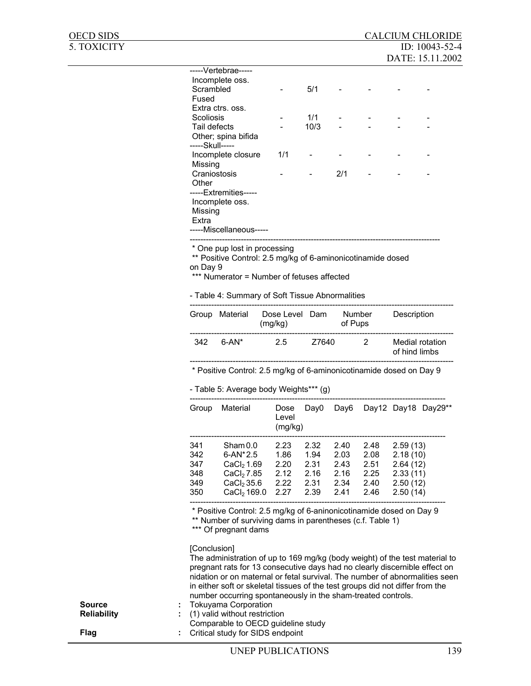|               | Scrambled<br>Fused<br>Scoliosis        | -----Vertebrae-----<br>Incomplete oss.<br>Extra ctrs. oss.                                                                                                                                                                                                                                                                                                                                                               |                                      | 5/1<br>1/1                                   |                                              |                                              |                                                                      |                          |
|---------------|----------------------------------------|--------------------------------------------------------------------------------------------------------------------------------------------------------------------------------------------------------------------------------------------------------------------------------------------------------------------------------------------------------------------------------------------------------------------------|--------------------------------------|----------------------------------------------|----------------------------------------------|----------------------------------------------|----------------------------------------------------------------------|--------------------------|
|               | Tail defects<br>-----Skull-----        | Other; spina bifida                                                                                                                                                                                                                                                                                                                                                                                                      | $\overline{\phantom{a}}$             | 10/3                                         |                                              |                                              |                                                                      |                          |
|               | Missing                                | Incomplete closure                                                                                                                                                                                                                                                                                                                                                                                                       | 1/1                                  |                                              |                                              |                                              |                                                                      |                          |
|               | Other<br>Missing                       | Craniostosis<br>-----Extremities-----<br>Incomplete oss.                                                                                                                                                                                                                                                                                                                                                                 |                                      | $\overline{\phantom{a}}$                     | 2/1                                          |                                              |                                                                      |                          |
|               | Extra                                  | -----Miscellaneous-----                                                                                                                                                                                                                                                                                                                                                                                                  |                                      |                                              |                                              |                                              |                                                                      |                          |
|               | on Day 9                               | ** Positive Control: 2.5 mg/kg of 6-aminonicotinamide dosed<br>*** Numerator = Number of fetuses affected<br>- Table 4: Summary of Soft Tissue Abnormalities                                                                                                                                                                                                                                                             |                                      |                                              |                                              |                                              |                                                                      |                          |
|               |                                        | Group Material                                                                                                                                                                                                                                                                                                                                                                                                           | Dose Level Dam<br>(mg/kg)            |                                              | of Pups                                      | Number                                       | Description                                                          |                          |
|               | 342                                    | $6 - AN^*$                                                                                                                                                                                                                                                                                                                                                                                                               | 2.5                                  | Z7640                                        |                                              | $\overline{2}$                               | of hind limbs                                                        | Medial rotation          |
|               |                                        |                                                                                                                                                                                                                                                                                                                                                                                                                          |                                      |                                              |                                              |                                              |                                                                      |                          |
|               |                                        | * Positive Control: 2.5 mg/kg of 6-aminonicotinamide dosed on Day 9<br>- Table 5: Average body Weights*** (g)                                                                                                                                                                                                                                                                                                            |                                      |                                              |                                              |                                              |                                                                      |                          |
|               | Group                                  | Material                                                                                                                                                                                                                                                                                                                                                                                                                 | Dose<br>Level<br>(mg/kg)             | Day0                                         |                                              |                                              |                                                                      | Day6 Day12 Day18 Day29** |
|               | 341<br>342<br>347<br>348<br>349<br>350 | Sham 0.0<br>6-AN*2.5<br>CaCl <sub>2</sub> 1.69<br>CaCl <sub>2</sub> 7.85<br>CaCl <sub>2</sub> 35.6<br>$CaCl2$ 169.0 2.27                                                                                                                                                                                                                                                                                                 | 2.23<br>1.86<br>2.20<br>2.12<br>2.22 | 2.32<br>1.94<br>2.31<br>2.16<br>2.31<br>2.39 | 2.40<br>2.03<br>2.43<br>2.16<br>2.34<br>2.41 | 2.48<br>2.08<br>2.51<br>2.25<br>2.40<br>2.46 | 2.59(13)<br>2.18(10)<br>2.64(12)<br>2.33(11)<br>2.50(12)<br>2.50(14) |                          |
|               |                                        | * Positive Control: 2.5 mg/kg of 6-aninonicotinamide dosed on Day 9<br>** Number of surviving dams in parentheses (c.f. Table 1)<br>*** Of pregnant dams                                                                                                                                                                                                                                                                 |                                      |                                              |                                              |                                              |                                                                      |                          |
| <b>Source</b> | [Conclusion]                           | The administration of up to 169 mg/kg (body weight) of the test material to<br>pregnant rats for 13 consecutive days had no clearly discernible effect on<br>nidation or on maternal or fetal survival. The number of abnormalities seen<br>in either soft or skeletal tissues of the test groups did not differ from the<br>number occurring spontaneously in the sham-treated controls.<br><b>Tokuyama Corporation</b> |                                      |                                              |                                              |                                              |                                                                      |                          |

OECD SIDS CALCIUM CHLORIDE<br>5. TOXICITY ID: 10043-52-4

ID: 10043-52-4 DATE: 15.11.2002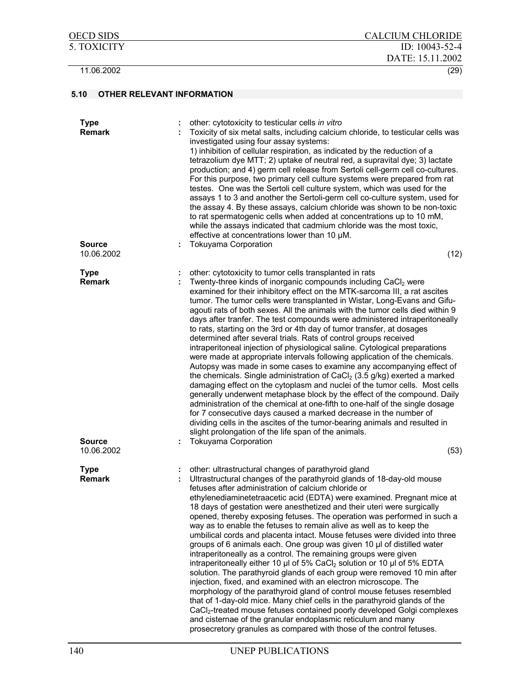| <b>Type</b><br><b>Remark</b><br><b>Source</b><br>10.06.2002 | other: cytotoxicity to testicular cells in vitro<br>÷<br>Toxicity of six metal salts, including calcium chloride, to testicular cells was<br>investigated using four assay systems:<br>1) inhibition of cellular respiration, as indicated by the reduction of a<br>tetrazolium dye MTT; 2) uptake of neutral red, a supravital dye; 3) lactate<br>production; and 4) germ cell release from Sertoli cell-germ cell co-cultures.<br>For this purpose, two primary cell culture systems were prepared from rat<br>testes. One was the Sertoli cell culture system, which was used for the<br>assays 1 to 3 and another the Sertoli-germ cell co-culture system, used for<br>the assay 4. By these assays, calcium chloride was shown to be non-toxic<br>to rat spermatogenic cells when added at concentrations up to 10 mM,<br>while the assays indicated that cadmium chloride was the most toxic,<br>effective at concentrations lower than 10 µM.<br><b>Tokuyama Corporation</b><br>(12)                                                                                                                                                                                                                                                                                                                                                             |
|-------------------------------------------------------------|---------------------------------------------------------------------------------------------------------------------------------------------------------------------------------------------------------------------------------------------------------------------------------------------------------------------------------------------------------------------------------------------------------------------------------------------------------------------------------------------------------------------------------------------------------------------------------------------------------------------------------------------------------------------------------------------------------------------------------------------------------------------------------------------------------------------------------------------------------------------------------------------------------------------------------------------------------------------------------------------------------------------------------------------------------------------------------------------------------------------------------------------------------------------------------------------------------------------------------------------------------------------------------------------------------------------------------------------------------|
| <b>Type</b>                                                 | other: cytotoxicity to tumor cells transplanted in rats                                                                                                                                                                                                                                                                                                                                                                                                                                                                                                                                                                                                                                                                                                                                                                                                                                                                                                                                                                                                                                                                                                                                                                                                                                                                                                 |
| <b>Remark</b><br><b>Source</b>                              | Twenty-three kinds of inorganic compounds including CaCl <sub>2</sub> were<br>examined for their inhibitory effect on the MTK-sarcoma III, a rat ascites<br>tumor. The tumor cells were transplanted in Wistar, Long-Evans and Gifu-<br>agouti rats of both sexes. All the animals with the tumor cells died within 9<br>days after tranfer. The test compounds were administered intraperitoneally<br>to rats, starting on the 3rd or 4th day of tumor transfer, at dosages<br>determined after several trials. Rats of control groups received<br>intraperitoneal injection of physiological saline. Cytological preparations<br>were made at appropriate intervals following application of the chemicals.<br>Autopsy was made in some cases to examine any accompanying effect of<br>the chemicals. Single administration of $CaCl2$ (3.5 g/kg) exerted a marked<br>damaging effect on the cytoplasm and nuclei of the tumor cells. Most cells<br>generally underwent metaphase block by the effect of the compound. Daily<br>administration of the chemical at one-fifth to one-half of the single dosage<br>for 7 consecutive days caused a marked decrease in the number of<br>dividing cells in the ascites of the tumor-bearing animals and resulted in<br>slight prolongation of the life span of the animals.<br><b>Tokuyama Corporation</b> |
| 10.06.2002                                                  | (53)                                                                                                                                                                                                                                                                                                                                                                                                                                                                                                                                                                                                                                                                                                                                                                                                                                                                                                                                                                                                                                                                                                                                                                                                                                                                                                                                                    |
| <b>Type</b><br><b>Remark</b>                                | other: ultrastructural changes of parathyroid gland<br>Ultrastructural changes of the parathyroid glands of 18-day-old mouse<br>fetuses after administration of calcium chloride or<br>ethylenediaminetetraacetic acid (EDTA) were examined. Pregnant mice at<br>18 days of gestation were anesthetized and their uteri were surgically<br>opened, thereby exposing fetuses. The operation was performed in such a<br>way as to enable the fetuses to remain alive as well as to keep the<br>umbilical cords and placenta intact. Mouse fetuses were divided into three<br>groups of 6 animals each. One group was given 10 µl of distilled water<br>intraperitoneally as a control. The remaining groups were given<br>intraperitoneally either 10 µl of 5% CaCl <sub>2</sub> solution or 10 µl of 5% EDTA<br>solution. The parathyroid glands of each group were removed 10 min after<br>injection, fixed, and examined with an electron microscope. The<br>morphology of the parathyroid gland of control mouse fetuses resembled<br>that of 1-day-old mice. Many chief cells in the parathyroid glands of the<br>CaCl <sub>2</sub> -treated mouse fetuses contained poorly developed Golgi complexes<br>and cisternae of the granular endoplasmic reticulum and many<br>prosecretory granules as compared with those of the control fetuses.        |

OECD SIDS CALCIUM CHLORIDE 5. TOXICITY ID: 10043-52-4

11.06.2002 (29)

DATE: 15.11.2002

### **5.10 OTHER RELEVANT INFORMATION**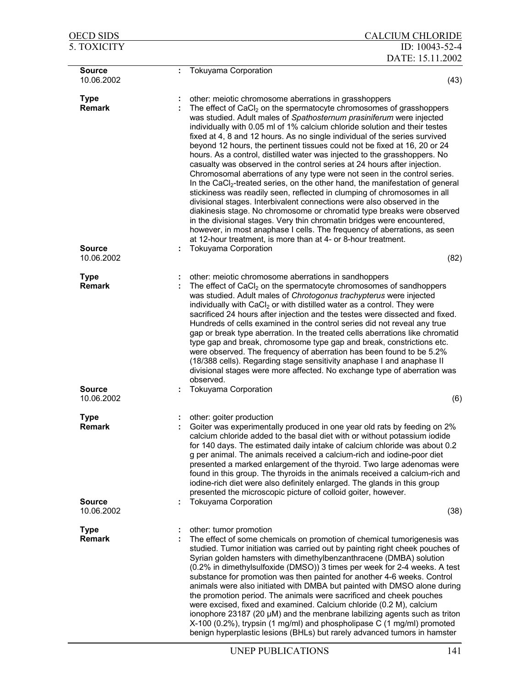| <u>OECD SIDS</u>             | <b>CALCIUM CHLORIDE</b>                                                                                                                                                                                                                                                                                                                                                                                                                                                                                                                                                                                                                                                                                                                                                                                                                                                                                                                                                                                                                                                                                                                                                                                                                             |
|------------------------------|-----------------------------------------------------------------------------------------------------------------------------------------------------------------------------------------------------------------------------------------------------------------------------------------------------------------------------------------------------------------------------------------------------------------------------------------------------------------------------------------------------------------------------------------------------------------------------------------------------------------------------------------------------------------------------------------------------------------------------------------------------------------------------------------------------------------------------------------------------------------------------------------------------------------------------------------------------------------------------------------------------------------------------------------------------------------------------------------------------------------------------------------------------------------------------------------------------------------------------------------------------|
| 5. TOXICITY                  | ID: 10043-52-4<br>DATE: 15.11.2002                                                                                                                                                                                                                                                                                                                                                                                                                                                                                                                                                                                                                                                                                                                                                                                                                                                                                                                                                                                                                                                                                                                                                                                                                  |
| Source<br>10.06.2002         | Tokuyama Corporation<br>÷<br>(43)                                                                                                                                                                                                                                                                                                                                                                                                                                                                                                                                                                                                                                                                                                                                                                                                                                                                                                                                                                                                                                                                                                                                                                                                                   |
| <b>Type</b><br><b>Remark</b> | other: meiotic chromosome aberrations in grasshoppers<br>The effect of CaCl <sub>2</sub> on the spermatocyte chromosomes of grasshoppers<br>was studied. Adult males of Spathosternum prasiniferum were injected<br>individually with 0.05 ml of 1% calcium chloride solution and their testes<br>fixed at 4, 8 and 12 hours. As no single individual of the series survived<br>beyond 12 hours, the pertinent tissues could not be fixed at 16, 20 or 24<br>hours. As a control, distilled water was injected to the grasshoppers. No<br>casualty was observed in the control series at 24 hours after injection.<br>Chromosomal aberrations of any type were not seen in the control series.<br>In the CaCl <sub>2</sub> -treated series, on the other hand, the manifestation of general<br>stickiness was readily seen, reflected in clumping of chromosomes in all<br>divisional stages. Interbivalent connections were also observed in the<br>diakinesis stage. No chromosome or chromatid type breaks were observed<br>in the divisional stages. Very thin chromatin bridges were encountered,<br>however, in most anaphase I cells. The frequency of aberrations, as seen<br>at 12-hour treatment, is more than at 4- or 8-hour treatment. |
| <b>Source</b><br>10.06.2002  | <b>Tokuyama Corporation</b><br>(82)                                                                                                                                                                                                                                                                                                                                                                                                                                                                                                                                                                                                                                                                                                                                                                                                                                                                                                                                                                                                                                                                                                                                                                                                                 |
| <b>Type</b><br><b>Remark</b> | other: meiotic chromosome aberrations in sandhoppers<br>The effect of CaCl <sub>2</sub> on the spermatocyte chromosomes of sandhoppers<br>was studied. Adult males of Chrotogonus trachypterus were injected<br>individually with CaCl <sub>2</sub> or with distilled water as a control. They were<br>sacrificed 24 hours after injection and the testes were dissected and fixed.<br>Hundreds of cells examined in the control series did not reveal any true<br>gap or break type aberration. In the treated cells aberrations like chromatid<br>type gap and break, chromosome type gap and break, constrictions etc.<br>were observed. The frequency of aberration has been found to be 5.2%<br>(18/388 cells). Regarding stage sensitivity anaphase I and anaphase II<br>divisional stages were more affected. No exchange type of aberration was<br>observed.                                                                                                                                                                                                                                                                                                                                                                                |
| <b>Source</b><br>10.06.2002  | <b>Tokuyama Corporation</b><br>(6)                                                                                                                                                                                                                                                                                                                                                                                                                                                                                                                                                                                                                                                                                                                                                                                                                                                                                                                                                                                                                                                                                                                                                                                                                  |
| Type<br><b>Remark</b>        | other: goiter production<br>Goiter was experimentally produced in one year old rats by feeding on 2%<br>calcium chloride added to the basal diet with or without potassium iodide<br>for 140 days. The estimated daily intake of calcium chloride was about 0.2<br>g per animal. The animals received a calcium-rich and iodine-poor diet<br>presented a marked enlargement of the thyroid. Two large adenomas were<br>found in this group. The thyroids in the animals received a calcium-rich and<br>iodine-rich diet were also definitely enlarged. The glands in this group<br>presented the microscopic picture of colloid goiter, however.                                                                                                                                                                                                                                                                                                                                                                                                                                                                                                                                                                                                    |
| <b>Source</b><br>10.06.2002  | <b>Tokuyama Corporation</b><br>(38)                                                                                                                                                                                                                                                                                                                                                                                                                                                                                                                                                                                                                                                                                                                                                                                                                                                                                                                                                                                                                                                                                                                                                                                                                 |
| <b>Type</b><br><b>Remark</b> | other: tumor promotion<br>The effect of some chemicals on promotion of chemical tumorigenesis was<br>studied. Tumor initiation was carried out by painting right cheek pouches of<br>Syrian golden hamsters with dimethylbenzanthracene (DMBA) solution<br>(0.2% in dimethylsulfoxide (DMSO)) 3 times per week for 2-4 weeks. A test<br>substance for promotion was then painted for another 4-6 weeks. Control<br>animals were also initiated with DMBA but painted with DMSO alone during<br>the promotion period. The animals were sacrificed and cheek pouches<br>were excised, fixed and examined. Calcium chloride (0.2 M), calcium<br>ionophore 23187 (20 µM) and the menbrane labilizing agents such as triton<br>X-100 (0.2%), trypsin (1 mg/ml) and phospholipase C (1 mg/ml) promoted<br>benign hyperplastic lesions (BHLs) but rarely advanced tumors in hamster                                                                                                                                                                                                                                                                                                                                                                        |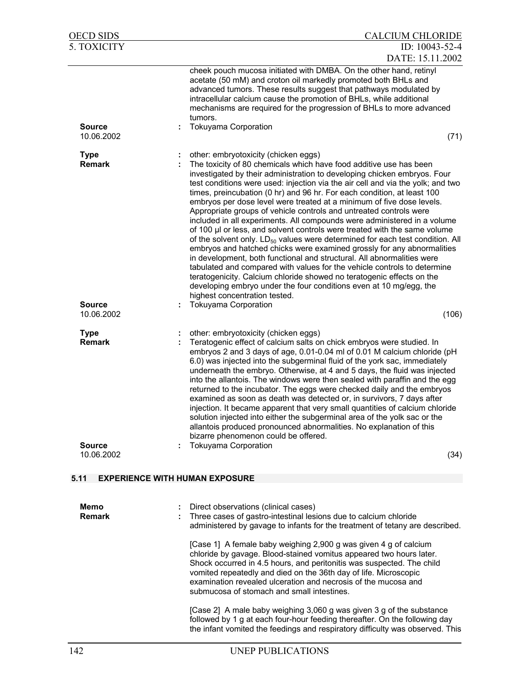| <b>OECD SIDS</b>                              | <b>CALCIUM CHLORIDE</b>                                                                                                                                                                                                                                                                                                                                                                                                                                                                                                                                                                                                                                                                                                                                                                                                                                                                                                                                                                                                                                                                                                                                            |
|-----------------------------------------------|--------------------------------------------------------------------------------------------------------------------------------------------------------------------------------------------------------------------------------------------------------------------------------------------------------------------------------------------------------------------------------------------------------------------------------------------------------------------------------------------------------------------------------------------------------------------------------------------------------------------------------------------------------------------------------------------------------------------------------------------------------------------------------------------------------------------------------------------------------------------------------------------------------------------------------------------------------------------------------------------------------------------------------------------------------------------------------------------------------------------------------------------------------------------|
| 5. TOXICITY                                   | ID: 10043-52-4                                                                                                                                                                                                                                                                                                                                                                                                                                                                                                                                                                                                                                                                                                                                                                                                                                                                                                                                                                                                                                                                                                                                                     |
|                                               | DATE: 15.11.2002<br>cheek pouch mucosa initiated with DMBA. On the other hand, retinyl                                                                                                                                                                                                                                                                                                                                                                                                                                                                                                                                                                                                                                                                                                                                                                                                                                                                                                                                                                                                                                                                             |
|                                               | acetate (50 mM) and croton oil markedly promoted both BHLs and<br>advanced tumors. These results suggest that pathways modulated by<br>intracellular calcium cause the promotion of BHLs, while additional<br>mechanisms are required for the progression of BHLs to more advanced<br>tumors.                                                                                                                                                                                                                                                                                                                                                                                                                                                                                                                                                                                                                                                                                                                                                                                                                                                                      |
| <b>Source</b><br>10.06.2002                   | Tokuyama Corporation<br>(71)                                                                                                                                                                                                                                                                                                                                                                                                                                                                                                                                                                                                                                                                                                                                                                                                                                                                                                                                                                                                                                                                                                                                       |
| <b>Type</b><br><b>Remark</b>                  | other: embryotoxicity (chicken eggs)<br>The toxicity of 80 chemicals which have food additive use has been<br>investigated by their administration to developing chicken embryos. Four<br>test conditions were used: injection via the air cell and via the yolk; and two<br>times, preincubation (0 hr) and 96 hr. For each condition, at least 100<br>embryos per dose level were treated at a minimum of five dose levels.<br>Appropriate groups of vehicle controls and untreated controls were<br>included in all experiments. All compounds were administered in a volume<br>of 100 µl or less, and solvent controls were treated with the same volume<br>of the solvent only. $LD_{50}$ values were determined for each test condition. All<br>embryos and hatched chicks were examined grossly for any abnormalities<br>in development, both functional and structural. All abnormalities were<br>tabulated and compared with values for the vehicle controls to determine<br>teratogenicity. Calcium chloride showed no teratogenic effects on the<br>developing embryo under the four conditions even at 10 mg/egg, the<br>highest concentration tested. |
| <b>Source</b><br>10.06.2002                   | Tokuyama Corporation<br>(106)                                                                                                                                                                                                                                                                                                                                                                                                                                                                                                                                                                                                                                                                                                                                                                                                                                                                                                                                                                                                                                                                                                                                      |
|                                               |                                                                                                                                                                                                                                                                                                                                                                                                                                                                                                                                                                                                                                                                                                                                                                                                                                                                                                                                                                                                                                                                                                                                                                    |
| <b>Type</b><br><b>Remark</b><br><b>Source</b> | other: embryotoxicity (chicken eggs)<br>Teratogenic effect of calcium salts on chick embryos were studied. In<br>embryos 2 and 3 days of age, 0.01-0.04 ml of 0.01 M calcium chloride (pH<br>6.0) was injected into the subgerminal fluid of the york sac, immediately<br>underneath the embryo. Otherwise, at 4 and 5 days, the fluid was injected<br>into the allantois. The windows were then sealed with paraffin and the egg<br>returned to the incubator. The eggs were checked daily and the embryos<br>examined as soon as death was detected or, in survivors, 7 days after<br>injection. It became apparent that very small quantities of calcium chloride<br>solution injected into either the subgerminal area of the yolk sac or the<br>allantois produced pronounced abnormalities. No explanation of this<br>bizarre phenomenon could be offered.<br><b>Tokuyama Corporation</b>                                                                                                                                                                                                                                                                    |
| 10.06.2002                                    | (34)                                                                                                                                                                                                                                                                                                                                                                                                                                                                                                                                                                                                                                                                                                                                                                                                                                                                                                                                                                                                                                                                                                                                                               |
| 5.11<br><b>EXPERIENCE WITH HUMAN EXPOSURE</b> |                                                                                                                                                                                                                                                                                                                                                                                                                                                                                                                                                                                                                                                                                                                                                                                                                                                                                                                                                                                                                                                                                                                                                                    |
| Memo<br><b>Remark</b>                         | Direct observations (clinical cases)<br>Three cases of gastro-intestinal lesions due to calcium chloride<br>administered by gavage to infants for the treatment of tetany are described.                                                                                                                                                                                                                                                                                                                                                                                                                                                                                                                                                                                                                                                                                                                                                                                                                                                                                                                                                                           |
|                                               | [Case 1] A female baby weighing 2,900 g was given 4 g of calcium<br>chloride by gavage. Blood-stained vomitus appeared two hours later.<br>Shock occurred in 4.5 hours, and peritonitis was suspected. The child<br>vomited repeatedly and died on the 36th day of life. Microscopic<br>examination revealed ulceration and necrosis of the mucosa and<br>submucosa of stomach and small intestines.                                                                                                                                                                                                                                                                                                                                                                                                                                                                                                                                                                                                                                                                                                                                                               |
|                                               | [Case 2] A male baby weighing 3,060 g was given 3 g of the substance<br>followed by 1 g at each four-hour feeding thereafter. On the following day<br>the infant vomited the feedings and respiratory difficulty was observed. This                                                                                                                                                                                                                                                                                                                                                                                                                                                                                                                                                                                                                                                                                                                                                                                                                                                                                                                                |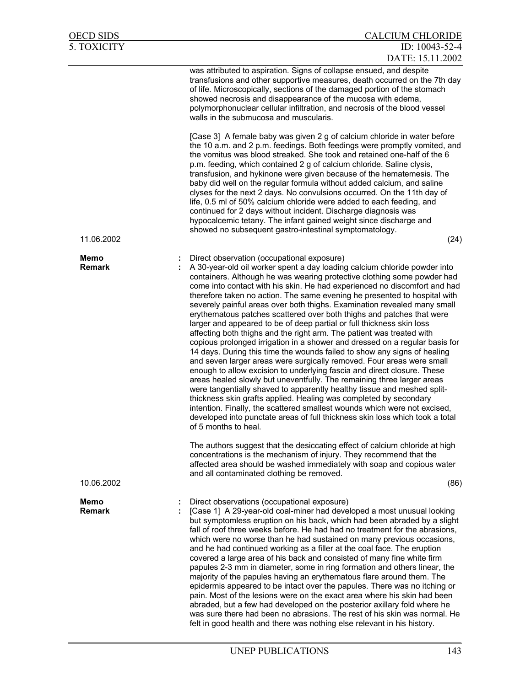| <b>OECD SIDS</b>      | <b>CALCIUM CHLORIDE</b>                                                                                                                                                                                                                                                                                                                                                                                                                                                                                                                                                                                                                                                                                                                                                                                                                                                                                                                                                                                                                                                                                                                                                                                                                                                                                                                                                                                                                                                                                                                                                                                                                                                       |
|-----------------------|-------------------------------------------------------------------------------------------------------------------------------------------------------------------------------------------------------------------------------------------------------------------------------------------------------------------------------------------------------------------------------------------------------------------------------------------------------------------------------------------------------------------------------------------------------------------------------------------------------------------------------------------------------------------------------------------------------------------------------------------------------------------------------------------------------------------------------------------------------------------------------------------------------------------------------------------------------------------------------------------------------------------------------------------------------------------------------------------------------------------------------------------------------------------------------------------------------------------------------------------------------------------------------------------------------------------------------------------------------------------------------------------------------------------------------------------------------------------------------------------------------------------------------------------------------------------------------------------------------------------------------------------------------------------------------|
| 5. TOXICITY           | ID: 10043-52-4<br>DATE: 15.11.2002                                                                                                                                                                                                                                                                                                                                                                                                                                                                                                                                                                                                                                                                                                                                                                                                                                                                                                                                                                                                                                                                                                                                                                                                                                                                                                                                                                                                                                                                                                                                                                                                                                            |
|                       | was attributed to aspiration. Signs of collapse ensued, and despite<br>transfusions and other supportive measures, death occurred on the 7th day<br>of life. Microscopically, sections of the damaged portion of the stomach<br>showed necrosis and disappearance of the mucosa with edema,<br>polymorphonuclear cellular infiltration, and necrosis of the blood vessel<br>walls in the submucosa and muscularis.                                                                                                                                                                                                                                                                                                                                                                                                                                                                                                                                                                                                                                                                                                                                                                                                                                                                                                                                                                                                                                                                                                                                                                                                                                                            |
|                       | [Case 3] A female baby was given 2 g of calcium chloride in water before<br>the 10 a.m. and 2 p.m. feedings. Both feedings were promptly vomited, and<br>the vomitus was blood streaked. She took and retained one-half of the 6<br>p.m. feeding, which contained 2 g of calcium chloride. Saline clysis,<br>transfusion, and hykinone were given because of the hematemesis. The<br>baby did well on the regular formula without added calcium, and saline<br>clyses for the next 2 days. No convulsions occurred. On the 11th day of<br>life, 0.5 ml of 50% calcium chloride were added to each feeding, and<br>continued for 2 days without incident. Discharge diagnosis was<br>hypocalcemic tetany. The infant gained weight since discharge and<br>showed no subsequent gastro-intestinal symptomatology.                                                                                                                                                                                                                                                                                                                                                                                                                                                                                                                                                                                                                                                                                                                                                                                                                                                               |
| 11.06.2002            | (24)                                                                                                                                                                                                                                                                                                                                                                                                                                                                                                                                                                                                                                                                                                                                                                                                                                                                                                                                                                                                                                                                                                                                                                                                                                                                                                                                                                                                                                                                                                                                                                                                                                                                          |
| Memo<br><b>Remark</b> | Direct observation (occupational exposure)<br>A 30-year-old oil worker spent a day loading calcium chloride powder into<br>containers. Although he was wearing protective clothing some powder had<br>come into contact with his skin. He had experienced no discomfort and had<br>therefore taken no action. The same evening he presented to hospital with<br>severely painful areas over both thighs. Examination revealed many small<br>erythematous patches scattered over both thighs and patches that were<br>larger and appeared to be of deep partial or full thickness skin loss<br>affecting both thighs and the right arm. The patient was treated with<br>copious prolonged irrigation in a shower and dressed on a regular basis for<br>14 days. During this time the wounds failed to show any signs of healing<br>and seven larger areas were surgically removed. Four areas were small<br>enough to allow excision to underlying fascia and direct closure. These<br>areas healed slowly but uneventfully. The remaining three larger areas<br>were tangentially shaved to apparently healthy tissue and meshed split-<br>thickness skin grafts applied. Healing was completed by secondary<br>intention. Finally, the scattered smallest wounds which were not excised,<br>developed into punctate areas of full thickness skin loss which took a total<br>of 5 months to heal.<br>The authors suggest that the desiccating effect of calcium chloride at high<br>concentrations is the mechanism of injury. They recommend that the<br>affected area should be washed immediately with soap and copious water<br>and all contaminated clothing be removed. |
| 10.06.2002            | (86)                                                                                                                                                                                                                                                                                                                                                                                                                                                                                                                                                                                                                                                                                                                                                                                                                                                                                                                                                                                                                                                                                                                                                                                                                                                                                                                                                                                                                                                                                                                                                                                                                                                                          |
| Memo<br><b>Remark</b> | Direct observations (occupational exposure)<br>[Case 1] A 29-year-old coal-miner had developed a most unusual looking<br>but symptomless eruption on his back, which had been abraded by a slight<br>fall of roof three weeks before. He had had no treatment for the abrasions,<br>which were no worse than he had sustained on many previous occasions,<br>and he had continued working as a filler at the coal face. The eruption<br>covered a large area of his back and consisted of many fine white firm<br>papules 2-3 mm in diameter, some in ring formation and others linear, the<br>majority of the papules having an erythematous flare around them. The<br>epidermis appeared to be intact over the papules. There was no itching or<br>pain. Most of the lesions were on the exact area where his skin had been<br>abraded, but a few had developed on the posterior axillary fold where he<br>was sure there had been no abrasions. The rest of his skin was normal. He<br>felt in good health and there was nothing else relevant in his history.                                                                                                                                                                                                                                                                                                                                                                                                                                                                                                                                                                                                             |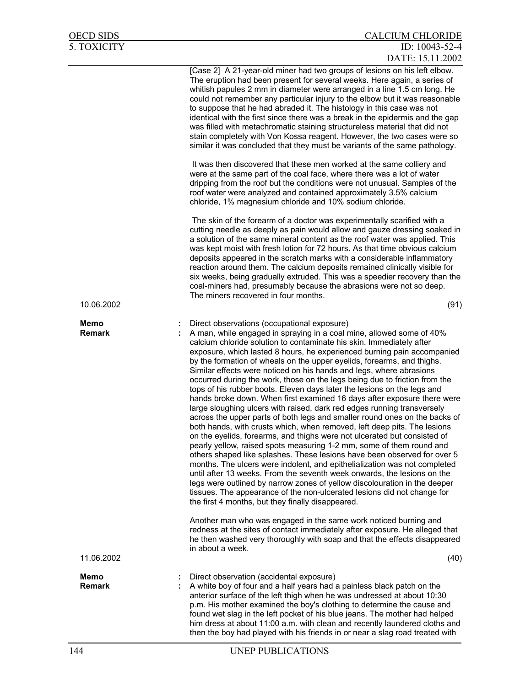| 5. TOXICITY                  | ID: 10043-52-4<br>DATE: 15.11.2002                                                                                                                                                                                                                                                                                                                                                                                                                                                                                                                                                                                                                                                                                                                                                                                                                                                                                                                                                                                                                                                                                                                                                                                                                                                                                                                                                                                                                                                                                                                                        |
|------------------------------|---------------------------------------------------------------------------------------------------------------------------------------------------------------------------------------------------------------------------------------------------------------------------------------------------------------------------------------------------------------------------------------------------------------------------------------------------------------------------------------------------------------------------------------------------------------------------------------------------------------------------------------------------------------------------------------------------------------------------------------------------------------------------------------------------------------------------------------------------------------------------------------------------------------------------------------------------------------------------------------------------------------------------------------------------------------------------------------------------------------------------------------------------------------------------------------------------------------------------------------------------------------------------------------------------------------------------------------------------------------------------------------------------------------------------------------------------------------------------------------------------------------------------------------------------------------------------|
|                              | [Case 2] A 21-year-old miner had two groups of lesions on his left elbow.<br>The eruption had been present for several weeks. Here again, a series of<br>whitish papules 2 mm in diameter were arranged in a line 1.5 cm long. He<br>could not remember any particular injury to the elbow but it was reasonable<br>to suppose that he had abraded it. The histology in this case was not<br>identical with the first since there was a break in the epidermis and the gap<br>was filled with metachromatic staining structureless material that did not<br>stain completely with Von Kossa reagent. However, the two cases were so<br>similar it was concluded that they must be variants of the same pathology.                                                                                                                                                                                                                                                                                                                                                                                                                                                                                                                                                                                                                                                                                                                                                                                                                                                         |
|                              | It was then discovered that these men worked at the same colliery and<br>were at the same part of the coal face, where there was a lot of water<br>dripping from the roof but the conditions were not unusual. Samples of the<br>roof water were analyzed and contained approximately 3.5% calcium<br>chloride, 1% magnesium chloride and 10% sodium chloride.                                                                                                                                                                                                                                                                                                                                                                                                                                                                                                                                                                                                                                                                                                                                                                                                                                                                                                                                                                                                                                                                                                                                                                                                            |
|                              | The skin of the forearm of a doctor was experimentally scarified with a<br>cutting needle as deeply as pain would allow and gauze dressing soaked in<br>a solution of the same mineral content as the roof water was applied. This<br>was kept moist with fresh lotion for 72 hours. As that time obvious calcium<br>deposits appeared in the scratch marks with a considerable inflammatory<br>reaction around them. The calcium deposits remained clinically visible for<br>six weeks, being gradually extruded. This was a speedier recovery than the<br>coal-miners had, presumably because the abrasions were not so deep.<br>The miners recovered in four months.                                                                                                                                                                                                                                                                                                                                                                                                                                                                                                                                                                                                                                                                                                                                                                                                                                                                                                   |
| 10.06.2002                   | (91)                                                                                                                                                                                                                                                                                                                                                                                                                                                                                                                                                                                                                                                                                                                                                                                                                                                                                                                                                                                                                                                                                                                                                                                                                                                                                                                                                                                                                                                                                                                                                                      |
| Memo<br><b>Remark</b>        | Direct observations (occupational exposure)<br>A man, while engaged in spraying in a coal mine, allowed some of 40%<br>calcium chloride solution to contaminate his skin. Immediately after<br>exposure, which lasted 8 hours, he experienced burning pain accompanied<br>by the formation of wheals on the upper eyelids, forearms, and thighs.<br>Similar effects were noticed on his hands and legs, where abrasions<br>occurred during the work, those on the legs being due to friction from the<br>tops of his rubber boots. Eleven days later the lesions on the legs and<br>hands broke down. When first examined 16 days after exposure there were<br>large sloughing ulcers with raised, dark red edges running transversely<br>across the upper parts of both legs and smaller round ones on the backs of<br>both hands, with crusts which, when removed, left deep pits. The lesions<br>on the eyelids, forearms, and thighs were not ulcerated but consisted of<br>pearly yellow, raised spots measuring 1-2 mm, some of them round and<br>others shaped like splashes. These lesions have been observed for over 5<br>months. The ulcers were indolent, and epithelialization was not completed<br>until after 13 weeks. From the seventh week onwards, the lesions on the<br>legs were outlined by narrow zones of yellow discolouration in the deeper<br>tissues. The appearance of the non-ulcerated lesions did not change for<br>the first 4 months, but they finally disappeared.<br>Another man who was engaged in the same work noticed burning and |
|                              | redness at the sites of contact immediately after exposure. He alleged that<br>he then washed very thoroughly with soap and that the effects disappeared<br>in about a week.                                                                                                                                                                                                                                                                                                                                                                                                                                                                                                                                                                                                                                                                                                                                                                                                                                                                                                                                                                                                                                                                                                                                                                                                                                                                                                                                                                                              |
| 11.06.2002                   | (40)                                                                                                                                                                                                                                                                                                                                                                                                                                                                                                                                                                                                                                                                                                                                                                                                                                                                                                                                                                                                                                                                                                                                                                                                                                                                                                                                                                                                                                                                                                                                                                      |
| <b>Memo</b><br><b>Remark</b> | Direct observation (accidental exposure)<br>A white boy of four and a half years had a painless black patch on the<br>anterior surface of the left thigh when he was undressed at about 10:30<br>p.m. His mother examined the boy's clothing to determine the cause and<br>found wet slag in the left pocket of his blue jeans. The mother had helped<br>him dress at about 11:00 a.m. with clean and recently laundered cloths and<br>then the boy had played with his friends in or near a slag road treated with                                                                                                                                                                                                                                                                                                                                                                                                                                                                                                                                                                                                                                                                                                                                                                                                                                                                                                                                                                                                                                                       |

OECD SIDS CALCIUM CHLORIDE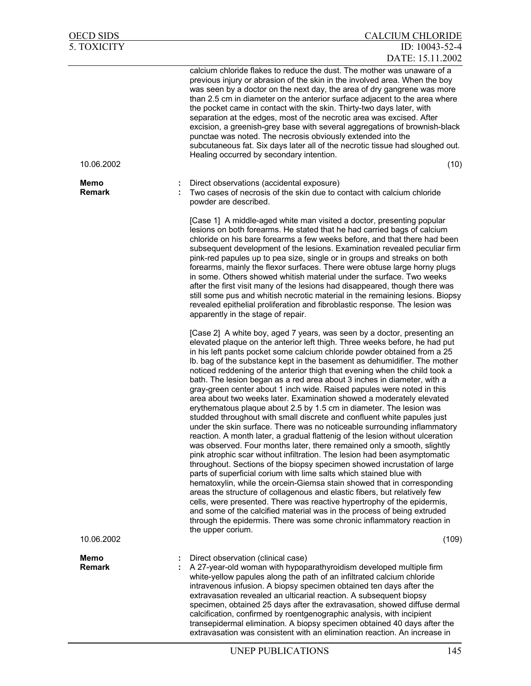| <b>OECD SIDS</b>      | <b>CALCIUM CHLORIDE</b>                                                                                                                                                                                                                                                                                                                                                                                                                                                                                                                                                                                                                                                                                                                                                                                                                                                                                                                                                                                                                                                                                                                                                                                                                                                                                                                                                                                                                                                                                                                                                                                                                                          |
|-----------------------|------------------------------------------------------------------------------------------------------------------------------------------------------------------------------------------------------------------------------------------------------------------------------------------------------------------------------------------------------------------------------------------------------------------------------------------------------------------------------------------------------------------------------------------------------------------------------------------------------------------------------------------------------------------------------------------------------------------------------------------------------------------------------------------------------------------------------------------------------------------------------------------------------------------------------------------------------------------------------------------------------------------------------------------------------------------------------------------------------------------------------------------------------------------------------------------------------------------------------------------------------------------------------------------------------------------------------------------------------------------------------------------------------------------------------------------------------------------------------------------------------------------------------------------------------------------------------------------------------------------------------------------------------------------|
| <b>5. TOXICITY</b>    | ID: 10043-52-4<br>DATE: 15.11.2002                                                                                                                                                                                                                                                                                                                                                                                                                                                                                                                                                                                                                                                                                                                                                                                                                                                                                                                                                                                                                                                                                                                                                                                                                                                                                                                                                                                                                                                                                                                                                                                                                               |
|                       | calcium chloride flakes to reduce the dust. The mother was unaware of a<br>previous injury or abrasion of the skin in the involved area. When the boy<br>was seen by a doctor on the next day, the area of dry gangrene was more<br>than 2.5 cm in diameter on the anterior surface adjacent to the area where<br>the pocket came in contact with the skin. Thirty-two days later, with<br>separation at the edges, most of the necrotic area was excised. After<br>excision, a greenish-grey base with several aggregations of brownish-black<br>punctae was noted. The necrosis obviously extended into the<br>subcutaneous fat. Six days later all of the necrotic tissue had sloughed out.<br>Healing occurred by secondary intention.                                                                                                                                                                                                                                                                                                                                                                                                                                                                                                                                                                                                                                                                                                                                                                                                                                                                                                                       |
| 10.06.2002            | (10)                                                                                                                                                                                                                                                                                                                                                                                                                                                                                                                                                                                                                                                                                                                                                                                                                                                                                                                                                                                                                                                                                                                                                                                                                                                                                                                                                                                                                                                                                                                                                                                                                                                             |
| Memo<br><b>Remark</b> | Direct observations (accidental exposure)<br>Two cases of necrosis of the skin due to contact with calcium chloride<br>powder are described.                                                                                                                                                                                                                                                                                                                                                                                                                                                                                                                                                                                                                                                                                                                                                                                                                                                                                                                                                                                                                                                                                                                                                                                                                                                                                                                                                                                                                                                                                                                     |
|                       | [Case 1] A middle-aged white man visited a doctor, presenting popular<br>lesions on both forearms. He stated that he had carried bags of calcium<br>chloride on his bare forearms a few weeks before, and that there had been<br>subsequent development of the lesions. Examination revealed peculiar firm<br>pink-red papules up to pea size, single or in groups and streaks on both<br>forearms, mainly the flexor surfaces. There were obtuse large horny plugs<br>in some. Others showed whitish material under the surface. Two weeks<br>after the first visit many of the lesions had disappeared, though there was<br>still some pus and whitish necrotic material in the remaining lesions. Biopsy<br>revealed epithelial proliferation and fibroblastic response. The lesion was<br>apparently in the stage of repair.                                                                                                                                                                                                                                                                                                                                                                                                                                                                                                                                                                                                                                                                                                                                                                                                                                 |
|                       | [Case 2] A white boy, aged 7 years, was seen by a doctor, presenting an<br>elevated plaque on the anterior left thigh. Three weeks before, he had put<br>in his left pants pocket some calcium chloride powder obtained from a 25<br>Ib. bag of the substance kept in the basement as dehumidifier. The mother<br>noticed reddening of the anterior thigh that evening when the child took a<br>bath. The lesion began as a red area about 3 inches in diameter, with a<br>gray-green center about 1 inch wide. Raised papules were noted in this<br>area about two weeks later. Examination showed a moderately elevated<br>erythematous plaque about 2.5 by 1.5 cm in diameter. The lesion was<br>studded throughout with small discrete and confluent white papules just<br>under the skin surface. There was no noticeable surrounding inflammatory<br>reaction. A month later, a gradual flattenig of the lesion without ulceration<br>was observed. Four months later, there remained only a smooth, slightly<br>pink atrophic scar without infiltration. The lesion had been asymptomatic<br>throughout. Sections of the biopsy specimen showed incrustation of large<br>parts of superficial corium with lime salts which stained blue with<br>hematoxylin, while the orcein-Giemsa stain showed that in corresponding<br>areas the structure of collagenous and elastic fibers, but relatively few<br>cells, were presented. There was reactive hypertrophy of the epidermis,<br>and some of the calcified material was in the process of being extruded<br>through the epidermis. There was some chronic inflammatory reaction in<br>the upper corium. |
| 10.06.2002            | (109)                                                                                                                                                                                                                                                                                                                                                                                                                                                                                                                                                                                                                                                                                                                                                                                                                                                                                                                                                                                                                                                                                                                                                                                                                                                                                                                                                                                                                                                                                                                                                                                                                                                            |
| Memo<br><b>Remark</b> | Direct observation (clinical case)<br>A 27-year-old woman with hypoparathyroidism developed multiple firm<br>white-yellow papules along the path of an infiltrated calcium chloride<br>intravenous infusion. A biopsy specimen obtained ten days after the<br>extravasation revealed an ulticarial reaction. A subsequent biopsy<br>specimen, obtained 25 days after the extravasation, showed diffuse dermal<br>calcification, confirmed by roentgenographic analysis, with incipient<br>transepidermal elimination. A biopsy specimen obtained 40 days after the<br>extravasation was consistent with an elimination reaction. An increase in                                                                                                                                                                                                                                                                                                                                                                                                                                                                                                                                                                                                                                                                                                                                                                                                                                                                                                                                                                                                                  |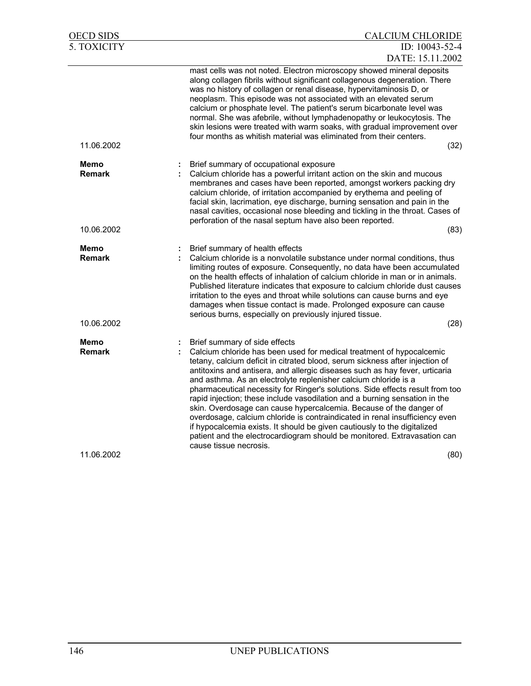| OECD SIDS             | <b>CALCIUM CHLORIDE</b>                                                                                                                                                                                                                                                                                                                                                                                                                                                                                                                                                                                                                                                                                                                                                                                                                       |
|-----------------------|-----------------------------------------------------------------------------------------------------------------------------------------------------------------------------------------------------------------------------------------------------------------------------------------------------------------------------------------------------------------------------------------------------------------------------------------------------------------------------------------------------------------------------------------------------------------------------------------------------------------------------------------------------------------------------------------------------------------------------------------------------------------------------------------------------------------------------------------------|
| 5. TOXICITY           | ID: 10043-52-4                                                                                                                                                                                                                                                                                                                                                                                                                                                                                                                                                                                                                                                                                                                                                                                                                                |
|                       | DATE: 15.11.2002                                                                                                                                                                                                                                                                                                                                                                                                                                                                                                                                                                                                                                                                                                                                                                                                                              |
| 11.06.2002            | mast cells was not noted. Electron microscopy showed mineral deposits<br>along collagen fibrils without significant collagenous degeneration. There<br>was no history of collagen or renal disease, hypervitaminosis D, or<br>neoplasm. This episode was not associated with an elevated serum<br>calcium or phosphate level. The patient's serum bicarbonate level was<br>normal. She was afebrile, without lymphadenopathy or leukocytosis. The<br>skin lesions were treated with warm soaks, with gradual improvement over<br>four months as whitish material was eliminated from their centers.<br>(32)                                                                                                                                                                                                                                   |
| Memo                  | Brief summary of occupational exposure                                                                                                                                                                                                                                                                                                                                                                                                                                                                                                                                                                                                                                                                                                                                                                                                        |
| <b>Remark</b>         | Calcium chloride has a powerful irritant action on the skin and mucous<br>membranes and cases have been reported, amongst workers packing dry<br>calcium chloride, of irritation accompanied by erythema and peeling of<br>facial skin, lacrimation, eye discharge, burning sensation and pain in the<br>nasal cavities, occasional nose bleeding and tickling in the throat. Cases of<br>perforation of the nasal septum have also been reported.                                                                                                                                                                                                                                                                                                                                                                                            |
| 10.06.2002            | (83)                                                                                                                                                                                                                                                                                                                                                                                                                                                                                                                                                                                                                                                                                                                                                                                                                                          |
| Memo<br><b>Remark</b> | Brief summary of health effects<br>Calcium chloride is a nonvolatile substance under normal conditions, thus<br>limiting routes of exposure. Consequently, no data have been accumulated<br>on the health effects of inhalation of calcium chloride in man or in animals.<br>Published literature indicates that exposure to calcium chloride dust causes<br>irritation to the eyes and throat while solutions can cause burns and eye<br>damages when tissue contact is made. Prolonged exposure can cause<br>serious burns, especially on previously injured tissue.                                                                                                                                                                                                                                                                        |
| 10.06.2002            | (28)                                                                                                                                                                                                                                                                                                                                                                                                                                                                                                                                                                                                                                                                                                                                                                                                                                          |
| Memo<br><b>Remark</b> | Brief summary of side effects<br>Calcium chloride has been used for medical treatment of hypocalcemic<br>tetany, calcium deficit in citrated blood, serum sickness after injection of<br>antitoxins and antisera, and allergic diseases such as hay fever, urticaria<br>and asthma. As an electrolyte replenisher calcium chloride is a<br>pharmaceutical necessity for Ringer's solutions. Side effects result from too<br>rapid injection; these include vasodilation and a burning sensation in the<br>skin. Overdosage can cause hypercalcemia. Because of the danger of<br>overdosage, calcium chloride is contraindicated in renal insufficiency even<br>if hypocalcemia exists. It should be given cautiously to the digitalized<br>patient and the electrocardiogram should be monitored. Extravasation can<br>cause tissue necrosis. |
| 11.06.2002            | (80)                                                                                                                                                                                                                                                                                                                                                                                                                                                                                                                                                                                                                                                                                                                                                                                                                                          |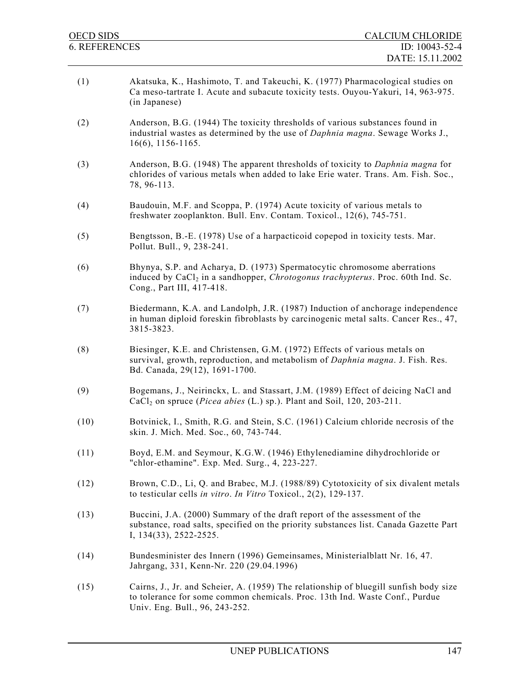| <b>OECD SIDS</b>     | <b>CALCIUM CHLORIDE</b>                                                                                                                                                                                      |
|----------------------|--------------------------------------------------------------------------------------------------------------------------------------------------------------------------------------------------------------|
| <b>6. REFERENCES</b> | ID: 10043-52-4<br>DATE: 15.11.2002                                                                                                                                                                           |
| (1)                  | Akatsuka, K., Hashimoto, T. and Takeuchi, K. (1977) Pharmacological studies on<br>Ca meso-tartrate I. Acute and subacute toxicity tests. Ouyou-Yakuri, 14, 963-975.<br>(in Japanese)                         |
| (2)                  | Anderson, B.G. (1944) The toxicity thresholds of various substances found in<br>industrial wastes as determined by the use of <i>Daphnia magna</i> . Sewage Works J.,<br>$16(6)$ , 1156-1165.                |
| (3)                  | Anderson, B.G. (1948) The apparent thresholds of toxicity to <i>Daphnia magna</i> for<br>chlorides of various metals when added to lake Erie water. Trans. Am. Fish. Soc.,<br>78, 96-113.                    |
| (4)                  | Baudouin, M.F. and Scoppa, P. (1974) Acute toxicity of various metals to<br>freshwater zooplankton. Bull. Env. Contam. Toxicol., 12(6), 745-751.                                                             |
| (5)                  | Bengtsson, B.-E. (1978) Use of a harpacticoid copepod in toxicity tests. Mar.<br>Pollut. Bull., 9, 238-241.                                                                                                  |
| (6)                  | Bhynya, S.P. and Acharya, D. (1973) Spermatocytic chromosome aberrations<br>induced by CaCl <sub>2</sub> in a sandhopper, <i>Chrotogonus trachypterus</i> . Proc. 60th Ind. Sc.<br>Cong., Part III, 417-418. |
| (7)                  | Biedermann, K.A. and Landolph, J.R. (1987) Induction of anchorage independence<br>in human diploid foreskin fibroblasts by carcinogenic metal salts. Cancer Res., 47,<br>3815-3823.                          |
| (8)                  | Biesinger, K.E. and Christensen, G.M. (1972) Effects of various metals on<br>survival, growth, reproduction, and metabolism of Daphnia magna. J. Fish. Res.<br>Bd. Canada, 29(12), 1691-1700.                |
| (9)                  | Bogemans, J., Neirinckx, L. and Stassart, J.M. (1989) Effect of deicing NaCl and<br>$CaCl2$ on spruce ( <i>Picea abies</i> (L.) sp.). Plant and Soil, 120, 203-211.                                          |
| (10)                 | Botvinick, I., Smith, R.G. and Stein, S.C. (1961) Calcium chloride necrosis of the<br>skin. J. Mich. Med. Soc., 60, 743-744.                                                                                 |
| (11)                 | Boyd, E.M. and Seymour, K.G.W. (1946) Ethylenediamine dihydrochloride or<br>"chlor-ethamine". Exp. Med. Surg., 4, 223-227.                                                                                   |
| (12)                 | Brown, C.D., Li, Q. and Brabec, M.J. (1988/89) Cytotoxicity of six divalent metals<br>to testicular cells in vitro. In Vitro Toxicol., $2(2)$ , 129-137.                                                     |
| (13)                 | Buccini, J.A. (2000) Summary of the draft report of the assessment of the<br>substance, road salts, specified on the priority substances list. Canada Gazette Part<br>I, 134(33), 2522-2525.                 |
| (14)                 | Bundesminister des Innern (1996) Gemeinsames, Ministerialblatt Nr. 16, 47.<br>Jahrgang, 331, Kenn-Nr. 220 (29.04.1996)                                                                                       |

(15) Cairns, J., Jr. and Scheier, A. (1959) The relationship of bluegill sunfish body size to tolerance for some common chemicals. Proc. 13th Ind. Waste Conf., Purdue Univ. Eng. Bull., 96, 243-252.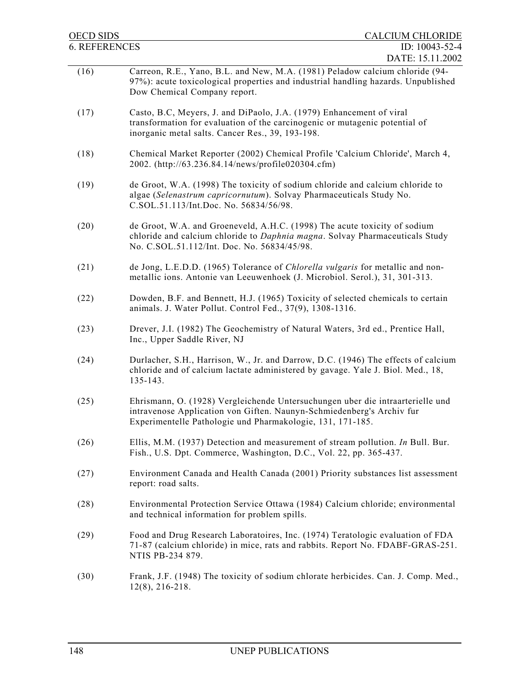| <b>OECD SIDS</b>     | <b>CALCIUM CHLORIDE</b>                                                                                                                                                                                               |
|----------------------|-----------------------------------------------------------------------------------------------------------------------------------------------------------------------------------------------------------------------|
| <b>6. REFERENCES</b> | ID: 10043-52-4                                                                                                                                                                                                        |
| (16)                 | DATE: 15.11.2002<br>Carreon, R.E., Yano, B.L. and New, M.A. (1981) Peladow calcium chloride (94-<br>97%): acute toxicological properties and industrial handling hazards. Unpublished<br>Dow Chemical Company report. |
| (17)                 | Casto, B.C, Meyers, J. and DiPaolo, J.A. (1979) Enhancement of viral<br>transformation for evaluation of the carcinogenic or mutagenic potential of<br>inorganic metal salts. Cancer Res., 39, 193-198.               |
| (18)                 | Chemical Market Reporter (2002) Chemical Profile 'Calcium Chloride', March 4,<br>2002. (http://63.236.84.14/news/profile020304.cfm)                                                                                   |
| (19)                 | de Groot, W.A. (1998) The toxicity of sodium chloride and calcium chloride to<br>algae (Selenastrum capricornutum). Solvay Pharmaceuticals Study No.<br>C.SOL.51.113/Int.Doc. No. 56834/56/98.                        |
| (20)                 | de Groot, W.A. and Groeneveld, A.H.C. (1998) The acute toxicity of sodium<br>chloride and calcium chloride to Daphnia magna. Solvay Pharmaceuticals Study<br>No. C.SOL.51.112/Int. Doc. No. 56834/45/98.              |
| (21)                 | de Jong, L.E.D.D. (1965) Tolerance of Chlorella vulgaris for metallic and non-<br>metallic ions. Antonie van Leeuwenhoek (J. Microbiol. Serol.), 31, 301-313.                                                         |
| (22)                 | Dowden, B.F. and Bennett, H.J. (1965) Toxicity of selected chemicals to certain<br>animals. J. Water Pollut. Control Fed., 37(9), 1308-1316.                                                                          |
| (23)                 | Drever, J.I. (1982) The Geochemistry of Natural Waters, 3rd ed., Prentice Hall,<br>Inc., Upper Saddle River, NJ                                                                                                       |
| (24)                 | Durlacher, S.H., Harrison, W., Jr. and Darrow, D.C. (1946) The effects of calcium<br>chloride and of calcium lactate administered by gavage. Yale J. Biol. Med., 18,<br>135-143.                                      |
| (25)                 | Ehrismann, O. (1928) Vergleichende Untersuchungen uber die intraarterielle und<br>intravenose Application von Giften. Naunyn-Schmiedenberg's Archiv fur<br>Experimentelle Pathologie und Pharmakologie, 131, 171-185. |
| (26)                 | Ellis, M.M. (1937) Detection and measurement of stream pollution. In Bull. Bur.<br>Fish., U.S. Dpt. Commerce, Washington, D.C., Vol. 22, pp. 365-437.                                                                 |
| (27)                 | Environment Canada and Health Canada (2001) Priority substances list assessment<br>report: road salts.                                                                                                                |
| (28)                 | Environmental Protection Service Ottawa (1984) Calcium chloride; environmental<br>and technical information for problem spills.                                                                                       |
| (29)                 | Food and Drug Research Laboratoires, Inc. (1974) Teratologic evaluation of FDA<br>71-87 (calcium chloride) in mice, rats and rabbits. Report No. FDABF-GRAS-251.<br>NTIS PB-234 879.                                  |
| (30)                 | Frank, J.F. (1948) The toxicity of sodium chlorate herbicides. Can. J. Comp. Med.,<br>$12(8)$ , 216-218.                                                                                                              |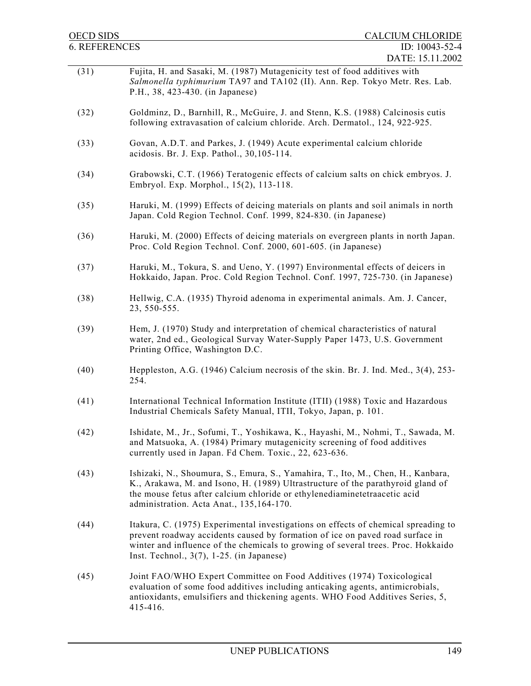| <b>OECD SIDS</b>     | <b>CALCIUM CHLORIDE</b>                                                                                                                                                                                                                                                                                  |
|----------------------|----------------------------------------------------------------------------------------------------------------------------------------------------------------------------------------------------------------------------------------------------------------------------------------------------------|
| <b>6. REFERENCES</b> | ID: 10043-52-4                                                                                                                                                                                                                                                                                           |
| (31)                 | DATE: 15.11.2002<br>Fujita, H. and Sasaki, M. (1987) Mutagenicity test of food additives with<br>Salmonella typhimurium TA97 and TA102 (II). Ann. Rep. Tokyo Metr. Res. Lab.<br>P.H., 38, 423-430. (in Japanese)                                                                                         |
| (32)                 | Goldminz, D., Barnhill, R., McGuire, J. and Stenn, K.S. (1988) Calcinosis cutis<br>following extravasation of calcium chloride. Arch. Dermatol., 124, 922-925.                                                                                                                                           |
| (33)                 | Govan, A.D.T. and Parkes, J. (1949) Acute experimental calcium chloride<br>acidosis. Br. J. Exp. Pathol., 30,105-114.                                                                                                                                                                                    |
| (34)                 | Grabowski, C.T. (1966) Teratogenic effects of calcium salts on chick embryos. J.<br>Embryol. Exp. Morphol., 15(2), 113-118.                                                                                                                                                                              |
| (35)                 | Haruki, M. (1999) Effects of deicing materials on plants and soil animals in north<br>Japan. Cold Region Technol. Conf. 1999, 824-830. (in Japanese)                                                                                                                                                     |
| (36)                 | Haruki, M. (2000) Effects of deicing materials on evergreen plants in north Japan.<br>Proc. Cold Region Technol. Conf. 2000, 601-605. (in Japanese)                                                                                                                                                      |
| (37)                 | Haruki, M., Tokura, S. and Ueno, Y. (1997) Environmental effects of deicers in<br>Hokkaido, Japan. Proc. Cold Region Technol. Conf. 1997, 725-730. (in Japanese)                                                                                                                                         |
| (38)                 | Hellwig, C.A. (1935) Thyroid adenoma in experimental animals. Am. J. Cancer,<br>23, 550-555.                                                                                                                                                                                                             |
| (39)                 | Hem, J. (1970) Study and interpretation of chemical characteristics of natural<br>water, 2nd ed., Geological Survay Water-Supply Paper 1473, U.S. Government<br>Printing Office, Washington D.C.                                                                                                         |
| (40)                 | Heppleston, A.G. (1946) Calcium necrosis of the skin. Br. J. Ind. Med., 3(4), 253-<br>254.                                                                                                                                                                                                               |
| (41)                 | International Technical Information Institute (ITII) (1988) Toxic and Hazardous<br>Industrial Chemicals Safety Manual, ITII, Tokyo, Japan, p. 101.                                                                                                                                                       |
| (42)                 | Ishidate, M., Jr., Sofumi, T., Yoshikawa, K., Hayashi, M., Nohmi, T., Sawada, M.<br>and Matsuoka, A. (1984) Primary mutagenicity screening of food additives<br>currently used in Japan. Fd Chem. Toxic., 22, 623-636.                                                                                   |
| (43)                 | Ishizaki, N., Shoumura, S., Emura, S., Yamahira, T., Ito, M., Chen, H., Kanbara,<br>K., Arakawa, M. and Isono, H. (1989) Ultrastructure of the parathyroid gland of<br>the mouse fetus after calcium chloride or ethylenediaminetetraacetic acid<br>administration. Acta Anat., 135,164-170.             |
| (44)                 | Itakura, C. (1975) Experimental investigations on effects of chemical spreading to<br>prevent roadway accidents caused by formation of ice on paved road surface in<br>winter and influence of the chemicals to growing of several trees. Proc. Hokkaido<br>Inst. Technol., $3(7)$ , 1-25. (in Japanese) |
| (45)                 | Joint FAO/WHO Expert Committee on Food Additives (1974) Toxicological<br>evaluation of some food additives including anticaking agents, antimicrobials,<br>antioxidants, emulsifiers and thickening agents. WHO Food Additives Series, 5,<br>415-416.                                                    |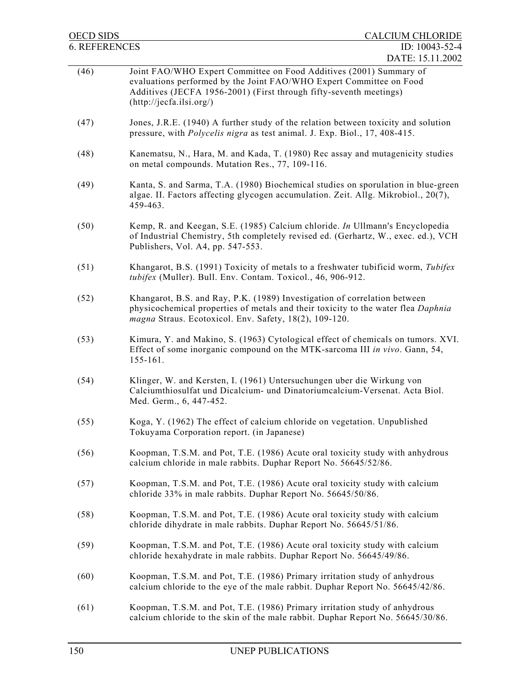| <b>OECD SIDS</b>     | <b>CALCIUM CHLORIDE</b>                                                                                                                                                                                                                                         |
|----------------------|-----------------------------------------------------------------------------------------------------------------------------------------------------------------------------------------------------------------------------------------------------------------|
| <b>6. REFERENCES</b> | ID: 10043-52-4                                                                                                                                                                                                                                                  |
| (46)                 | DATE: 15.11.2002<br>Joint FAO/WHO Expert Committee on Food Additives (2001) Summary of<br>evaluations performed by the Joint FAO/WHO Expert Committee on Food<br>Additives (JECFA 1956-2001) (First through fifty-seventh meetings)<br>(http://jecfa.ilsi.org/) |
| (47)                 | Jones, J.R.E. (1940) A further study of the relation between toxicity and solution<br>pressure, with <i>Polycelis nigra</i> as test animal. J. Exp. Biol., 17, 408-415.                                                                                         |
| (48)                 | Kanematsu, N., Hara, M. and Kada, T. (1980) Rec assay and mutagenicity studies<br>on metal compounds. Mutation Res., 77, 109-116.                                                                                                                               |
| (49)                 | Kanta, S. and Sarma, T.A. (1980) Biochemical studies on sporulation in blue-green<br>algae. II. Factors affecting glycogen accumulation. Zeit. Allg. Mikrobiol., 20(7),<br>459-463.                                                                             |
| (50)                 | Kemp, R. and Keegan, S.E. (1985) Calcium chloride. In Ullmann's Encyclopedia<br>of Industrial Chemistry, 5th completely revised ed. (Gerhartz, W., exec. ed.), VCH<br>Publishers, Vol. A4, pp. 547-553.                                                         |
| (51)                 | Khangarot, B.S. (1991) Toxicity of metals to a freshwater tubificid worm, Tubifex<br>tubifex (Muller). Bull. Env. Contam. Toxicol., 46, 906-912.                                                                                                                |
| (52)                 | Khangarot, B.S. and Ray, P.K. (1989) Investigation of correlation between<br>physicochemical properties of metals and their toxicity to the water flea Daphnia<br>magna Straus. Ecotoxicol. Env. Safety, 18(2), 109-120.                                        |
| (53)                 | Kimura, Y. and Makino, S. (1963) Cytological effect of chemicals on tumors. XVI.<br>Effect of some inorganic compound on the MTK-sarcoma III in vivo. Gann, 54,<br>155-161.                                                                                     |
| (54)                 | Klinger, W. and Kersten, I. (1961) Untersuchungen uber die Wirkung von<br>Calciumthiosulfat und Dicalcium- und Dinatoriumcalcium-Versenat. Acta Biol.<br>Med. Germ., 6, 447-452.                                                                                |
| (55)                 | Koga, Y. (1962) The effect of calcium chloride on vegetation. Unpublished<br>Tokuyama Corporation report. (in Japanese)                                                                                                                                         |
| (56)                 | Koopman, T.S.M. and Pot, T.E. (1986) Acute oral toxicity study with anhydrous<br>calcium chloride in male rabbits. Duphar Report No. 56645/52/86.                                                                                                               |
| (57)                 | Koopman, T.S.M. and Pot, T.E. (1986) Acute oral toxicity study with calcium<br>chloride 33% in male rabbits. Duphar Report No. 56645/50/86.                                                                                                                     |
| (58)                 | Koopman, T.S.M. and Pot, T.E. (1986) Acute oral toxicity study with calcium<br>chloride dihydrate in male rabbits. Duphar Report No. 56645/51/86.                                                                                                               |
| (59)                 | Koopman, T.S.M. and Pot, T.E. (1986) Acute oral toxicity study with calcium<br>chloride hexahydrate in male rabbits. Duphar Report No. 56645/49/86.                                                                                                             |
| (60)                 | Koopman, T.S.M. and Pot, T.E. (1986) Primary irritation study of anhydrous<br>calcium chloride to the eye of the male rabbit. Duphar Report No. 56645/42/86.                                                                                                    |
| (61)                 | Koopman, T.S.M. and Pot, T.E. (1986) Primary irritation study of anhydrous<br>calcium chloride to the skin of the male rabbit. Duphar Report No. 56645/30/86.                                                                                                   |
|                      |                                                                                                                                                                                                                                                                 |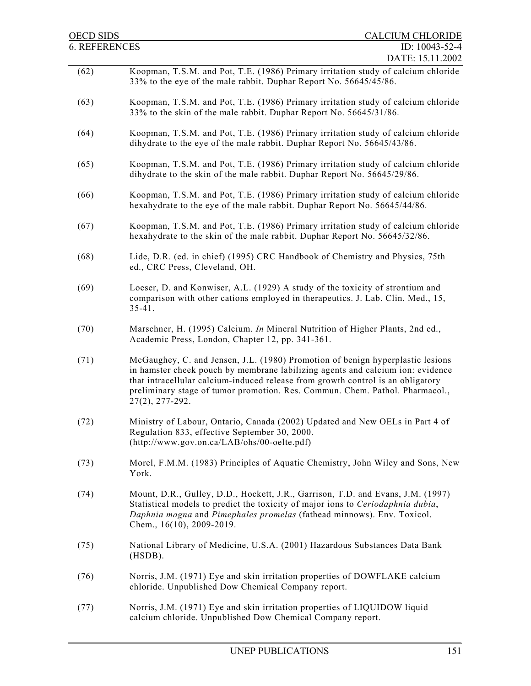| OECD SIDS            | <b>CALCIUM CHLORIDE</b>                                                                                                                                                                                                                                                                                                                                  |
|----------------------|----------------------------------------------------------------------------------------------------------------------------------------------------------------------------------------------------------------------------------------------------------------------------------------------------------------------------------------------------------|
| <b>6. REFERENCES</b> | ID: 10043-52-4                                                                                                                                                                                                                                                                                                                                           |
|                      | DATE: 15.11.2002                                                                                                                                                                                                                                                                                                                                         |
| (62)                 | Koopman, T.S.M. and Pot, T.E. (1986) Primary irritation study of calcium chloride<br>33% to the eye of the male rabbit. Duphar Report No. 56645/45/86.                                                                                                                                                                                                   |
| (63)                 | Koopman, T.S.M. and Pot, T.E. (1986) Primary irritation study of calcium chloride<br>33% to the skin of the male rabbit. Duphar Report No. 56645/31/86.                                                                                                                                                                                                  |
| (64)                 | Koopman, T.S.M. and Pot, T.E. (1986) Primary irritation study of calcium chloride<br>dihydrate to the eye of the male rabbit. Duphar Report No. 56645/43/86.                                                                                                                                                                                             |
| (65)                 | Koopman, T.S.M. and Pot, T.E. (1986) Primary irritation study of calcium chloride<br>dihydrate to the skin of the male rabbit. Duphar Report No. 56645/29/86.                                                                                                                                                                                            |
| (66)                 | Koopman, T.S.M. and Pot, T.E. (1986) Primary irritation study of calcium chloride<br>hexahydrate to the eye of the male rabbit. Duphar Report No. 56645/44/86.                                                                                                                                                                                           |
| (67)                 | Koopman, T.S.M. and Pot, T.E. (1986) Primary irritation study of calcium chloride<br>hexahydrate to the skin of the male rabbit. Duphar Report No. 56645/32/86.                                                                                                                                                                                          |
| (68)                 | Lide, D.R. (ed. in chief) (1995) CRC Handbook of Chemistry and Physics, 75th<br>ed., CRC Press, Cleveland, OH.                                                                                                                                                                                                                                           |
| (69)                 | Loeser, D. and Konwiser, A.L. (1929) A study of the toxicity of strontium and<br>comparison with other cations employed in the rapeutics. J. Lab. Clin. Med., 15,<br>$35 - 41$ .                                                                                                                                                                         |
| (70)                 | Marschner, H. (1995) Calcium. In Mineral Nutrition of Higher Plants, 2nd ed.,<br>Academic Press, London, Chapter 12, pp. 341-361.                                                                                                                                                                                                                        |
| (71)                 | McGaughey, C. and Jensen, J.L. (1980) Promotion of benign hyperplastic lesions<br>in hamster cheek pouch by membrane labilizing agents and calcium ion: evidence<br>that intracellular calcium-induced release from growth control is an obligatory<br>preliminary stage of tumor promotion. Res. Commun. Chem. Pathol. Pharmacol.,<br>$27(2), 277-292.$ |
| (72)                 | Ministry of Labour, Ontario, Canada (2002) Updated and New OELs in Part 4 of<br>Regulation 833, effective September 30, 2000.<br>$(http://www.gov.on.ca/LAB/ohs/00-oelte.pdf)$                                                                                                                                                                           |
| (73)                 | Morel, F.M.M. (1983) Principles of Aquatic Chemistry, John Wiley and Sons, New<br>York.                                                                                                                                                                                                                                                                  |
| (74)                 | Mount, D.R., Gulley, D.D., Hockett, J.R., Garrison, T.D. and Evans, J.M. (1997)<br>Statistical models to predict the toxicity of major ions to Ceriodaphnia dubia,<br>Daphnia magna and Pimephales promelas (fathead minnows). Env. Toxicol.<br>Chem., 16(10), 2009-2019.                                                                                |
| (75)                 | National Library of Medicine, U.S.A. (2001) Hazardous Substances Data Bank<br>$(HSDB)$ .                                                                                                                                                                                                                                                                 |
| (76)                 | Norris, J.M. (1971) Eye and skin irritation properties of DOWFLAKE calcium<br>chloride. Unpublished Dow Chemical Company report.                                                                                                                                                                                                                         |
| (77)                 | Norris, J.M. (1971) Eye and skin irritation properties of LIQUIDOW liquid<br>calcium chloride. Unpublished Dow Chemical Company report.                                                                                                                                                                                                                  |
|                      |                                                                                                                                                                                                                                                                                                                                                          |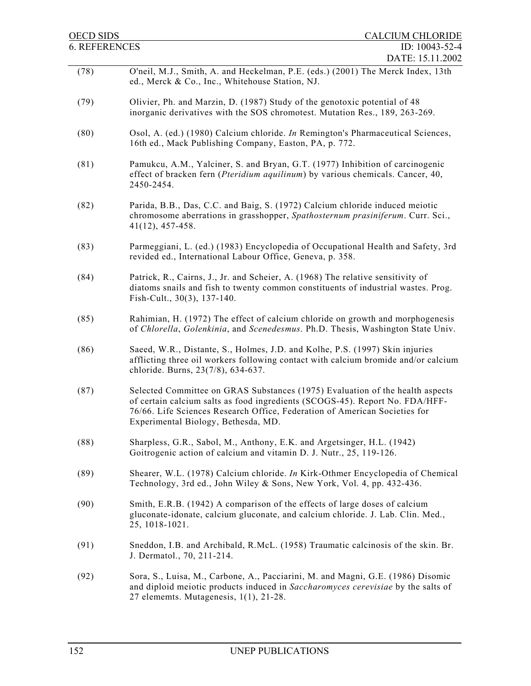| <b>OECD SIDS</b>     | <b>CALCIUM CHLORIDE</b>                                                                                                                                                                                                                                                            |
|----------------------|------------------------------------------------------------------------------------------------------------------------------------------------------------------------------------------------------------------------------------------------------------------------------------|
| <b>6. REFERENCES</b> | ID: 10043-52-4                                                                                                                                                                                                                                                                     |
|                      | DATE: 15.11.2002                                                                                                                                                                                                                                                                   |
| (78)                 | O'neil, M.J., Smith, A. and Heckelman, P.E. (eds.) (2001) The Merck Index, 13th<br>ed., Merck & Co., Inc., Whitehouse Station, NJ.                                                                                                                                                 |
| (79)                 | Olivier, Ph. and Marzin, D. (1987) Study of the genotoxic potential of 48<br>inorganic derivatives with the SOS chromotest. Mutation Res., 189, 263-269.                                                                                                                           |
| (80)                 | Osol, A. (ed.) (1980) Calcium chloride. <i>In</i> Remington's Pharmaceutical Sciences,<br>16th ed., Mack Publishing Company, Easton, PA, p. 772.                                                                                                                                   |
| (81)                 | Pamukcu, A.M., Yalciner, S. and Bryan, G.T. (1977) Inhibition of carcinogenic<br>effect of bracken fern ( <i>Pteridium aquilinum</i> ) by various chemicals. Cancer, 40,<br>2450-2454.                                                                                             |
| (82)                 | Parida, B.B., Das, C.C. and Baig, S. (1972) Calcium chloride induced meiotic<br>chromosome aberrations in grasshopper, Spathosternum prasiniferum. Curr. Sci.,<br>$41(12)$ , 457-458.                                                                                              |
| (83)                 | Parmeggiani, L. (ed.) (1983) Encyclopedia of Occupational Health and Safety, 3rd<br>revided ed., International Labour Office, Geneva, p. 358.                                                                                                                                      |
| (84)                 | Patrick, R., Cairns, J., Jr. and Scheier, A. (1968) The relative sensitivity of<br>diatoms snails and fish to twenty common constituents of industrial wastes. Prog.<br>Fish-Cult., 30(3), 137-140.                                                                                |
| (85)                 | Rahimian, H. (1972) The effect of calcium chloride on growth and morphogenesis<br>of Chlorella, Golenkinia, and Scenedesmus. Ph.D. Thesis, Washington State Univ.                                                                                                                  |
| (86)                 | Saeed, W.R., Distante, S., Holmes, J.D. and Kolhe, P.S. (1997) Skin injuries<br>afflicting three oil workers following contact with calcium bromide and/or calcium<br>chloride. Burns, 23(7/8), 634-637.                                                                           |
| (87)                 | Selected Committee on GRAS Substances (1975) Evaluation of the health aspects<br>of certain calcium salts as food ingredients (SCOGS-45). Report No. FDA/HFF-<br>76/66. Life Sciences Research Office, Federation of American Societies for<br>Experimental Biology, Bethesda, MD. |
| (88)                 | Sharpless, G.R., Sabol, M., Anthony, E.K. and Argetsinger, H.L. (1942)<br>Goitrogenic action of calcium and vitamin D. J. Nutr., 25, 119-126.                                                                                                                                      |
| (89)                 | Shearer, W.L. (1978) Calcium chloride. In Kirk-Othmer Encyclopedia of Chemical<br>Technology, 3rd ed., John Wiley & Sons, New York, Vol. 4, pp. 432-436.                                                                                                                           |
| (90)                 | Smith, E.R.B. (1942) A comparison of the effects of large doses of calcium<br>gluconate-idonate, calcium gluconate, and calcium chloride. J. Lab. Clin. Med.,<br>25, 1018-1021.                                                                                                    |
| (91)                 | Sneddon, I.B. and Archibald, R.McL. (1958) Traumatic calcinosis of the skin. Br.<br>J. Dermatol., 70, 211-214.                                                                                                                                                                     |
| (92)                 | Sora, S., Luisa, M., Carbone, A., Pacciarini, M. and Magni, G.E. (1986) Disomic<br>and diploid meiotic products induced in Saccharomyces cerevisiae by the salts of<br>27 elememts. Mutagenesis, 1(1), 21-28.                                                                      |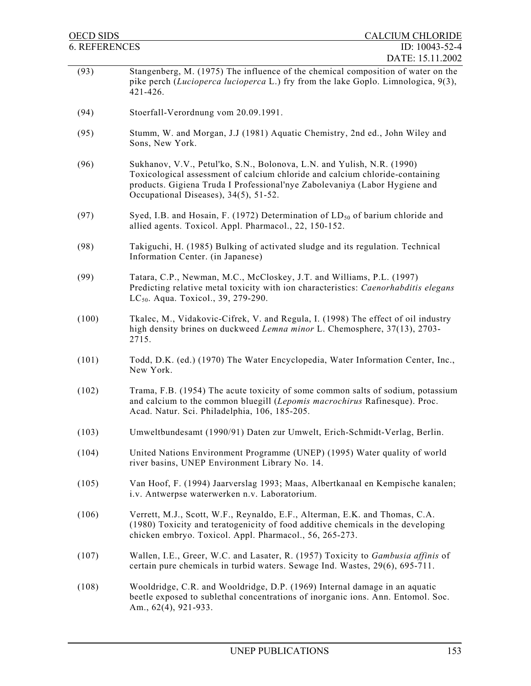| <b>OECD SIDS</b>     | <b>CALCIUM CHLORIDE</b>                                                                                                                                                                                                                                                       |
|----------------------|-------------------------------------------------------------------------------------------------------------------------------------------------------------------------------------------------------------------------------------------------------------------------------|
| <b>6. REFERENCES</b> | ID: 10043-52-4                                                                                                                                                                                                                                                                |
| (93)                 | DATE: 15.11.2002<br>Stangenberg, M. (1975) The influence of the chemical composition of water on the<br>pike perch (Lucioperca lucioperca L.) fry from the lake Goplo. Limnologica, 9(3),<br>421-426.                                                                         |
| (94)                 | Stoerfall-Verordnung vom 20.09.1991.                                                                                                                                                                                                                                          |
| (95)                 | Stumm, W. and Morgan, J.J (1981) Aquatic Chemistry, 2nd ed., John Wiley and<br>Sons, New York.                                                                                                                                                                                |
| (96)                 | Sukhanov, V.V., Petul'ko, S.N., Bolonova, L.N. and Yulish, N.R. (1990)<br>Toxicological assessment of calcium chloride and calcium chloride-containing<br>products. Gigiena Truda I Professional'nye Zabolevaniya (Labor Hygiene and<br>Occupational Diseases), 34(5), 51-52. |
| (97)                 | Syed, I.B. and Hosain, F. (1972) Determination of $LD_{50}$ of barium chloride and<br>allied agents. Toxicol. Appl. Pharmacol., 22, 150-152.                                                                                                                                  |
| (98)                 | Takiguchi, H. (1985) Bulking of activated sludge and its regulation. Technical<br>Information Center. (in Japanese)                                                                                                                                                           |
| (99)                 | Tatara, C.P., Newman, M.C., McCloskey, J.T. and Williams, P.L. (1997)<br>Predicting relative metal toxicity with ion characteristics: Caenorhabditis elegans<br>LC <sub>50</sub> . Aqua. Toxicol., 39, 279-290.                                                               |
| (100)                | Tkalec, M., Vidakovic-Cifrek, V. and Regula, I. (1998) The effect of oil industry<br>high density brines on duckweed <i>Lemna minor</i> L. Chemosphere, 37(13), 2703-<br>2715.                                                                                                |
| (101)                | Todd, D.K. (ed.) (1970) The Water Encyclopedia, Water Information Center, Inc.,<br>New York.                                                                                                                                                                                  |
| (102)                | Trama, F.B. (1954) The acute toxicity of some common salts of sodium, potassium<br>and calcium to the common bluegill (Lepomis macrochirus Rafinesque). Proc.<br>Acad. Natur. Sci. Philadelphia, 106, 185-205.                                                                |
| (103)                | Umweltbundesamt (1990/91) Daten zur Umwelt, Erich-Schmidt-Verlag, Berlin.                                                                                                                                                                                                     |
| (104)                | United Nations Environment Programme (UNEP) (1995) Water quality of world<br>river basins, UNEP Environment Library No. 14.                                                                                                                                                   |
| (105)                | Van Hoof, F. (1994) Jaarverslag 1993; Maas, Albertkanaal en Kempische kanalen;<br>i.v. Antwerpse waterwerken n.v. Laboratorium.                                                                                                                                               |
| (106)                | Verrett, M.J., Scott, W.F., Reynaldo, E.F., Alterman, E.K. and Thomas, C.A.<br>(1980) Toxicity and teratogenicity of food additive chemicals in the developing<br>chicken embryo. Toxicol. Appl. Pharmacol., 56, 265-273.                                                     |
| (107)                | Wallen, I.E., Greer, W.C. and Lasater, R. (1957) Toxicity to Gambusia affinis of<br>certain pure chemicals in turbid waters. Sewage Ind. Wastes, 29(6), 695-711.                                                                                                              |
| (108)                | Wooldridge, C.R. and Wooldridge, D.P. (1969) Internal damage in an aquatic<br>beetle exposed to sublethal concentrations of inorganic ions. Ann. Entomol. Soc.<br>Am., 62(4), 921-933.                                                                                        |